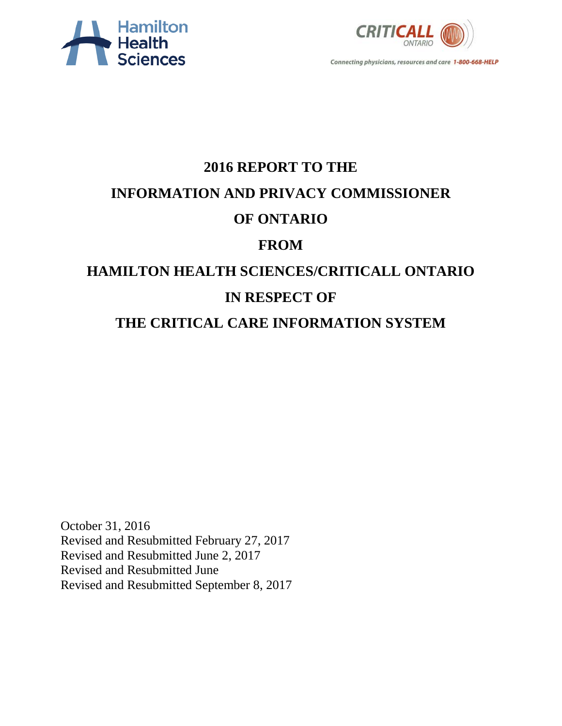



# **2016 REPORT TO THE INFORMATION AND PRIVACY COMMISSIONER OF ONTARIO FROM HAMILTON HEALTH SCIENCES/CRITICALL ONTARIO IN RESPECT OF**

**THE CRITICAL CARE INFORMATION SYSTEM**

October 31, 2016 Revised and Resubmitted February 27, 2017 Revised and Resubmitted June 2, 2017 Revised and Resubmitted June Revised and Resubmitted September 8, 2017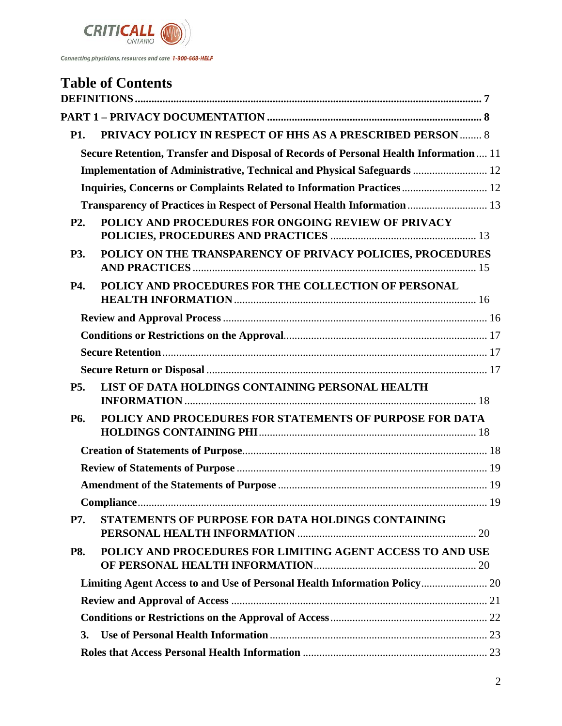

|                  | <b>Table of Contents</b>                                                              |  |
|------------------|---------------------------------------------------------------------------------------|--|
|                  |                                                                                       |  |
|                  |                                                                                       |  |
| <b>P1.</b>       | <b>PRIVACY POLICY IN RESPECT OF HHS AS A PRESCRIBED PERSON  8</b>                     |  |
|                  | Secure Retention, Transfer and Disposal of Records of Personal Health Information  11 |  |
|                  | Implementation of Administrative, Technical and Physical Safeguards  12               |  |
|                  | Inquiries, Concerns or Complaints Related to Information Practices 12                 |  |
|                  | Transparency of Practices in Respect of Personal Health Information  13               |  |
| P <sub>2</sub> . | POLICY AND PROCEDURES FOR ONGOING REVIEW OF PRIVACY                                   |  |
| P3.              | POLICY ON THE TRANSPARENCY OF PRIVACY POLICIES, PROCEDURES                            |  |
| P4.              | POLICY AND PROCEDURES FOR THE COLLECTION OF PERSONAL                                  |  |
|                  |                                                                                       |  |
|                  |                                                                                       |  |
|                  |                                                                                       |  |
|                  |                                                                                       |  |
| P <sub>5</sub> . | LIST OF DATA HOLDINGS CONTAINING PERSONAL HEALTH                                      |  |
| P6.              | POLICY AND PROCEDURES FOR STATEMENTS OF PURPOSE FOR DATA                              |  |
|                  |                                                                                       |  |
|                  |                                                                                       |  |
|                  |                                                                                       |  |
|                  |                                                                                       |  |
| <b>P7.</b>       | STATEMENTS OF PURPOSE FOR DATA HOLDINGS CONTAINING                                    |  |
| <b>P8.</b>       | POLICY AND PROCEDURES FOR LIMITING AGENT ACCESS TO AND USE                            |  |
|                  | Limiting Agent Access to and Use of Personal Health Information Policy 20             |  |
|                  |                                                                                       |  |
|                  |                                                                                       |  |
| 3.               |                                                                                       |  |
|                  |                                                                                       |  |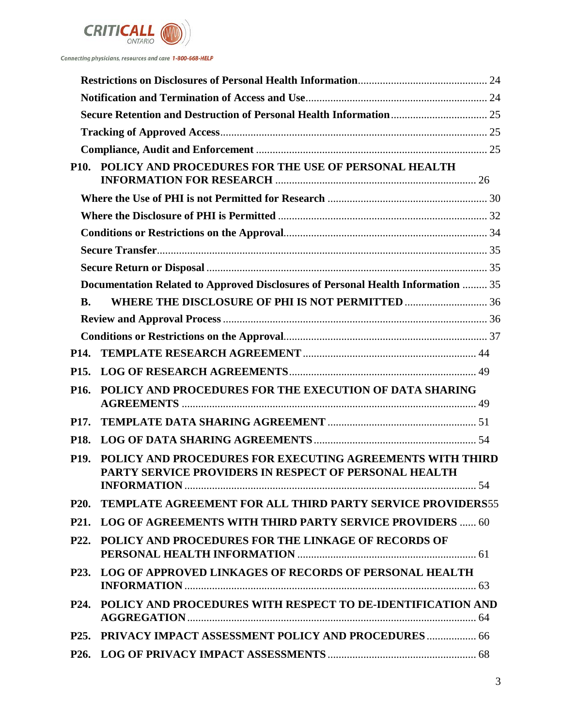

|                   | P10. POLICY AND PROCEDURES FOR THE USE OF PERSONAL HEALTH                                                          |    |
|-------------------|--------------------------------------------------------------------------------------------------------------------|----|
|                   |                                                                                                                    |    |
|                   |                                                                                                                    |    |
|                   |                                                                                                                    |    |
|                   |                                                                                                                    |    |
|                   |                                                                                                                    |    |
|                   | Documentation Related to Approved Disclosures of Personal Health Information  35                                   |    |
| <b>B.</b>         |                                                                                                                    |    |
|                   |                                                                                                                    |    |
|                   |                                                                                                                    |    |
| P <sub>14</sub> . |                                                                                                                    |    |
| P <sub>15</sub> . |                                                                                                                    |    |
| P <sub>16</sub> . | POLICY AND PROCEDURES FOR THE EXECUTION OF DATA SHARING                                                            |    |
| <b>P17.</b>       |                                                                                                                    |    |
| P18.              |                                                                                                                    |    |
| P <sub>19</sub> . | POLICY AND PROCEDURES FOR EXECUTING AGREEMENTS WITH THIRD<br>PARTY SERVICE PROVIDERS IN RESPECT OF PERSONAL HEALTH | 54 |
| <b>P20.</b>       | <b>TEMPLATE AGREEMENT FOR ALL THIRD PARTY SERVICE PROVIDERS55</b>                                                  |    |
| P <sub>21</sub> . | <b>LOG OF AGREEMENTS WITH THIRD PARTY SERVICE PROVIDERS  60</b>                                                    |    |
|                   | P22. POLICY AND PROCEDURES FOR THE LINKAGE OF RECORDS OF                                                           |    |
|                   | P23. LOG OF APPROVED LINKAGES OF RECORDS OF PERSONAL HEALTH                                                        |    |
|                   | P24. POLICY AND PROCEDURES WITH RESPECT TO DE-IDENTIFICATION AND                                                   |    |
|                   | P25. PRIVACY IMPACT ASSESSMENT POLICY AND PROCEDURES  66                                                           |    |
|                   |                                                                                                                    |    |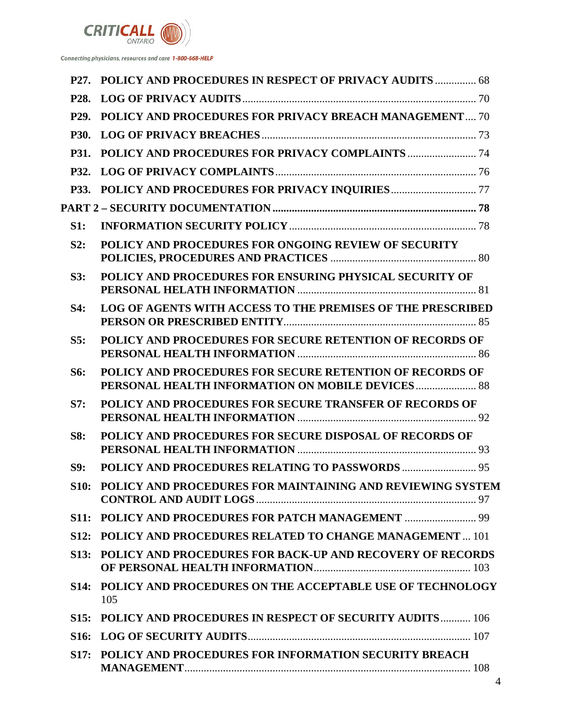

| P <sub>27</sub> . | POLICY AND PROCEDURES IN RESPECT OF PRIVACY AUDITS  68                                                        |  |
|-------------------|---------------------------------------------------------------------------------------------------------------|--|
| P <sub>28</sub> . |                                                                                                               |  |
| P <sub>29</sub> . | <b>POLICY AND PROCEDURES FOR PRIVACY BREACH MANAGEMENT 70</b>                                                 |  |
| <b>P30.</b>       |                                                                                                               |  |
| <b>P31.</b>       |                                                                                                               |  |
| <b>P32.</b>       |                                                                                                               |  |
| <b>P33.</b>       |                                                                                                               |  |
|                   |                                                                                                               |  |
| S1:               |                                                                                                               |  |
| S2:               | POLICY AND PROCEDURES FOR ONGOING REVIEW OF SECURITY                                                          |  |
| S3:               | POLICY AND PROCEDURES FOR ENSURING PHYSICAL SECURITY OF                                                       |  |
| S4:               | LOG OF AGENTS WITH ACCESS TO THE PREMISES OF THE PRESCRIBED                                                   |  |
| S5:               | POLICY AND PROCEDURES FOR SECURE RETENTION OF RECORDS OF                                                      |  |
| S6:               | POLICY AND PROCEDURES FOR SECURE RETENTION OF RECORDS OF<br>PERSONAL HEALTH INFORMATION ON MOBILE DEVICES  88 |  |
| S7:               | POLICY AND PROCEDURES FOR SECURE TRANSFER OF RECORDS OF                                                       |  |
| <b>S8:</b>        | POLICY AND PROCEDURES FOR SECURE DISPOSAL OF RECORDS OF                                                       |  |
| S9:               | <b>POLICY AND PROCEDURES RELATING TO PASSWORDS  95</b>                                                        |  |
| <b>S10:</b>       | POLICY AND PROCEDURES FOR MAINTAINING AND REVIEWING SYSTEM                                                    |  |
|                   |                                                                                                               |  |
|                   | S12: POLICY AND PROCEDURES RELATED TO CHANGE MANAGEMENT  101                                                  |  |
| <b>S13:</b>       | <b>POLICY AND PROCEDURES FOR BACK-UP AND RECOVERY OF RECORDS</b>                                              |  |
| <b>S14:</b>       | POLICY AND PROCEDURES ON THE ACCEPTABLE USE OF TECHNOLOGY<br>105                                              |  |
|                   | S15: POLICY AND PROCEDURES IN RESPECT OF SECURITY AUDITS 106                                                  |  |
| S <sub>16</sub> : |                                                                                                               |  |
|                   | S17: POLICY AND PROCEDURES FOR INFORMATION SECURITY BREACH                                                    |  |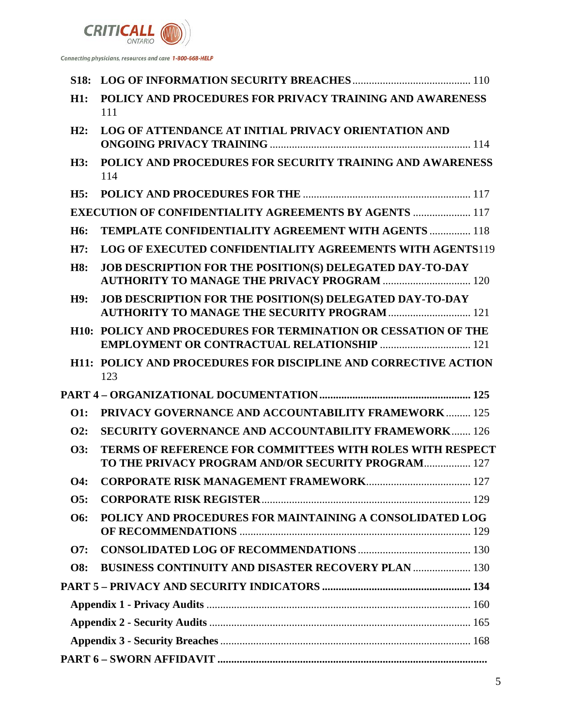

| S <sub>18</sub> : |                                                                                                                               |  |  |
|-------------------|-------------------------------------------------------------------------------------------------------------------------------|--|--|
| H1:               | POLICY AND PROCEDURES FOR PRIVACY TRAINING AND AWARENESS<br>111                                                               |  |  |
| H2:               | LOG OF ATTENDANCE AT INITIAL PRIVACY ORIENTATION AND                                                                          |  |  |
| H3:               | POLICY AND PROCEDURES FOR SECURITY TRAINING AND AWARENESS<br>114                                                              |  |  |
| H5:               |                                                                                                                               |  |  |
|                   | <b>EXECUTION OF CONFIDENTIALITY AGREEMENTS BY AGENTS  117</b>                                                                 |  |  |
| H <sub>6</sub> :  | <b>TEMPLATE CONFIDENTIALITY AGREEMENT WITH AGENTS  118</b>                                                                    |  |  |
| H7:               | <b>LOG OF EXECUTED CONFIDENTIALITY AGREEMENTS WITH AGENTS119</b>                                                              |  |  |
| <b>H8:</b>        | <b>JOB DESCRIPTION FOR THE POSITION(S) DELEGATED DAY-TO-DAY</b><br><b>AUTHORITY TO MANAGE THE PRIVACY PROGRAM  120</b>        |  |  |
| H9:               | <b>JOB DESCRIPTION FOR THE POSITION(S) DELEGATED DAY-TO-DAY</b><br><b>AUTHORITY TO MANAGE THE SECURITY PROGRAM  121</b>       |  |  |
|                   | <b>H10: POLICY AND PROCEDURES FOR TERMINATION OR CESSATION OF THE</b><br><b>EMPLOYMENT OR CONTRACTUAL RELATIONSHIP  121</b>   |  |  |
|                   | <b>H11: POLICY AND PROCEDURES FOR DISCIPLINE AND CORRECTIVE ACTION</b><br>123                                                 |  |  |
|                   |                                                                                                                               |  |  |
| <b>O1:</b>        | <b>PRIVACY GOVERNANCE AND ACCOUNTABILITY FRAMEWORK 125</b>                                                                    |  |  |
| O2:               | <b>SECURITY GOVERNANCE AND ACCOUNTABILITY FRAMEWORK 126</b>                                                                   |  |  |
| O3:               | <b>TERMS OF REFERENCE FOR COMMITTEES WITH ROLES WITH RESPECT</b><br><b>TO THE PRIVACY PROGRAM AND/OR SECURITY PROGRAM 127</b> |  |  |
| <b>O4:</b>        |                                                                                                                               |  |  |
| O5:               |                                                                                                                               |  |  |
| O6:               | POLICY AND PROCEDURES FOR MAINTAINING A CONSOLIDATED LOG                                                                      |  |  |
| O7:               |                                                                                                                               |  |  |
| <b>O8:</b>        | <b>BUSINESS CONTINUITY AND DISASTER RECOVERY PLAN  130</b>                                                                    |  |  |
|                   |                                                                                                                               |  |  |
|                   |                                                                                                                               |  |  |
|                   |                                                                                                                               |  |  |
|                   |                                                                                                                               |  |  |
|                   |                                                                                                                               |  |  |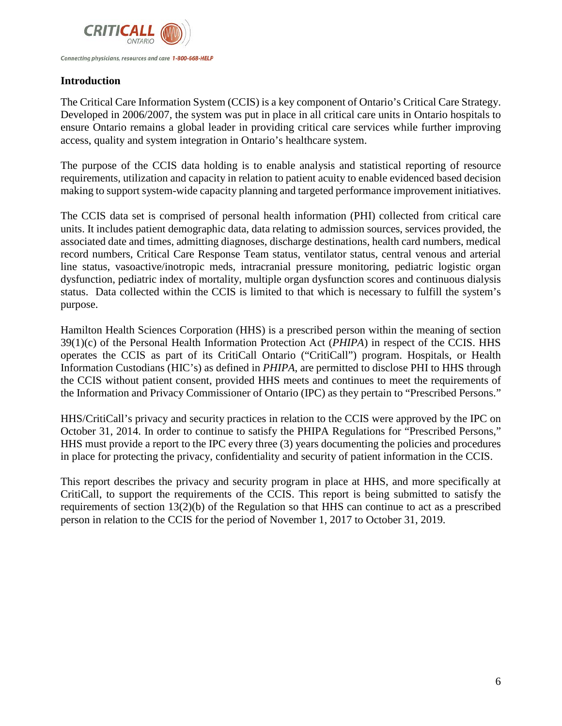

#### **Introduction**

The Critical Care Information System (CCIS) is a key component of Ontario's Critical Care Strategy. Developed in 2006/2007, the system was put in place in all critical care units in Ontario hospitals to ensure Ontario remains a global leader in providing critical care services while further improving access, quality and system integration in Ontario's healthcare system.

The purpose of the CCIS data holding is to enable analysis and statistical reporting of resource requirements, utilization and capacity in relation to patient acuity to enable evidenced based decision making to support system-wide capacity planning and targeted performance improvement initiatives.

The CCIS data set is comprised of personal health information (PHI) collected from critical care units. It includes patient demographic data, data relating to admission sources, services provided, the associated date and times, admitting diagnoses, discharge destinations, health card numbers, medical record numbers, Critical Care Response Team status, ventilator status, central venous and arterial line status, vasoactive/inotropic meds, intracranial pressure monitoring, pediatric logistic organ dysfunction, pediatric index of mortality, multiple organ dysfunction scores and continuous dialysis status. Data collected within the CCIS is limited to that which is necessary to fulfill the system's purpose.

Hamilton Health Sciences Corporation (HHS) is a prescribed person within the meaning of section 39(1)(c) of the Personal Health Information Protection Act (*PHIPA*) in respect of the CCIS. HHS operates the CCIS as part of its CritiCall Ontario ("CritiCall") program. Hospitals, or Health Information Custodians (HIC's) as defined in *PHIPA*, are permitted to disclose PHI to HHS through the CCIS without patient consent, provided HHS meets and continues to meet the requirements of the Information and Privacy Commissioner of Ontario (IPC) as they pertain to "Prescribed Persons."

HHS/CritiCall's privacy and security practices in relation to the CCIS were approved by the IPC on October 31, 2014. In order to continue to satisfy the PHIPA Regulations for "Prescribed Persons," HHS must provide a report to the IPC every three (3) years documenting the policies and procedures in place for protecting the privacy, confidentiality and security of patient information in the CCIS.

This report describes the privacy and security program in place at HHS, and more specifically at CritiCall, to support the requirements of the CCIS. This report is being submitted to satisfy the requirements of section 13(2)(b) of the Regulation so that HHS can continue to act as a prescribed person in relation to the CCIS for the period of November 1, 2017 to October 31, 2019.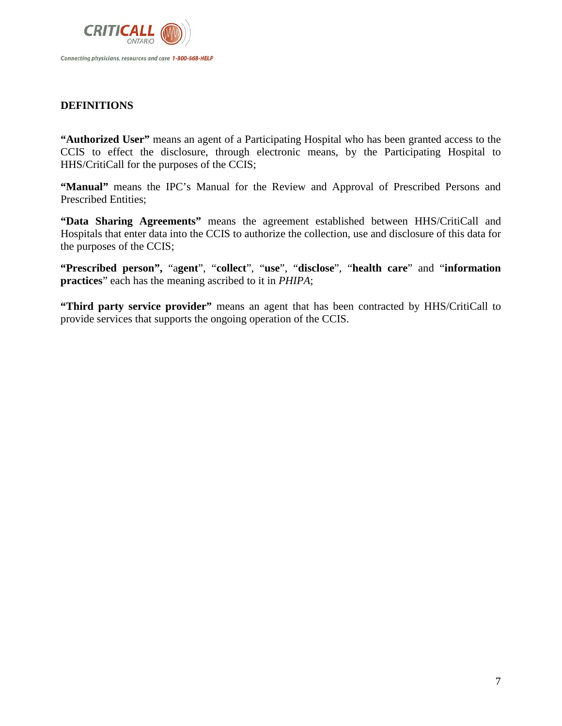

#### <span id="page-6-0"></span>**DEFINITIONS**

**"Authorized User"** means an agent of a Participating Hospital who has been granted access to the CCIS to effect the disclosure, through electronic means, by the Participating Hospital to HHS/CritiCall for the purposes of the CCIS;

**"Manual"** means the IPC's Manual for the Review and Approval of Prescribed Persons and Prescribed Entities;

**"Data Sharing Agreements"** means the agreement established between HHS/CritiCall and Hospitals that enter data into the CCIS to authorize the collection, use and disclosure of this data for the purposes of the CCIS;

**"Prescribed person",** "a**gent**", "**collect**", "**use**", "**disclose**", "**health care**" and "**information practices**" each has the meaning ascribed to it in *PHIPA*;

**"Third party service provider"** means an agent that has been contracted by HHS/CritiCall to provide services that supports the ongoing operation of the CCIS.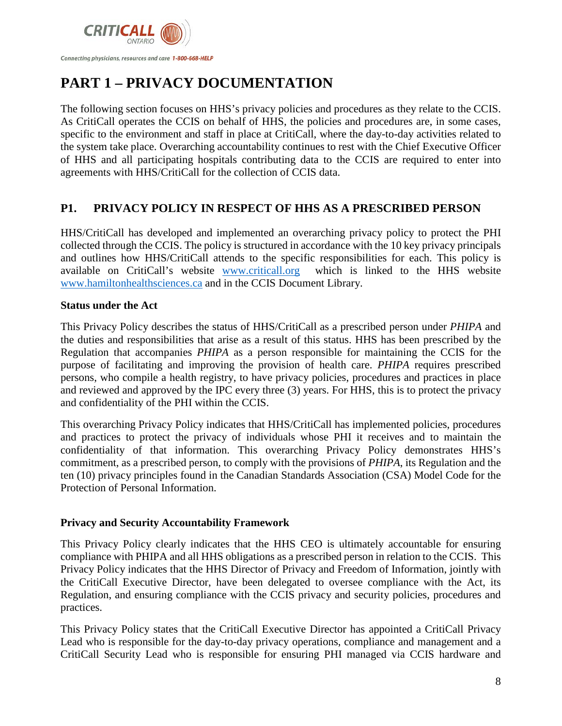

# <span id="page-7-0"></span>**PART 1 – PRIVACY DOCUMENTATION**

The following section focuses on HHS's privacy policies and procedures as they relate to the CCIS. As CritiCall operates the CCIS on behalf of HHS, the policies and procedures are, in some cases, specific to the environment and staff in place at CritiCall, where the day-to-day activities related to the system take place. Overarching accountability continues to rest with the Chief Executive Officer of HHS and all participating hospitals contributing data to the CCIS are required to enter into agreements with HHS/CritiCall for the collection of CCIS data.

# <span id="page-7-1"></span>**P1. PRIVACY POLICY IN RESPECT OF HHS AS A PRESCRIBED PERSON**

HHS/CritiCall has developed and implemented an overarching privacy policy to protect the PHI collected through the CCIS. The policy is structured in accordance with the 10 key privacy principals and outlines how HHS/CritiCall attends to the specific responsibilities for each. This policy is available on CritiCall's website [www.criticall.org](http://www.criticall.org/) which is linked to the HHS website [www.hamiltonhealthsciences.ca](http://www.hamiltonhealthsciences.ca/) and in the CCIS Document Library.

#### **Status under the Act**

This Privacy Policy describes the status of HHS/CritiCall as a prescribed person under *PHIPA* and the duties and responsibilities that arise as a result of this status. HHS has been prescribed by the Regulation that accompanies *PHIPA* as a person responsible for maintaining the CCIS for the purpose of facilitating and improving the provision of health care. *PHIPA* requires prescribed persons, who compile a health registry, to have privacy policies, procedures and practices in place and reviewed and approved by the IPC every three (3) years. For HHS, this is to protect the privacy and confidentiality of the PHI within the CCIS.

This overarching Privacy Policy indicates that HHS/CritiCall has implemented policies, procedures and practices to protect the privacy of individuals whose PHI it receives and to maintain the confidentiality of that information. This overarching Privacy Policy demonstrates HHS's commitment, as a prescribed person, to comply with the provisions of *PHIPA*, its Regulation and the ten (10) privacy principles found in the Canadian Standards Association (CSA) Model Code for the Protection of Personal Information.

#### **Privacy and Security Accountability Framework**

This Privacy Policy clearly indicates that the HHS CEO is ultimately accountable for ensuring compliance with PHIPA and all HHS obligations as a prescribed person in relation to the CCIS. This Privacy Policy indicates that the HHS Director of Privacy and Freedom of Information, jointly with the CritiCall Executive Director, have been delegated to oversee compliance with the Act, its Regulation, and ensuring compliance with the CCIS privacy and security policies, procedures and practices.

This Privacy Policy states that the CritiCall Executive Director has appointed a CritiCall Privacy Lead who is responsible for the day-to-day privacy operations, compliance and management and a CritiCall Security Lead who is responsible for ensuring PHI managed via CCIS hardware and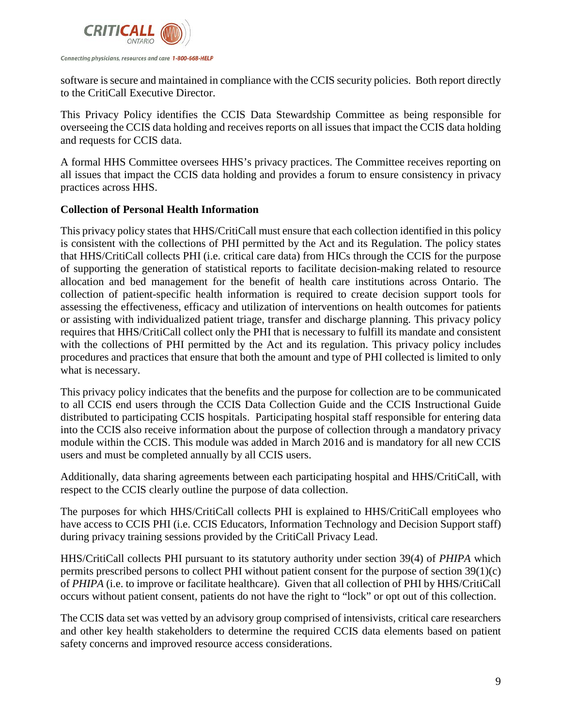

software is secure and maintained in compliance with the CCIS security policies. Both report directly to the CritiCall Executive Director.

This Privacy Policy identifies the CCIS Data Stewardship Committee as being responsible for overseeing the CCIS data holding and receives reports on all issues that impact the CCIS data holding and requests for CCIS data.

A formal HHS Committee oversees HHS's privacy practices. The Committee receives reporting on all issues that impact the CCIS data holding and provides a forum to ensure consistency in privacy practices across HHS.

#### **Collection of Personal Health Information**

This privacy policy states that HHS/CritiCall must ensure that each collection identified in this policy is consistent with the collections of PHI permitted by the Act and its Regulation. The policy states that HHS/CritiCall collects PHI (i.e. critical care data) from HICs through the CCIS for the purpose of supporting the generation of statistical reports to facilitate decision-making related to resource allocation and bed management for the benefit of health care institutions across Ontario. The collection of patient-specific health information is required to create decision support tools for assessing the effectiveness, efficacy and utilization of interventions on health outcomes for patients or assisting with individualized patient triage, transfer and discharge planning. This privacy policy requires that HHS/CritiCall collect only the PHI that is necessary to fulfill its mandate and consistent with the collections of PHI permitted by the Act and its regulation. This privacy policy includes procedures and practices that ensure that both the amount and type of PHI collected is limited to only what is necessary.

This privacy policy indicates that the benefits and the purpose for collection are to be communicated to all CCIS end users through the CCIS Data Collection Guide and the CCIS Instructional Guide distributed to participating CCIS hospitals. Participating hospital staff responsible for entering data into the CCIS also receive information about the purpose of collection through a mandatory privacy module within the CCIS. This module was added in March 2016 and is mandatory for all new CCIS users and must be completed annually by all CCIS users.

Additionally, data sharing agreements between each participating hospital and HHS/CritiCall, with respect to the CCIS clearly outline the purpose of data collection.

The purposes for which HHS/CritiCall collects PHI is explained to HHS/CritiCall employees who have access to CCIS PHI (i.e. CCIS Educators, Information Technology and Decision Support staff) during privacy training sessions provided by the CritiCall Privacy Lead.

HHS/CritiCall collects PHI pursuant to its statutory authority under section 39(4) of *PHIPA* which permits prescribed persons to collect PHI without patient consent for the purpose of section 39(1)(c) of *PHIPA* (i.e. to improve or facilitate healthcare). Given that all collection of PHI by HHS/CritiCall occurs without patient consent, patients do not have the right to "lock" or opt out of this collection.

The CCIS data set was vetted by an advisory group comprised of intensivists, critical care researchers and other key health stakeholders to determine the required CCIS data elements based on patient safety concerns and improved resource access considerations.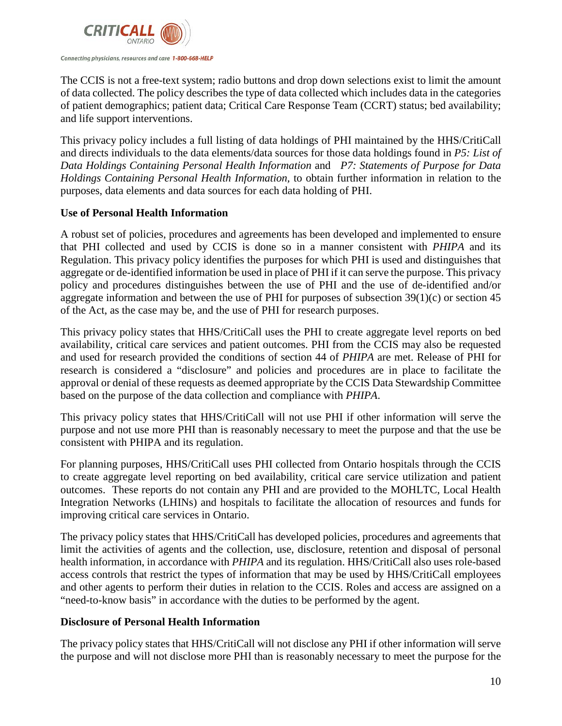

The CCIS is not a free-text system; radio buttons and drop down selections exist to limit the amount of data collected. The policy describes the type of data collected which includes data in the categories of patient demographics; patient data; Critical Care Response Team (CCRT) status; bed availability; and life support interventions.

This privacy policy includes a full listing of data holdings of PHI maintained by the HHS/CritiCall and directs individuals to the data elements/data sources for those data holdings found in *P5: List of Data Holdings Containing Personal Health Information* and *P7: Statements of Purpose for Data Holdings Containing Personal Health Information,* to obtain further information in relation to the purposes, data elements and data sources for each data holding of PHI.

#### **Use of Personal Health Information**

A robust set of policies, procedures and agreements has been developed and implemented to ensure that PHI collected and used by CCIS is done so in a manner consistent with *PHIPA* and its Regulation. This privacy policy identifies the purposes for which PHI is used and distinguishes that aggregate or de-identified information be used in place of PHI if it can serve the purpose. This privacy policy and procedures distinguishes between the use of PHI and the use of de-identified and/or aggregate information and between the use of PHI for purposes of subsection 39(1)(c) or section 45 of the Act, as the case may be, and the use of PHI for research purposes.

This privacy policy states that HHS/CritiCall uses the PHI to create aggregate level reports on bed availability, critical care services and patient outcomes. PHI from the CCIS may also be requested and used for research provided the conditions of section 44 of *PHIPA* are met. Release of PHI for research is considered a "disclosure" and policies and procedures are in place to facilitate the approval or denial of these requests as deemed appropriate by the CCIS Data Stewardship Committee based on the purpose of the data collection and compliance with *PHIPA*.

This privacy policy states that HHS/CritiCall will not use PHI if other information will serve the purpose and not use more PHI than is reasonably necessary to meet the purpose and that the use be consistent with PHIPA and its regulation.

For planning purposes, HHS/CritiCall uses PHI collected from Ontario hospitals through the CCIS to create aggregate level reporting on bed availability, critical care service utilization and patient outcomes. These reports do not contain any PHI and are provided to the MOHLTC, Local Health Integration Networks (LHINs) and hospitals to facilitate the allocation of resources and funds for improving critical care services in Ontario.

The privacy policy states that HHS/CritiCall has developed policies, procedures and agreements that limit the activities of agents and the collection, use, disclosure, retention and disposal of personal health information, in accordance with *PHIPA* and its regulation. HHS/CritiCall also uses role-based access controls that restrict the types of information that may be used by HHS/CritiCall employees and other agents to perform their duties in relation to the CCIS. Roles and access are assigned on a "need-to-know basis" in accordance with the duties to be performed by the agent.

#### **Disclosure of Personal Health Information**

The privacy policy states that HHS/CritiCall will not disclose any PHI if other information will serve the purpose and will not disclose more PHI than is reasonably necessary to meet the purpose for the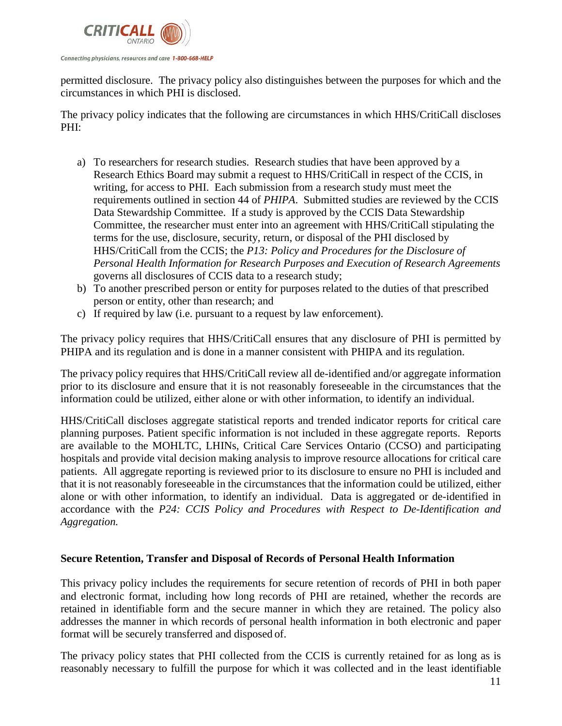

permitted disclosure. The privacy policy also distinguishes between the purposes for which and the circumstances in which PHI is disclosed.

The privacy policy indicates that the following are circumstances in which HHS/CritiCall discloses PHI:

- a) To researchers for research studies. Research studies that have been approved by a Research Ethics Board may submit a request to HHS/CritiCall in respect of the CCIS, in writing, for access to PHI. Each submission from a research study must meet the requirements outlined in section 44 of *PHIPA*. Submitted studies are reviewed by the CCIS Data Stewardship Committee. If a study is approved by the CCIS Data Stewardship Committee, the researcher must enter into an agreement with HHS/CritiCall stipulating the terms for the use, disclosure, security, return, or disposal of the PHI disclosed by HHS/CritiCall from the CCIS; the *P13: Policy and Procedures for the Disclosure of Personal Health Information for Research Purposes and Execution of Research Agreements* governs all disclosures of CCIS data to a research study;
- b) To another prescribed person or entity for purposes related to the duties of that prescribed person or entity, other than research; and
- c) If required by law (i.e. pursuant to a request by law enforcement).

The privacy policy requires that HHS/CritiCall ensures that any disclosure of PHI is permitted by PHIPA and its regulation and is done in a manner consistent with PHIPA and its regulation.

The privacy policy requires that HHS/CritiCall review all de-identified and/or aggregate information prior to its disclosure and ensure that it is not reasonably foreseeable in the circumstances that the information could be utilized, either alone or with other information, to identify an individual.

HHS/CritiCall discloses aggregate statistical reports and trended indicator reports for critical care planning purposes. Patient specific information is not included in these aggregate reports. Reports are available to the MOHLTC, LHINs, Critical Care Services Ontario (CCSO) and participating hospitals and provide vital decision making analysis to improve resource allocations for critical care patients. All aggregate reporting is reviewed prior to its disclosure to ensure no PHI is included and that it is not reasonably foreseeable in the circumstances that the information could be utilized, either alone or with other information, to identify an individual. Data is aggregated or de-identified in accordance with the *P24: CCIS Policy and Procedures with Respect to De-Identification and Aggregation.*

#### <span id="page-10-0"></span>**Secure Retention, Transfer and Disposal of Records of Personal Health Information**

This privacy policy includes the requirements for secure retention of records of PHI in both paper and electronic format, including how long records of PHI are retained, whether the records are retained in identifiable form and the secure manner in which they are retained. The policy also addresses the manner in which records of personal health information in both electronic and paper format will be securely transferred and disposed of.

The privacy policy states that PHI collected from the CCIS is currently retained for as long as is reasonably necessary to fulfill the purpose for which it was collected and in the least identifiable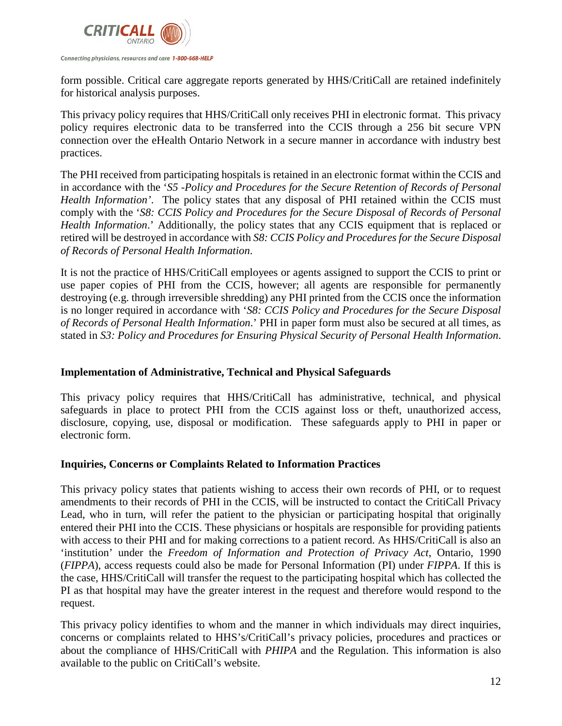

form possible. Critical care aggregate reports generated by HHS/CritiCall are retained indefinitely for historical analysis purposes.

This privacy policy requires that HHS/CritiCall only receives PHI in electronic format. This privacy policy requires electronic data to be transferred into the CCIS through a 256 bit secure VPN connection over the eHealth Ontario Network in a secure manner in accordance with industry best practices.

The PHI received from participating hospitals is retained in an electronic format within the CCIS and in accordance with the '*S5 -Policy and Procedures for the Secure Retention of Records of Personal Health Information'*. The policy states that any disposal of PHI retained within the CCIS must comply with the '*S8: CCIS Policy and Procedures for the Secure Disposal of Records of Personal Health Information*.' Additionally, the policy states that any CCIS equipment that is replaced or retired will be destroyed in accordance with *S8: CCIS Policy and Procedures for the Secure Disposal of Records of Personal Health Information*.

It is not the practice of HHS/CritiCall employees or agents assigned to support the CCIS to print or use paper copies of PHI from the CCIS, however; all agents are responsible for permanently destroying (e.g. through irreversible shredding) any PHI printed from the CCIS once the information is no longer required in accordance with '*S8: CCIS Policy and Procedures for the Secure Disposal of Records of Personal Health Information*.' PHI in paper form must also be secured at all times, as stated in *S3: Policy and Procedures for Ensuring Physical Security of Personal Health Information*.

#### <span id="page-11-0"></span>**Implementation of Administrative, Technical and Physical Safeguards**

This privacy policy requires that HHS/CritiCall has administrative, technical, and physical safeguards in place to protect PHI from the CCIS against loss or theft, unauthorized access, disclosure, copying, use, disposal or modification. These safeguards apply to PHI in paper or electronic form.

#### <span id="page-11-1"></span>**Inquiries, Concerns or Complaints Related to Information Practices**

This privacy policy states that patients wishing to access their own records of PHI, or to request amendments to their records of PHI in the CCIS, will be instructed to contact the CritiCall Privacy Lead, who in turn, will refer the patient to the physician or participating hospital that originally entered their PHI into the CCIS. These physicians or hospitals are responsible for providing patients with access to their PHI and for making corrections to a patient record. As HHS/CritiCall is also an 'institution' under the *Freedom of Information and Protection of Privacy Act*, Ontario, 1990 (*FIPPA*), access requests could also be made for Personal Information (PI) under *FIPPA*. If this is the case, HHS/CritiCall will transfer the request to the participating hospital which has collected the PI as that hospital may have the greater interest in the request and therefore would respond to the request.

This privacy policy identifies to whom and the manner in which individuals may direct inquiries, concerns or complaints related to HHS's/CritiCall's privacy policies, procedures and practices or about the compliance of HHS/CritiCall with *PHIPA* and the Regulation. This information is also available to the public on CritiCall's website.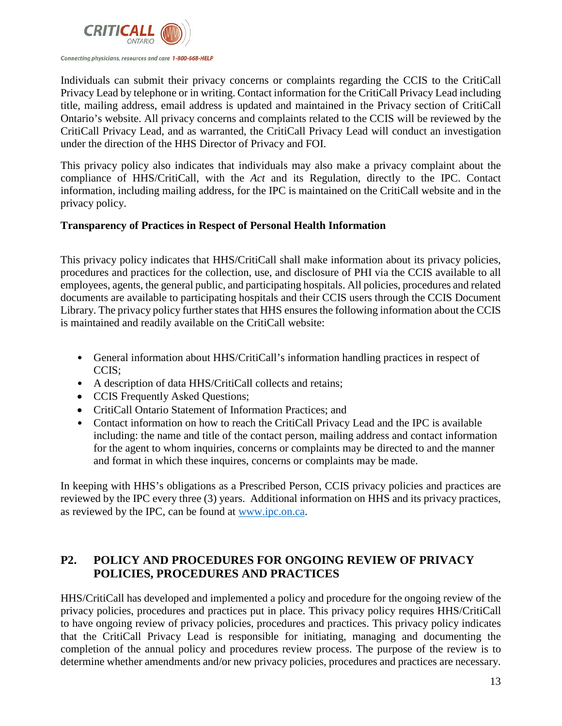

Individuals can submit their privacy concerns or complaints regarding the CCIS to the CritiCall Privacy Lead by telephone or in writing. Contact information for the CritiCall Privacy Lead including title, mailing address, email address is updated and maintained in the Privacy section of CritiCall Ontario's website. All privacy concerns and complaints related to the CCIS will be reviewed by the CritiCall Privacy Lead, and as warranted, the CritiCall Privacy Lead will conduct an investigation under the direction of the HHS Director of Privacy and FOI.

This privacy policy also indicates that individuals may also make a privacy complaint about the compliance of HHS/CritiCall, with the *Act* and its Regulation, directly to the IPC. Contact information, including mailing address, for the IPC is maintained on the CritiCall website and in the privacy policy.

#### <span id="page-12-0"></span>**Transparency of Practices in Respect of Personal Health Information**

This privacy policy indicates that HHS/CritiCall shall make information about its privacy policies, procedures and practices for the collection, use, and disclosure of PHI via the CCIS available to all employees, agents, the general public, and participating hospitals. All policies, procedures and related documents are available to participating hospitals and their CCIS users through the CCIS Document Library. The privacy policy further states that HHS ensures the following information about the CCIS is maintained and readily available on the CritiCall website:

- General information about HHS/CritiCall's information handling practices in respect of CCIS;
- A description of data HHS/CritiCall collects and retains;
- CCIS Frequently Asked Questions;
- CritiCall Ontario Statement of Information Practices; and
- Contact information on how to reach the CritiCall Privacy Lead and the IPC is available including: the name and title of the contact person, mailing address and contact information for the agent to whom inquiries, concerns or complaints may be directed to and the manner and format in which these inquires, concerns or complaints may be made.

In keeping with HHS's obligations as a Prescribed Person, CCIS privacy policies and practices are reviewed by the IPC every three (3) years. Additional information on HHS and its privacy practices, as reviewed by the IPC, can be found at [www.ipc.on.ca.](http://www.ipc.on.ca/)

# <span id="page-12-1"></span>**P2. POLICY AND PROCEDURES FOR ONGOING REVIEW OF PRIVACY POLICIES, PROCEDURES AND PRACTICES**

HHS/CritiCall has developed and implemented a policy and procedure for the ongoing review of the privacy policies, procedures and practices put in place. This privacy policy requires HHS/CritiCall to have ongoing review of privacy policies, procedures and practices. This privacy policy indicates that the CritiCall Privacy Lead is responsible for initiating, managing and documenting the completion of the annual policy and procedures review process. The purpose of the review is to determine whether amendments and/or new privacy policies, procedures and practices are necessary.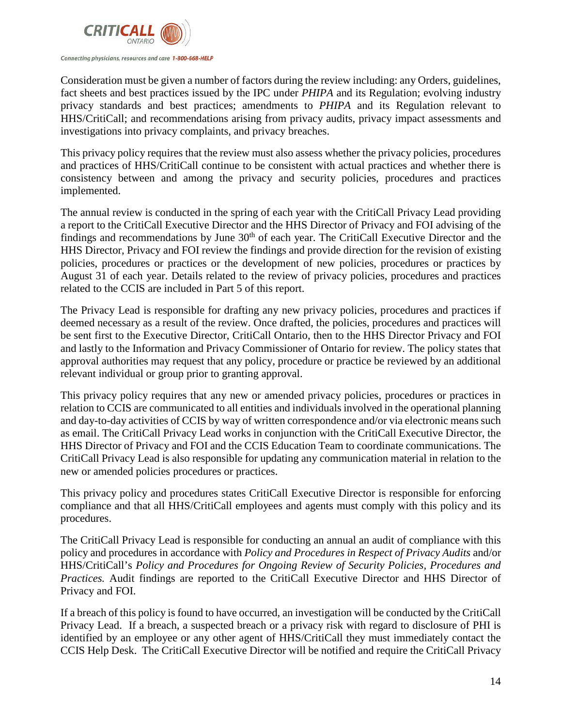

Consideration must be given a number of factors during the review including: any Orders, guidelines, fact sheets and best practices issued by the IPC under *PHIPA* and its Regulation; evolving industry privacy standards and best practices; amendments to *PHIPA* and its Regulation relevant to HHS/CritiCall; and recommendations arising from privacy audits, privacy impact assessments and investigations into privacy complaints, and privacy breaches.

This privacy policy requires that the review must also assess whether the privacy policies, procedures and practices of HHS/CritiCall continue to be consistent with actual practices and whether there is consistency between and among the privacy and security policies, procedures and practices implemented.

The annual review is conducted in the spring of each year with the CritiCall Privacy Lead providing a report to the CritiCall Executive Director and the HHS Director of Privacy and FOI advising of the findings and recommendations by June 30<sup>th</sup> of each year. The CritiCall Executive Director and the HHS Director, Privacy and FOI review the findings and provide direction for the revision of existing policies, procedures or practices or the development of new policies, procedures or practices by August 31 of each year. Details related to the review of privacy policies, procedures and practices related to the CCIS are included in Part 5 of this report.

The Privacy Lead is responsible for drafting any new privacy policies, procedures and practices if deemed necessary as a result of the review. Once drafted, the policies, procedures and practices will be sent first to the Executive Director, CritiCall Ontario, then to the HHS Director Privacy and FOI and lastly to the Information and Privacy Commissioner of Ontario for review. The policy states that approval authorities may request that any policy, procedure or practice be reviewed by an additional relevant individual or group prior to granting approval.

This privacy policy requires that any new or amended privacy policies, procedures or practices in relation to CCIS are communicated to all entities and individuals involved in the operational planning and day-to-day activities of CCIS by way of written correspondence and/or via electronic means such as email. The CritiCall Privacy Lead works in conjunction with the CritiCall Executive Director, the HHS Director of Privacy and FOI and the CCIS Education Team to coordinate communications. The CritiCall Privacy Lead is also responsible for updating any communication material in relation to the new or amended policies procedures or practices.

This privacy policy and procedures states CritiCall Executive Director is responsible for enforcing compliance and that all HHS/CritiCall employees and agents must comply with this policy and its procedures.

The CritiCall Privacy Lead is responsible for conducting an annual an audit of compliance with this policy and procedures in accordance with *Policy and Procedures in Respect of Privacy Audits* and/or HHS/CritiCall's *Policy and Procedures for Ongoing Review of Security Policies, Procedures and Practices.* Audit findings are reported to the CritiCall Executive Director and HHS Director of Privacy and FOI.

If a breach of this policy is found to have occurred, an investigation will be conducted by the CritiCall Privacy Lead. If a breach, a suspected breach or a privacy risk with regard to disclosure of PHI is identified by an employee or any other agent of HHS/CritiCall they must immediately contact the CCIS Help Desk. The CritiCall Executive Director will be notified and require the CritiCall Privacy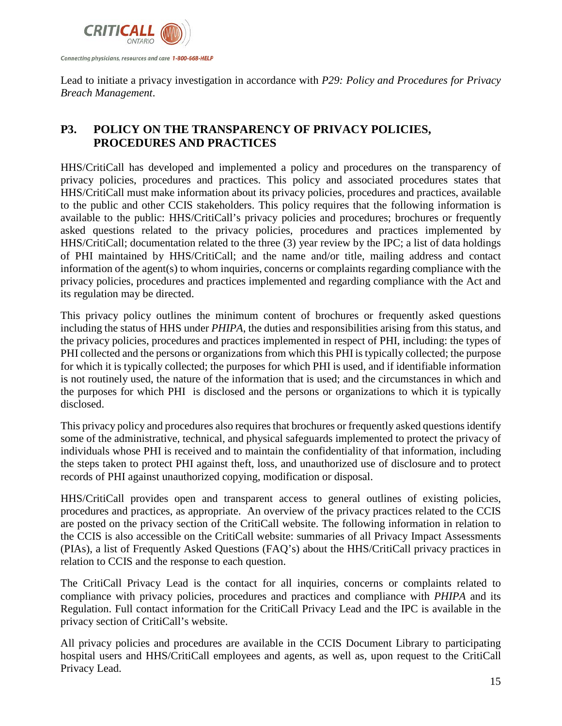

Lead to initiate a privacy investigation in accordance with *P29: Policy and Procedures for Privacy Breach Management*.

# <span id="page-14-0"></span>**P3. POLICY ON THE TRANSPARENCY OF PRIVACY POLICIES, PROCEDURES AND PRACTICES**

HHS/CritiCall has developed and implemented a policy and procedures on the transparency of privacy policies, procedures and practices. This policy and associated procedures states that HHS/CritiCall must make information about its privacy policies, procedures and practices, available to the public and other CCIS stakeholders. This policy requires that the following information is available to the public: HHS/CritiCall's privacy policies and procedures; brochures or frequently asked questions related to the privacy policies, procedures and practices implemented by HHS/CritiCall; documentation related to the three (3) year review by the IPC; a list of data holdings of PHI maintained by HHS/CritiCall; and the name and/or title, mailing address and contact information of the agent(s) to whom inquiries, concerns or complaints regarding compliance with the privacy policies, procedures and practices implemented and regarding compliance with the Act and its regulation may be directed.

This privacy policy outlines the minimum content of brochures or frequently asked questions including the status of HHS under *PHIPA*, the duties and responsibilities arising from this status, and the privacy policies, procedures and practices implemented in respect of PHI, including: the types of PHI collected and the persons or organizations from which this PHI is typically collected; the purpose for which it is typically collected; the purposes for which PHI is used, and if identifiable information is not routinely used, the nature of the information that is used; and the circumstances in which and the purposes for which PHI is disclosed and the persons or organizations to which it is typically disclosed.

This privacy policy and procedures also requires that brochures or frequently asked questions identify some of the administrative, technical, and physical safeguards implemented to protect the privacy of individuals whose PHI is received and to maintain the confidentiality of that information, including the steps taken to protect PHI against theft, loss, and unauthorized use of disclosure and to protect records of PHI against unauthorized copying, modification or disposal.

HHS/CritiCall provides open and transparent access to general outlines of existing policies, procedures and practices, as appropriate. An overview of the privacy practices related to the CCIS are posted on the privacy section of the CritiCall website. The following information in relation to the CCIS is also accessible on the CritiCall website: summaries of all Privacy Impact Assessments (PIAs), a list of Frequently Asked Questions (FAQ's) about the HHS/CritiCall privacy practices in relation to CCIS and the response to each question.

The CritiCall Privacy Lead is the contact for all inquiries, concerns or complaints related to compliance with privacy policies, procedures and practices and compliance with *PHIPA* and its Regulation. Full contact information for the CritiCall Privacy Lead and the IPC is available in the privacy section of CritiCall's website.

All privacy policies and procedures are available in the CCIS Document Library to participating hospital users and HHS/CritiCall employees and agents, as well as, upon request to the CritiCall Privacy Lead.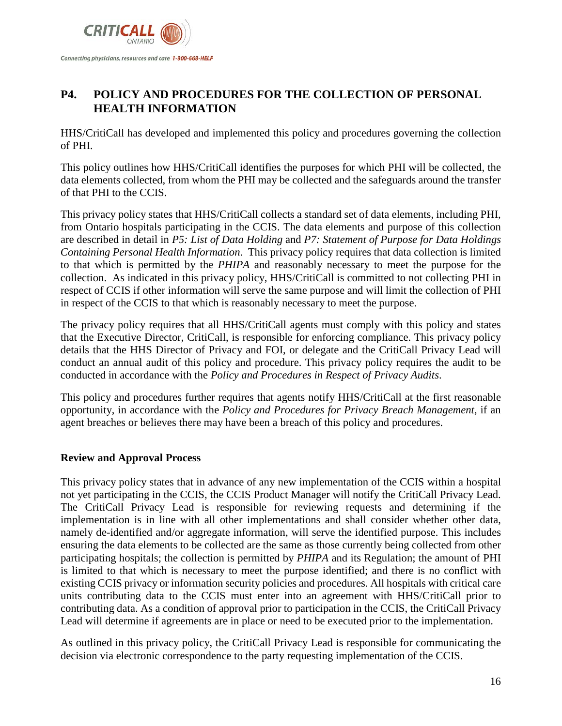

# <span id="page-15-0"></span>**P4. POLICY AND PROCEDURES FOR THE COLLECTION OF PERSONAL HEALTH INFORMATION**

HHS/CritiCall has developed and implemented this policy and procedures governing the collection of PHI.

This policy outlines how HHS/CritiCall identifies the purposes for which PHI will be collected, the data elements collected, from whom the PHI may be collected and the safeguards around the transfer of that PHI to the CCIS.

This privacy policy states that HHS/CritiCall collects a standard set of data elements, including PHI, from Ontario hospitals participating in the CCIS. The data elements and purpose of this collection are described in detail in *P5: List of Data Holding* and *P7: Statement of Purpose for Data Holdings Containing Personal Health Information*. This privacy policy requires that data collection is limited to that which is permitted by the *PHIPA* and reasonably necessary to meet the purpose for the collection. As indicated in this privacy policy, HHS/CritiCall is committed to not collecting PHI in respect of CCIS if other information will serve the same purpose and will limit the collection of PHI in respect of the CCIS to that which is reasonably necessary to meet the purpose.

The privacy policy requires that all HHS/CritiCall agents must comply with this policy and states that the Executive Director, CritiCall, is responsible for enforcing compliance. This privacy policy details that the HHS Director of Privacy and FOI, or delegate and the CritiCall Privacy Lead will conduct an annual audit of this policy and procedure. This privacy policy requires the audit to be conducted in accordance with the *Policy and Procedures in Respect of Privacy Audits*.

This policy and procedures further requires that agents notify HHS/CritiCall at the first reasonable opportunity, in accordance with the *Policy and Procedures for Privacy Breach Management*, if an agent breaches or believes there may have been a breach of this policy and procedures.

#### <span id="page-15-1"></span>**Review and Approval Process**

This privacy policy states that in advance of any new implementation of the CCIS within a hospital not yet participating in the CCIS, the CCIS Product Manager will notify the CritiCall Privacy Lead. The CritiCall Privacy Lead is responsible for reviewing requests and determining if the implementation is in line with all other implementations and shall consider whether other data, namely de-identified and/or aggregate information, will serve the identified purpose. This includes ensuring the data elements to be collected are the same as those currently being collected from other participating hospitals; the collection is permitted by *PHIPA* and its Regulation; the amount of PHI is limited to that which is necessary to meet the purpose identified; and there is no conflict with existing CCIS privacy or information security policies and procedures. All hospitals with critical care units contributing data to the CCIS must enter into an agreement with HHS/CritiCall prior to contributing data. As a condition of approval prior to participation in the CCIS, the CritiCall Privacy Lead will determine if agreements are in place or need to be executed prior to the implementation.

As outlined in this privacy policy, the CritiCall Privacy Lead is responsible for communicating the decision via electronic correspondence to the party requesting implementation of the CCIS.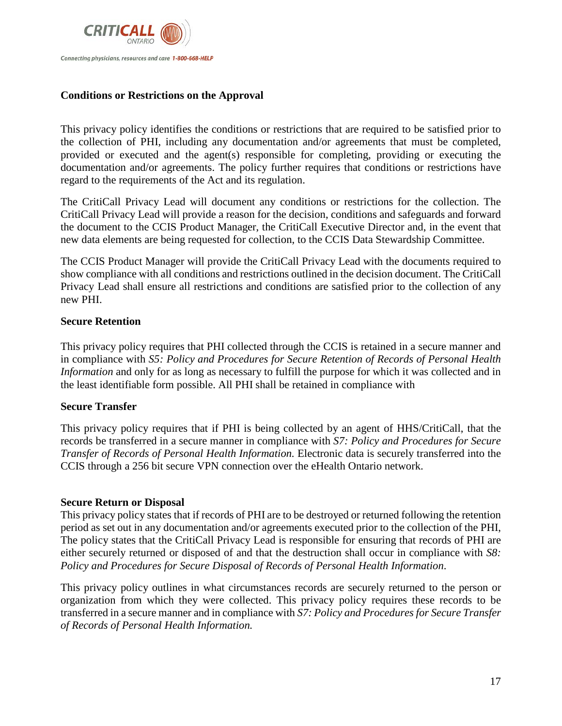

#### <span id="page-16-0"></span>**Conditions or Restrictions on the Approval**

This privacy policy identifies the conditions or restrictions that are required to be satisfied prior to the collection of PHI, including any documentation and/or agreements that must be completed, provided or executed and the agent(s) responsible for completing, providing or executing the documentation and/or agreements. The policy further requires that conditions or restrictions have regard to the requirements of the Act and its regulation.

The CritiCall Privacy Lead will document any conditions or restrictions for the collection. The CritiCall Privacy Lead will provide a reason for the decision, conditions and safeguards and forward the document to the CCIS Product Manager, the CritiCall Executive Director and, in the event that new data elements are being requested for collection, to the CCIS Data Stewardship Committee.

The CCIS Product Manager will provide the CritiCall Privacy Lead with the documents required to show compliance with all conditions and restrictions outlined in the decision document. The CritiCall Privacy Lead shall ensure all restrictions and conditions are satisfied prior to the collection of any new PHI.

#### <span id="page-16-1"></span>**Secure Retention**

This privacy policy requires that PHI collected through the CCIS is retained in a secure manner and in compliance with *S5: Policy and Procedures for Secure Retention of Records of Personal Health Information* and only for as long as necessary to fulfill the purpose for which it was collected and in the least identifiable form possible. All PHI shall be retained in compliance with

#### **Secure Transfer**

This privacy policy requires that if PHI is being collected by an agent of HHS/CritiCall, that the records be transferred in a secure manner in compliance with *S7: Policy and Procedures for Secure Transfer of Records of Personal Health Information.* Electronic data is securely transferred into the CCIS through a 256 bit secure VPN connection over the eHealth Ontario network.

#### <span id="page-16-2"></span>**Secure Return or Disposal**

This privacy policy states that if records of PHI are to be destroyed or returned following the retention period as set out in any documentation and/or agreements executed prior to the collection of the PHI, The policy states that the CritiCall Privacy Lead is responsible for ensuring that records of PHI are either securely returned or disposed of and that the destruction shall occur in compliance with *S8: Policy and Procedures for Secure Disposal of Records of Personal Health Information*.

This privacy policy outlines in what circumstances records are securely returned to the person or organization from which they were collected. This privacy policy requires these records to be transferred in a secure manner and in compliance with *S7: Policy and Procedures for Secure Transfer of Records of Personal Health Information.*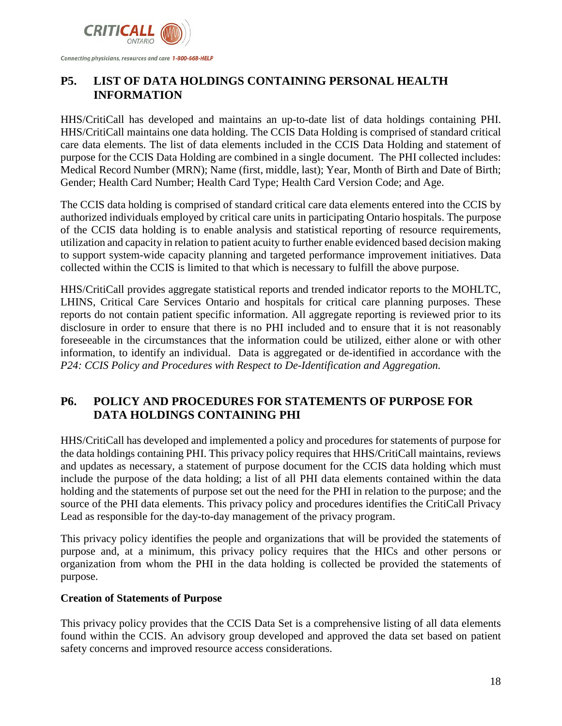

# <span id="page-17-0"></span>**P5. LIST OF DATA HOLDINGS CONTAINING PERSONAL HEALTH INFORMATION**

HHS/CritiCall has developed and maintains an up-to-date list of data holdings containing PHI. HHS/CritiCall maintains one data holding. The CCIS Data Holding is comprised of standard critical care data elements. The list of data elements included in the CCIS Data Holding and statement of purpose for the CCIS Data Holding are combined in a single document. The PHI collected includes: Medical Record Number (MRN); Name (first, middle, last); Year, Month of Birth and Date of Birth; Gender; Health Card Number; Health Card Type; Health Card Version Code; and Age.

The CCIS data holding is comprised of standard critical care data elements entered into the CCIS by authorized individuals employed by critical care units in participating Ontario hospitals. The purpose of the CCIS data holding is to enable analysis and statistical reporting of resource requirements, utilization and capacity in relation to patient acuity to further enable evidenced based decision making to support system-wide capacity planning and targeted performance improvement initiatives. Data collected within the CCIS is limited to that which is necessary to fulfill the above purpose.

HHS/CritiCall provides aggregate statistical reports and trended indicator reports to the MOHLTC, LHINS, Critical Care Services Ontario and hospitals for critical care planning purposes. These reports do not contain patient specific information. All aggregate reporting is reviewed prior to its disclosure in order to ensure that there is no PHI included and to ensure that it is not reasonably foreseeable in the circumstances that the information could be utilized, either alone or with other information, to identify an individual. Data is aggregated or de-identified in accordance with the *P24: CCIS Policy and Procedures with Respect to De-Identification and Aggregation.*

# <span id="page-17-1"></span>**P6. POLICY AND PROCEDURES FOR STATEMENTS OF PURPOSE FOR DATA HOLDINGS CONTAINING PHI**

HHS/CritiCall has developed and implemented a policy and procedures for statements of purpose for the data holdings containing PHI. This privacy policy requires that HHS/CritiCall maintains, reviews and updates as necessary, a statement of purpose document for the CCIS data holding which must include the purpose of the data holding; a list of all PHI data elements contained within the data holding and the statements of purpose set out the need for the PHI in relation to the purpose; and the source of the PHI data elements. This privacy policy and procedures identifies the CritiCall Privacy Lead as responsible for the day-to-day management of the privacy program.

This privacy policy identifies the people and organizations that will be provided the statements of purpose and, at a minimum, this privacy policy requires that the HICs and other persons or organization from whom the PHI in the data holding is collected be provided the statements of purpose.

#### <span id="page-17-2"></span>**Creation of Statements of Purpose**

This privacy policy provides that the CCIS Data Set is a comprehensive listing of all data elements found within the CCIS. An advisory group developed and approved the data set based on patient safety concerns and improved resource access considerations.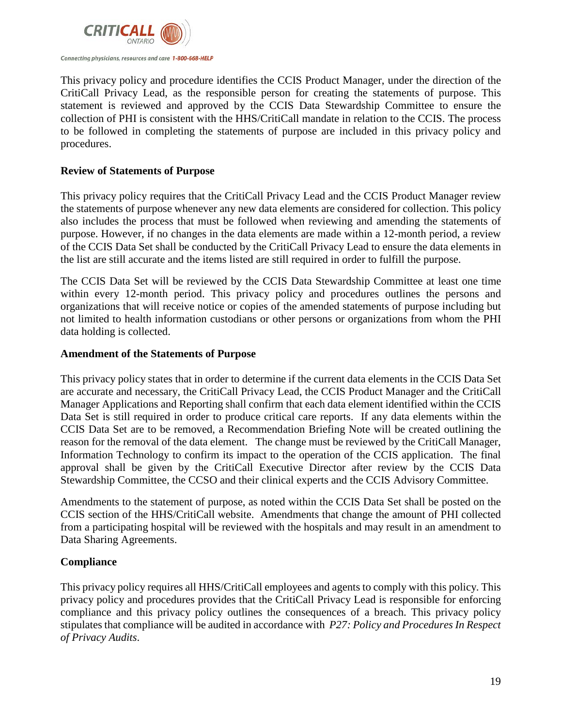

This privacy policy and procedure identifies the CCIS Product Manager, under the direction of the CritiCall Privacy Lead, as the responsible person for creating the statements of purpose. This statement is reviewed and approved by the CCIS Data Stewardship Committee to ensure the collection of PHI is consistent with the HHS/CritiCall mandate in relation to the CCIS. The process to be followed in completing the statements of purpose are included in this privacy policy and procedures.

#### <span id="page-18-0"></span>**Review of Statements of Purpose**

This privacy policy requires that the CritiCall Privacy Lead and the CCIS Product Manager review the statements of purpose whenever any new data elements are considered for collection. This policy also includes the process that must be followed when reviewing and amending the statements of purpose. However, if no changes in the data elements are made within a 12-month period, a review of the CCIS Data Set shall be conducted by the CritiCall Privacy Lead to ensure the data elements in the list are still accurate and the items listed are still required in order to fulfill the purpose.

The CCIS Data Set will be reviewed by the CCIS Data Stewardship Committee at least one time within every 12-month period. This privacy policy and procedures outlines the persons and organizations that will receive notice or copies of the amended statements of purpose including but not limited to health information custodians or other persons or organizations from whom the PHI data holding is collected.

#### <span id="page-18-1"></span>**Amendment of the Statements of Purpose**

This privacy policy states that in order to determine if the current data elements in the CCIS Data Set are accurate and necessary, the CritiCall Privacy Lead, the CCIS Product Manager and the CritiCall Manager Applications and Reporting shall confirm that each data element identified within the CCIS Data Set is still required in order to produce critical care reports. If any data elements within the CCIS Data Set are to be removed, a Recommendation Briefing Note will be created outlining the reason for the removal of the data element. The change must be reviewed by the CritiCall Manager, Information Technology to confirm its impact to the operation of the CCIS application. The final approval shall be given by the CritiCall Executive Director after review by the CCIS Data Stewardship Committee, the CCSO and their clinical experts and the CCIS Advisory Committee.

Amendments to the statement of purpose, as noted within the CCIS Data Set shall be posted on the CCIS section of the HHS/CritiCall website. Amendments that change the amount of PHI collected from a participating hospital will be reviewed with the hospitals and may result in an amendment to Data Sharing Agreements.

#### <span id="page-18-2"></span>**Compliance**

This privacy policy requires all HHS/CritiCall employees and agents to comply with this policy. This privacy policy and procedures provides that the CritiCall Privacy Lead is responsible for enforcing compliance and this privacy policy outlines the consequences of a breach. This privacy policy stipulates that compliance will be audited in accordance with *P27: Policy and Procedures In Respect of Privacy Audits*.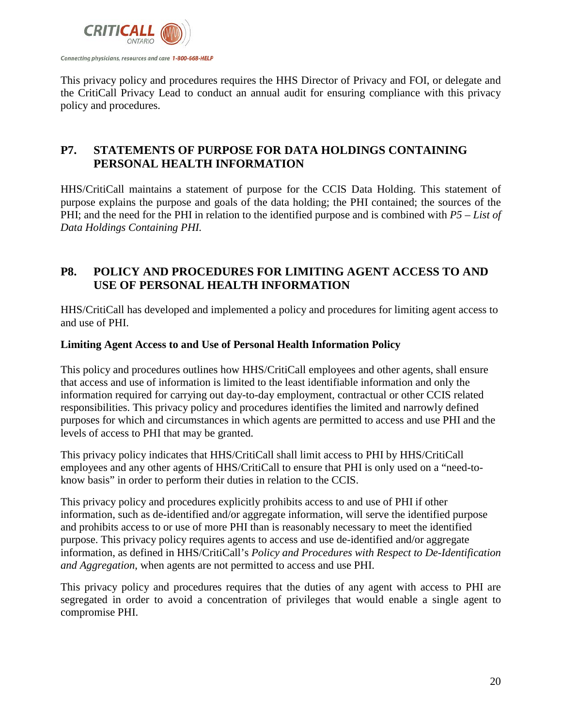

This privacy policy and procedures requires the HHS Director of Privacy and FOI, or delegate and the CritiCall Privacy Lead to conduct an annual audit for ensuring compliance with this privacy policy and procedures.

# <span id="page-19-0"></span>**P7. STATEMENTS OF PURPOSE FOR DATA HOLDINGS CONTAINING PERSONAL HEALTH INFORMATION**

HHS/CritiCall maintains a statement of purpose for the CCIS Data Holding. This statement of purpose explains the purpose and goals of the data holding; the PHI contained; the sources of the PHI; and the need for the PHI in relation to the identified purpose and is combined with *P5 – List of Data Holdings Containing PHI.*

## <span id="page-19-1"></span>**P8. POLICY AND PROCEDURES FOR LIMITING AGENT ACCESS TO AND USE OF PERSONAL HEALTH INFORMATION**

HHS/CritiCall has developed and implemented a policy and procedures for limiting agent access to and use of PHI.

#### <span id="page-19-2"></span>**Limiting Agent Access to and Use of Personal Health Information Policy**

This policy and procedures outlines how HHS/CritiCall employees and other agents, shall ensure that access and use of information is limited to the least identifiable information and only the information required for carrying out day-to-day employment, contractual or other CCIS related responsibilities. This privacy policy and procedures identifies the limited and narrowly defined purposes for which and circumstances in which agents are permitted to access and use PHI and the levels of access to PHI that may be granted.

This privacy policy indicates that HHS/CritiCall shall limit access to PHI by HHS/CritiCall employees and any other agents of HHS/CritiCall to ensure that PHI is only used on a "need-toknow basis" in order to perform their duties in relation to the CCIS.

This privacy policy and procedures explicitly prohibits access to and use of PHI if other information, such as de-identified and/or aggregate information, will serve the identified purpose and prohibits access to or use of more PHI than is reasonably necessary to meet the identified purpose. This privacy policy requires agents to access and use de-identified and/or aggregate information, as defined in HHS/CritiCall's *Policy and Procedures with Respect to De-Identification and Aggregation*, when agents are not permitted to access and use PHI.

This privacy policy and procedures requires that the duties of any agent with access to PHI are segregated in order to avoid a concentration of privileges that would enable a single agent to compromise PHI.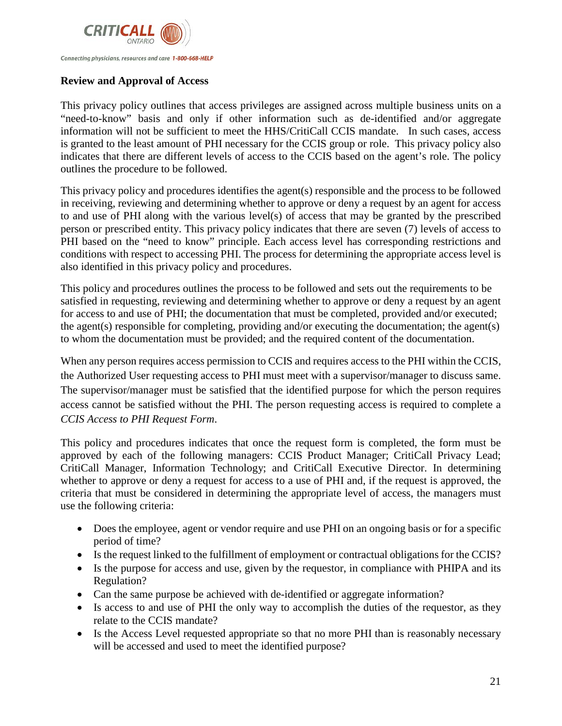

#### <span id="page-20-0"></span>**Review and Approval of Access**

This privacy policy outlines that access privileges are assigned across multiple business units on a "need-to-know" basis and only if other information such as de-identified and/or aggregate information will not be sufficient to meet the HHS/CritiCall CCIS mandate. In such cases, access is granted to the least amount of PHI necessary for the CCIS group or role. This privacy policy also indicates that there are different levels of access to the CCIS based on the agent's role. The policy outlines the procedure to be followed.

This privacy policy and procedures identifies the agent(s) responsible and the process to be followed in receiving, reviewing and determining whether to approve or deny a request by an agent for access to and use of PHI along with the various level(s) of access that may be granted by the prescribed person or prescribed entity. This privacy policy indicates that there are seven (7) levels of access to PHI based on the "need to know" principle. Each access level has corresponding restrictions and conditions with respect to accessing PHI. The process for determining the appropriate access level is also identified in this privacy policy and procedures.

This policy and procedures outlines the process to be followed and sets out the requirements to be satisfied in requesting, reviewing and determining whether to approve or deny a request by an agent for access to and use of PHI; the documentation that must be completed, provided and/or executed; the agent(s) responsible for completing, providing and/or executing the documentation; the agent(s) to whom the documentation must be provided; and the required content of the documentation.

When any person requires access permission to CCIS and requires access to the PHI within the CCIS, the Authorized User requesting access to PHI must meet with a supervisor/manager to discuss same. The supervisor/manager must be satisfied that the identified purpose for which the person requires access cannot be satisfied without the PHI. The person requesting access is required to complete a *CCIS Access to PHI Request Form*.

This policy and procedures indicates that once the request form is completed, the form must be approved by each of the following managers: CCIS Product Manager; CritiCall Privacy Lead; CritiCall Manager, Information Technology; and CritiCall Executive Director. In determining whether to approve or deny a request for access to a use of PHI and, if the request is approved, the criteria that must be considered in determining the appropriate level of access, the managers must use the following criteria:

- Does the employee, agent or vendor require and use PHI on an ongoing basis or for a specific period of time?
- Is the request linked to the fulfillment of employment or contractual obligations for the CCIS?
- Is the purpose for access and use, given by the requestor, in compliance with PHIPA and its Regulation?
- Can the same purpose be achieved with de-identified or aggregate information?
- Is access to and use of PHI the only way to accomplish the duties of the requestor, as they relate to the CCIS mandate?
- Is the Access Level requested appropriate so that no more PHI than is reasonably necessary will be accessed and used to meet the identified purpose?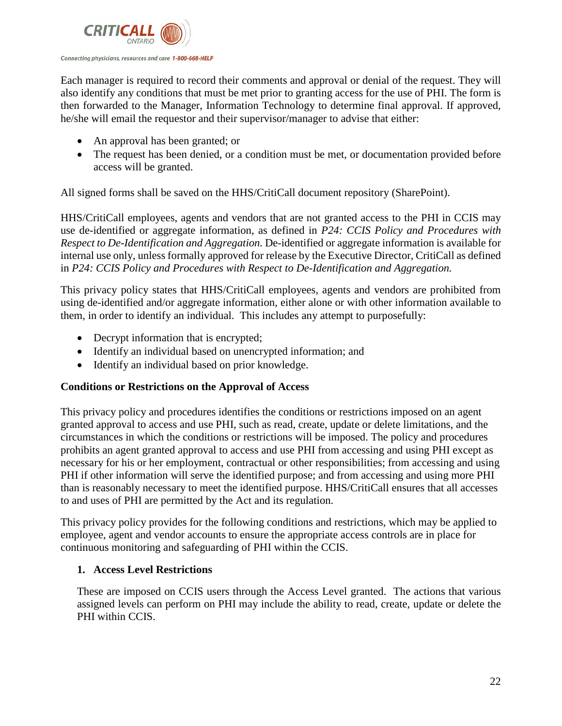

Each manager is required to record their comments and approval or denial of the request. They will also identify any conditions that must be met prior to granting access for the use of PHI. The form is then forwarded to the Manager, Information Technology to determine final approval. If approved, he/she will email the requestor and their supervisor/manager to advise that either:

- An approval has been granted; or
- The request has been denied, or a condition must be met, or documentation provided before access will be granted.

All signed forms shall be saved on the HHS/CritiCall document repository (SharePoint).

HHS/CritiCall employees, agents and vendors that are not granted access to the PHI in CCIS may use de-identified or aggregate information, as defined in *P24: CCIS Policy and Procedures with Respect to De-Identification and Aggregation.* De-identified or aggregate information is available for internal use only, unless formally approved for release by the Executive Director, CritiCall as defined in *P24: CCIS Policy and Procedures with Respect to De-Identification and Aggregation.*

This privacy policy states that HHS/CritiCall employees, agents and vendors are prohibited from using de-identified and/or aggregate information, either alone or with other information available to them, in order to identify an individual. This includes any attempt to purposefully:

- Decrypt information that is encrypted;
- Identify an individual based on unencrypted information; and
- Identify an individual based on prior knowledge.

#### <span id="page-21-0"></span>**Conditions or Restrictions on the Approval of Access**

This privacy policy and procedures identifies the conditions or restrictions imposed on an agent granted approval to access and use PHI, such as read, create, update or delete limitations, and the circumstances in which the conditions or restrictions will be imposed. The policy and procedures prohibits an agent granted approval to access and use PHI from accessing and using PHI except as necessary for his or her employment, contractual or other responsibilities; from accessing and using PHI if other information will serve the identified purpose; and from accessing and using more PHI than is reasonably necessary to meet the identified purpose. HHS/CritiCall ensures that all accesses to and uses of PHI are permitted by the Act and its regulation.

This privacy policy provides for the following conditions and restrictions, which may be applied to employee, agent and vendor accounts to ensure the appropriate access controls are in place for continuous monitoring and safeguarding of PHI within the CCIS.

#### **1. Access Level Restrictions**

These are imposed on CCIS users through the Access Level granted. The actions that various assigned levels can perform on PHI may include the ability to read, create, update or delete the PHI within CCIS.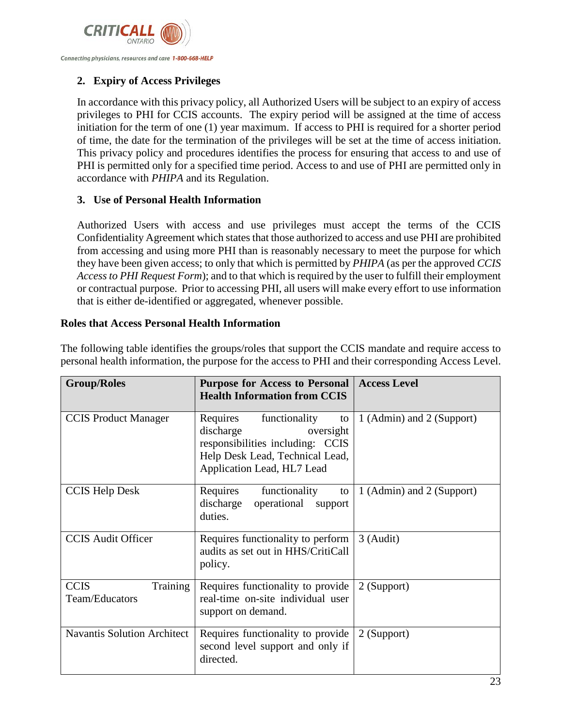

#### **2. Expiry of Access Privileges**

In accordance with this privacy policy, all Authorized Users will be subject to an expiry of access privileges to PHI for CCIS accounts. The expiry period will be assigned at the time of access initiation for the term of one (1) year maximum. If access to PHI is required for a shorter period of time, the date for the termination of the privileges will be set at the time of access initiation. This privacy policy and procedures identifies the process for ensuring that access to and use of PHI is permitted only for a specified time period. Access to and use of PHI are permitted only in accordance with *PHIPA* and its Regulation.

#### <span id="page-22-0"></span>**3. Use of Personal Health Information**

Authorized Users with access and use privileges must accept the terms of the CCIS Confidentiality Agreement which states that those authorized to access and use PHI are prohibited from accessing and using more PHI than is reasonably necessary to meet the purpose for which they have been given access; to only that which is permitted by *PHIPA* (as per the approved *CCIS Access to PHI Request Form*); and to that which is required by the user to fulfill their employment or contractual purpose. Prior to accessing PHI, all users will make every effort to use information that is either de-identified or aggregated, whenever possible.

#### <span id="page-22-1"></span>**Roles that Access Personal Health Information**

| <b>Group/Roles</b>                        | <b>Purpose for Access to Personal</b><br><b>Health Information from CCIS</b>                                                                                   | <b>Access Level</b>       |
|-------------------------------------------|----------------------------------------------------------------------------------------------------------------------------------------------------------------|---------------------------|
| <b>CCIS</b> Product Manager               | functionality<br>Requires<br>to<br>discharge<br>oversight<br>responsibilities including: CCIS<br>Help Desk Lead, Technical Lead,<br>Application Lead, HL7 Lead | 1 (Admin) and 2 (Support) |
| <b>CCIS Help Desk</b>                     | functionality<br>Requires<br>to<br>discharge<br>operational<br>support<br>duties.                                                                              | 1 (Admin) and 2 (Support) |
| <b>CCIS Audit Officer</b>                 | Requires functionality to perform<br>audits as set out in HHS/CritiCall<br>policy.                                                                             | 3 (Audit)                 |
| <b>CCIS</b><br>Training<br>Team/Educators | Requires functionality to provide<br>real-time on-site individual user<br>support on demand.                                                                   | 2 (Support)               |
| <b>Navantis Solution Architect</b>        | Requires functionality to provide<br>second level support and only if<br>directed.                                                                             | 2 (Support)               |

The following table identifies the groups/roles that support the CCIS mandate and require access to personal health information, the purpose for the access to PHI and their corresponding Access Level.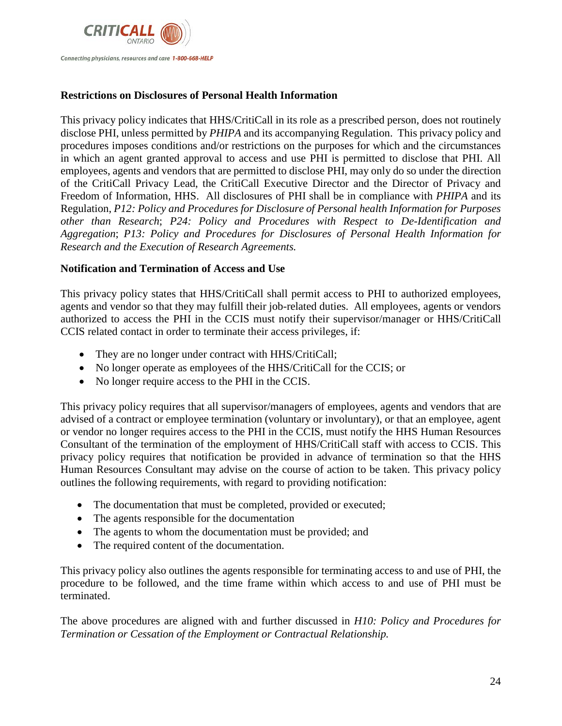

#### <span id="page-23-0"></span>**Restrictions on Disclosures of Personal Health Information**

This privacy policy indicates that HHS/CritiCall in its role as a prescribed person, does not routinely disclose PHI, unless permitted by *PHIPA* and its accompanying Regulation. This privacy policy and procedures imposes conditions and/or restrictions on the purposes for which and the circumstances in which an agent granted approval to access and use PHI is permitted to disclose that PHI. All employees, agents and vendors that are permitted to disclose PHI, may only do so under the direction of the CritiCall Privacy Lead, the CritiCall Executive Director and the Director of Privacy and Freedom of Information, HHS. All disclosures of PHI shall be in compliance with *PHIPA* and its Regulation, *P12: Policy and Procedures for Disclosure of Personal health Information for Purposes other than Research*; *P24: Policy and Procedures with Respect to De-Identification and Aggregation*; *P13: Policy and Procedures for Disclosures of Personal Health Information for Research and the Execution of Research Agreements.*

#### <span id="page-23-1"></span>**Notification and Termination of Access and Use**

This privacy policy states that HHS/CritiCall shall permit access to PHI to authorized employees, agents and vendor so that they may fulfill their job-related duties. All employees, agents or vendors authorized to access the PHI in the CCIS must notify their supervisor/manager or HHS/CritiCall CCIS related contact in order to terminate their access privileges, if:

- They are no longer under contract with HHS/CritiCall;
- No longer operate as employees of the HHS/CritiCall for the CCIS; or
- No longer require access to the PHI in the CCIS.

This privacy policy requires that all supervisor/managers of employees, agents and vendors that are advised of a contract or employee termination (voluntary or involuntary), or that an employee, agent or vendor no longer requires access to the PHI in the CCIS, must notify the HHS Human Resources Consultant of the termination of the employment of HHS/CritiCall staff with access to CCIS. This privacy policy requires that notification be provided in advance of termination so that the HHS Human Resources Consultant may advise on the course of action to be taken. This privacy policy outlines the following requirements, with regard to providing notification:

- The documentation that must be completed, provided or executed;
- The agents responsible for the documentation
- The agents to whom the documentation must be provided; and
- The required content of the documentation.

This privacy policy also outlines the agents responsible for terminating access to and use of PHI, the procedure to be followed, and the time frame within which access to and use of PHI must be terminated.

The above procedures are aligned with and further discussed in *H10: Policy and Procedures for Termination or Cessation of the Employment or Contractual Relationship.*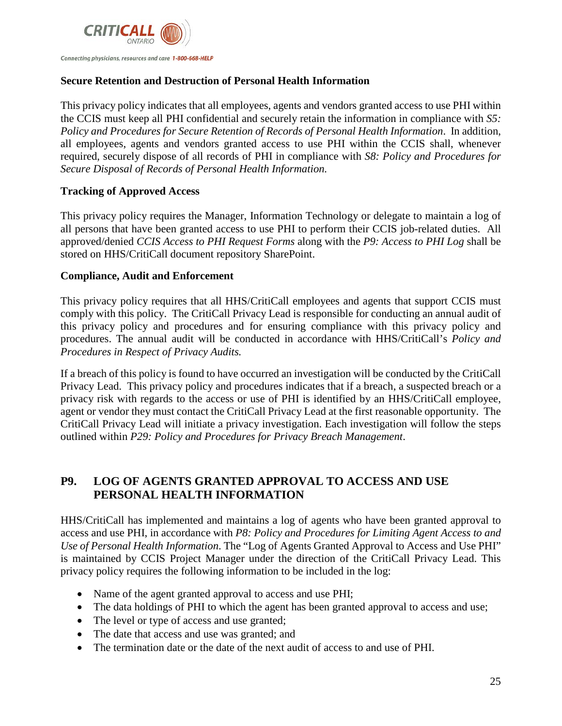

#### <span id="page-24-0"></span>**Secure Retention and Destruction of Personal Health Information**

This privacy policy indicates that all employees, agents and vendors granted access to use PHI within the CCIS must keep all PHI confidential and securely retain the information in compliance with *S5: Policy and Procedures for Secure Retention of Records of Personal Health Information*. In addition, all employees, agents and vendors granted access to use PHI within the CCIS shall, whenever required, securely dispose of all records of PHI in compliance with *S8: Policy and Procedures for Secure Disposal of Records of Personal Health Information.*

#### <span id="page-24-1"></span>**Tracking of Approved Access**

This privacy policy requires the Manager, Information Technology or delegate to maintain a log of all persons that have been granted access to use PHI to perform their CCIS job-related duties. All approved/denied *CCIS Access to PHI Request Forms* along with the *P9: Access to PHI Log* shall be stored on HHS/CritiCall document repository SharePoint.

#### <span id="page-24-2"></span>**Compliance, Audit and Enforcement**

This privacy policy requires that all HHS/CritiCall employees and agents that support CCIS must comply with this policy. The CritiCall Privacy Lead is responsible for conducting an annual audit of this privacy policy and procedures and for ensuring compliance with this privacy policy and procedures. The annual audit will be conducted in accordance with HHS/CritiCall's *Policy and Procedures in Respect of Privacy Audits.* 

If a breach of this policy is found to have occurred an investigation will be conducted by the CritiCall Privacy Lead. This privacy policy and procedures indicates that if a breach, a suspected breach or a privacy risk with regards to the access or use of PHI is identified by an HHS/CritiCall employee, agent or vendor they must contact the CritiCall Privacy Lead at the first reasonable opportunity. The CritiCall Privacy Lead will initiate a privacy investigation. Each investigation will follow the steps outlined within *P29: Policy and Procedures for Privacy Breach Management*.

# **P9. LOG OF AGENTS GRANTED APPROVAL TO ACCESS AND USE PERSONAL HEALTH INFORMATION**

HHS/CritiCall has implemented and maintains a log of agents who have been granted approval to access and use PHI, in accordance with *P8: Policy and Procedures for Limiting Agent Access to and Use of Personal Health Information*. The "Log of Agents Granted Approval to Access and Use PHI" is maintained by CCIS Project Manager under the direction of the CritiCall Privacy Lead. This privacy policy requires the following information to be included in the log:

- Name of the agent granted approval to access and use PHI;
- The data holdings of PHI to which the agent has been granted approval to access and use;
- The level or type of access and use granted;
- The date that access and use was granted; and
- The termination date or the date of the next audit of access to and use of PHI.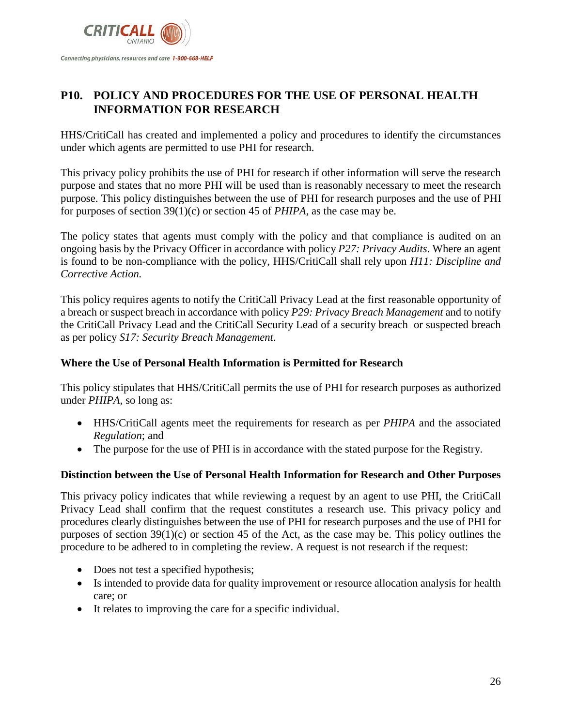

# <span id="page-25-0"></span>**P10. POLICY AND PROCEDURES FOR THE USE OF PERSONAL HEALTH INFORMATION FOR RESEARCH**

HHS/CritiCall has created and implemented a policy and procedures to identify the circumstances under which agents are permitted to use PHI for research.

This privacy policy prohibits the use of PHI for research if other information will serve the research purpose and states that no more PHI will be used than is reasonably necessary to meet the research purpose. This policy distinguishes between the use of PHI for research purposes and the use of PHI for purposes of section 39(1)(c) or section 45 of *PHIPA*, as the case may be.

The policy states that agents must comply with the policy and that compliance is audited on an ongoing basis by the Privacy Officer in accordance with policy *P27: Privacy Audits*. Where an agent is found to be non-compliance with the policy, HHS/CritiCall shall rely upon *H11: Discipline and Corrective Action.*

This policy requires agents to notify the CritiCall Privacy Lead at the first reasonable opportunity of a breach or suspect breach in accordance with policy *P29: Privacy Breach Management* and to notify the CritiCall Privacy Lead and the CritiCall Security Lead of a security breach or suspected breach as per policy *S17: Security Breach Management*.

#### **Where the Use of Personal Health Information is Permitted for Research**

This policy stipulates that HHS/CritiCall permits the use of PHI for research purposes as authorized under *PHIPA*, so long as:

- HHS/CritiCall agents meet the requirements for research as per *PHIPA* and the associated *Regulation*; and
- The purpose for the use of PHI is in accordance with the stated purpose for the Registry.

#### **Distinction between the Use of Personal Health Information for Research and Other Purposes**

This privacy policy indicates that while reviewing a request by an agent to use PHI, the CritiCall Privacy Lead shall confirm that the request constitutes a research use. This privacy policy and procedures clearly distinguishes between the use of PHI for research purposes and the use of PHI for purposes of section 39(1)(c) or section 45 of the Act, as the case may be. This policy outlines the procedure to be adhered to in completing the review. A request is not research if the request:

- Does not test a specified hypothesis;
- Is intended to provide data for quality improvement or resource allocation analysis for health care; or
- It relates to improving the care for a specific individual.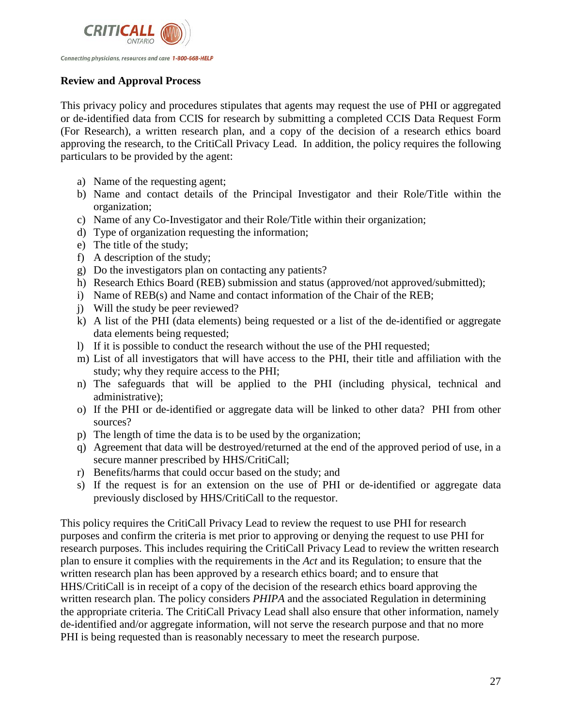

# **Review and Approval Process**

This privacy policy and procedures stipulates that agents may request the use of PHI or aggregated or de-identified data from CCIS for research by submitting a completed CCIS Data Request Form (For Research), a written research plan, and a copy of the decision of a research ethics board approving the research, to the CritiCall Privacy Lead. In addition, the policy requires the following particulars to be provided by the agent:

- a) Name of the requesting agent;
- b) Name and contact details of the Principal Investigator and their Role/Title within the organization;
- c) Name of any Co-Investigator and their Role/Title within their organization;
- d) Type of organization requesting the information;
- e) The title of the study;
- f) A description of the study;
- g) Do the investigators plan on contacting any patients?
- h) Research Ethics Board (REB) submission and status (approved/not approved/submitted);
- i) Name of REB(s) and Name and contact information of the Chair of the REB;
- j) Will the study be peer reviewed?
- k) A list of the PHI (data elements) being requested or a list of the de-identified or aggregate data elements being requested;
- l) If it is possible to conduct the research without the use of the PHI requested;
- m) List of all investigators that will have access to the PHI, their title and affiliation with the study; why they require access to the PHI;
- n) The safeguards that will be applied to the PHI (including physical, technical and administrative);
- o) If the PHI or de-identified or aggregate data will be linked to other data? PHI from other sources?
- p) The length of time the data is to be used by the organization;
- q) Agreement that data will be destroyed/returned at the end of the approved period of use, in a secure manner prescribed by HHS/CritiCall;
- r) Benefits/harms that could occur based on the study; and
- s) If the request is for an extension on the use of PHI or de-identified or aggregate data previously disclosed by HHS/CritiCall to the requestor.

This policy requires the CritiCall Privacy Lead to review the request to use PHI for research purposes and confirm the criteria is met prior to approving or denying the request to use PHI for research purposes. This includes requiring the CritiCall Privacy Lead to review the written research plan to ensure it complies with the requirements in the *Act* and its Regulation; to ensure that the written research plan has been approved by a research ethics board; and to ensure that HHS/CritiCall is in receipt of a copy of the decision of the research ethics board approving the written research plan. The policy considers *PHIPA* and the associated Regulation in determining the appropriate criteria. The CritiCall Privacy Lead shall also ensure that other information, namely de-identified and/or aggregate information, will not serve the research purpose and that no more PHI is being requested than is reasonably necessary to meet the research purpose.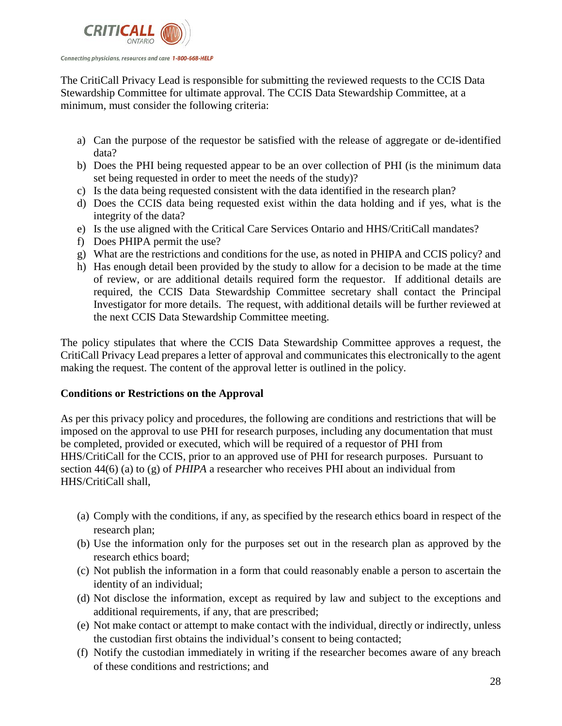

The CritiCall Privacy Lead is responsible for submitting the reviewed requests to the CCIS Data Stewardship Committee for ultimate approval. The CCIS Data Stewardship Committee, at a minimum, must consider the following criteria:

- a) Can the purpose of the requestor be satisfied with the release of aggregate or de-identified data?
- b) Does the PHI being requested appear to be an over collection of PHI (is the minimum data set being requested in order to meet the needs of the study)?
- c) Is the data being requested consistent with the data identified in the research plan?
- d) Does the CCIS data being requested exist within the data holding and if yes, what is the integrity of the data?
- e) Is the use aligned with the Critical Care Services Ontario and HHS/CritiCall mandates?
- f) Does PHIPA permit the use?
- g) What are the restrictions and conditions for the use, as noted in PHIPA and CCIS policy? and
- h) Has enough detail been provided by the study to allow for a decision to be made at the time of review, or are additional details required form the requestor. If additional details are required, the CCIS Data Stewardship Committee secretary shall contact the Principal Investigator for more details. The request, with additional details will be further reviewed at the next CCIS Data Stewardship Committee meeting.

The policy stipulates that where the CCIS Data Stewardship Committee approves a request, the CritiCall Privacy Lead prepares a letter of approval and communicates this electronically to the agent making the request. The content of the approval letter is outlined in the policy.

# **Conditions or Restrictions on the Approval**

As per this privacy policy and procedures, the following are conditions and restrictions that will be imposed on the approval to use PHI for research purposes, including any documentation that must be completed, provided or executed, which will be required of a requestor of PHI from HHS/CritiCall for the CCIS, prior to an approved use of PHI for research purposes. Pursuant to section 44(6) (a) to (g) of *PHIPA* a researcher who receives PHI about an individual from HHS/CritiCall shall,

- (a) Comply with the conditions, if any, as specified by the research ethics board in respect of the research plan;
- (b) Use the information only for the purposes set out in the research plan as approved by the research ethics board;
- (c) Not publish the information in a form that could reasonably enable a person to ascertain the identity of an individual;
- (d) Not disclose the information, except as required by law and subject to the exceptions and additional requirements, if any, that are prescribed;
- (e) Not make contact or attempt to make contact with the individual, directly or indirectly, unless the custodian first obtains the individual's consent to being contacted;
- (f) Notify the custodian immediately in writing if the researcher becomes aware of any breach of these conditions and restrictions; and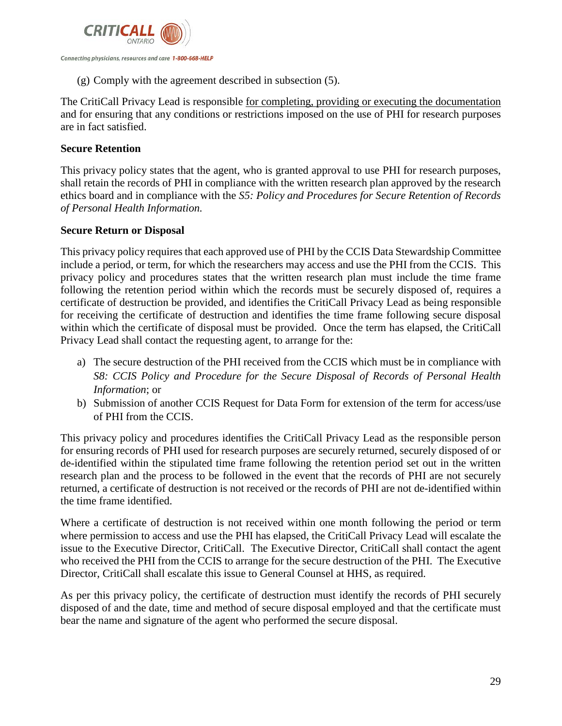

(g) Comply with the agreement described in subsection (5).

The CritiCall Privacy Lead is responsible for completing, providing or executing the documentation and for ensuring that any conditions or restrictions imposed on the use of PHI for research purposes are in fact satisfied.

#### **Secure Retention**

This privacy policy states that the agent, who is granted approval to use PHI for research purposes, shall retain the records of PHI in compliance with the written research plan approved by the research ethics board and in compliance with the *S5: Policy and Procedures for Secure Retention of Records of Personal Health Information.*

#### **Secure Return or Disposal**

This privacy policy requires that each approved use of PHI by the CCIS Data Stewardship Committee include a period, or term, for which the researchers may access and use the PHI from the CCIS. This privacy policy and procedures states that the written research plan must include the time frame following the retention period within which the records must be securely disposed of, requires a certificate of destruction be provided, and identifies the CritiCall Privacy Lead as being responsible for receiving the certificate of destruction and identifies the time frame following secure disposal within which the certificate of disposal must be provided. Once the term has elapsed, the CritiCall Privacy Lead shall contact the requesting agent, to arrange for the:

- a) The secure destruction of the PHI received from the CCIS which must be in compliance with *S8: CCIS Policy and Procedure for the Secure Disposal of Records of Personal Health Information*; or
- b) Submission of another CCIS Request for Data Form for extension of the term for access/use of PHI from the CCIS.

This privacy policy and procedures identifies the CritiCall Privacy Lead as the responsible person for ensuring records of PHI used for research purposes are securely returned, securely disposed of or de-identified within the stipulated time frame following the retention period set out in the written research plan and the process to be followed in the event that the records of PHI are not securely returned, a certificate of destruction is not received or the records of PHI are not de-identified within the time frame identified.

Where a certificate of destruction is not received within one month following the period or term where permission to access and use the PHI has elapsed, the CritiCall Privacy Lead will escalate the issue to the Executive Director, CritiCall. The Executive Director, CritiCall shall contact the agent who received the PHI from the CCIS to arrange for the secure destruction of the PHI. The Executive Director, CritiCall shall escalate this issue to General Counsel at HHS, as required.

As per this privacy policy, the certificate of destruction must identify the records of PHI securely disposed of and the date, time and method of secure disposal employed and that the certificate must bear the name and signature of the agent who performed the secure disposal.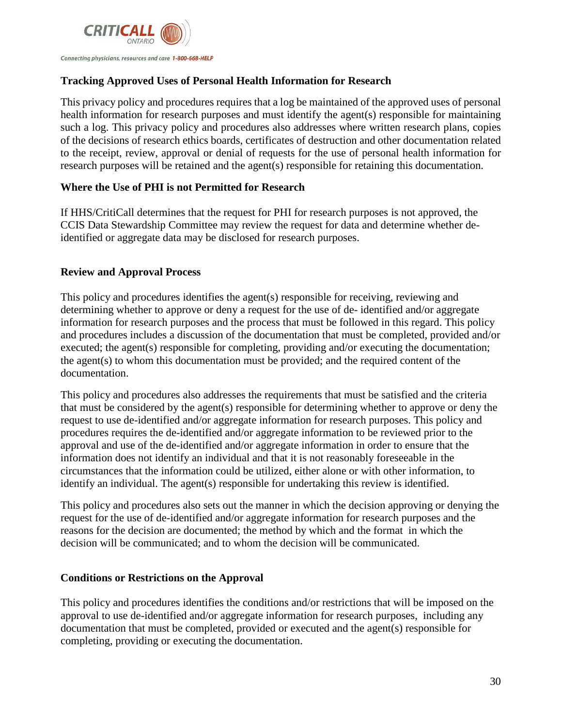

## **Tracking Approved Uses of Personal Health Information for Research**

This privacy policy and procedures requires that a log be maintained of the approved uses of personal health information for research purposes and must identify the agent(s) responsible for maintaining such a log. This privacy policy and procedures also addresses where written research plans, copies of the decisions of research ethics boards, certificates of destruction and other documentation related to the receipt, review, approval or denial of requests for the use of personal health information for research purposes will be retained and the agent(s) responsible for retaining this documentation.

#### <span id="page-29-0"></span>**Where the Use of PHI is not Permitted for Research**

If HHS/CritiCall determines that the request for PHI for research purposes is not approved, the CCIS Data Stewardship Committee may review the request for data and determine whether deidentified or aggregate data may be disclosed for research purposes.

# **Review and Approval Process**

This policy and procedures identifies the agent(s) responsible for receiving, reviewing and determining whether to approve or deny a request for the use of de- identified and/or aggregate information for research purposes and the process that must be followed in this regard. This policy and procedures includes a discussion of the documentation that must be completed, provided and/or executed; the agent(s) responsible for completing, providing and/or executing the documentation; the agent(s) to whom this documentation must be provided; and the required content of the documentation.

This policy and procedures also addresses the requirements that must be satisfied and the criteria that must be considered by the agent(s) responsible for determining whether to approve or deny the request to use de-identified and/or aggregate information for research purposes. This policy and procedures requires the de-identified and/or aggregate information to be reviewed prior to the approval and use of the de-identified and/or aggregate information in order to ensure that the information does not identify an individual and that it is not reasonably foreseeable in the circumstances that the information could be utilized, either alone or with other information, to identify an individual. The agent(s) responsible for undertaking this review is identified.

This policy and procedures also sets out the manner in which the decision approving or denying the request for the use of de-identified and/or aggregate information for research purposes and the reasons for the decision are documented; the method by which and the format in which the decision will be communicated; and to whom the decision will be communicated.

#### **Conditions or Restrictions on the Approval**

This policy and procedures identifies the conditions and/or restrictions that will be imposed on the approval to use de-identified and/or aggregate information for research purposes, including any documentation that must be completed, provided or executed and the agent(s) responsible for completing, providing or executing the documentation.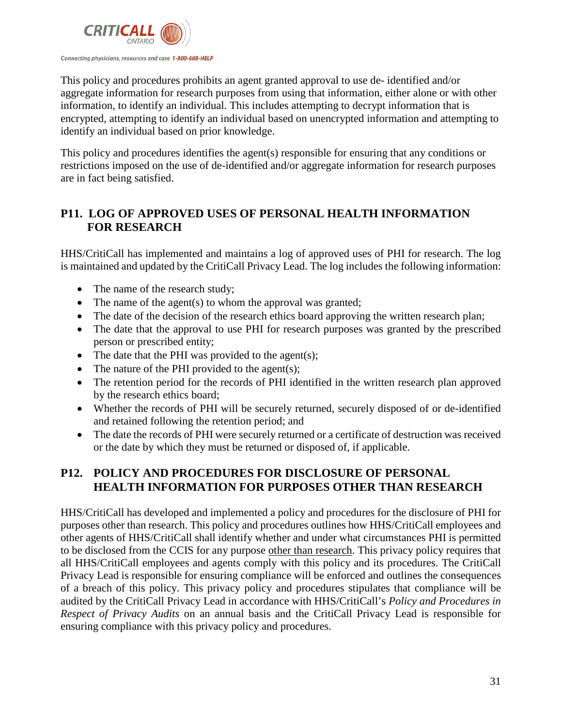

This policy and procedures prohibits an agent granted approval to use de- identified and/or aggregate information for research purposes from using that information, either alone or with other information, to identify an individual. This includes attempting to decrypt information that is encrypted, attempting to identify an individual based on unencrypted information and attempting to identify an individual based on prior knowledge.

This policy and procedures identifies the agent(s) responsible for ensuring that any conditions or restrictions imposed on the use of de-identified and/or aggregate information for research purposes are in fact being satisfied.

# **P11. LOG OF APPROVED USES OF PERSONAL HEALTH INFORMATION FOR RESEARCH**

HHS/CritiCall has implemented and maintains a log of approved uses of PHI for research. The log is maintained and updated by the CritiCall Privacy Lead. The log includes the following information:

- The name of the research study;
- The name of the agent(s) to whom the approval was granted;
- The date of the decision of the research ethics board approving the written research plan;
- The date that the approval to use PHI for research purposes was granted by the prescribed person or prescribed entity;
- The date that the PHI was provided to the agent(s);
- The nature of the PHI provided to the agent(s);
- The retention period for the records of PHI identified in the written research plan approved by the research ethics board;
- Whether the records of PHI will be securely returned, securely disposed of or de-identified and retained following the retention period; and
- The date the records of PHI were securely returned or a certificate of destruction was received or the date by which they must be returned or disposed of, if applicable.

# **P12. POLICY AND PROCEDURES FOR DISCLOSURE OF PERSONAL HEALTH INFORMATION FOR PURPOSES OTHER THAN RESEARCH**

HHS/CritiCall has developed and implemented a policy and procedures for the disclosure of PHI for purposes other than research. This policy and procedures outlines how HHS/CritiCall employees and other agents of HHS/CritiCall shall identify whether and under what circumstances PHI is permitted to be disclosed from the CCIS for any purpose other than research. This privacy policy requires that all HHS/CritiCall employees and agents comply with this policy and its procedures. The CritiCall Privacy Lead is responsible for ensuring compliance will be enforced and outlines the consequences of a breach of this policy. This privacy policy and procedures stipulates that compliance will be audited by the CritiCall Privacy Lead in accordance with HHS/CritiCall's *Policy and Procedures in Respect of Privacy Audits* on an annual basis and the CritiCall Privacy Lead is responsible for ensuring compliance with this privacy policy and procedures.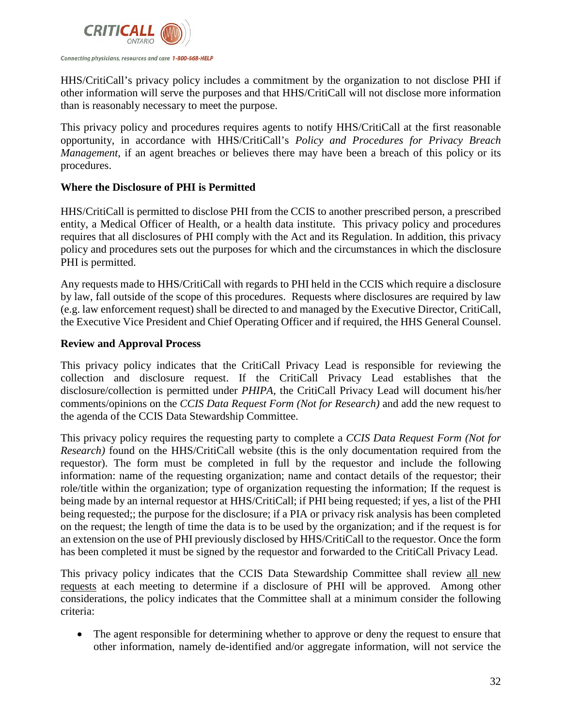

HHS/CritiCall's privacy policy includes a commitment by the organization to not disclose PHI if other information will serve the purposes and that HHS/CritiCall will not disclose more information than is reasonably necessary to meet the purpose.

This privacy policy and procedures requires agents to notify HHS/CritiCall at the first reasonable opportunity, in accordance with HHS/CritiCall's *Policy and Procedures for Privacy Breach Management*, if an agent breaches or believes there may have been a breach of this policy or its procedures.

#### <span id="page-31-0"></span>**Where the Disclosure of PHI is Permitted**

HHS/CritiCall is permitted to disclose PHI from the CCIS to another prescribed person, a prescribed entity, a Medical Officer of Health, or a health data institute. This privacy policy and procedures requires that all disclosures of PHI comply with the Act and its Regulation. In addition, this privacy policy and procedures sets out the purposes for which and the circumstances in which the disclosure PHI is permitted.

Any requests made to HHS/CritiCall with regards to PHI held in the CCIS which require a disclosure by law, fall outside of the scope of this procedures. Requests where disclosures are required by law (e.g. law enforcement request) shall be directed to and managed by the Executive Director, CritiCall, the Executive Vice President and Chief Operating Officer and if required, the HHS General Counsel.

#### **Review and Approval Process**

This privacy policy indicates that the CritiCall Privacy Lead is responsible for reviewing the collection and disclosure request. If the CritiCall Privacy Lead establishes that the disclosure/collection is permitted under *PHIPA*, the CritiCall Privacy Lead will document his/her comments/opinions on the *CCIS Data Request Form (Not for Research)* and add the new request to the agenda of the CCIS Data Stewardship Committee.

This privacy policy requires the requesting party to complete a *CCIS Data Request Form (Not for Research)* found on the HHS/CritiCall website (this is the only documentation required from the requestor). The form must be completed in full by the requestor and include the following information: name of the requesting organization; name and contact details of the requestor; their role/title within the organization; type of organization requesting the information; If the request is being made by an internal requestor at HHS/CritiCall; if PHI being requested; if yes, a list of the PHI being requested;; the purpose for the disclosure; if a PIA or privacy risk analysis has been completed on the request; the length of time the data is to be used by the organization; and if the request is for an extension on the use of PHI previously disclosed by HHS/CritiCall to the requestor. Once the form has been completed it must be signed by the requestor and forwarded to the CritiCall Privacy Lead.

This privacy policy indicates that the CCIS Data Stewardship Committee shall review all new requests at each meeting to determine if a disclosure of PHI will be approved. Among other considerations, the policy indicates that the Committee shall at a minimum consider the following criteria:

• The agent responsible for determining whether to approve or deny the request to ensure that other information, namely de-identified and/or aggregate information, will not service the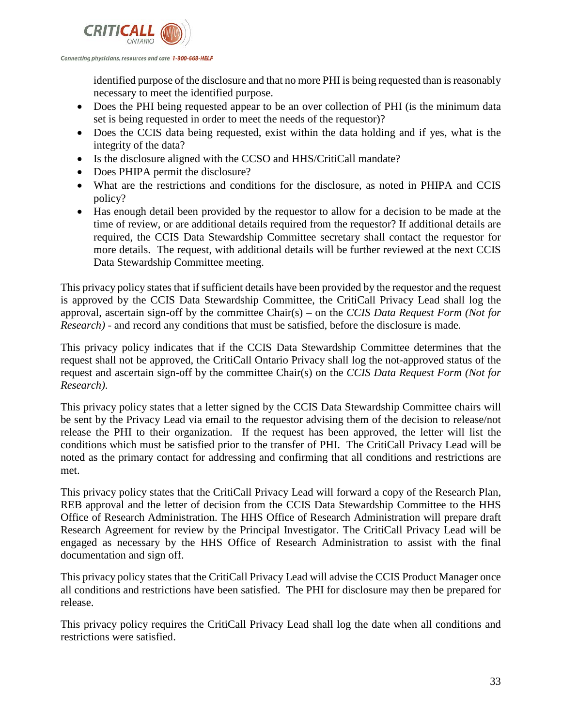

identified purpose of the disclosure and that no more PHI is being requested than is reasonably necessary to meet the identified purpose.

- Does the PHI being requested appear to be an over collection of PHI (is the minimum data set is being requested in order to meet the needs of the requestor)?
- Does the CCIS data being requested, exist within the data holding and if yes, what is the integrity of the data?
- Is the disclosure aligned with the CCSO and HHS/CritiCall mandate?
- Does PHIPA permit the disclosure?
- What are the restrictions and conditions for the disclosure, as noted in PHIPA and CCIS policy?
- Has enough detail been provided by the requestor to allow for a decision to be made at the time of review, or are additional details required from the requestor? If additional details are required, the CCIS Data Stewardship Committee secretary shall contact the requestor for more details. The request, with additional details will be further reviewed at the next CCIS Data Stewardship Committee meeting.

This privacy policy states that if sufficient details have been provided by the requestor and the request is approved by the CCIS Data Stewardship Committee, the CritiCall Privacy Lead shall log the approval, ascertain sign-off by the committee Chair(s) – on the *CCIS Data Request Form (Not for Research)* - and record any conditions that must be satisfied, before the disclosure is made.

This privacy policy indicates that if the CCIS Data Stewardship Committee determines that the request shall not be approved, the CritiCall Ontario Privacy shall log the not-approved status of the request and ascertain sign-off by the committee Chair(s) on the *CCIS Data Request Form (Not for Research)*.

This privacy policy states that a letter signed by the CCIS Data Stewardship Committee chairs will be sent by the Privacy Lead via email to the requestor advising them of the decision to release/not release the PHI to their organization. If the request has been approved, the letter will list the conditions which must be satisfied prior to the transfer of PHI. The CritiCall Privacy Lead will be noted as the primary contact for addressing and confirming that all conditions and restrictions are met.

This privacy policy states that the CritiCall Privacy Lead will forward a copy of the Research Plan, REB approval and the letter of decision from the CCIS Data Stewardship Committee to the HHS Office of Research Administration. The HHS Office of Research Administration will prepare draft Research Agreement for review by the Principal Investigator. The CritiCall Privacy Lead will be engaged as necessary by the HHS Office of Research Administration to assist with the final documentation and sign off.

This privacy policy states that the CritiCall Privacy Lead will advise the CCIS Product Manager once all conditions and restrictions have been satisfied. The PHI for disclosure may then be prepared for release.

This privacy policy requires the CritiCall Privacy Lead shall log the date when all conditions and restrictions were satisfied.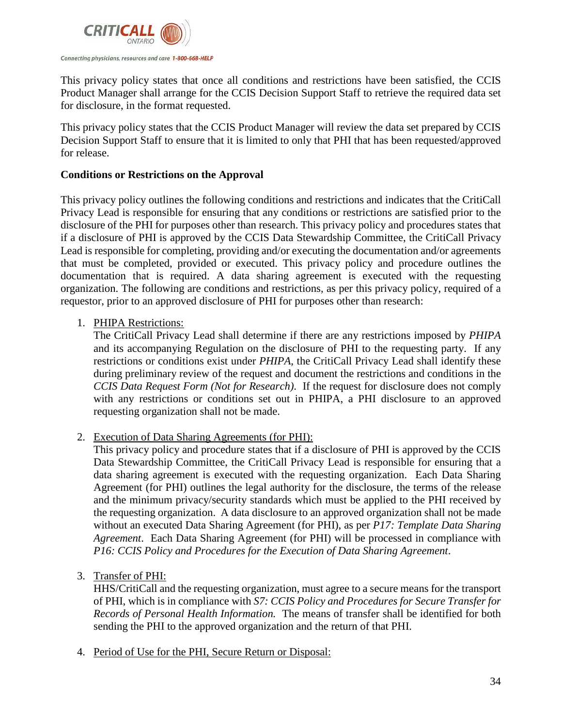

This privacy policy states that once all conditions and restrictions have been satisfied, the CCIS Product Manager shall arrange for the CCIS Decision Support Staff to retrieve the required data set for disclosure, in the format requested.

This privacy policy states that the CCIS Product Manager will review the data set prepared by CCIS Decision Support Staff to ensure that it is limited to only that PHI that has been requested/approved for release.

#### <span id="page-33-0"></span>**Conditions or Restrictions on the Approval**

This privacy policy outlines the following conditions and restrictions and indicates that the CritiCall Privacy Lead is responsible for ensuring that any conditions or restrictions are satisfied prior to the disclosure of the PHI for purposes other than research. This privacy policy and procedures states that if a disclosure of PHI is approved by the CCIS Data Stewardship Committee, the CritiCall Privacy Lead is responsible for completing, providing and/or executing the documentation and/or agreements that must be completed, provided or executed. This privacy policy and procedure outlines the documentation that is required. A data sharing agreement is executed with the requesting organization. The following are conditions and restrictions, as per this privacy policy, required of a requestor, prior to an approved disclosure of PHI for purposes other than research:

#### 1. PHIPA Restrictions:

The CritiCall Privacy Lead shall determine if there are any restrictions imposed by *PHIPA*  and its accompanying Regulation on the disclosure of PHI to the requesting party. If any restrictions or conditions exist under *PHIPA*, the CritiCall Privacy Lead shall identify these during preliminary review of the request and document the restrictions and conditions in the *CCIS Data Request Form (Not for Research)*. If the request for disclosure does not comply with any restrictions or conditions set out in PHIPA, a PHI disclosure to an approved requesting organization shall not be made.

2. Execution of Data Sharing Agreements (for PHI):

This privacy policy and procedure states that if a disclosure of PHI is approved by the CCIS Data Stewardship Committee, the CritiCall Privacy Lead is responsible for ensuring that a data sharing agreement is executed with the requesting organization. Each Data Sharing Agreement (for PHI) outlines the legal authority for the disclosure, the terms of the release and the minimum privacy/security standards which must be applied to the PHI received by the requesting organization. A data disclosure to an approved organization shall not be made without an executed Data Sharing Agreement (for PHI), as per *P17: Template Data Sharing Agreement*. Each Data Sharing Agreement (for PHI) will be processed in compliance with *P16: CCIS Policy and Procedures for the Execution of Data Sharing Agreement*.

3. Transfer of PHI:

HHS/CritiCall and the requesting organization, must agree to a secure means for the transport of PHI, which is in compliance with *S7: CCIS Policy and Procedures for Secure Transfer for Records of Personal Health Information.* The means of transfer shall be identified for both sending the PHI to the approved organization and the return of that PHI.

4. Period of Use for the PHI, Secure Return or Disposal: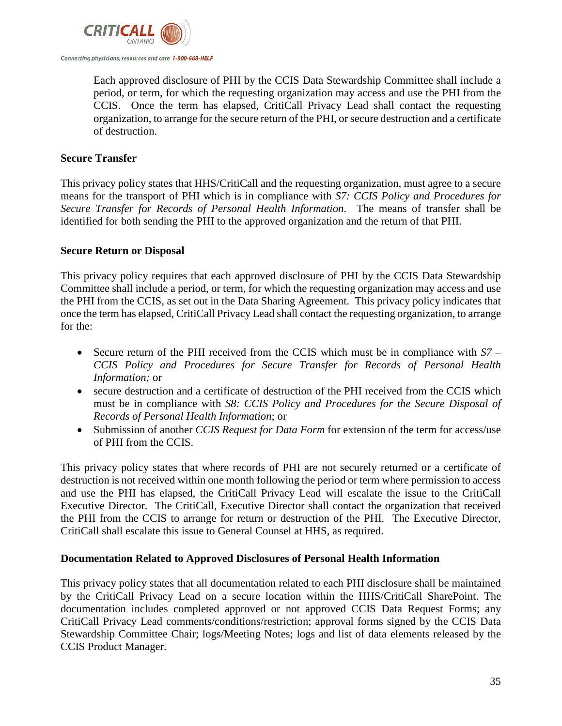

Each approved disclosure of PHI by the CCIS Data Stewardship Committee shall include a period, or term, for which the requesting organization may access and use the PHI from the CCIS. Once the term has elapsed, CritiCall Privacy Lead shall contact the requesting organization, to arrange for the secure return of the PHI, or secure destruction and a certificate of destruction.

#### <span id="page-34-0"></span>**Secure Transfer**

This privacy policy states that HHS/CritiCall and the requesting organization, must agree to a secure means for the transport of PHI which is in compliance with *S7: CCIS Policy and Procedures for Secure Transfer for Records of Personal Health Information*. The means of transfer shall be identified for both sending the PHI to the approved organization and the return of that PHI.

#### <span id="page-34-1"></span>**Secure Return or Disposal**

This privacy policy requires that each approved disclosure of PHI by the CCIS Data Stewardship Committee shall include a period, or term, for which the requesting organization may access and use the PHI from the CCIS, as set out in the Data Sharing Agreement. This privacy policy indicates that once the term has elapsed, CritiCall Privacy Lead shall contact the requesting organization, to arrange for the:

- Secure return of the PHI received from the CCIS which must be in compliance with *S7 – CCIS Policy and Procedures for Secure Transfer for Records of Personal Health Information;* or
- secure destruction and a certificate of destruction of the PHI received from the CCIS which must be in compliance with *S8: CCIS Policy and Procedures for the Secure Disposal of Records of Personal Health Information*; or
- Submission of another *CCIS Request for Data Form* for extension of the term for access/use of PHI from the CCIS.

This privacy policy states that where records of PHI are not securely returned or a certificate of destruction is not received within one month following the period or term where permission to access and use the PHI has elapsed, the CritiCall Privacy Lead will escalate the issue to the CritiCall Executive Director. The CritiCall, Executive Director shall contact the organization that received the PHI from the CCIS to arrange for return or destruction of the PHI. The Executive Director, CritiCall shall escalate this issue to General Counsel at HHS, as required.

#### <span id="page-34-2"></span>**Documentation Related to Approved Disclosures of Personal Health Information**

This privacy policy states that all documentation related to each PHI disclosure shall be maintained by the CritiCall Privacy Lead on a secure location within the HHS/CritiCall SharePoint. The documentation includes completed approved or not approved CCIS Data Request Forms; any CritiCall Privacy Lead comments/conditions/restriction; approval forms signed by the CCIS Data Stewardship Committee Chair; logs/Meeting Notes; logs and list of data elements released by the CCIS Product Manager.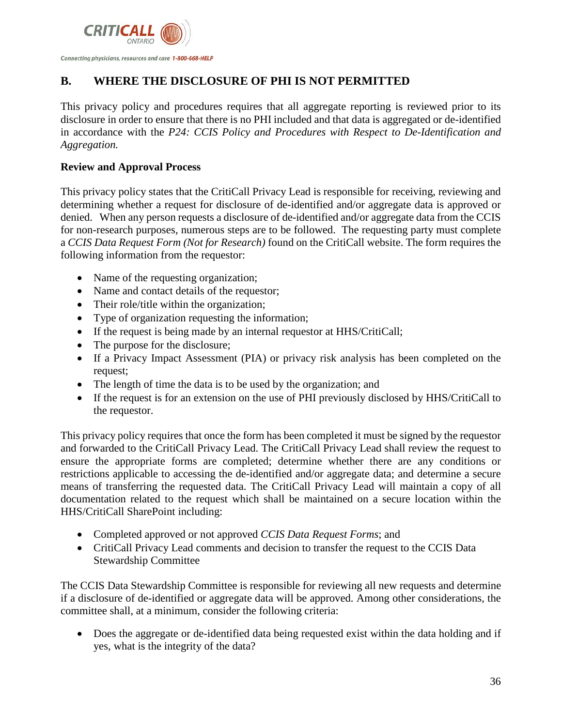

# <span id="page-35-0"></span>**B. WHERE THE DISCLOSURE OF PHI IS NOT PERMITTED**

This privacy policy and procedures requires that all aggregate reporting is reviewed prior to its disclosure in order to ensure that there is no PHI included and that data is aggregated or de-identified in accordance with the *P24: CCIS Policy and Procedures with Respect to De-Identification and Aggregation.*

#### <span id="page-35-1"></span>**Review and Approval Process**

This privacy policy states that the CritiCall Privacy Lead is responsible for receiving, reviewing and determining whether a request for disclosure of de-identified and/or aggregate data is approved or denied. When any person requests a disclosure of de-identified and/or aggregate data from the CCIS for non-research purposes, numerous steps are to be followed. The requesting party must complete a *CCIS Data Request Form (Not for Research)* found on the CritiCall website. The form requires the following information from the requestor:

- Name of the requesting organization;
- Name and contact details of the requestor;
- Their role/title within the organization;
- Type of organization requesting the information;
- If the request is being made by an internal requestor at HHS/CritiCall;
- The purpose for the disclosure;
- If a Privacy Impact Assessment (PIA) or privacy risk analysis has been completed on the request;
- The length of time the data is to be used by the organization; and
- If the request is for an extension on the use of PHI previously disclosed by HHS/CritiCall to the requestor.

This privacy policy requires that once the form has been completed it must be signed by the requestor and forwarded to the CritiCall Privacy Lead. The CritiCall Privacy Lead shall review the request to ensure the appropriate forms are completed; determine whether there are any conditions or restrictions applicable to accessing the de-identified and/or aggregate data; and determine a secure means of transferring the requested data. The CritiCall Privacy Lead will maintain a copy of all documentation related to the request which shall be maintained on a secure location within the HHS/CritiCall SharePoint including:

- Completed approved or not approved *CCIS Data Request Forms*; and
- CritiCall Privacy Lead comments and decision to transfer the request to the CCIS Data Stewardship Committee

The CCIS Data Stewardship Committee is responsible for reviewing all new requests and determine if a disclosure of de-identified or aggregate data will be approved. Among other considerations, the committee shall, at a minimum, consider the following criteria:

• Does the aggregate or de-identified data being requested exist within the data holding and if yes, what is the integrity of the data?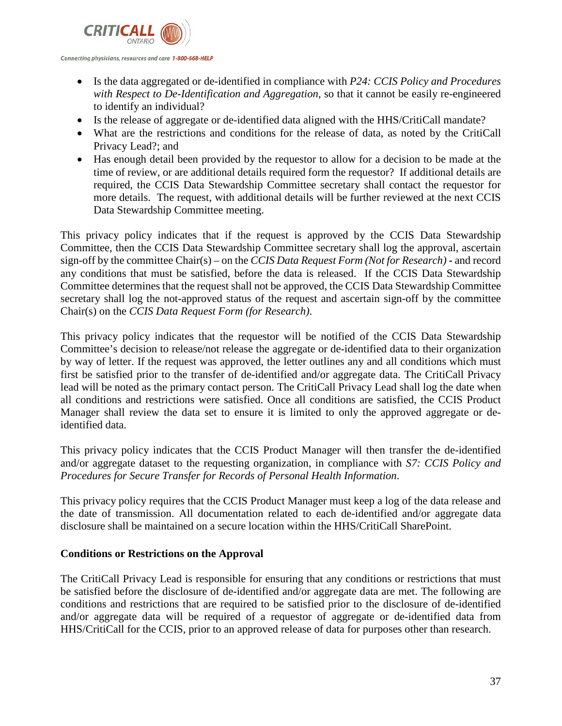

- Is the data aggregated or de-identified in compliance with *P24: CCIS Policy and Procedures with Respect to De-Identification and Aggregation*, so that it cannot be easily re-engineered to identify an individual?
- Is the release of aggregate or de-identified data aligned with the HHS/CritiCall mandate?
- What are the restrictions and conditions for the release of data, as noted by the CritiCall Privacy Lead?; and
- Has enough detail been provided by the requestor to allow for a decision to be made at the time of review, or are additional details required form the requestor? If additional details are required, the CCIS Data Stewardship Committee secretary shall contact the requestor for more details. The request, with additional details will be further reviewed at the next CCIS Data Stewardship Committee meeting.

This privacy policy indicates that if the request is approved by the CCIS Data Stewardship Committee, then the CCIS Data Stewardship Committee secretary shall log the approval, ascertain sign-off by the committee Chair(s) – on the *CCIS Data Request Form (Not for Research)* **-** and record any conditions that must be satisfied, before the data is released. If the CCIS Data Stewardship Committee determines that the request shall not be approved, the CCIS Data Stewardship Committee secretary shall log the not-approved status of the request and ascertain sign-off by the committee Chair(s) on the *CCIS Data Request Form (for Research)*.

This privacy policy indicates that the requestor will be notified of the CCIS Data Stewardship Committee's decision to release/not release the aggregate or de-identified data to their organization by way of letter. If the request was approved, the letter outlines any and all conditions which must first be satisfied prior to the transfer of de-identified and/or aggregate data. The CritiCall Privacy lead will be noted as the primary contact person. The CritiCall Privacy Lead shall log the date when all conditions and restrictions were satisfied. Once all conditions are satisfied, the CCIS Product Manager shall review the data set to ensure it is limited to only the approved aggregate or deidentified data.

This privacy policy indicates that the CCIS Product Manager will then transfer the de-identified and/or aggregate dataset to the requesting organization, in compliance with *S7: CCIS Policy and Procedures for Secure Transfer for Records of Personal Health Information*.

This privacy policy requires that the CCIS Product Manager must keep a log of the data release and the date of transmission. All documentation related to each de-identified and/or aggregate data disclosure shall be maintained on a secure location within the HHS/CritiCall SharePoint.

# **Conditions or Restrictions on the Approval**

The CritiCall Privacy Lead is responsible for ensuring that any conditions or restrictions that must be satisfied before the disclosure of de-identified and/or aggregate data are met. The following are conditions and restrictions that are required to be satisfied prior to the disclosure of de-identified and/or aggregate data will be required of a requestor of aggregate or de-identified data from HHS/CritiCall for the CCIS, prior to an approved release of data for purposes other than research.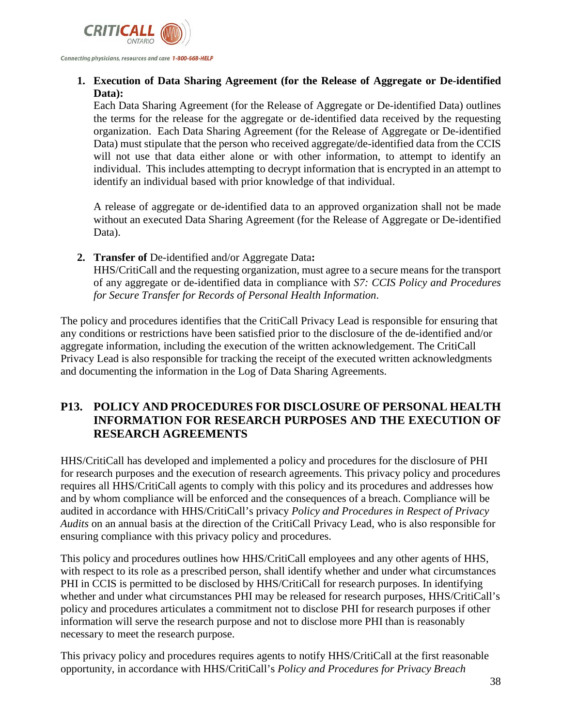

**1. Execution of Data Sharing Agreement (for the Release of Aggregate or De-identified Data):**

Each Data Sharing Agreement (for the Release of Aggregate or De-identified Data) outlines the terms for the release for the aggregate or de-identified data received by the requesting organization. Each Data Sharing Agreement (for the Release of Aggregate or De-identified Data) must stipulate that the person who received aggregate/de-identified data from the CCIS will not use that data either alone or with other information, to attempt to identify an individual. This includes attempting to decrypt information that is encrypted in an attempt to identify an individual based with prior knowledge of that individual.

A release of aggregate or de-identified data to an approved organization shall not be made without an executed Data Sharing Agreement (for the Release of Aggregate or De-identified Data).

**2. Transfer of** De-identified and/or Aggregate Data**:** HHS/CritiCall and the requesting organization, must agree to a secure means for the transport of any aggregate or de-identified data in compliance with *S7: CCIS Policy and Procedures for Secure Transfer for Records of Personal Health Information*.

The policy and procedures identifies that the CritiCall Privacy Lead is responsible for ensuring that any conditions or restrictions have been satisfied prior to the disclosure of the de-identified and/or aggregate information, including the execution of the written acknowledgement. The CritiCall Privacy Lead is also responsible for tracking the receipt of the executed written acknowledgments and documenting the information in the Log of Data Sharing Agreements.

# **P13. POLICY AND PROCEDURES FOR DISCLOSURE OF PERSONAL HEALTH INFORMATION FOR RESEARCH PURPOSES AND THE EXECUTION OF RESEARCH AGREEMENTS**

HHS/CritiCall has developed and implemented a policy and procedures for the disclosure of PHI for research purposes and the execution of research agreements. This privacy policy and procedures requires all HHS/CritiCall agents to comply with this policy and its procedures and addresses how and by whom compliance will be enforced and the consequences of a breach. Compliance will be audited in accordance with HHS/CritiCall's privacy *Policy and Procedures in Respect of Privacy Audits* on an annual basis at the direction of the CritiCall Privacy Lead, who is also responsible for ensuring compliance with this privacy policy and procedures.

This policy and procedures outlines how HHS/CritiCall employees and any other agents of HHS, with respect to its role as a prescribed person, shall identify whether and under what circumstances PHI in CCIS is permitted to be disclosed by HHS/CritiCall for research purposes. In identifying whether and under what circumstances PHI may be released for research purposes, HHS/CritiCall's policy and procedures articulates a commitment not to disclose PHI for research purposes if other information will serve the research purpose and not to disclose more PHI than is reasonably necessary to meet the research purpose.

This privacy policy and procedures requires agents to notify HHS/CritiCall at the first reasonable opportunity, in accordance with HHS/CritiCall's *Policy and Procedures for Privacy Breach*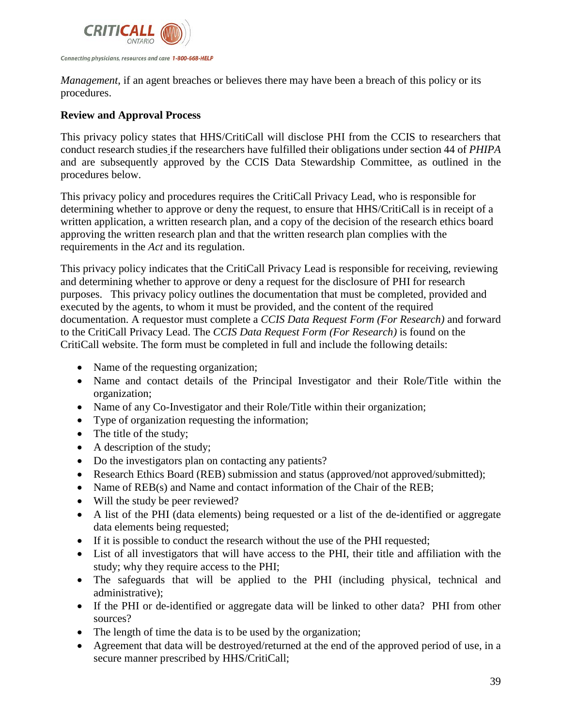

*Management*, if an agent breaches or believes there may have been a breach of this policy or its procedures.

# **Review and Approval Process**

This privacy policy states that HHS/CritiCall will disclose PHI from the CCIS to researchers that conduct research studies if the researchers have fulfilled their obligations under section 44 of *PHIPA* and are subsequently approved by the CCIS Data Stewardship Committee, as outlined in the procedures below.

This privacy policy and procedures requires the CritiCall Privacy Lead, who is responsible for determining whether to approve or deny the request, to ensure that HHS/CritiCall is in receipt of a written application, a written research plan, and a copy of the decision of the research ethics board approving the written research plan and that the written research plan complies with the requirements in the *Act* and its regulation.

This privacy policy indicates that the CritiCall Privacy Lead is responsible for receiving, reviewing and determining whether to approve or deny a request for the disclosure of PHI for research purposes. This privacy policy outlines the documentation that must be completed, provided and executed by the agents, to whom it must be provided, and the content of the required documentation. A requestor must complete a *CCIS Data Request Form (For Research)* and forward to the CritiCall Privacy Lead. The *CCIS Data Request Form (For Research)* is found on the CritiCall website. The form must be completed in full and include the following details:

- Name of the requesting organization;
- Name and contact details of the Principal Investigator and their Role/Title within the organization;
- Name of any Co-Investigator and their Role/Title within their organization;
- Type of organization requesting the information;
- The title of the study;
- A description of the study;
- Do the investigators plan on contacting any patients?
- Research Ethics Board (REB) submission and status (approved/not approved/submitted);
- Name of REB(s) and Name and contact information of the Chair of the REB;
- Will the study be peer reviewed?
- A list of the PHI (data elements) being requested or a list of the de-identified or aggregate data elements being requested;
- If it is possible to conduct the research without the use of the PHI requested;
- List of all investigators that will have access to the PHI, their title and affiliation with the study; why they require access to the PHI;
- The safeguards that will be applied to the PHI (including physical, technical and administrative);
- If the PHI or de-identified or aggregate data will be linked to other data? PHI from other sources?
- The length of time the data is to be used by the organization;
- Agreement that data will be destroyed/returned at the end of the approved period of use, in a secure manner prescribed by HHS/CritiCall;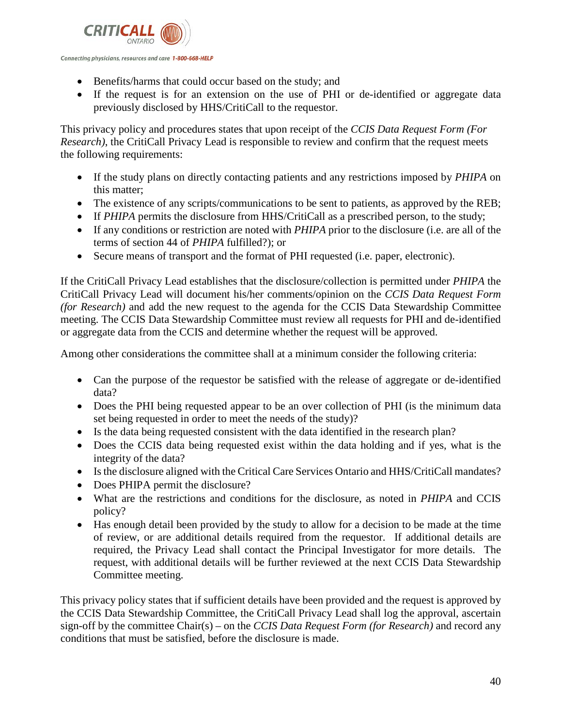

Connecting physicians, resources and care 1-800-668-HELP

- Benefits/harms that could occur based on the study; and
- If the request is for an extension on the use of PHI or de-identified or aggregate data previously disclosed by HHS/CritiCall to the requestor.

This privacy policy and procedures states that upon receipt of the *CCIS Data Request Form (For Research)*, the CritiCall Privacy Lead is responsible to review and confirm that the request meets the following requirements:

- If the study plans on directly contacting patients and any restrictions imposed by *PHIPA* on this matter;
- The existence of any scripts/communications to be sent to patients, as approved by the REB;
- If *PHIPA* permits the disclosure from HHS/CritiCall as a prescribed person, to the study;
- If any conditions or restriction are noted with *PHIPA* prior to the disclosure (i.e. are all of the terms of section 44 of *PHIPA* fulfilled?); or
- Secure means of transport and the format of PHI requested (i.e. paper, electronic).

If the CritiCall Privacy Lead establishes that the disclosure/collection is permitted under *PHIPA* the CritiCall Privacy Lead will document his/her comments/opinion on the *CCIS Data Request Form (for Research)* and add the new request to the agenda for the CCIS Data Stewardship Committee meeting. The CCIS Data Stewardship Committee must review all requests for PHI and de-identified or aggregate data from the CCIS and determine whether the request will be approved.

Among other considerations the committee shall at a minimum consider the following criteria:

- Can the purpose of the requestor be satisfied with the release of aggregate or de-identified data?
- Does the PHI being requested appear to be an over collection of PHI (is the minimum data set being requested in order to meet the needs of the study)?
- Is the data being requested consistent with the data identified in the research plan?
- Does the CCIS data being requested exist within the data holding and if yes, what is the integrity of the data?
- Is the disclosure aligned with the Critical Care Services Ontario and HHS/CritiCall mandates?
- Does PHIPA permit the disclosure?
- What are the restrictions and conditions for the disclosure, as noted in *PHIPA* and CCIS policy?
- Has enough detail been provided by the study to allow for a decision to be made at the time of review, or are additional details required from the requestor. If additional details are required, the Privacy Lead shall contact the Principal Investigator for more details. The request, with additional details will be further reviewed at the next CCIS Data Stewardship Committee meeting.

This privacy policy states that if sufficient details have been provided and the request is approved by the CCIS Data Stewardship Committee, the CritiCall Privacy Lead shall log the approval, ascertain sign-off by the committee Chair(s) – on the *CCIS Data Request Form (for Research)* and record any conditions that must be satisfied, before the disclosure is made.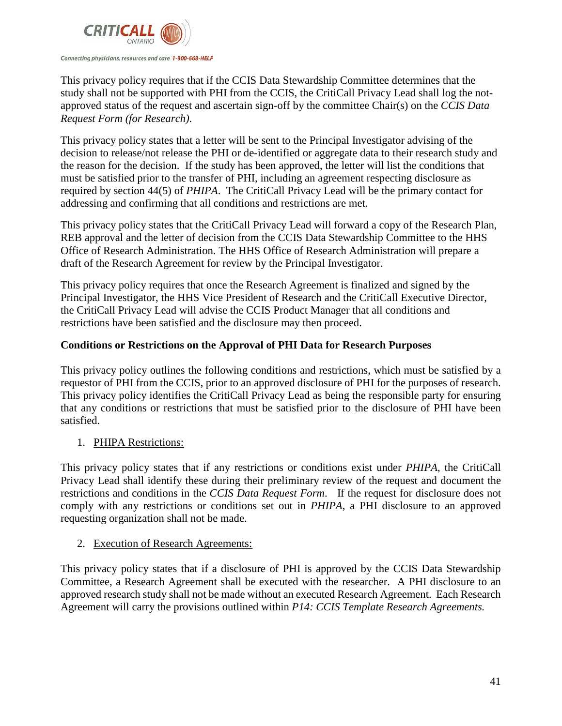

This privacy policy requires that if the CCIS Data Stewardship Committee determines that the study shall not be supported with PHI from the CCIS, the CritiCall Privacy Lead shall log the notapproved status of the request and ascertain sign-off by the committee Chair(s) on the *CCIS Data Request Form (for Research)*.

This privacy policy states that a letter will be sent to the Principal Investigator advising of the decision to release/not release the PHI or de-identified or aggregate data to their research study and the reason for the decision. If the study has been approved, the letter will list the conditions that must be satisfied prior to the transfer of PHI, including an agreement respecting disclosure as required by section 44(5) of *PHIPA*. The CritiCall Privacy Lead will be the primary contact for addressing and confirming that all conditions and restrictions are met.

This privacy policy states that the CritiCall Privacy Lead will forward a copy of the Research Plan, REB approval and the letter of decision from the CCIS Data Stewardship Committee to the HHS Office of Research Administration. The HHS Office of Research Administration will prepare a draft of the Research Agreement for review by the Principal Investigator.

This privacy policy requires that once the Research Agreement is finalized and signed by the Principal Investigator, the HHS Vice President of Research and the CritiCall Executive Director, the CritiCall Privacy Lead will advise the CCIS Product Manager that all conditions and restrictions have been satisfied and the disclosure may then proceed.

# **Conditions or Restrictions on the Approval of PHI Data for Research Purposes**

This privacy policy outlines the following conditions and restrictions, which must be satisfied by a requestor of PHI from the CCIS, prior to an approved disclosure of PHI for the purposes of research. This privacy policy identifies the CritiCall Privacy Lead as being the responsible party for ensuring that any conditions or restrictions that must be satisfied prior to the disclosure of PHI have been satisfied.

# 1. PHIPA Restrictions:

This privacy policy states that if any restrictions or conditions exist under *PHIPA*, the CritiCall Privacy Lead shall identify these during their preliminary review of the request and document the restrictions and conditions in the *CCIS Data Request Form*. If the request for disclosure does not comply with any restrictions or conditions set out in *PHIPA*, a PHI disclosure to an approved requesting organization shall not be made.

# 2. Execution of Research Agreements:

This privacy policy states that if a disclosure of PHI is approved by the CCIS Data Stewardship Committee, a Research Agreement shall be executed with the researcher. A PHI disclosure to an approved research study shall not be made without an executed Research Agreement. Each Research Agreement will carry the provisions outlined within *P14: CCIS Template Research Agreements.*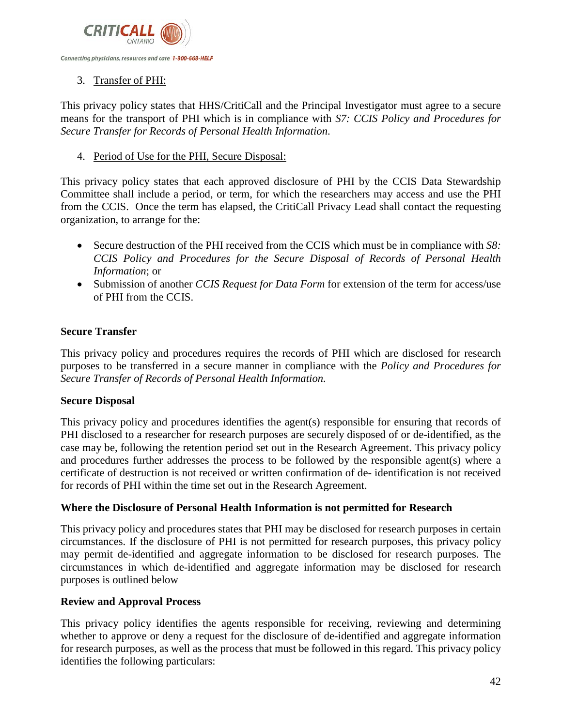

# 3. Transfer of PHI:

This privacy policy states that HHS/CritiCall and the Principal Investigator must agree to a secure means for the transport of PHI which is in compliance with *S7: CCIS Policy and Procedures for Secure Transfer for Records of Personal Health Information*.

### 4. Period of Use for the PHI, Secure Disposal:

This privacy policy states that each approved disclosure of PHI by the CCIS Data Stewardship Committee shall include a period, or term, for which the researchers may access and use the PHI from the CCIS. Once the term has elapsed, the CritiCall Privacy Lead shall contact the requesting organization, to arrange for the:

- Secure destruction of the PHI received from the CCIS which must be in compliance with *S8: CCIS Policy and Procedures for the Secure Disposal of Records of Personal Health Information*; or
- Submission of another *CCIS Request for Data Form* for extension of the term for access/use of PHI from the CCIS.

# **Secure Transfer**

This privacy policy and procedures requires the records of PHI which are disclosed for research purposes to be transferred in a secure manner in compliance with the *Policy and Procedures for Secure Transfer of Records of Personal Health Information.* 

#### **Secure Disposal**

This privacy policy and procedures identifies the agent(s) responsible for ensuring that records of PHI disclosed to a researcher for research purposes are securely disposed of or de-identified, as the case may be, following the retention period set out in the Research Agreement. This privacy policy and procedures further addresses the process to be followed by the responsible agent(s) where a certificate of destruction is not received or written confirmation of de- identification is not received for records of PHI within the time set out in the Research Agreement.

# **Where the Disclosure of Personal Health Information is not permitted for Research**

This privacy policy and procedures states that PHI may be disclosed for research purposes in certain circumstances. If the disclosure of PHI is not permitted for research purposes, this privacy policy may permit de-identified and aggregate information to be disclosed for research purposes. The circumstances in which de-identified and aggregate information may be disclosed for research purposes is outlined below

#### **Review and Approval Process**

This privacy policy identifies the agents responsible for receiving, reviewing and determining whether to approve or deny a request for the disclosure of de-identified and aggregate information for research purposes, as well as the process that must be followed in this regard. This privacy policy identifies the following particulars: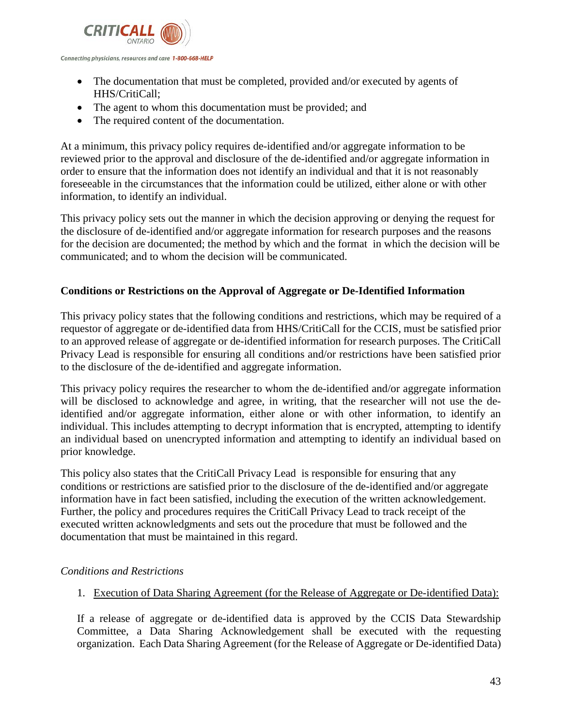

- The documentation that must be completed, provided and/or executed by agents of HHS/CritiCall;
- The agent to whom this documentation must be provided; and
- The required content of the documentation.

At a minimum, this privacy policy requires de-identified and/or aggregate information to be reviewed prior to the approval and disclosure of the de-identified and/or aggregate information in order to ensure that the information does not identify an individual and that it is not reasonably foreseeable in the circumstances that the information could be utilized, either alone or with other information, to identify an individual.

This privacy policy sets out the manner in which the decision approving or denying the request for the disclosure of de-identified and/or aggregate information for research purposes and the reasons for the decision are documented; the method by which and the format in which the decision will be communicated; and to whom the decision will be communicated.

### **Conditions or Restrictions on the Approval of Aggregate or De-Identified Information**

This privacy policy states that the following conditions and restrictions, which may be required of a requestor of aggregate or de-identified data from HHS/CritiCall for the CCIS, must be satisfied prior to an approved release of aggregate or de-identified information for research purposes. The CritiCall Privacy Lead is responsible for ensuring all conditions and/or restrictions have been satisfied prior to the disclosure of the de-identified and aggregate information.

This privacy policy requires the researcher to whom the de-identified and/or aggregate information will be disclosed to acknowledge and agree, in writing, that the researcher will not use the deidentified and/or aggregate information, either alone or with other information, to identify an individual. This includes attempting to decrypt information that is encrypted, attempting to identify an individual based on unencrypted information and attempting to identify an individual based on prior knowledge.

This policy also states that the CritiCall Privacy Lead is responsible for ensuring that any conditions or restrictions are satisfied prior to the disclosure of the de-identified and/or aggregate information have in fact been satisfied, including the execution of the written acknowledgement. Further, the policy and procedures requires the CritiCall Privacy Lead to track receipt of the executed written acknowledgments and sets out the procedure that must be followed and the documentation that must be maintained in this regard.

#### *Conditions and Restrictions*

1. Execution of Data Sharing Agreement (for the Release of Aggregate or De-identified Data):

If a release of aggregate or de-identified data is approved by the CCIS Data Stewardship Committee, a Data Sharing Acknowledgement shall be executed with the requesting organization. Each Data Sharing Agreement (for the Release of Aggregate or De-identified Data)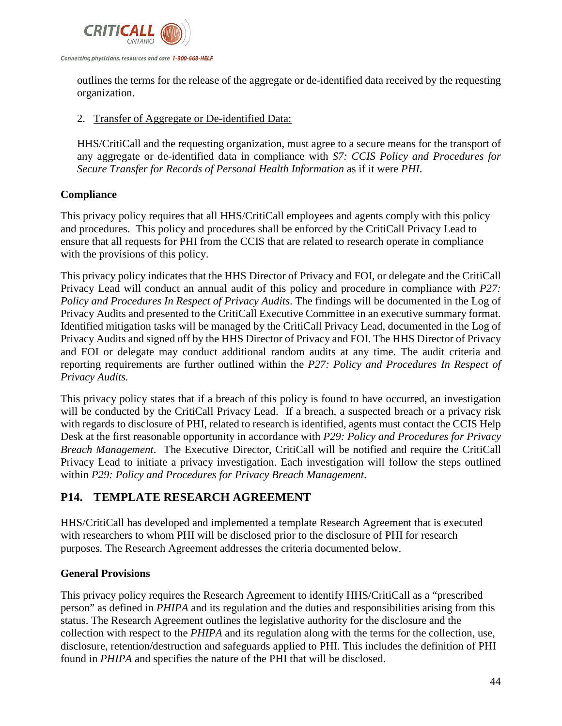

outlines the terms for the release of the aggregate or de-identified data received by the requesting organization.

### 2. Transfer of Aggregate or De-identified Data:

HHS/CritiCall and the requesting organization, must agree to a secure means for the transport of any aggregate or de-identified data in compliance with *S7: CCIS Policy and Procedures for Secure Transfer for Records of Personal Health Information* as if it were *PHI*.

# **Compliance**

This privacy policy requires that all HHS/CritiCall employees and agents comply with this policy and procedures. This policy and procedures shall be enforced by the CritiCall Privacy Lead to ensure that all requests for PHI from the CCIS that are related to research operate in compliance with the provisions of this policy.

This privacy policy indicates that the HHS Director of Privacy and FOI, or delegate and the CritiCall Privacy Lead will conduct an annual audit of this policy and procedure in compliance with *P27: Policy and Procedures In Respect of Privacy Audits*. The findings will be documented in the Log of Privacy Audits and presented to the CritiCall Executive Committee in an executive summary format. Identified mitigation tasks will be managed by the CritiCall Privacy Lead, documented in the Log of Privacy Audits and signed off by the HHS Director of Privacy and FOI. The HHS Director of Privacy and FOI or delegate may conduct additional random audits at any time. The audit criteria and reporting requirements are further outlined within the *P27: Policy and Procedures In Respect of Privacy Audits.*

This privacy policy states that if a breach of this policy is found to have occurred, an investigation will be conducted by the CritiCall Privacy Lead. If a breach, a suspected breach or a privacy risk with regards to disclosure of PHI, related to research is identified, agents must contact the CCIS Help Desk at the first reasonable opportunity in accordance with *P29: Policy and Procedures for Privacy Breach Management*. The Executive Director, CritiCall will be notified and require the CritiCall Privacy Lead to initiate a privacy investigation. Each investigation will follow the steps outlined within *P29: Policy and Procedures for Privacy Breach Management*.

# **P14. TEMPLATE RESEARCH AGREEMENT**

HHS/CritiCall has developed and implemented a template Research Agreement that is executed with researchers to whom PHI will be disclosed prior to the disclosure of PHI for research purposes. The Research Agreement addresses the criteria documented below.

# **General Provisions**

This privacy policy requires the Research Agreement to identify HHS/CritiCall as a "prescribed person" as defined in *PHIPA* and its regulation and the duties and responsibilities arising from this status. The Research Agreement outlines the legislative authority for the disclosure and the collection with respect to the *PHIPA* and its regulation along with the terms for the collection, use, disclosure, retention/destruction and safeguards applied to PHI. This includes the definition of PHI found in *PHIPA* and specifies the nature of the PHI that will be disclosed.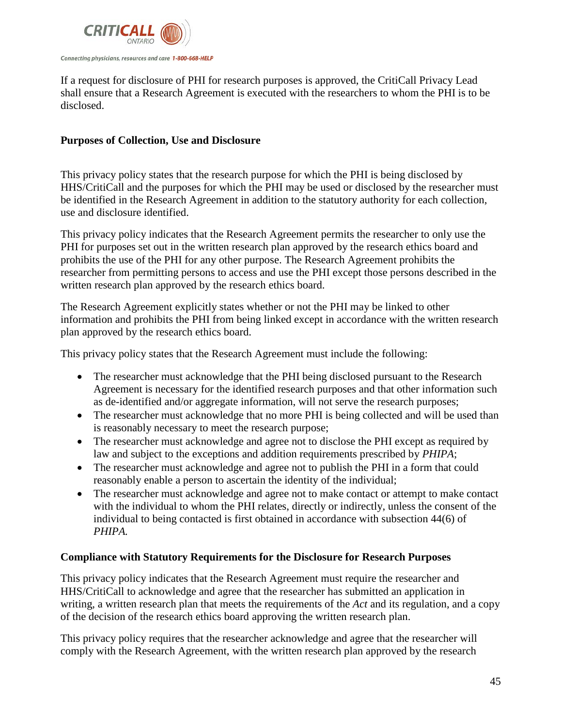

If a request for disclosure of PHI for research purposes is approved, the CritiCall Privacy Lead shall ensure that a Research Agreement is executed with the researchers to whom the PHI is to be disclosed.

### **Purposes of Collection, Use and Disclosure**

This privacy policy states that the research purpose for which the PHI is being disclosed by HHS/CritiCall and the purposes for which the PHI may be used or disclosed by the researcher must be identified in the Research Agreement in addition to the statutory authority for each collection, use and disclosure identified.

This privacy policy indicates that the Research Agreement permits the researcher to only use the PHI for purposes set out in the written research plan approved by the research ethics board and prohibits the use of the PHI for any other purpose. The Research Agreement prohibits the researcher from permitting persons to access and use the PHI except those persons described in the written research plan approved by the research ethics board.

The Research Agreement explicitly states whether or not the PHI may be linked to other information and prohibits the PHI from being linked except in accordance with the written research plan approved by the research ethics board.

This privacy policy states that the Research Agreement must include the following:

- The researcher must acknowledge that the PHI being disclosed pursuant to the Research Agreement is necessary for the identified research purposes and that other information such as de-identified and/or aggregate information, will not serve the research purposes;
- The researcher must acknowledge that no more PHI is being collected and will be used than is reasonably necessary to meet the research purpose;
- The researcher must acknowledge and agree not to disclose the PHI except as required by law and subject to the exceptions and addition requirements prescribed by *PHIPA*;
- The researcher must acknowledge and agree not to publish the PHI in a form that could reasonably enable a person to ascertain the identity of the individual;
- The researcher must acknowledge and agree not to make contact or attempt to make contact with the individual to whom the PHI relates, directly or indirectly, unless the consent of the individual to being contacted is first obtained in accordance with subsection 44(6) of *PHIPA.*

#### **Compliance with Statutory Requirements for the Disclosure for Research Purposes**

This privacy policy indicates that the Research Agreement must require the researcher and HHS/CritiCall to acknowledge and agree that the researcher has submitted an application in writing, a written research plan that meets the requirements of the *Act* and its regulation, and a copy of the decision of the research ethics board approving the written research plan.

This privacy policy requires that the researcher acknowledge and agree that the researcher will comply with the Research Agreement, with the written research plan approved by the research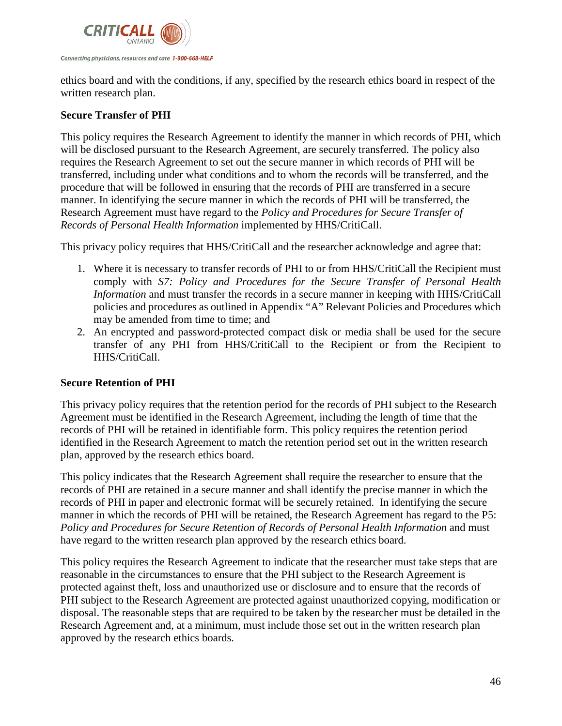

ethics board and with the conditions, if any, specified by the research ethics board in respect of the written research plan.

# **Secure Transfer of PHI**

This policy requires the Research Agreement to identify the manner in which records of PHI, which will be disclosed pursuant to the Research Agreement, are securely transferred. The policy also requires the Research Agreement to set out the secure manner in which records of PHI will be transferred, including under what conditions and to whom the records will be transferred, and the procedure that will be followed in ensuring that the records of PHI are transferred in a secure manner. In identifying the secure manner in which the records of PHI will be transferred, the Research Agreement must have regard to the *Policy and Procedures for Secure Transfer of Records of Personal Health Information* implemented by HHS/CritiCall.

This privacy policy requires that HHS/CritiCall and the researcher acknowledge and agree that:

- 1. Where it is necessary to transfer records of PHI to or from HHS/CritiCall the Recipient must comply with *S7: Policy and Procedures for the Secure Transfer of Personal Health Information* and must transfer the records in a secure manner in keeping with HHS/CritiCall policies and procedures as outlined in Appendix "A" Relevant Policies and Procedures which may be amended from time to time; and
- 2. An encrypted and password-protected compact disk or media shall be used for the secure transfer of any PHI from HHS/CritiCall to the Recipient or from the Recipient to HHS/CritiCall.

# **Secure Retention of PHI**

This privacy policy requires that the retention period for the records of PHI subject to the Research Agreement must be identified in the Research Agreement, including the length of time that the records of PHI will be retained in identifiable form. This policy requires the retention period identified in the Research Agreement to match the retention period set out in the written research plan, approved by the research ethics board.

This policy indicates that the Research Agreement shall require the researcher to ensure that the records of PHI are retained in a secure manner and shall identify the precise manner in which the records of PHI in paper and electronic format will be securely retained. In identifying the secure manner in which the records of PHI will be retained, the Research Agreement has regard to the P5: *Policy and Procedures for Secure Retention of Records of Personal Health Information* and must have regard to the written research plan approved by the research ethics board.

This policy requires the Research Agreement to indicate that the researcher must take steps that are reasonable in the circumstances to ensure that the PHI subject to the Research Agreement is protected against theft, loss and unauthorized use or disclosure and to ensure that the records of PHI subject to the Research Agreement are protected against unauthorized copying, modification or disposal. The reasonable steps that are required to be taken by the researcher must be detailed in the Research Agreement and, at a minimum, must include those set out in the written research plan approved by the research ethics boards.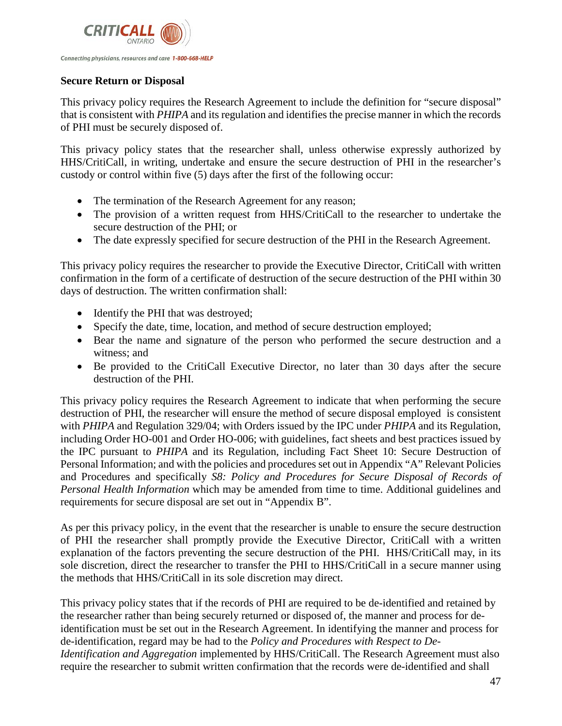

### **Secure Return or Disposal**

This privacy policy requires the Research Agreement to include the definition for "secure disposal" that is consistent with *PHIPA* and its regulation and identifies the precise manner in which the records of PHI must be securely disposed of.

This privacy policy states that the researcher shall, unless otherwise expressly authorized by HHS/CritiCall, in writing, undertake and ensure the secure destruction of PHI in the researcher's custody or control within five (5) days after the first of the following occur:

- The termination of the Research Agreement for any reason;
- The provision of a written request from HHS/CritiCall to the researcher to undertake the secure destruction of the PHI; or
- The date expressly specified for secure destruction of the PHI in the Research Agreement.

This privacy policy requires the researcher to provide the Executive Director, CritiCall with written confirmation in the form of a certificate of destruction of the secure destruction of the PHI within 30 days of destruction. The written confirmation shall:

- Identify the PHI that was destroyed;
- Specify the date, time, location, and method of secure destruction employed;
- Bear the name and signature of the person who performed the secure destruction and a witness; and
- Be provided to the CritiCall Executive Director, no later than 30 days after the secure destruction of the PHI.

This privacy policy requires the Research Agreement to indicate that when performing the secure destruction of PHI, the researcher will ensure the method of secure disposal employed is consistent with *PHIPA* and Regulation 329/04; with Orders issued by the IPC under *PHIPA* and its Regulation, including Order HO-001 and Order HO-006; with guidelines, fact sheets and best practices issued by the IPC pursuant to *PHIPA* and its Regulation, including Fact Sheet 10: Secure Destruction of Personal Information; and with the policies and procedures set out in Appendix "A" Relevant Policies and Procedures and specifically *S8: Policy and Procedures for Secure Disposal of Records of Personal Health Information* which may be amended from time to time. Additional guidelines and requirements for secure disposal are set out in "Appendix B".

As per this privacy policy, in the event that the researcher is unable to ensure the secure destruction of PHI the researcher shall promptly provide the Executive Director, CritiCall with a written explanation of the factors preventing the secure destruction of the PHI. HHS/CritiCall may, in its sole discretion, direct the researcher to transfer the PHI to HHS/CritiCall in a secure manner using the methods that HHS/CritiCall in its sole discretion may direct.

This privacy policy states that if the records of PHI are required to be de-identified and retained by the researcher rather than being securely returned or disposed of, the manner and process for deidentification must be set out in the Research Agreement. In identifying the manner and process for de-identification, regard may be had to the *Policy and Procedures with Respect to De-Identification and Aggregation* implemented by HHS/CritiCall. The Research Agreement must also require the researcher to submit written confirmation that the records were de-identified and shall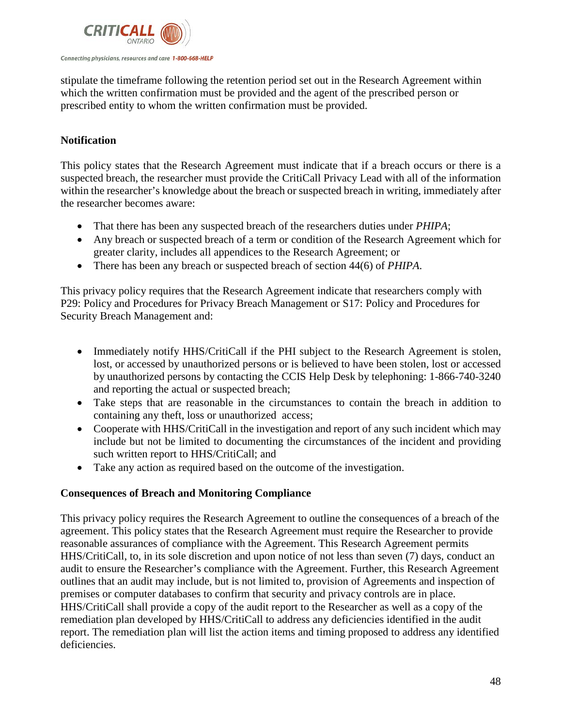

stipulate the timeframe following the retention period set out in the Research Agreement within which the written confirmation must be provided and the agent of the prescribed person or prescribed entity to whom the written confirmation must be provided.

# **Notification**

This policy states that the Research Agreement must indicate that if a breach occurs or there is a suspected breach, the researcher must provide the CritiCall Privacy Lead with all of the information within the researcher's knowledge about the breach or suspected breach in writing, immediately after the researcher becomes aware:

- That there has been any suspected breach of the researchers duties under *PHIPA*;
- Any breach or suspected breach of a term or condition of the Research Agreement which for greater clarity, includes all appendices to the Research Agreement; or
- There has been any breach or suspected breach of section 44(6) of *PHIPA*.

This privacy policy requires that the Research Agreement indicate that researchers comply with P29: Policy and Procedures for Privacy Breach Management or S17: Policy and Procedures for Security Breach Management and:

- Immediately notify HHS/CritiCall if the PHI subject to the Research Agreement is stolen, lost, or accessed by unauthorized persons or is believed to have been stolen, lost or accessed by unauthorized persons by contacting the CCIS Help Desk by telephoning: 1-866-740-3240 and reporting the actual or suspected breach;
- Take steps that are reasonable in the circumstances to contain the breach in addition to containing any theft, loss or unauthorized access;
- Cooperate with HHS/CritiCall in the investigation and report of any such incident which may include but not be limited to documenting the circumstances of the incident and providing such written report to HHS/CritiCall; and
- Take any action as required based on the outcome of the investigation.

# **Consequences of Breach and Monitoring Compliance**

This privacy policy requires the Research Agreement to outline the consequences of a breach of the agreement. This policy states that the Research Agreement must require the Researcher to provide reasonable assurances of compliance with the Agreement. This Research Agreement permits HHS/CritiCall, to, in its sole discretion and upon notice of not less than seven (7) days, conduct an audit to ensure the Researcher's compliance with the Agreement. Further, this Research Agreement outlines that an audit may include, but is not limited to, provision of Agreements and inspection of premises or computer databases to confirm that security and privacy controls are in place. HHS/CritiCall shall provide a copy of the audit report to the Researcher as well as a copy of the remediation plan developed by HHS/CritiCall to address any deficiencies identified in the audit report. The remediation plan will list the action items and timing proposed to address any identified deficiencies.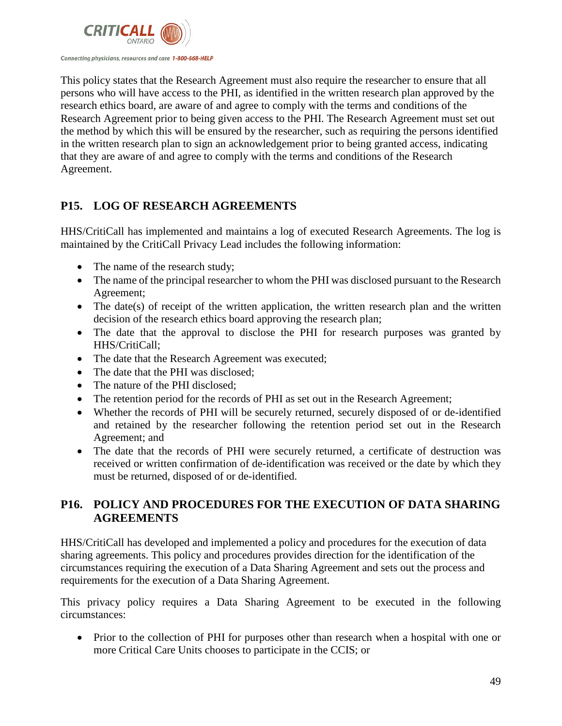

This policy states that the Research Agreement must also require the researcher to ensure that all persons who will have access to the PHI, as identified in the written research plan approved by the research ethics board, are aware of and agree to comply with the terms and conditions of the Research Agreement prior to being given access to the PHI. The Research Agreement must set out the method by which this will be ensured by the researcher, such as requiring the persons identified in the written research plan to sign an acknowledgement prior to being granted access, indicating that they are aware of and agree to comply with the terms and conditions of the Research Agreement.

# **P15. LOG OF RESEARCH AGREEMENTS**

HHS/CritiCall has implemented and maintains a log of executed Research Agreements. The log is maintained by the CritiCall Privacy Lead includes the following information:

- The name of the research study;
- The name of the principal researcher to whom the PHI was disclosed pursuant to the Research Agreement;
- The date(s) of receipt of the written application, the written research plan and the written decision of the research ethics board approving the research plan;
- The date that the approval to disclose the PHI for research purposes was granted by HHS/CritiCall;
- The date that the Research Agreement was executed;
- The date that the PHI was disclosed;
- The nature of the PHI disclosed:
- The retention period for the records of PHI as set out in the Research Agreement;
- Whether the records of PHI will be securely returned, securely disposed of or de-identified and retained by the researcher following the retention period set out in the Research Agreement; and
- The date that the records of PHI were securely returned, a certificate of destruction was received or written confirmation of de-identification was received or the date by which they must be returned, disposed of or de-identified.

# **P16. POLICY AND PROCEDURES FOR THE EXECUTION OF DATA SHARING AGREEMENTS**

HHS/CritiCall has developed and implemented a policy and procedures for the execution of data sharing agreements. This policy and procedures provides direction for the identification of the circumstances requiring the execution of a Data Sharing Agreement and sets out the process and requirements for the execution of a Data Sharing Agreement.

This privacy policy requires a Data Sharing Agreement to be executed in the following circumstances:

• Prior to the collection of PHI for purposes other than research when a hospital with one or more Critical Care Units chooses to participate in the CCIS; or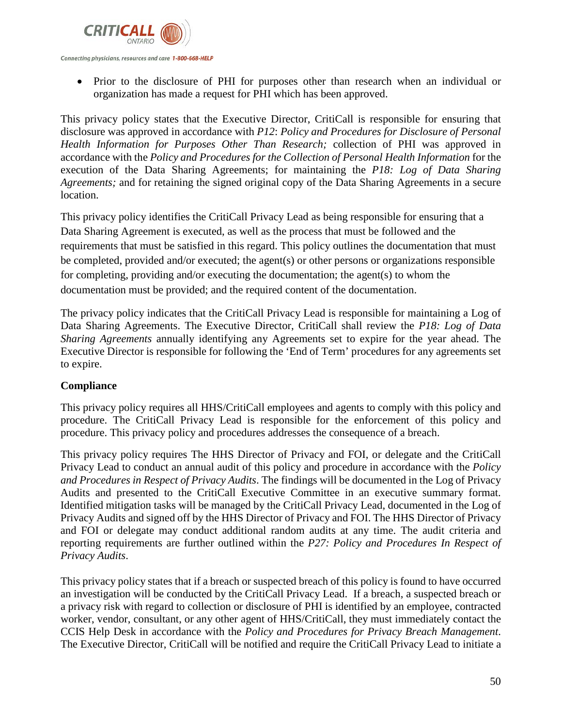

Connecting physicians, resources and care 1-800-668-HELP

• Prior to the disclosure of PHI for purposes other than research when an individual or organization has made a request for PHI which has been approved.

This privacy policy states that the Executive Director, CritiCall is responsible for ensuring that disclosure was approved in accordance with *P12*: *Policy and Procedures for Disclosure of Personal Health Information for Purposes Other Than Research;* collection of PHI was approved in accordance with the *Policy and Procedures for the Collection of Personal Health Information* for the execution of the Data Sharing Agreements; for maintaining the *P18: Log of Data Sharing Agreements;* and for retaining the signed original copy of the Data Sharing Agreements in a secure location.

This privacy policy identifies the CritiCall Privacy Lead as being responsible for ensuring that a Data Sharing Agreement is executed, as well as the process that must be followed and the requirements that must be satisfied in this regard. This policy outlines the documentation that must be completed, provided and/or executed; the agent(s) or other persons or organizations responsible for completing, providing and/or executing the documentation; the agent(s) to whom the documentation must be provided; and the required content of the documentation.

The privacy policy indicates that the CritiCall Privacy Lead is responsible for maintaining a Log of Data Sharing Agreements. The Executive Director, CritiCall shall review the *P18: Log of Data Sharing Agreements* annually identifying any Agreements set to expire for the year ahead. The Executive Director is responsible for following the 'End of Term' procedures for any agreements set to expire.

# **Compliance**

This privacy policy requires all HHS/CritiCall employees and agents to comply with this policy and procedure. The CritiCall Privacy Lead is responsible for the enforcement of this policy and procedure. This privacy policy and procedures addresses the consequence of a breach.

This privacy policy requires The HHS Director of Privacy and FOI, or delegate and the CritiCall Privacy Lead to conduct an annual audit of this policy and procedure in accordance with the *Policy and Procedures in Respect of Privacy Audits*. The findings will be documented in the Log of Privacy Audits and presented to the CritiCall Executive Committee in an executive summary format. Identified mitigation tasks will be managed by the CritiCall Privacy Lead, documented in the Log of Privacy Audits and signed off by the HHS Director of Privacy and FOI. The HHS Director of Privacy and FOI or delegate may conduct additional random audits at any time. The audit criteria and reporting requirements are further outlined within the *P27: Policy and Procedures In Respect of Privacy Audits*.

This privacy policy states that if a breach or suspected breach of this policy is found to have occurred an investigation will be conducted by the CritiCall Privacy Lead. If a breach, a suspected breach or a privacy risk with regard to collection or disclosure of PHI is identified by an employee, contracted worker, vendor, consultant, or any other agent of HHS/CritiCall, they must immediately contact the CCIS Help Desk in accordance with the *Policy and Procedures for Privacy Breach Management*. The Executive Director, CritiCall will be notified and require the CritiCall Privacy Lead to initiate a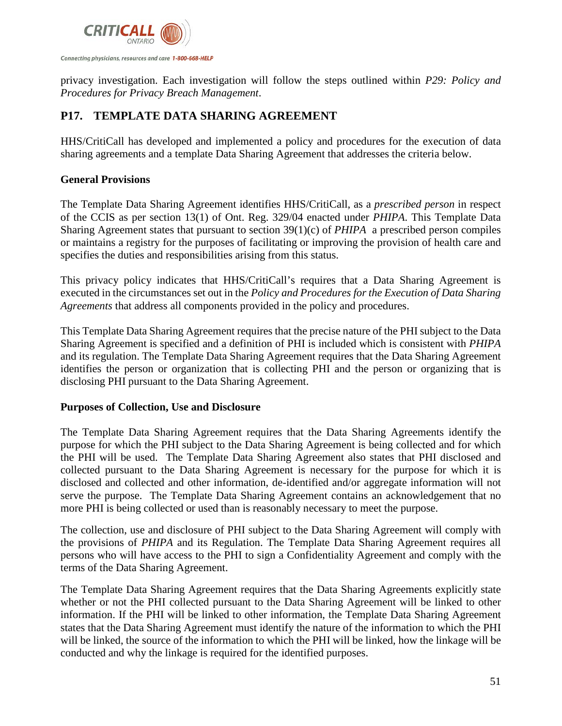

privacy investigation. Each investigation will follow the steps outlined within *P29: Policy and Procedures for Privacy Breach Management*.

# **P17. TEMPLATE DATA SHARING AGREEMENT**

HHS/CritiCall has developed and implemented a policy and procedures for the execution of data sharing agreements and a template Data Sharing Agreement that addresses the criteria below.

# **General Provisions**

The Template Data Sharing Agreement identifies HHS/CritiCall, as a *prescribed person* in respect of the CCIS as per section 13(1) of Ont. Reg. 329/04 enacted under *PHIPA*. This Template Data Sharing Agreement states that pursuant to section 39(1)(c) of *PHIPA* a prescribed person compiles or maintains a registry for the purposes of facilitating or improving the provision of health care and specifies the duties and responsibilities arising from this status.

This privacy policy indicates that HHS/CritiCall's requires that a Data Sharing Agreement is executed in the circumstances set out in the *Policy and Procedures for the Execution of Data Sharing Agreements* that address all components provided in the policy and procedures.

This Template Data Sharing Agreement requires that the precise nature of the PHI subject to the Data Sharing Agreement is specified and a definition of PHI is included which is consistent with *PHIPA* and its regulation. The Template Data Sharing Agreement requires that the Data Sharing Agreement identifies the person or organization that is collecting PHI and the person or organizing that is disclosing PHI pursuant to the Data Sharing Agreement.

# **Purposes of Collection, Use and Disclosure**

The Template Data Sharing Agreement requires that the Data Sharing Agreements identify the purpose for which the PHI subject to the Data Sharing Agreement is being collected and for which the PHI will be used. The Template Data Sharing Agreement also states that PHI disclosed and collected pursuant to the Data Sharing Agreement is necessary for the purpose for which it is disclosed and collected and other information, de-identified and/or aggregate information will not serve the purpose. The Template Data Sharing Agreement contains an acknowledgement that no more PHI is being collected or used than is reasonably necessary to meet the purpose.

The collection, use and disclosure of PHI subject to the Data Sharing Agreement will comply with the provisions of *PHIPA* and its Regulation. The Template Data Sharing Agreement requires all persons who will have access to the PHI to sign a Confidentiality Agreement and comply with the terms of the Data Sharing Agreement.

The Template Data Sharing Agreement requires that the Data Sharing Agreements explicitly state whether or not the PHI collected pursuant to the Data Sharing Agreement will be linked to other information. If the PHI will be linked to other information, the Template Data Sharing Agreement states that the Data Sharing Agreement must identify the nature of the information to which the PHI will be linked, the source of the information to which the PHI will be linked, how the linkage will be conducted and why the linkage is required for the identified purposes.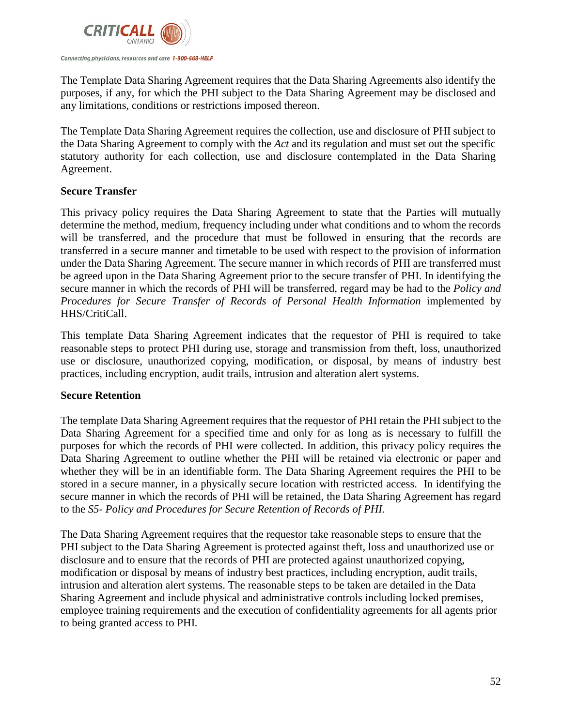

The Template Data Sharing Agreement requires that the Data Sharing Agreements also identify the purposes, if any, for which the PHI subject to the Data Sharing Agreement may be disclosed and any limitations, conditions or restrictions imposed thereon.

The Template Data Sharing Agreement requires the collection, use and disclosure of PHI subject to the Data Sharing Agreement to comply with the *Act* and its regulation and must set out the specific statutory authority for each collection, use and disclosure contemplated in the Data Sharing Agreement.

# **Secure Transfer**

This privacy policy requires the Data Sharing Agreement to state that the Parties will mutually determine the method, medium, frequency including under what conditions and to whom the records will be transferred, and the procedure that must be followed in ensuring that the records are transferred in a secure manner and timetable to be used with respect to the provision of information under the Data Sharing Agreement. The secure manner in which records of PHI are transferred must be agreed upon in the Data Sharing Agreement prior to the secure transfer of PHI. In identifying the secure manner in which the records of PHI will be transferred, regard may be had to the *Policy and*  Procedures for Secure Transfer of Records of Personal Health Information implemented by HHS/CritiCall.

This template Data Sharing Agreement indicates that the requestor of PHI is required to take reasonable steps to protect PHI during use, storage and transmission from theft, loss, unauthorized use or disclosure, unauthorized copying, modification, or disposal, by means of industry best practices, including encryption, audit trails, intrusion and alteration alert systems.

#### **Secure Retention**

The template Data Sharing Agreement requires that the requestor of PHI retain the PHI subject to the Data Sharing Agreement for a specified time and only for as long as is necessary to fulfill the purposes for which the records of PHI were collected. In addition, this privacy policy requires the Data Sharing Agreement to outline whether the PHI will be retained via electronic or paper and whether they will be in an identifiable form. The Data Sharing Agreement requires the PHI to be stored in a secure manner, in a physically secure location with restricted access. In identifying the secure manner in which the records of PHI will be retained, the Data Sharing Agreement has regard to the *S5- Policy and Procedures for Secure Retention of Records of PHI.*

The Data Sharing Agreement requires that the requestor take reasonable steps to ensure that the PHI subject to the Data Sharing Agreement is protected against theft, loss and unauthorized use or disclosure and to ensure that the records of PHI are protected against unauthorized copying, modification or disposal by means of industry best practices, including encryption, audit trails, intrusion and alteration alert systems. The reasonable steps to be taken are detailed in the Data Sharing Agreement and include physical and administrative controls including locked premises, employee training requirements and the execution of confidentiality agreements for all agents prior to being granted access to PHI.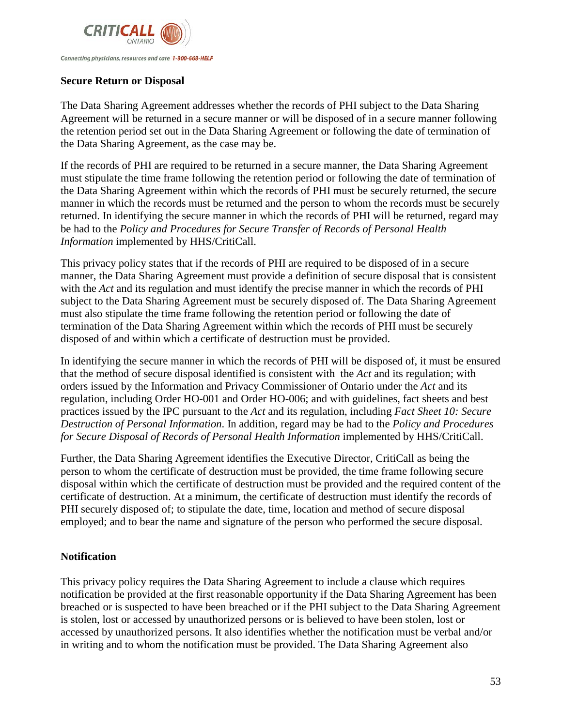

Connecting physicians, resources and care 1-800-668-HELP

# **Secure Return or Disposal**

The Data Sharing Agreement addresses whether the records of PHI subject to the Data Sharing Agreement will be returned in a secure manner or will be disposed of in a secure manner following the retention period set out in the Data Sharing Agreement or following the date of termination of the Data Sharing Agreement, as the case may be.

If the records of PHI are required to be returned in a secure manner, the Data Sharing Agreement must stipulate the time frame following the retention period or following the date of termination of the Data Sharing Agreement within which the records of PHI must be securely returned, the secure manner in which the records must be returned and the person to whom the records must be securely returned. In identifying the secure manner in which the records of PHI will be returned, regard may be had to the *Policy and Procedures for Secure Transfer of Records of Personal Health Information* implemented by HHS/CritiCall.

This privacy policy states that if the records of PHI are required to be disposed of in a secure manner, the Data Sharing Agreement must provide a definition of secure disposal that is consistent with the *Act* and its regulation and must identify the precise manner in which the records of PHI subject to the Data Sharing Agreement must be securely disposed of. The Data Sharing Agreement must also stipulate the time frame following the retention period or following the date of termination of the Data Sharing Agreement within which the records of PHI must be securely disposed of and within which a certificate of destruction must be provided.

In identifying the secure manner in which the records of PHI will be disposed of, it must be ensured that the method of secure disposal identified is consistent with the *Act* and its regulation; with orders issued by the Information and Privacy Commissioner of Ontario under the *Act* and its regulation, including Order HO-001 and Order HO-006; and with guidelines, fact sheets and best practices issued by the IPC pursuant to the *Act* and its regulation, including *Fact Sheet 10: Secure Destruction of Personal Information*. In addition, regard may be had to the *Policy and Procedures for Secure Disposal of Records of Personal Health Information* implemented by HHS/CritiCall.

Further, the Data Sharing Agreement identifies the Executive Director, CritiCall as being the person to whom the certificate of destruction must be provided, the time frame following secure disposal within which the certificate of destruction must be provided and the required content of the certificate of destruction. At a minimum, the certificate of destruction must identify the records of PHI securely disposed of; to stipulate the date, time, location and method of secure disposal employed; and to bear the name and signature of the person who performed the secure disposal.

# **Notification**

This privacy policy requires the Data Sharing Agreement to include a clause which requires notification be provided at the first reasonable opportunity if the Data Sharing Agreement has been breached or is suspected to have been breached or if the PHI subject to the Data Sharing Agreement is stolen, lost or accessed by unauthorized persons or is believed to have been stolen, lost or accessed by unauthorized persons. It also identifies whether the notification must be verbal and/or in writing and to whom the notification must be provided. The Data Sharing Agreement also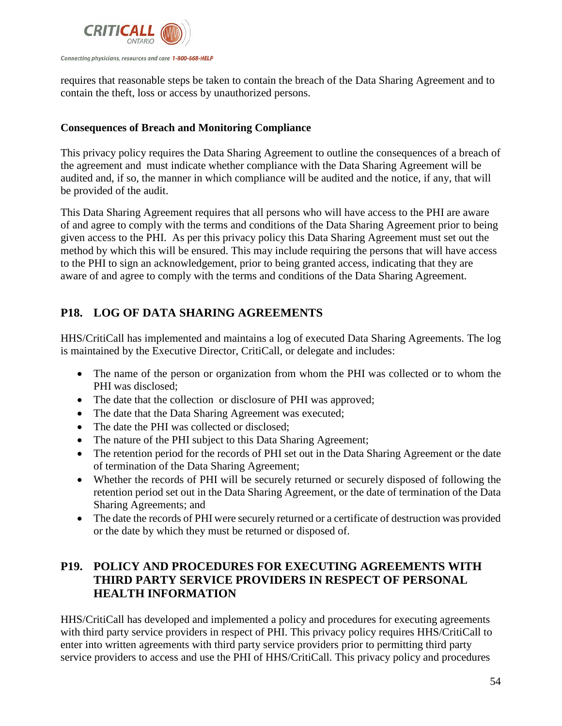

requires that reasonable steps be taken to contain the breach of the Data Sharing Agreement and to contain the theft, loss or access by unauthorized persons.

# **Consequences of Breach and Monitoring Compliance**

This privacy policy requires the Data Sharing Agreement to outline the consequences of a breach of the agreement and must indicate whether compliance with the Data Sharing Agreement will be audited and, if so, the manner in which compliance will be audited and the notice, if any, that will be provided of the audit.

This Data Sharing Agreement requires that all persons who will have access to the PHI are aware of and agree to comply with the terms and conditions of the Data Sharing Agreement prior to being given access to the PHI. As per this privacy policy this Data Sharing Agreement must set out the method by which this will be ensured. This may include requiring the persons that will have access to the PHI to sign an acknowledgement, prior to being granted access, indicating that they are aware of and agree to comply with the terms and conditions of the Data Sharing Agreement.

# **P18. LOG OF DATA SHARING AGREEMENTS**

HHS/CritiCall has implemented and maintains a log of executed Data Sharing Agreements. The log is maintained by the Executive Director, CritiCall, or delegate and includes:

- The name of the person or organization from whom the PHI was collected or to whom the PHI was disclosed;
- The date that the collection or disclosure of PHI was approved;
- The date that the Data Sharing Agreement was executed;
- The date the PHI was collected or disclosed;
- The nature of the PHI subject to this Data Sharing Agreement;
- The retention period for the records of PHI set out in the Data Sharing Agreement or the date of termination of the Data Sharing Agreement;
- Whether the records of PHI will be securely returned or securely disposed of following the retention period set out in the Data Sharing Agreement, or the date of termination of the Data Sharing Agreements; and
- The date the records of PHI were securely returned or a certificate of destruction was provided or the date by which they must be returned or disposed of.

# **P19. POLICY AND PROCEDURES FOR EXECUTING AGREEMENTS WITH THIRD PARTY SERVICE PROVIDERS IN RESPECT OF PERSONAL HEALTH INFORMATION**

HHS/CritiCall has developed and implemented a policy and procedures for executing agreements with third party service providers in respect of PHI. This privacy policy requires HHS/CritiCall to enter into written agreements with third party service providers prior to permitting third party service providers to access and use the PHI of HHS/CritiCall. This privacy policy and procedures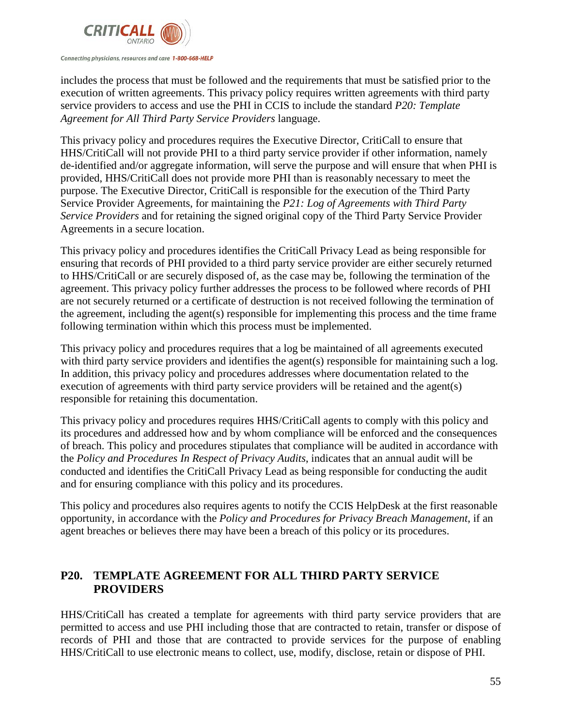

#### Connecting physicians, resources and care 1-800-668-HELP

includes the process that must be followed and the requirements that must be satisfied prior to the execution of written agreements. This privacy policy requires written agreements with third party service providers to access and use the PHI in CCIS to include the standard *P20: Template Agreement for All Third Party Service Providers* language.

This privacy policy and procedures requires the Executive Director, CritiCall to ensure that HHS/CritiCall will not provide PHI to a third party service provider if other information, namely de-identified and/or aggregate information, will serve the purpose and will ensure that when PHI is provided, HHS/CritiCall does not provide more PHI than is reasonably necessary to meet the purpose. The Executive Director, CritiCall is responsible for the execution of the Third Party Service Provider Agreements, for maintaining the *P21: Log of Agreements with Third Party Service Providers* and for retaining the signed original copy of the Third Party Service Provider Agreements in a secure location.

This privacy policy and procedures identifies the CritiCall Privacy Lead as being responsible for ensuring that records of PHI provided to a third party service provider are either securely returned to HHS/CritiCall or are securely disposed of, as the case may be, following the termination of the agreement. This privacy policy further addresses the process to be followed where records of PHI are not securely returned or a certificate of destruction is not received following the termination of the agreement, including the agent(s) responsible for implementing this process and the time frame following termination within which this process must be implemented.

This privacy policy and procedures requires that a log be maintained of all agreements executed with third party service providers and identifies the agent(s) responsible for maintaining such a log. In addition, this privacy policy and procedures addresses where documentation related to the execution of agreements with third party service providers will be retained and the agent(s) responsible for retaining this documentation.

This privacy policy and procedures requires HHS/CritiCall agents to comply with this policy and its procedures and addressed how and by whom compliance will be enforced and the consequences of breach. This policy and procedures stipulates that compliance will be audited in accordance with the *Policy and Procedures In Respect of Privacy Audits*, indicates that an annual audit will be conducted and identifies the CritiCall Privacy Lead as being responsible for conducting the audit and for ensuring compliance with this policy and its procedures.

This policy and procedures also requires agents to notify the CCIS HelpDesk at the first reasonable opportunity, in accordance with the *Policy and Procedures for Privacy Breach Management*, if an agent breaches or believes there may have been a breach of this policy or its procedures.

# **P20. TEMPLATE AGREEMENT FOR ALL THIRD PARTY SERVICE PROVIDERS**

HHS/CritiCall has created a template for agreements with third party service providers that are permitted to access and use PHI including those that are contracted to retain, transfer or dispose of records of PHI and those that are contracted to provide services for the purpose of enabling HHS/CritiCall to use electronic means to collect, use, modify, disclose, retain or dispose of PHI.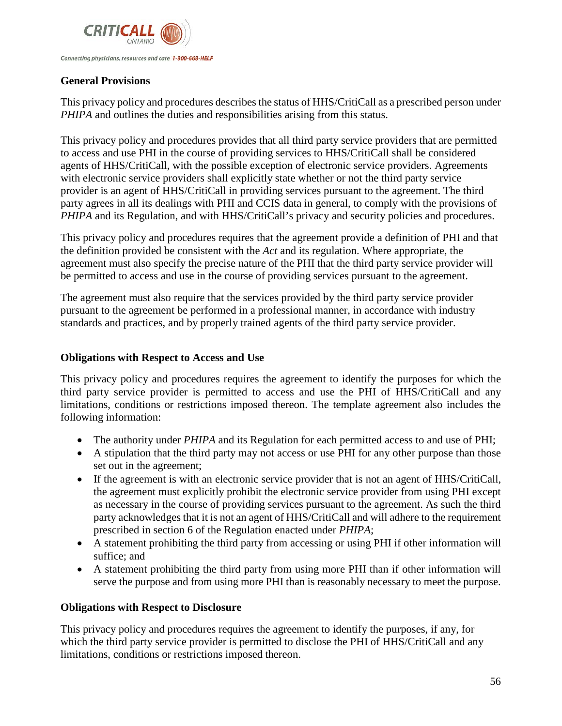

### **General Provisions**

This privacy policy and procedures describes the status of HHS/CritiCall as a prescribed person under *PHIPA* and outlines the duties and responsibilities arising from this status.

This privacy policy and procedures provides that all third party service providers that are permitted to access and use PHI in the course of providing services to HHS/CritiCall shall be considered agents of HHS/CritiCall, with the possible exception of electronic service providers. Agreements with electronic service providers shall explicitly state whether or not the third party service provider is an agent of HHS/CritiCall in providing services pursuant to the agreement. The third party agrees in all its dealings with PHI and CCIS data in general, to comply with the provisions of *PHIPA* and its Regulation, and with HHS/CritiCall's privacy and security policies and procedures.

This privacy policy and procedures requires that the agreement provide a definition of PHI and that the definition provided be consistent with the *Act* and its regulation. Where appropriate, the agreement must also specify the precise nature of the PHI that the third party service provider will be permitted to access and use in the course of providing services pursuant to the agreement.

The agreement must also require that the services provided by the third party service provider pursuant to the agreement be performed in a professional manner, in accordance with industry standards and practices, and by properly trained agents of the third party service provider.

### **Obligations with Respect to Access and Use**

This privacy policy and procedures requires the agreement to identify the purposes for which the third party service provider is permitted to access and use the PHI of HHS/CritiCall and any limitations, conditions or restrictions imposed thereon. The template agreement also includes the following information:

- The authority under *PHIPA* and its Regulation for each permitted access to and use of *PHI*;
- A stipulation that the third party may not access or use PHI for any other purpose than those set out in the agreement;
- If the agreement is with an electronic service provider that is not an agent of HHS/CritiCall, the agreement must explicitly prohibit the electronic service provider from using PHI except as necessary in the course of providing services pursuant to the agreement. As such the third party acknowledges that it is not an agent of HHS/CritiCall and will adhere to the requirement prescribed in section 6 of the Regulation enacted under *PHIPA*;
- A statement prohibiting the third party from accessing or using PHI if other information will suffice; and
- A statement prohibiting the third party from using more PHI than if other information will serve the purpose and from using more PHI than is reasonably necessary to meet the purpose.

#### **Obligations with Respect to Disclosure**

This privacy policy and procedures requires the agreement to identify the purposes, if any, for which the third party service provider is permitted to disclose the PHI of HHS/CritiCall and any limitations, conditions or restrictions imposed thereon.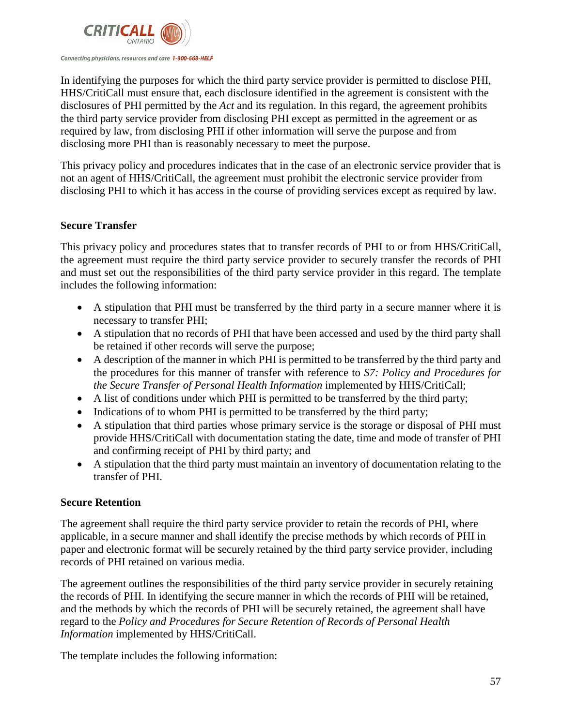

In identifying the purposes for which the third party service provider is permitted to disclose PHI, HHS/CritiCall must ensure that, each disclosure identified in the agreement is consistent with the disclosures of PHI permitted by the *Act* and its regulation. In this regard, the agreement prohibits the third party service provider from disclosing PHI except as permitted in the agreement or as required by law, from disclosing PHI if other information will serve the purpose and from disclosing more PHI than is reasonably necessary to meet the purpose.

This privacy policy and procedures indicates that in the case of an electronic service provider that is not an agent of HHS/CritiCall, the agreement must prohibit the electronic service provider from disclosing PHI to which it has access in the course of providing services except as required by law.

# **Secure Transfer**

This privacy policy and procedures states that to transfer records of PHI to or from HHS/CritiCall, the agreement must require the third party service provider to securely transfer the records of PHI and must set out the responsibilities of the third party service provider in this regard. The template includes the following information:

- A stipulation that PHI must be transferred by the third party in a secure manner where it is necessary to transfer PHI;
- A stipulation that no records of PHI that have been accessed and used by the third party shall be retained if other records will serve the purpose;
- A description of the manner in which PHI is permitted to be transferred by the third party and the procedures for this manner of transfer with reference to *S7: Policy and Procedures for the Secure Transfer of Personal Health Information* implemented by HHS/CritiCall;
- A list of conditions under which PHI is permitted to be transferred by the third party;
- Indications of to whom PHI is permitted to be transferred by the third party;
- A stipulation that third parties whose primary service is the storage or disposal of PHI must provide HHS/CritiCall with documentation stating the date, time and mode of transfer of PHI and confirming receipt of PHI by third party; and
- A stipulation that the third party must maintain an inventory of documentation relating to the transfer of PHI.

# **Secure Retention**

The agreement shall require the third party service provider to retain the records of PHI, where applicable, in a secure manner and shall identify the precise methods by which records of PHI in paper and electronic format will be securely retained by the third party service provider, including records of PHI retained on various media.

The agreement outlines the responsibilities of the third party service provider in securely retaining the records of PHI. In identifying the secure manner in which the records of PHI will be retained, and the methods by which the records of PHI will be securely retained, the agreement shall have regard to the *Policy and Procedures for Secure Retention of Records of Personal Health Information* implemented by HHS/CritiCall.

The template includes the following information: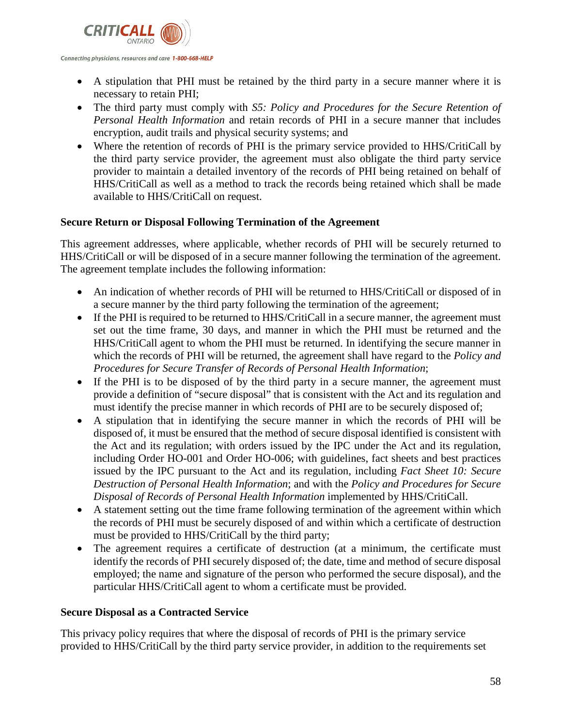

• A stipulation that PHI must be retained by the third party in a secure manner where it is necessary to retain PHI;

- The third party must comply with *S5: Policy and Procedures for the Secure Retention of Personal Health Information* and retain records of PHI in a secure manner that includes encryption, audit trails and physical security systems; and
- Where the retention of records of PHI is the primary service provided to HHS/CritiCall by the third party service provider, the agreement must also obligate the third party service provider to maintain a detailed inventory of the records of PHI being retained on behalf of HHS/CritiCall as well as a method to track the records being retained which shall be made available to HHS/CritiCall on request.

# **Secure Return or Disposal Following Termination of the Agreement**

This agreement addresses, where applicable, whether records of PHI will be securely returned to HHS/CritiCall or will be disposed of in a secure manner following the termination of the agreement. The agreement template includes the following information:

- An indication of whether records of PHI will be returned to HHS/CritiCall or disposed of in a secure manner by the third party following the termination of the agreement;
- If the PHI is required to be returned to HHS/CritiCall in a secure manner, the agreement must set out the time frame, 30 days, and manner in which the PHI must be returned and the HHS/CritiCall agent to whom the PHI must be returned. In identifying the secure manner in which the records of PHI will be returned, the agreement shall have regard to the *Policy and Procedures for Secure Transfer of Records of Personal Health Information*;
- If the PHI is to be disposed of by the third party in a secure manner, the agreement must provide a definition of "secure disposal" that is consistent with the Act and its regulation and must identify the precise manner in which records of PHI are to be securely disposed of;
- A stipulation that in identifying the secure manner in which the records of PHI will be disposed of, it must be ensured that the method of secure disposal identified is consistent with the Act and its regulation; with orders issued by the IPC under the Act and its regulation, including Order HO-001 and Order HO-006; with guidelines, fact sheets and best practices issued by the IPC pursuant to the Act and its regulation, including *Fact Sheet 10: Secure Destruction of Personal Health Information*; and with the *Policy and Procedures for Secure Disposal of Records of Personal Health Information* implemented by HHS/CritiCall.
- A statement setting out the time frame following termination of the agreement within which the records of PHI must be securely disposed of and within which a certificate of destruction must be provided to HHS/CritiCall by the third party;
- The agreement requires a certificate of destruction (at a minimum, the certificate must identify the records of PHI securely disposed of; the date, time and method of secure disposal employed; the name and signature of the person who performed the secure disposal), and the particular HHS/CritiCall agent to whom a certificate must be provided.

# **Secure Disposal as a Contracted Service**

This privacy policy requires that where the disposal of records of PHI is the primary service provided to HHS/CritiCall by the third party service provider, in addition to the requirements set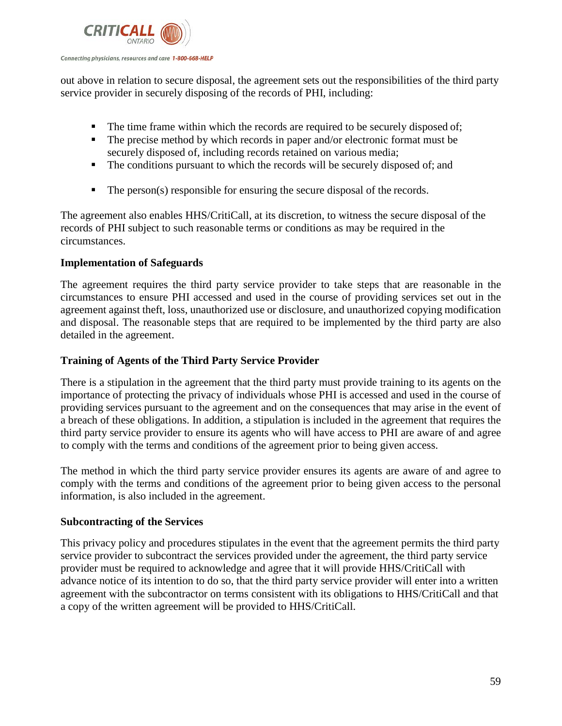

out above in relation to secure disposal, the agreement sets out the responsibilities of the third party service provider in securely disposing of the records of PHI, including:

- The time frame within which the records are required to be securely disposed of;
- The precise method by which records in paper and/or electronic format must be securely disposed of, including records retained on various media;
- The conditions pursuant to which the records will be securely disposed of; and
- $\blacksquare$  The person(s) responsible for ensuring the secure disposal of the records.

The agreement also enables HHS/CritiCall, at its discretion, to witness the secure disposal of the records of PHI subject to such reasonable terms or conditions as may be required in the circumstances.

# **Implementation of Safeguards**

The agreement requires the third party service provider to take steps that are reasonable in the circumstances to ensure PHI accessed and used in the course of providing services set out in the agreement against theft, loss, unauthorized use or disclosure, and unauthorized copying modification and disposal. The reasonable steps that are required to be implemented by the third party are also detailed in the agreement.

# **Training of Agents of the Third Party Service Provider**

There is a stipulation in the agreement that the third party must provide training to its agents on the importance of protecting the privacy of individuals whose PHI is accessed and used in the course of providing services pursuant to the agreement and on the consequences that may arise in the event of a breach of these obligations. In addition, a stipulation is included in the agreement that requires the third party service provider to ensure its agents who will have access to PHI are aware of and agree to comply with the terms and conditions of the agreement prior to being given access.

The method in which the third party service provider ensures its agents are aware of and agree to comply with the terms and conditions of the agreement prior to being given access to the personal information, is also included in the agreement.

# **Subcontracting of the Services**

This privacy policy and procedures stipulates in the event that the agreement permits the third party service provider to subcontract the services provided under the agreement, the third party service provider must be required to acknowledge and agree that it will provide HHS/CritiCall with advance notice of its intention to do so, that the third party service provider will enter into a written agreement with the subcontractor on terms consistent with its obligations to HHS/CritiCall and that a copy of the written agreement will be provided to HHS/CritiCall.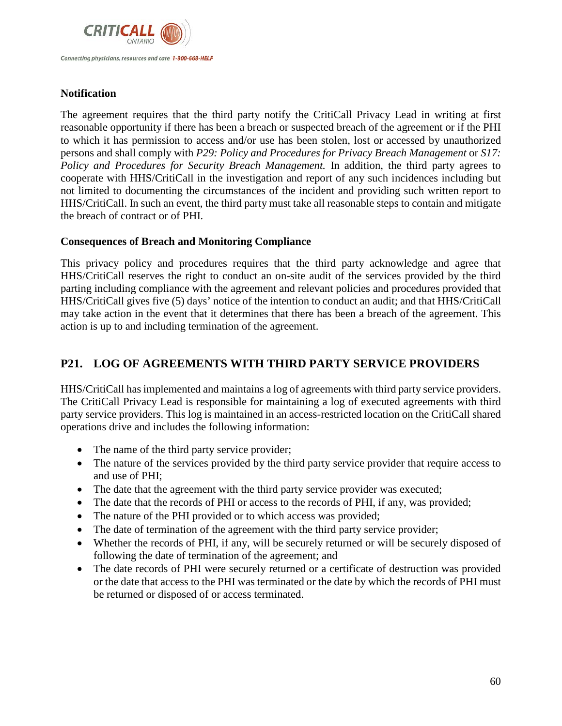

# **Notification**

The agreement requires that the third party notify the CritiCall Privacy Lead in writing at first reasonable opportunity if there has been a breach or suspected breach of the agreement or if the PHI to which it has permission to access and/or use has been stolen, lost or accessed by unauthorized persons and shall comply with *P29: Policy and Procedures for Privacy Breach Management* or *S17: Policy and Procedures for Security Breach Management.* In addition, the third party agrees to cooperate with HHS/CritiCall in the investigation and report of any such incidences including but not limited to documenting the circumstances of the incident and providing such written report to HHS/CritiCall. In such an event, the third party must take all reasonable steps to contain and mitigate the breach of contract or of PHI.

# **Consequences of Breach and Monitoring Compliance**

This privacy policy and procedures requires that the third party acknowledge and agree that HHS/CritiCall reserves the right to conduct an on-site audit of the services provided by the third parting including compliance with the agreement and relevant policies and procedures provided that HHS/CritiCall gives five (5) days' notice of the intention to conduct an audit; and that HHS/CritiCall may take action in the event that it determines that there has been a breach of the agreement. This action is up to and including termination of the agreement.

# **P21. LOG OF AGREEMENTS WITH THIRD PARTY SERVICE PROVIDERS**

HHS/CritiCall has implemented and maintains a log of agreements with third party service providers. The CritiCall Privacy Lead is responsible for maintaining a log of executed agreements with third party service providers. This log is maintained in an access-restricted location on the CritiCall shared operations drive and includes the following information:

- The name of the third party service provider;
- The nature of the services provided by the third party service provider that require access to and use of PHI;
- The date that the agreement with the third party service provider was executed;
- The date that the records of PHI or access to the records of PHI, if any, was provided;
- The nature of the PHI provided or to which access was provided;
- The date of termination of the agreement with the third party service provider;
- Whether the records of PHI, if any, will be securely returned or will be securely disposed of following the date of termination of the agreement; and
- The date records of PHI were securely returned or a certificate of destruction was provided or the date that access to the PHI was terminated or the date by which the records of PHI must be returned or disposed of or access terminated.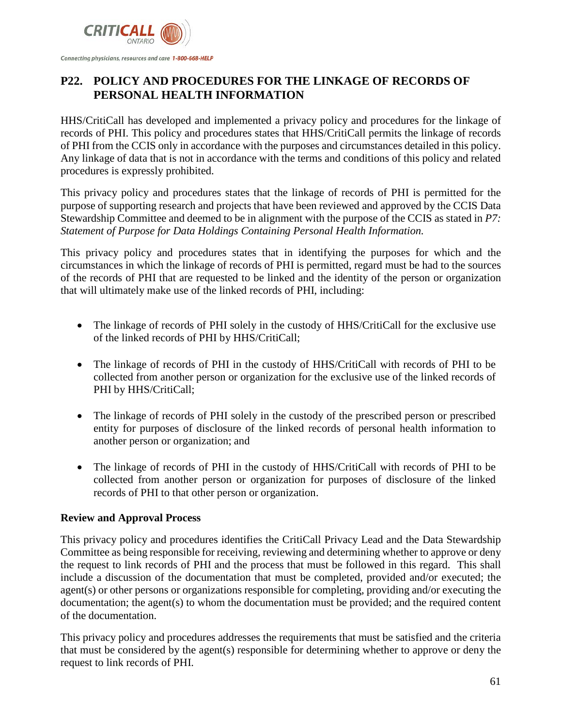

# **P22. POLICY AND PROCEDURES FOR THE LINKAGE OF RECORDS OF PERSONAL HEALTH INFORMATION**

HHS/CritiCall has developed and implemented a privacy policy and procedures for the linkage of records of PHI. This policy and procedures states that HHS/CritiCall permits the linkage of records of PHI from the CCIS only in accordance with the purposes and circumstances detailed in this policy. Any linkage of data that is not in accordance with the terms and conditions of this policy and related procedures is expressly prohibited.

This privacy policy and procedures states that the linkage of records of PHI is permitted for the purpose of supporting research and projects that have been reviewed and approved by the CCIS Data Stewardship Committee and deemed to be in alignment with the purpose of the CCIS as stated in *P7: Statement of Purpose for Data Holdings Containing Personal Health Information.*

This privacy policy and procedures states that in identifying the purposes for which and the circumstances in which the linkage of records of PHI is permitted, regard must be had to the sources of the records of PHI that are requested to be linked and the identity of the person or organization that will ultimately make use of the linked records of PHI, including:

- The linkage of records of PHI solely in the custody of HHS/CritiCall for the exclusive use of the linked records of PHI by HHS/CritiCall;
- The linkage of records of PHI in the custody of HHS/CritiCall with records of PHI to be collected from another person or organization for the exclusive use of the linked records of PHI by HHS/CritiCall;
- The linkage of records of PHI solely in the custody of the prescribed person or prescribed entity for purposes of disclosure of the linked records of personal health information to another person or organization; and
- The linkage of records of PHI in the custody of HHS/CritiCall with records of PHI to be collected from another person or organization for purposes of disclosure of the linked records of PHI to that other person or organization.

# **Review and Approval Process**

This privacy policy and procedures identifies the CritiCall Privacy Lead and the Data Stewardship Committee as being responsible for receiving, reviewing and determining whether to approve or deny the request to link records of PHI and the process that must be followed in this regard. This shall include a discussion of the documentation that must be completed, provided and/or executed; the agent(s) or other persons or organizations responsible for completing, providing and/or executing the documentation; the agent(s) to whom the documentation must be provided; and the required content of the documentation.

This privacy policy and procedures addresses the requirements that must be satisfied and the criteria that must be considered by the agent(s) responsible for determining whether to approve or deny the request to link records of PHI.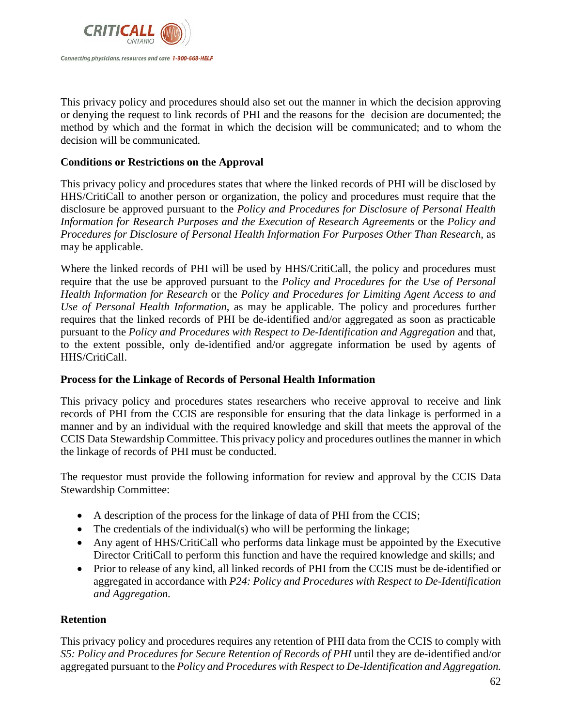

This privacy policy and procedures should also set out the manner in which the decision approving or denying the request to link records of PHI and the reasons for the decision are documented; the method by which and the format in which the decision will be communicated; and to whom the decision will be communicated.

### **Conditions or Restrictions on the Approval**

This privacy policy and procedures states that where the linked records of PHI will be disclosed by HHS/CritiCall to another person or organization, the policy and procedures must require that the disclosure be approved pursuant to the *Policy and Procedures for Disclosure of Personal Health Information for Research Purposes and the Execution of Research Agreements* or the *Policy and Procedures for Disclosure of Personal Health Information For Purposes Other Than Research*, as may be applicable.

Where the linked records of PHI will be used by HHS/CritiCall, the policy and procedures must require that the use be approved pursuant to the *Policy and Procedures for the Use of Personal Health Information for Research* or the *Policy and Procedures for Limiting Agent Access to and Use of Personal Health Information*, as may be applicable. The policy and procedures further requires that the linked records of PHI be de-identified and/or aggregated as soon as practicable pursuant to the *Policy and Procedures with Respect to De-Identification and Aggregation* and that, to the extent possible, only de-identified and/or aggregate information be used by agents of HHS/CritiCall.

#### **Process for the Linkage of Records of Personal Health Information**

This privacy policy and procedures states researchers who receive approval to receive and link records of PHI from the CCIS are responsible for ensuring that the data linkage is performed in a manner and by an individual with the required knowledge and skill that meets the approval of the CCIS Data Stewardship Committee. This privacy policy and procedures outlines the manner in which the linkage of records of PHI must be conducted.

The requestor must provide the following information for review and approval by the CCIS Data Stewardship Committee:

- A description of the process for the linkage of data of PHI from the CCIS;
- The credentials of the individual(s) who will be performing the linkage;
- Any agent of HHS/CritiCall who performs data linkage must be appointed by the Executive Director CritiCall to perform this function and have the required knowledge and skills; and
- Prior to release of any kind, all linked records of PHI from the CCIS must be de-identified or aggregated in accordance with *P24: Policy and Procedures with Respect to De-Identification and Aggregation.*

# **Retention**

This privacy policy and procedures requires any retention of PHI data from the CCIS to comply with *S5: Policy and Procedures for Secure Retention of Records of PHI* until they are de-identified and/or aggregated pursuant to the *Policy and Procedures with Respect to De-Identification and Aggregation.*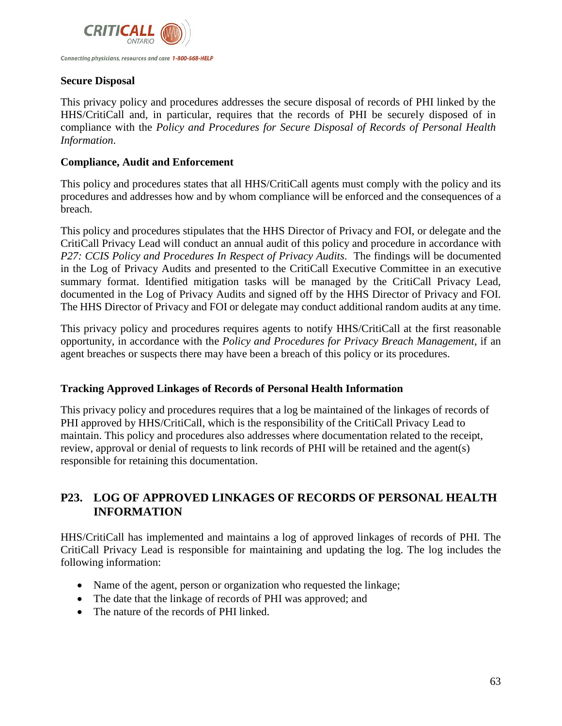

#### **Secure Disposal**

This privacy policy and procedures addresses the secure disposal of records of PHI linked by the HHS/CritiCall and, in particular, requires that the records of PHI be securely disposed of in compliance with the *Policy and Procedures for Secure Disposal of Records of Personal Health Information*.

#### **Compliance, Audit and Enforcement**

This policy and procedures states that all HHS/CritiCall agents must comply with the policy and its procedures and addresses how and by whom compliance will be enforced and the consequences of a breach.

This policy and procedures stipulates that the HHS Director of Privacy and FOI, or delegate and the CritiCall Privacy Lead will conduct an annual audit of this policy and procedure in accordance with *P27: CCIS Policy and Procedures In Respect of Privacy Audits*. The findings will be documented in the Log of Privacy Audits and presented to the CritiCall Executive Committee in an executive summary format. Identified mitigation tasks will be managed by the CritiCall Privacy Lead, documented in the Log of Privacy Audits and signed off by the HHS Director of Privacy and FOI. The HHS Director of Privacy and FOI or delegate may conduct additional random audits at any time.

This privacy policy and procedures requires agents to notify HHS/CritiCall at the first reasonable opportunity, in accordance with the *Policy and Procedures for Privacy Breach Management*, if an agent breaches or suspects there may have been a breach of this policy or its procedures.

#### **Tracking Approved Linkages of Records of Personal Health Information**

This privacy policy and procedures requires that a log be maintained of the linkages of records of PHI approved by HHS/CritiCall, which is the responsibility of the CritiCall Privacy Lead to maintain. This policy and procedures also addresses where documentation related to the receipt, review, approval or denial of requests to link records of PHI will be retained and the agent(s) responsible for retaining this documentation.

# **P23. LOG OF APPROVED LINKAGES OF RECORDS OF PERSONAL HEALTH INFORMATION**

HHS/CritiCall has implemented and maintains a log of approved linkages of records of PHI. The CritiCall Privacy Lead is responsible for maintaining and updating the log. The log includes the following information:

- Name of the agent, person or organization who requested the linkage;
- The date that the linkage of records of PHI was approved; and
- The nature of the records of PHI linked.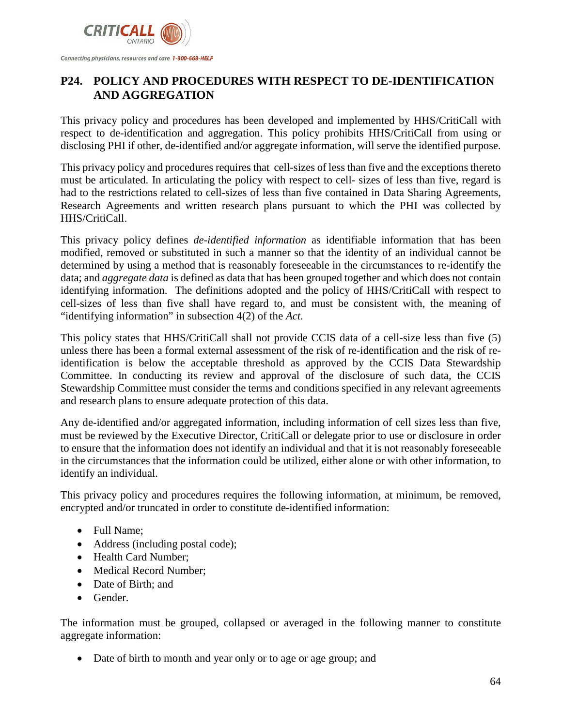

# **P24. POLICY AND PROCEDURES WITH RESPECT TO DE-IDENTIFICATION AND AGGREGATION**

This privacy policy and procedures has been developed and implemented by HHS/CritiCall with respect to de-identification and aggregation. This policy prohibits HHS/CritiCall from using or disclosing PHI if other, de-identified and/or aggregate information, will serve the identified purpose.

This privacy policy and procedures requires that cell-sizes of less than five and the exceptions thereto must be articulated. In articulating the policy with respect to cell- sizes of less than five, regard is had to the restrictions related to cell-sizes of less than five contained in Data Sharing Agreements, Research Agreements and written research plans pursuant to which the PHI was collected by HHS/CritiCall.

This privacy policy defines *de-identified information* as identifiable information that has been modified, removed or substituted in such a manner so that the identity of an individual cannot be determined by using a method that is reasonably foreseeable in the circumstances to re-identify the data; and *aggregate data* is defined as data that has been grouped together and which does not contain identifying information. The definitions adopted and the policy of HHS/CritiCall with respect to cell-sizes of less than five shall have regard to, and must be consistent with, the meaning of "identifying information" in subsection 4(2) of the *Act*.

This policy states that HHS/CritiCall shall not provide CCIS data of a cell-size less than five (5) unless there has been a formal external assessment of the risk of re-identification and the risk of reidentification is below the acceptable threshold as approved by the CCIS Data Stewardship Committee. In conducting its review and approval of the disclosure of such data, the CCIS Stewardship Committee must consider the terms and conditions specified in any relevant agreements and research plans to ensure adequate protection of this data.

Any de-identified and/or aggregated information, including information of cell sizes less than five, must be reviewed by the Executive Director, CritiCall or delegate prior to use or disclosure in order to ensure that the information does not identify an individual and that it is not reasonably foreseeable in the circumstances that the information could be utilized, either alone or with other information, to identify an individual.

This privacy policy and procedures requires the following information, at minimum, be removed, encrypted and/or truncated in order to constitute de-identified information:

- Full Name;
- Address (including postal code);
- Health Card Number:
- Medical Record Number;
- Date of Birth; and
- Gender.

The information must be grouped, collapsed or averaged in the following manner to constitute aggregate information:

• Date of birth to month and year only or to age or age group; and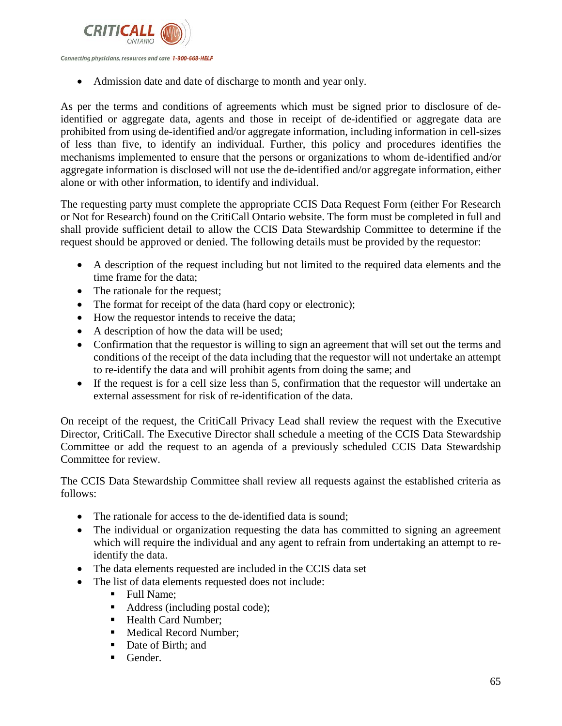

• Admission date and date of discharge to month and year only.

As per the terms and conditions of agreements which must be signed prior to disclosure of deidentified or aggregate data, agents and those in receipt of de-identified or aggregate data are prohibited from using de-identified and/or aggregate information, including information in cell-sizes of less than five, to identify an individual. Further, this policy and procedures identifies the mechanisms implemented to ensure that the persons or organizations to whom de-identified and/or aggregate information is disclosed will not use the de-identified and/or aggregate information, either alone or with other information, to identify and individual.

The requesting party must complete the appropriate CCIS Data Request Form (either For Research or Not for Research) found on the CritiCall Ontario website. The form must be completed in full and shall provide sufficient detail to allow the CCIS Data Stewardship Committee to determine if the request should be approved or denied. The following details must be provided by the requestor:

- A description of the request including but not limited to the required data elements and the time frame for the data;
- The rationale for the request;
- The format for receipt of the data (hard copy or electronic);
- How the requestor intends to receive the data;
- A description of how the data will be used;
- Confirmation that the requestor is willing to sign an agreement that will set out the terms and conditions of the receipt of the data including that the requestor will not undertake an attempt to re-identify the data and will prohibit agents from doing the same; and
- If the request is for a cell size less than 5, confirmation that the requestor will undertake an external assessment for risk of re-identification of the data.

On receipt of the request, the CritiCall Privacy Lead shall review the request with the Executive Director, CritiCall. The Executive Director shall schedule a meeting of the CCIS Data Stewardship Committee or add the request to an agenda of a previously scheduled CCIS Data Stewardship Committee for review.

The CCIS Data Stewardship Committee shall review all requests against the established criteria as follows:

- The rationale for access to the de-identified data is sound;
- The individual or organization requesting the data has committed to signing an agreement which will require the individual and any agent to refrain from undertaking an attempt to reidentify the data.
- The data elements requested are included in the CCIS data set
- The list of data elements requested does not include:
	- Full Name;
	- Address (including postal code);
	- Health Card Number;
	- Medical Record Number;
	- Date of Birth; and
	- $\blacksquare$  Gender.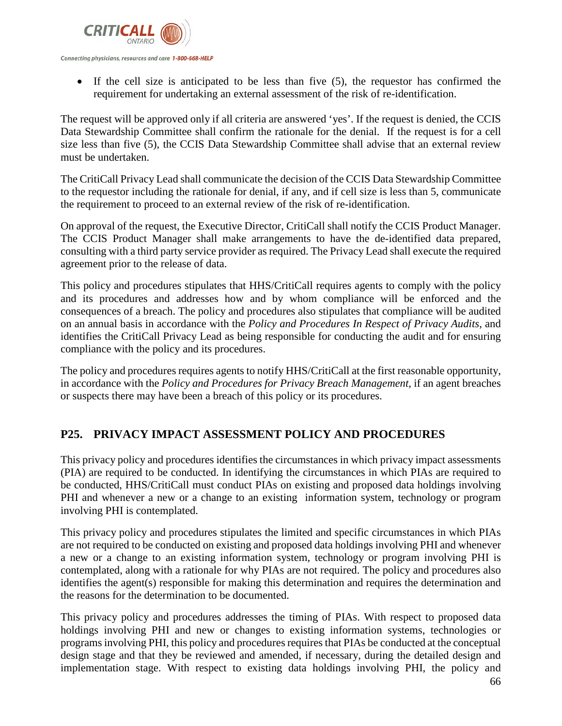

Connecting physicians, resources and care 1-800-668-HELP

• If the cell size is anticipated to be less than five (5), the requestor has confirmed the requirement for undertaking an external assessment of the risk of re-identification.

The request will be approved only if all criteria are answered 'yes'. If the request is denied, the CCIS Data Stewardship Committee shall confirm the rationale for the denial. If the request is for a cell size less than five (5), the CCIS Data Stewardship Committee shall advise that an external review must be undertaken.

The CritiCall Privacy Lead shall communicate the decision of the CCIS Data Stewardship Committee to the requestor including the rationale for denial, if any, and if cell size is less than 5, communicate the requirement to proceed to an external review of the risk of re-identification.

On approval of the request, the Executive Director, CritiCall shall notify the CCIS Product Manager. The CCIS Product Manager shall make arrangements to have the de-identified data prepared, consulting with a third party service provider as required. The Privacy Lead shall execute the required agreement prior to the release of data.

This policy and procedures stipulates that HHS/CritiCall requires agents to comply with the policy and its procedures and addresses how and by whom compliance will be enforced and the consequences of a breach. The policy and procedures also stipulates that compliance will be audited on an annual basis in accordance with the *Policy and Procedures In Respect of Privacy Audits*, and identifies the CritiCall Privacy Lead as being responsible for conducting the audit and for ensuring compliance with the policy and its procedures.

The policy and procedures requires agents to notify HHS/CritiCall at the first reasonable opportunity, in accordance with the *Policy and Procedures for Privacy Breach Management*, if an agent breaches or suspects there may have been a breach of this policy or its procedures.

# **P25. PRIVACY IMPACT ASSESSMENT POLICY AND PROCEDURES**

This privacy policy and procedures identifies the circumstances in which privacy impact assessments (PIA) are required to be conducted. In identifying the circumstances in which PIAs are required to be conducted, HHS/CritiCall must conduct PIAs on existing and proposed data holdings involving PHI and whenever a new or a change to an existing information system, technology or program involving PHI is contemplated.

This privacy policy and procedures stipulates the limited and specific circumstances in which PIAs are not required to be conducted on existing and proposed data holdings involving PHI and whenever a new or a change to an existing information system, technology or program involving PHI is contemplated, along with a rationale for why PIAs are not required. The policy and procedures also identifies the agent(s) responsible for making this determination and requires the determination and the reasons for the determination to be documented.

This privacy policy and procedures addresses the timing of PIAs. With respect to proposed data holdings involving PHI and new or changes to existing information systems, technologies or programs involving PHI, this policy and procedures requires that PIAs be conducted at the conceptual design stage and that they be reviewed and amended, if necessary, during the detailed design and implementation stage. With respect to existing data holdings involving PHI, the policy and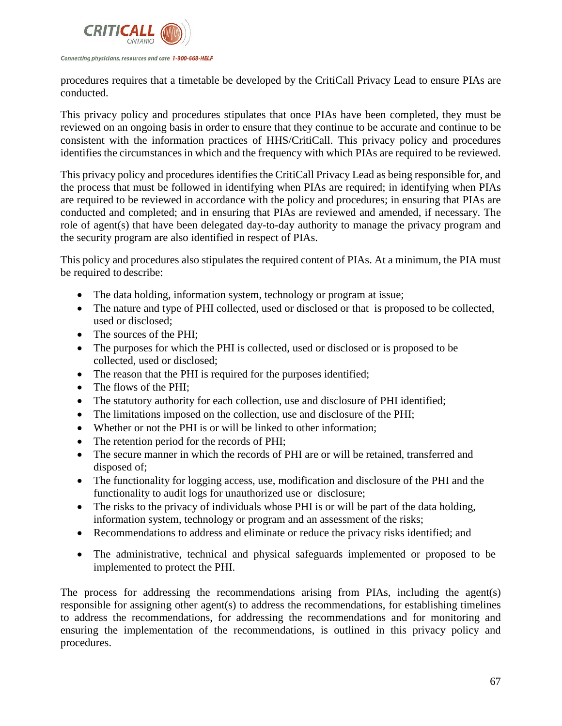

procedures requires that a timetable be developed by the CritiCall Privacy Lead to ensure PIAs are conducted.

This privacy policy and procedures stipulates that once PIAs have been completed, they must be reviewed on an ongoing basis in order to ensure that they continue to be accurate and continue to be consistent with the information practices of HHS/CritiCall. This privacy policy and procedures identifies the circumstances in which and the frequency with which PIAs are required to be reviewed.

This privacy policy and procedures identifies the CritiCall Privacy Lead as being responsible for, and the process that must be followed in identifying when PIAs are required; in identifying when PIAs are required to be reviewed in accordance with the policy and procedures; in ensuring that PIAs are conducted and completed; and in ensuring that PIAs are reviewed and amended, if necessary. The role of agent(s) that have been delegated day-to-day authority to manage the privacy program and the security program are also identified in respect of PIAs.

This policy and procedures also stipulates the required content of PIAs. At a minimum, the PIA must be required to describe:

- The data holding, information system, technology or program at issue;
- The nature and type of PHI collected, used or disclosed or that is proposed to be collected, used or disclosed;
- The sources of the PHI:
- The purposes for which the PHI is collected, used or disclosed or is proposed to be collected, used or disclosed;
- The reason that the PHI is required for the purposes identified;
- The flows of the PHI;
- The statutory authority for each collection, use and disclosure of PHI identified;
- The limitations imposed on the collection, use and disclosure of the PHI;
- Whether or not the PHI is or will be linked to other information;
- The retention period for the records of PHI;
- The secure manner in which the records of PHI are or will be retained, transferred and disposed of;
- The functionality for logging access, use, modification and disclosure of the PHI and the functionality to audit logs for unauthorized use or disclosure;
- The risks to the privacy of individuals whose PHI is or will be part of the data holding, information system, technology or program and an assessment of the risks;
- Recommendations to address and eliminate or reduce the privacy risks identified; and
- The administrative, technical and physical safeguards implemented or proposed to be implemented to protect the PHI.

The process for addressing the recommendations arising from PIAs, including the agent(s) responsible for assigning other agent(s) to address the recommendations, for establishing timelines to address the recommendations, for addressing the recommendations and for monitoring and ensuring the implementation of the recommendations, is outlined in this privacy policy and procedures.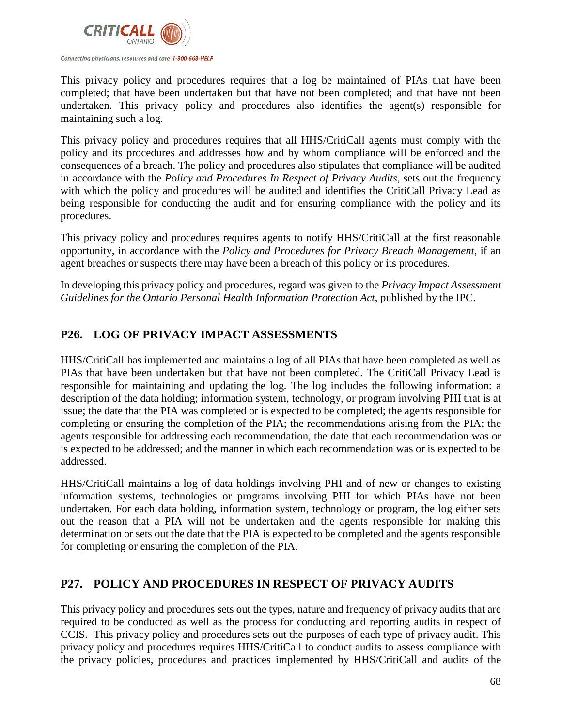

This privacy policy and procedures requires that a log be maintained of PIAs that have been completed; that have been undertaken but that have not been completed; and that have not been undertaken. This privacy policy and procedures also identifies the agent(s) responsible for maintaining such a log.

This privacy policy and procedures requires that all HHS/CritiCall agents must comply with the policy and its procedures and addresses how and by whom compliance will be enforced and the consequences of a breach. The policy and procedures also stipulates that compliance will be audited in accordance with the *Policy and Procedures In Respect of Privacy Audits*, sets out the frequency with which the policy and procedures will be audited and identifies the CritiCall Privacy Lead as being responsible for conducting the audit and for ensuring compliance with the policy and its procedures.

This privacy policy and procedures requires agents to notify HHS/CritiCall at the first reasonable opportunity, in accordance with the *Policy and Procedures for Privacy Breach Management*, if an agent breaches or suspects there may have been a breach of this policy or its procedures.

In developing this privacy policy and procedures, regard was given to the *Privacy Impact Assessment Guidelines for the Ontario Personal Health Information Protection Act*, published by the IPC.

# **P26. LOG OF PRIVACY IMPACT ASSESSMENTS**

HHS/CritiCall has implemented and maintains a log of all PIAs that have been completed as well as PIAs that have been undertaken but that have not been completed. The CritiCall Privacy Lead is responsible for maintaining and updating the log. The log includes the following information: a description of the data holding; information system, technology, or program involving PHI that is at issue; the date that the PIA was completed or is expected to be completed; the agents responsible for completing or ensuring the completion of the PIA; the recommendations arising from the PIA; the agents responsible for addressing each recommendation, the date that each recommendation was or is expected to be addressed; and the manner in which each recommendation was or is expected to be addressed.

HHS/CritiCall maintains a log of data holdings involving PHI and of new or changes to existing information systems, technologies or programs involving PHI for which PIAs have not been undertaken. For each data holding, information system, technology or program, the log either sets out the reason that a PIA will not be undertaken and the agents responsible for making this determination or sets out the date that the PIA is expected to be completed and the agents responsible for completing or ensuring the completion of the PIA.

# **P27. POLICY AND PROCEDURES IN RESPECT OF PRIVACY AUDITS**

This privacy policy and procedures sets out the types, nature and frequency of privacy audits that are required to be conducted as well as the process for conducting and reporting audits in respect of CCIS. This privacy policy and procedures sets out the purposes of each type of privacy audit. This privacy policy and procedures requires HHS/CritiCall to conduct audits to assess compliance with the privacy policies, procedures and practices implemented by HHS/CritiCall and audits of the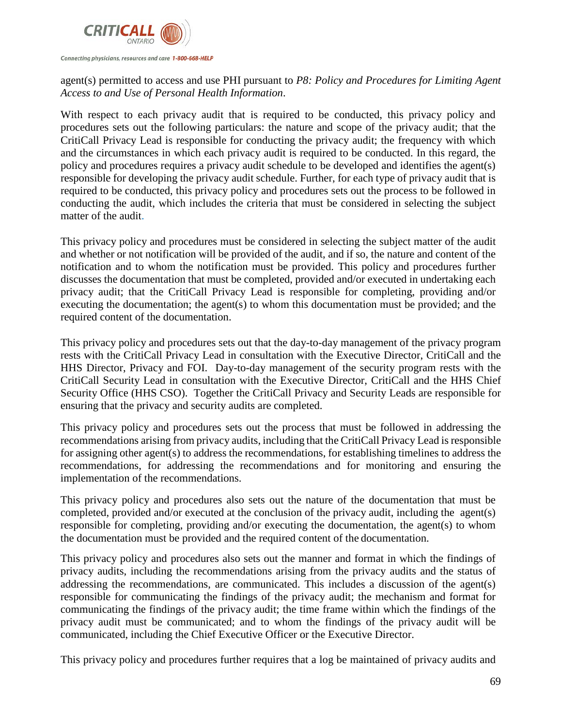

Connecting physicians, resources and care 1-800-668-HELP

# agent(s) permitted to access and use PHI pursuant to *P8: Policy and Procedures for Limiting Agent Access to and Use of Personal Health Information*.

With respect to each privacy audit that is required to be conducted, this privacy policy and procedures sets out the following particulars: the nature and scope of the privacy audit; that the CritiCall Privacy Lead is responsible for conducting the privacy audit; the frequency with which and the circumstances in which each privacy audit is required to be conducted. In this regard, the policy and procedures requires a privacy audit schedule to be developed and identifies the agent(s) responsible for developing the privacy audit schedule. Further, for each type of privacy audit that is required to be conducted, this privacy policy and procedures sets out the process to be followed in conducting the audit, which includes the criteria that must be considered in selecting the subject matter of the audit.

This privacy policy and procedures must be considered in selecting the subject matter of the audit and whether or not notification will be provided of the audit, and if so, the nature and content of the notification and to whom the notification must be provided. This policy and procedures further discusses the documentation that must be completed, provided and/or executed in undertaking each privacy audit; that the CritiCall Privacy Lead is responsible for completing, providing and/or executing the documentation; the agent(s) to whom this documentation must be provided; and the required content of the documentation.

This privacy policy and procedures sets out that the day-to-day management of the privacy program rests with the CritiCall Privacy Lead in consultation with the Executive Director, CritiCall and the HHS Director, Privacy and FOI. Day-to-day management of the security program rests with the CritiCall Security Lead in consultation with the Executive Director, CritiCall and the HHS Chief Security Office (HHS CSO). Together the CritiCall Privacy and Security Leads are responsible for ensuring that the privacy and security audits are completed.

This privacy policy and procedures sets out the process that must be followed in addressing the recommendations arising from privacy audits, including that the CritiCall Privacy Lead is responsible for assigning other agent(s) to address the recommendations, for establishing timelines to address the recommendations, for addressing the recommendations and for monitoring and ensuring the implementation of the recommendations.

This privacy policy and procedures also sets out the nature of the documentation that must be completed, provided and/or executed at the conclusion of the privacy audit, including the agent(s) responsible for completing, providing and/or executing the documentation, the agent(s) to whom the documentation must be provided and the required content of the documentation.

This privacy policy and procedures also sets out the manner and format in which the findings of privacy audits, including the recommendations arising from the privacy audits and the status of addressing the recommendations, are communicated. This includes a discussion of the agent(s) responsible for communicating the findings of the privacy audit; the mechanism and format for communicating the findings of the privacy audit; the time frame within which the findings of the privacy audit must be communicated; and to whom the findings of the privacy audit will be communicated, including the Chief Executive Officer or the Executive Director.

This privacy policy and procedures further requires that a log be maintained of privacy audits and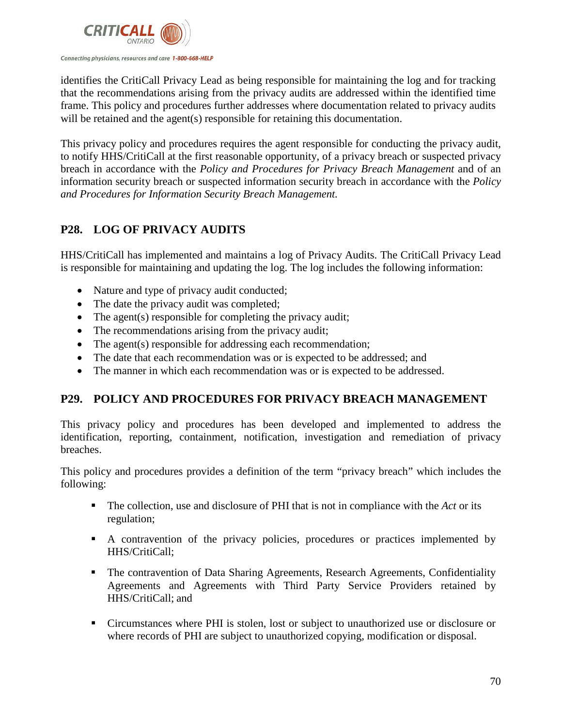

identifies the CritiCall Privacy Lead as being responsible for maintaining the log and for tracking that the recommendations arising from the privacy audits are addressed within the identified time frame. This policy and procedures further addresses where documentation related to privacy audits will be retained and the agent(s) responsible for retaining this documentation.

This privacy policy and procedures requires the agent responsible for conducting the privacy audit, to notify HHS/CritiCall at the first reasonable opportunity, of a privacy breach or suspected privacy breach in accordance with the *Policy and Procedures for Privacy Breach Management* and of an information security breach or suspected information security breach in accordance with the *Policy and Procedures for Information Security Breach Management.*

# **P28. LOG OF PRIVACY AUDITS**

HHS/CritiCall has implemented and maintains a log of Privacy Audits. The CritiCall Privacy Lead is responsible for maintaining and updating the log. The log includes the following information:

- Nature and type of privacy audit conducted;
- The date the privacy audit was completed;
- The agent(s) responsible for completing the privacy audit;
- The recommendations arising from the privacy audit;
- The agent(s) responsible for addressing each recommendation;
- The date that each recommendation was or is expected to be addressed; and
- The manner in which each recommendation was or is expected to be addressed.

# **P29. POLICY AND PROCEDURES FOR PRIVACY BREACH MANAGEMENT**

This privacy policy and procedures has been developed and implemented to address the identification, reporting, containment, notification, investigation and remediation of privacy breaches.

This policy and procedures provides a definition of the term "privacy breach" which includes the following:

- The collection, use and disclosure of PHI that is not in compliance with the *Act* or its regulation;
- A contravention of the privacy policies, procedures or practices implemented by HHS/CritiCall;
- The contravention of Data Sharing Agreements, Research Agreements, Confidentiality Agreements and Agreements with Third Party Service Providers retained by HHS/CritiCall; and
- Circumstances where PHI is stolen, lost or subject to unauthorized use or disclosure or where records of PHI are subject to unauthorized copying, modification or disposal.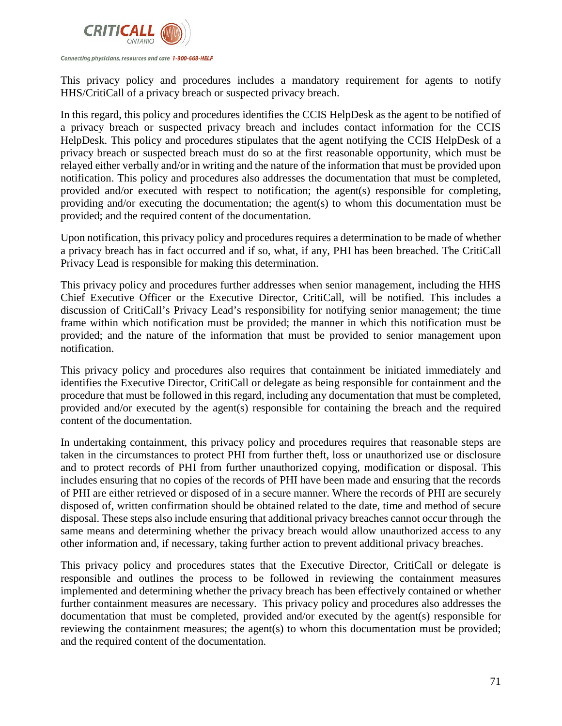

This privacy policy and procedures includes a mandatory requirement for agents to notify HHS/CritiCall of a privacy breach or suspected privacy breach.

In this regard, this policy and procedures identifies the CCIS HelpDesk as the agent to be notified of a privacy breach or suspected privacy breach and includes contact information for the CCIS HelpDesk. This policy and procedures stipulates that the agent notifying the CCIS HelpDesk of a privacy breach or suspected breach must do so at the first reasonable opportunity, which must be relayed either verbally and/or in writing and the nature of the information that must be provided upon notification. This policy and procedures also addresses the documentation that must be completed, provided and/or executed with respect to notification; the agent(s) responsible for completing, providing and/or executing the documentation; the agent(s) to whom this documentation must be provided; and the required content of the documentation.

Upon notification, this privacy policy and procedures requires a determination to be made of whether a privacy breach has in fact occurred and if so, what, if any, PHI has been breached. The CritiCall Privacy Lead is responsible for making this determination.

This privacy policy and procedures further addresses when senior management, including the HHS Chief Executive Officer or the Executive Director, CritiCall, will be notified. This includes a discussion of CritiCall's Privacy Lead's responsibility for notifying senior management; the time frame within which notification must be provided; the manner in which this notification must be provided; and the nature of the information that must be provided to senior management upon notification.

This privacy policy and procedures also requires that containment be initiated immediately and identifies the Executive Director, CritiCall or delegate as being responsible for containment and the procedure that must be followed in this regard, including any documentation that must be completed, provided and/or executed by the agent(s) responsible for containing the breach and the required content of the documentation.

In undertaking containment, this privacy policy and procedures requires that reasonable steps are taken in the circumstances to protect PHI from further theft, loss or unauthorized use or disclosure and to protect records of PHI from further unauthorized copying, modification or disposal. This includes ensuring that no copies of the records of PHI have been made and ensuring that the records of PHI are either retrieved or disposed of in a secure manner. Where the records of PHI are securely disposed of, written confirmation should be obtained related to the date, time and method of secure disposal. These steps also include ensuring that additional privacy breaches cannot occur through the same means and determining whether the privacy breach would allow unauthorized access to any other information and, if necessary, taking further action to prevent additional privacy breaches.

This privacy policy and procedures states that the Executive Director, CritiCall or delegate is responsible and outlines the process to be followed in reviewing the containment measures implemented and determining whether the privacy breach has been effectively contained or whether further containment measures are necessary. This privacy policy and procedures also addresses the documentation that must be completed, provided and/or executed by the agent(s) responsible for reviewing the containment measures; the agent(s) to whom this documentation must be provided; and the required content of the documentation.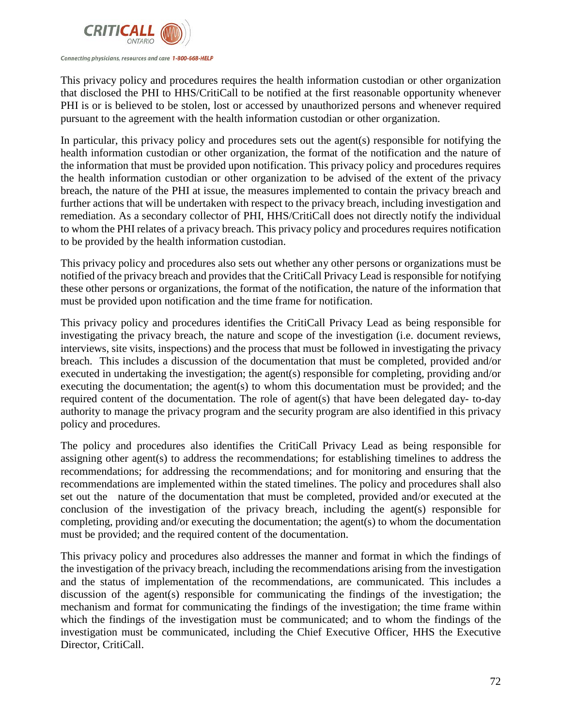

This privacy policy and procedures requires the health information custodian or other organization that disclosed the PHI to HHS/CritiCall to be notified at the first reasonable opportunity whenever PHI is or is believed to be stolen, lost or accessed by unauthorized persons and whenever required pursuant to the agreement with the health information custodian or other organization.

In particular, this privacy policy and procedures sets out the agent(s) responsible for notifying the health information custodian or other organization, the format of the notification and the nature of the information that must be provided upon notification. This privacy policy and procedures requires the health information custodian or other organization to be advised of the extent of the privacy breach, the nature of the PHI at issue, the measures implemented to contain the privacy breach and further actions that will be undertaken with respect to the privacy breach, including investigation and remediation. As a secondary collector of PHI, HHS/CritiCall does not directly notify the individual to whom the PHI relates of a privacy breach. This privacy policy and procedures requires notification to be provided by the health information custodian.

This privacy policy and procedures also sets out whether any other persons or organizations must be notified of the privacy breach and provides that the CritiCall Privacy Lead is responsible for notifying these other persons or organizations, the format of the notification, the nature of the information that must be provided upon notification and the time frame for notification.

This privacy policy and procedures identifies the CritiCall Privacy Lead as being responsible for investigating the privacy breach, the nature and scope of the investigation (i.e. document reviews, interviews, site visits, inspections) and the process that must be followed in investigating the privacy breach. This includes a discussion of the documentation that must be completed, provided and/or executed in undertaking the investigation; the agent(s) responsible for completing, providing and/or executing the documentation; the agent(s) to whom this documentation must be provided; and the required content of the documentation. The role of agent(s) that have been delegated day- to-day authority to manage the privacy program and the security program are also identified in this privacy policy and procedures.

The policy and procedures also identifies the CritiCall Privacy Lead as being responsible for assigning other agent(s) to address the recommendations; for establishing timelines to address the recommendations; for addressing the recommendations; and for monitoring and ensuring that the recommendations are implemented within the stated timelines. The policy and procedures shall also set out the nature of the documentation that must be completed, provided and/or executed at the conclusion of the investigation of the privacy breach, including the agent(s) responsible for completing, providing and/or executing the documentation; the agent(s) to whom the documentation must be provided; and the required content of the documentation.

This privacy policy and procedures also addresses the manner and format in which the findings of the investigation of the privacy breach, including the recommendations arising from the investigation and the status of implementation of the recommendations, are communicated. This includes a discussion of the agent(s) responsible for communicating the findings of the investigation; the mechanism and format for communicating the findings of the investigation; the time frame within which the findings of the investigation must be communicated; and to whom the findings of the investigation must be communicated, including the Chief Executive Officer, HHS the Executive Director, CritiCall.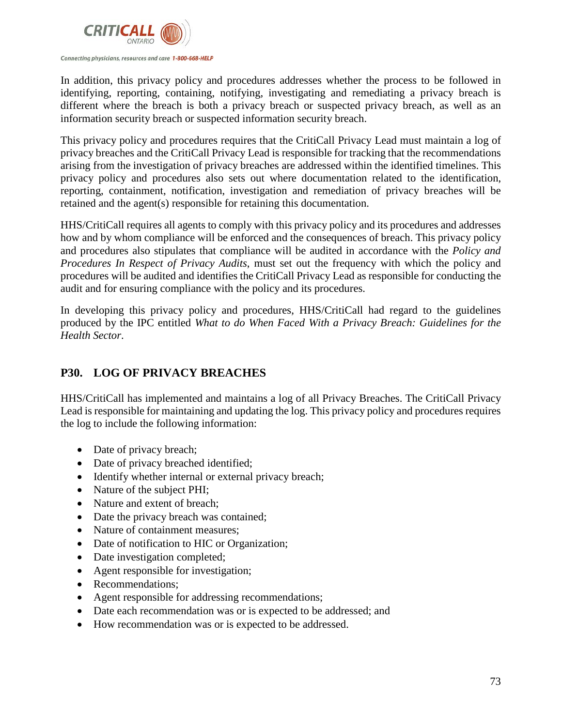

In addition, this privacy policy and procedures addresses whether the process to be followed in identifying, reporting, containing, notifying, investigating and remediating a privacy breach is different where the breach is both a privacy breach or suspected privacy breach, as well as an information security breach or suspected information security breach.

This privacy policy and procedures requires that the CritiCall Privacy Lead must maintain a log of privacy breaches and the CritiCall Privacy Lead is responsible for tracking that the recommendations arising from the investigation of privacy breaches are addressed within the identified timelines. This privacy policy and procedures also sets out where documentation related to the identification, reporting, containment, notification, investigation and remediation of privacy breaches will be retained and the agent(s) responsible for retaining this documentation.

HHS/CritiCall requires all agents to comply with this privacy policy and its procedures and addresses how and by whom compliance will be enforced and the consequences of breach. This privacy policy and procedures also stipulates that compliance will be audited in accordance with the *Policy and Procedures In Respect of Privacy Audits*, must set out the frequency with which the policy and procedures will be audited and identifies the CritiCall Privacy Lead as responsible for conducting the audit and for ensuring compliance with the policy and its procedures.

In developing this privacy policy and procedures, HHS/CritiCall had regard to the guidelines produced by the IPC entitled *What to do When Faced With a Privacy Breach: Guidelines for the Health Sector*.

# **P30. LOG OF PRIVACY BREACHES**

HHS/CritiCall has implemented and maintains a log of all Privacy Breaches. The CritiCall Privacy Lead is responsible for maintaining and updating the log. This privacy policy and procedures requires the log to include the following information:

- Date of privacy breach;
- Date of privacy breached identified;
- Identify whether internal or external privacy breach;
- Nature of the subject PHI;
- Nature and extent of breach:
- Date the privacy breach was contained;
- Nature of containment measures;
- Date of notification to HIC or Organization;
- Date investigation completed;
- Agent responsible for investigation;
- Recommendations;
- Agent responsible for addressing recommendations;
- Date each recommendation was or is expected to be addressed; and
- How recommendation was or is expected to be addressed.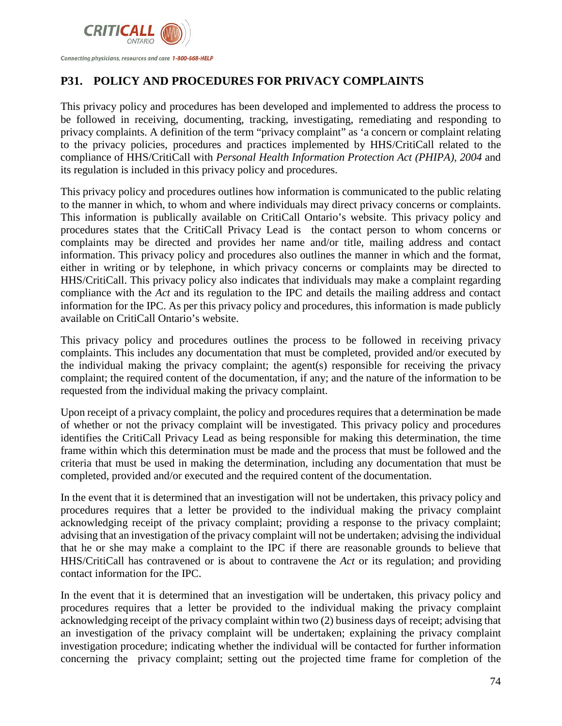

# **P31. POLICY AND PROCEDURES FOR PRIVACY COMPLAINTS**

This privacy policy and procedures has been developed and implemented to address the process to be followed in receiving, documenting, tracking, investigating, remediating and responding to privacy complaints. A definition of the term "privacy complaint" as 'a concern or complaint relating to the privacy policies, procedures and practices implemented by HHS/CritiCall related to the compliance of HHS/CritiCall with *Personal Health Information Protection Act (PHIPA), 2004* and its regulation is included in this privacy policy and procedures.

This privacy policy and procedures outlines how information is communicated to the public relating to the manner in which, to whom and where individuals may direct privacy concerns or complaints. This information is publically available on CritiCall Ontario's website. This privacy policy and procedures states that the CritiCall Privacy Lead is the contact person to whom concerns or complaints may be directed and provides her name and/or title, mailing address and contact information. This privacy policy and procedures also outlines the manner in which and the format, either in writing or by telephone, in which privacy concerns or complaints may be directed to HHS/CritiCall. This privacy policy also indicates that individuals may make a complaint regarding compliance with the *Act* and its regulation to the IPC and details the mailing address and contact information for the IPC. As per this privacy policy and procedures, this information is made publicly available on CritiCall Ontario's website.

This privacy policy and procedures outlines the process to be followed in receiving privacy complaints. This includes any documentation that must be completed, provided and/or executed by the individual making the privacy complaint; the agent(s) responsible for receiving the privacy complaint; the required content of the documentation, if any; and the nature of the information to be requested from the individual making the privacy complaint.

Upon receipt of a privacy complaint, the policy and procedures requires that a determination be made of whether or not the privacy complaint will be investigated. This privacy policy and procedures identifies the CritiCall Privacy Lead as being responsible for making this determination, the time frame within which this determination must be made and the process that must be followed and the criteria that must be used in making the determination, including any documentation that must be completed, provided and/or executed and the required content of the documentation.

In the event that it is determined that an investigation will not be undertaken, this privacy policy and procedures requires that a letter be provided to the individual making the privacy complaint acknowledging receipt of the privacy complaint; providing a response to the privacy complaint; advising that an investigation of the privacy complaint will not be undertaken; advising the individual that he or she may make a complaint to the IPC if there are reasonable grounds to believe that HHS/CritiCall has contravened or is about to contravene the *Act* or its regulation; and providing contact information for the IPC.

In the event that it is determined that an investigation will be undertaken, this privacy policy and procedures requires that a letter be provided to the individual making the privacy complaint acknowledging receipt of the privacy complaint within two (2) business days of receipt; advising that an investigation of the privacy complaint will be undertaken; explaining the privacy complaint investigation procedure; indicating whether the individual will be contacted for further information concerning the privacy complaint; setting out the projected time frame for completion of the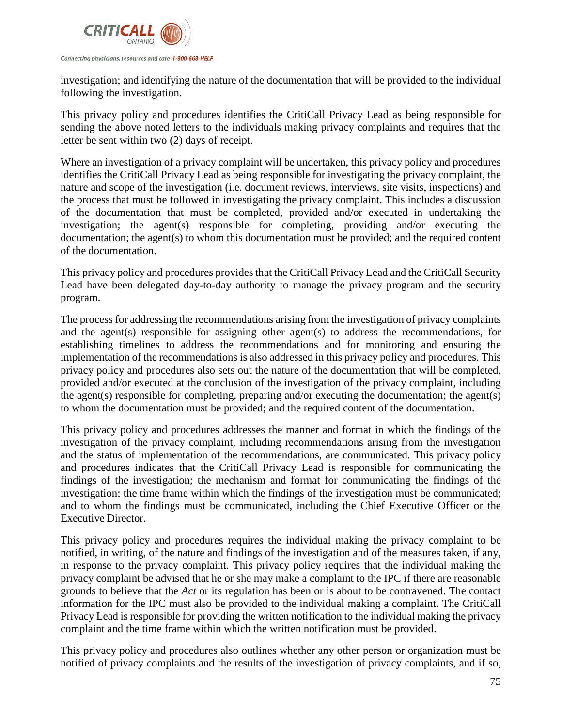

investigation; and identifying the nature of the documentation that will be provided to the individual following the investigation.

This privacy policy and procedures identifies the CritiCall Privacy Lead as being responsible for sending the above noted letters to the individuals making privacy complaints and requires that the letter be sent within two (2) days of receipt.

Where an investigation of a privacy complaint will be undertaken, this privacy policy and procedures identifies the CritiCall Privacy Lead as being responsible for investigating the privacy complaint, the nature and scope of the investigation (i.e. document reviews, interviews, site visits, inspections) and the process that must be followed in investigating the privacy complaint. This includes a discussion of the documentation that must be completed, provided and/or executed in undertaking the investigation; the agent(s) responsible for completing, providing and/or executing the documentation; the agent(s) to whom this documentation must be provided; and the required content of the documentation.

This privacy policy and procedures provides that the CritiCall Privacy Lead and the CritiCall Security Lead have been delegated day-to-day authority to manage the privacy program and the security program.

The process for addressing the recommendations arising from the investigation of privacy complaints and the agent(s) responsible for assigning other agent(s) to address the recommendations, for establishing timelines to address the recommendations and for monitoring and ensuring the implementation of the recommendations is also addressed in this privacy policy and procedures. This privacy policy and procedures also sets out the nature of the documentation that will be completed, provided and/or executed at the conclusion of the investigation of the privacy complaint, including the agent(s) responsible for completing, preparing and/or executing the documentation; the agent(s) to whom the documentation must be provided; and the required content of the documentation.

This privacy policy and procedures addresses the manner and format in which the findings of the investigation of the privacy complaint, including recommendations arising from the investigation and the status of implementation of the recommendations, are communicated. This privacy policy and procedures indicates that the CritiCall Privacy Lead is responsible for communicating the findings of the investigation; the mechanism and format for communicating the findings of the investigation; the time frame within which the findings of the investigation must be communicated; and to whom the findings must be communicated, including the Chief Executive Officer or the Executive Director.

This privacy policy and procedures requires the individual making the privacy complaint to be notified, in writing, of the nature and findings of the investigation and of the measures taken, if any, in response to the privacy complaint. This privacy policy requires that the individual making the privacy complaint be advised that he or she may make a complaint to the IPC if there are reasonable grounds to believe that the *Act* or its regulation has been or is about to be contravened. The contact information for the IPC must also be provided to the individual making a complaint. The CritiCall Privacy Lead is responsible for providing the written notification to the individual making the privacy complaint and the time frame within which the written notification must be provided.

This privacy policy and procedures also outlines whether any other person or organization must be notified of privacy complaints and the results of the investigation of privacy complaints, and if so,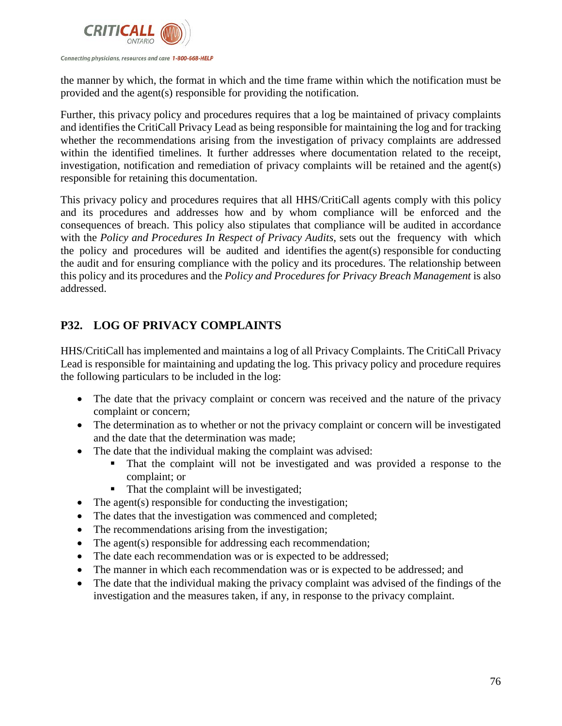

the manner by which, the format in which and the time frame within which the notification must be provided and the agent(s) responsible for providing the notification.

Further, this privacy policy and procedures requires that a log be maintained of privacy complaints and identifies the CritiCall Privacy Lead as being responsible for maintaining the log and for tracking whether the recommendations arising from the investigation of privacy complaints are addressed within the identified timelines. It further addresses where documentation related to the receipt, investigation, notification and remediation of privacy complaints will be retained and the agent(s) responsible for retaining this documentation.

This privacy policy and procedures requires that all HHS/CritiCall agents comply with this policy and its procedures and addresses how and by whom compliance will be enforced and the consequences of breach. This policy also stipulates that compliance will be audited in accordance with the *Policy and Procedures In Respect of Privacy Audits*, sets out the frequency with which the policy and procedures will be audited and identifies the agent(s) responsible for conducting the audit and for ensuring compliance with the policy and its procedures. The relationship between this policy and its procedures and the *Policy and Procedures for Privacy Breach Management* is also addressed.

# **P32. LOG OF PRIVACY COMPLAINTS**

HHS/CritiCall has implemented and maintains a log of all Privacy Complaints. The CritiCall Privacy Lead is responsible for maintaining and updating the log. This privacy policy and procedure requires the following particulars to be included in the log:

- The date that the privacy complaint or concern was received and the nature of the privacy complaint or concern;
- The determination as to whether or not the privacy complaint or concern will be investigated and the date that the determination was made;
- The date that the individual making the complaint was advised:
	- That the complaint will not be investigated and was provided a response to the complaint; or
	- That the complaint will be investigated;
- The agent(s) responsible for conducting the investigation;
- The dates that the investigation was commenced and completed;
- The recommendations arising from the investigation;
- The agent(s) responsible for addressing each recommendation;
- The date each recommendation was or is expected to be addressed;
- The manner in which each recommendation was or is expected to be addressed; and
- The date that the individual making the privacy complaint was advised of the findings of the investigation and the measures taken, if any, in response to the privacy complaint.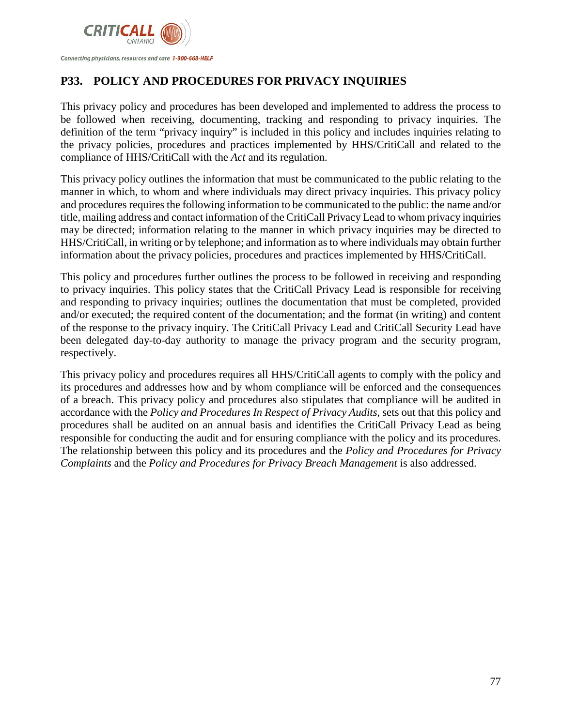

# **P33. POLICY AND PROCEDURES FOR PRIVACY INQUIRIES**

This privacy policy and procedures has been developed and implemented to address the process to be followed when receiving, documenting, tracking and responding to privacy inquiries. The definition of the term "privacy inquiry" is included in this policy and includes inquiries relating to the privacy policies, procedures and practices implemented by HHS/CritiCall and related to the compliance of HHS/CritiCall with the *Act* and its regulation.

This privacy policy outlines the information that must be communicated to the public relating to the manner in which, to whom and where individuals may direct privacy inquiries. This privacy policy and procedures requires the following information to be communicated to the public: the name and/or title, mailing address and contact information of the CritiCall Privacy Lead to whom privacy inquiries may be directed; information relating to the manner in which privacy inquiries may be directed to HHS/CritiCall, in writing or by telephone; and information as to where individuals may obtain further information about the privacy policies, procedures and practices implemented by HHS/CritiCall.

This policy and procedures further outlines the process to be followed in receiving and responding to privacy inquiries. This policy states that the CritiCall Privacy Lead is responsible for receiving and responding to privacy inquiries; outlines the documentation that must be completed, provided and/or executed; the required content of the documentation; and the format (in writing) and content of the response to the privacy inquiry. The CritiCall Privacy Lead and CritiCall Security Lead have been delegated day-to-day authority to manage the privacy program and the security program, respectively.

This privacy policy and procedures requires all HHS/CritiCall agents to comply with the policy and its procedures and addresses how and by whom compliance will be enforced and the consequences of a breach. This privacy policy and procedures also stipulates that compliance will be audited in accordance with the *Policy and Procedures In Respect of Privacy Audits*, sets out that this policy and procedures shall be audited on an annual basis and identifies the CritiCall Privacy Lead as being responsible for conducting the audit and for ensuring compliance with the policy and its procedures. The relationship between this policy and its procedures and the *Policy and Procedures for Privacy Complaints* and the *Policy and Procedures for Privacy Breach Management* is also addressed.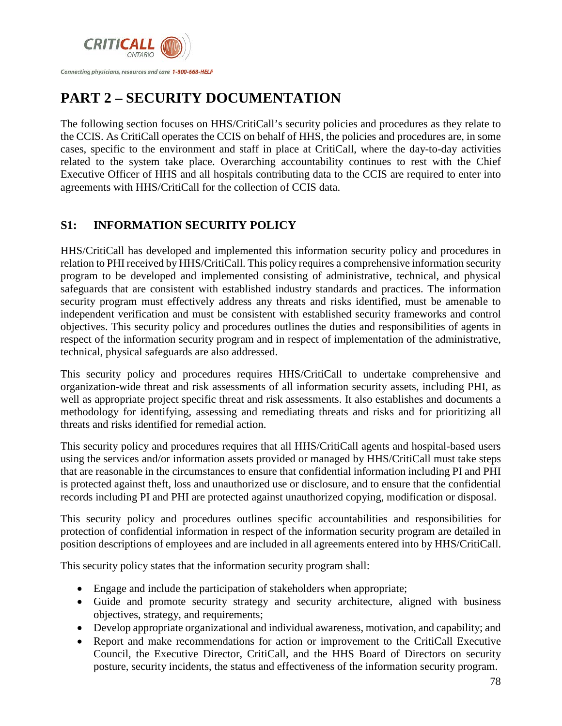

# **PART 2 – SECURITY DOCUMENTATION**

The following section focuses on HHS/CritiCall's security policies and procedures as they relate to the CCIS. As CritiCall operates the CCIS on behalf of HHS, the policies and procedures are, in some cases, specific to the environment and staff in place at CritiCall, where the day-to-day activities related to the system take place. Overarching accountability continues to rest with the Chief Executive Officer of HHS and all hospitals contributing data to the CCIS are required to enter into agreements with HHS/CritiCall for the collection of CCIS data.

# **S1: INFORMATION SECURITY POLICY**

HHS/CritiCall has developed and implemented this information security policy and procedures in relation to PHI received by HHS/CritiCall. This policy requires a comprehensive information security program to be developed and implemented consisting of administrative, technical, and physical safeguards that are consistent with established industry standards and practices. The information security program must effectively address any threats and risks identified, must be amenable to independent verification and must be consistent with established security frameworks and control objectives. This security policy and procedures outlines the duties and responsibilities of agents in respect of the information security program and in respect of implementation of the administrative, technical, physical safeguards are also addressed.

This security policy and procedures requires HHS/CritiCall to undertake comprehensive and organization-wide threat and risk assessments of all information security assets, including PHI, as well as appropriate project specific threat and risk assessments. It also establishes and documents a methodology for identifying, assessing and remediating threats and risks and for prioritizing all threats and risks identified for remedial action.

This security policy and procedures requires that all HHS/CritiCall agents and hospital-based users using the services and/or information assets provided or managed by HHS/CritiCall must take steps that are reasonable in the circumstances to ensure that confidential information including PI and PHI is protected against theft, loss and unauthorized use or disclosure, and to ensure that the confidential records including PI and PHI are protected against unauthorized copying, modification or disposal.

This security policy and procedures outlines specific accountabilities and responsibilities for protection of confidential information in respect of the information security program are detailed in position descriptions of employees and are included in all agreements entered into by HHS/CritiCall.

This security policy states that the information security program shall:

- Engage and include the participation of stakeholders when appropriate;
- Guide and promote security strategy and security architecture, aligned with business objectives, strategy, and requirements;
- Develop appropriate organizational and individual awareness, motivation, and capability; and
- Report and make recommendations for action or improvement to the CritiCall Executive Council, the Executive Director, CritiCall, and the HHS Board of Directors on security posture, security incidents, the status and effectiveness of the information security program.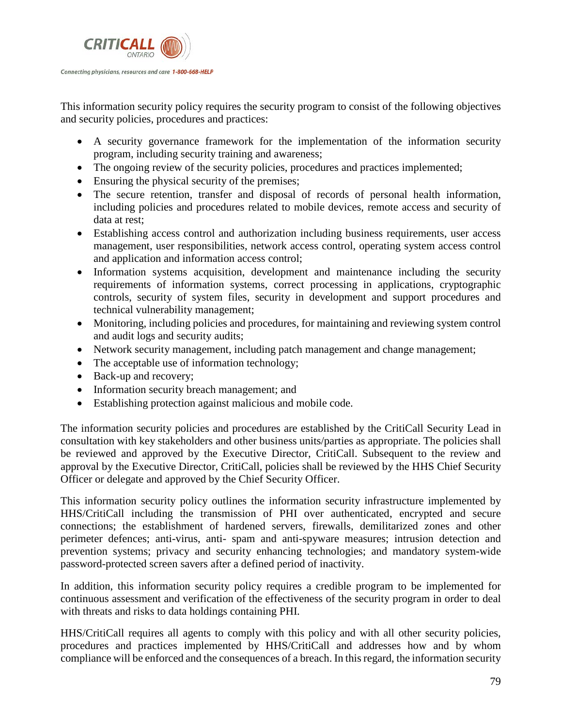

This information security policy requires the security program to consist of the following objectives and security policies, procedures and practices:

- A security governance framework for the implementation of the information security program, including security training and awareness;
- The ongoing review of the security policies, procedures and practices implemented;
- Ensuring the physical security of the premises;
- The secure retention, transfer and disposal of records of personal health information, including policies and procedures related to mobile devices, remote access and security of data at rest;
- Establishing access control and authorization including business requirements, user access management, user responsibilities, network access control, operating system access control and application and information access control;
- Information systems acquisition, development and maintenance including the security requirements of information systems, correct processing in applications, cryptographic controls, security of system files, security in development and support procedures and technical vulnerability management;
- Monitoring, including policies and procedures, for maintaining and reviewing system control and audit logs and security audits;
- Network security management, including patch management and change management;
- The acceptable use of information technology;
- Back-up and recovery;
- Information security breach management; and
- Establishing protection against malicious and mobile code.

The information security policies and procedures are established by the CritiCall Security Lead in consultation with key stakeholders and other business units/parties as appropriate. The policies shall be reviewed and approved by the Executive Director, CritiCall. Subsequent to the review and approval by the Executive Director, CritiCall, policies shall be reviewed by the HHS Chief Security Officer or delegate and approved by the Chief Security Officer.

This information security policy outlines the information security infrastructure implemented by HHS/CritiCall including the transmission of PHI over authenticated, encrypted and secure connections; the establishment of hardened servers, firewalls, demilitarized zones and other perimeter defences; anti-virus, anti- spam and anti-spyware measures; intrusion detection and prevention systems; privacy and security enhancing technologies; and mandatory system-wide password-protected screen savers after a defined period of inactivity.

In addition, this information security policy requires a credible program to be implemented for continuous assessment and verification of the effectiveness of the security program in order to deal with threats and risks to data holdings containing PHI.

HHS/CritiCall requires all agents to comply with this policy and with all other security policies, procedures and practices implemented by HHS/CritiCall and addresses how and by whom compliance will be enforced and the consequences of a breach. In this regard, the information security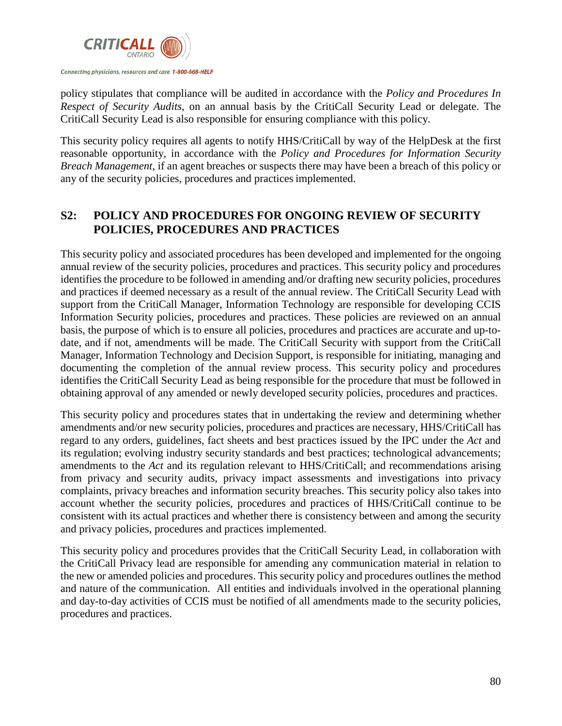

policy stipulates that compliance will be audited in accordance with the *Policy and Procedures In Respect of Security Audits*, on an annual basis by the CritiCall Security Lead or delegate. The CritiCall Security Lead is also responsible for ensuring compliance with this policy.

This security policy requires all agents to notify HHS/CritiCall by way of the HelpDesk at the first reasonable opportunity, in accordance with the *Policy and Procedures for Information Security Breach Management*, if an agent breaches or suspects there may have been a breach of this policy or any of the security policies, procedures and practices implemented.

# **S2: POLICY AND PROCEDURES FOR ONGOING REVIEW OF SECURITY POLICIES, PROCEDURES AND PRACTICES**

This security policy and associated procedures has been developed and implemented for the ongoing annual review of the security policies, procedures and practices. This security policy and procedures identifies the procedure to be followed in amending and/or drafting new security policies, procedures and practices if deemed necessary as a result of the annual review. The CritiCall Security Lead with support from the CritiCall Manager, Information Technology are responsible for developing CCIS Information Security policies, procedures and practices. These policies are reviewed on an annual basis, the purpose of which is to ensure all policies, procedures and practices are accurate and up-todate, and if not, amendments will be made. The CritiCall Security with support from the CritiCall Manager, Information Technology and Decision Support, is responsible for initiating, managing and documenting the completion of the annual review process. This security policy and procedures identifies the CritiCall Security Lead as being responsible for the procedure that must be followed in obtaining approval of any amended or newly developed security policies, procedures and practices.

This security policy and procedures states that in undertaking the review and determining whether amendments and/or new security policies, procedures and practices are necessary, HHS/CritiCall has regard to any orders, guidelines, fact sheets and best practices issued by the IPC under the *Act* and its regulation; evolving industry security standards and best practices; technological advancements; amendments to the *Act* and its regulation relevant to HHS/CritiCall; and recommendations arising from privacy and security audits, privacy impact assessments and investigations into privacy complaints, privacy breaches and information security breaches. This security policy also takes into account whether the security policies, procedures and practices of HHS/CritiCall continue to be consistent with its actual practices and whether there is consistency between and among the security and privacy policies, procedures and practices implemented.

This security policy and procedures provides that the CritiCall Security Lead, in collaboration with the CritiCall Privacy lead are responsible for amending any communication material in relation to the new or amended policies and procedures. This security policy and procedures outlines the method and nature of the communication. All entities and individuals involved in the operational planning and day-to-day activities of CCIS must be notified of all amendments made to the security policies, procedures and practices.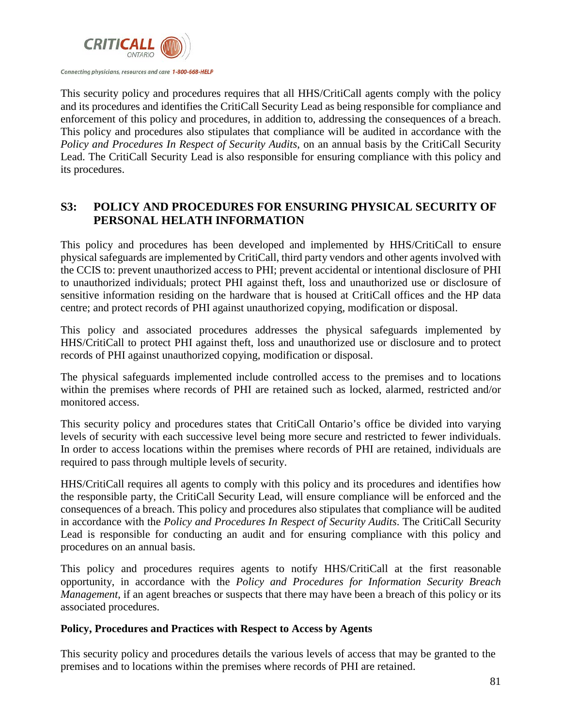

This security policy and procedures requires that all HHS/CritiCall agents comply with the policy and its procedures and identifies the CritiCall Security Lead as being responsible for compliance and enforcement of this policy and procedures, in addition to, addressing the consequences of a breach. This policy and procedures also stipulates that compliance will be audited in accordance with the *Policy and Procedures In Respect of Security Audits*, on an annual basis by the CritiCall Security Lead. The CritiCall Security Lead is also responsible for ensuring compliance with this policy and its procedures.

# **S3: POLICY AND PROCEDURES FOR ENSURING PHYSICAL SECURITY OF PERSONAL HELATH INFORMATION**

This policy and procedures has been developed and implemented by HHS/CritiCall to ensure physical safeguards are implemented by CritiCall, third party vendors and other agents involved with the CCIS to: prevent unauthorized access to PHI; prevent accidental or intentional disclosure of PHI to unauthorized individuals; protect PHI against theft, loss and unauthorized use or disclosure of sensitive information residing on the hardware that is housed at CritiCall offices and the HP data centre; and protect records of PHI against unauthorized copying, modification or disposal.

This policy and associated procedures addresses the physical safeguards implemented by HHS/CritiCall to protect PHI against theft, loss and unauthorized use or disclosure and to protect records of PHI against unauthorized copying, modification or disposal.

The physical safeguards implemented include controlled access to the premises and to locations within the premises where records of PHI are retained such as locked, alarmed, restricted and/or monitored access.

This security policy and procedures states that CritiCall Ontario's office be divided into varying levels of security with each successive level being more secure and restricted to fewer individuals. In order to access locations within the premises where records of PHI are retained, individuals are required to pass through multiple levels of security.

HHS/CritiCall requires all agents to comply with this policy and its procedures and identifies how the responsible party, the CritiCall Security Lead, will ensure compliance will be enforced and the consequences of a breach. This policy and procedures also stipulates that compliance will be audited in accordance with the *Policy and Procedures In Respect of Security Audits*. The CritiCall Security Lead is responsible for conducting an audit and for ensuring compliance with this policy and procedures on an annual basis.

This policy and procedures requires agents to notify HHS/CritiCall at the first reasonable opportunity, in accordance with the *Policy and Procedures for Information Security Breach Management*, if an agent breaches or suspects that there may have been a breach of this policy or its associated procedures.

### **Policy, Procedures and Practices with Respect to Access by Agents**

This security policy and procedures details the various levels of access that may be granted to the premises and to locations within the premises where records of PHI are retained.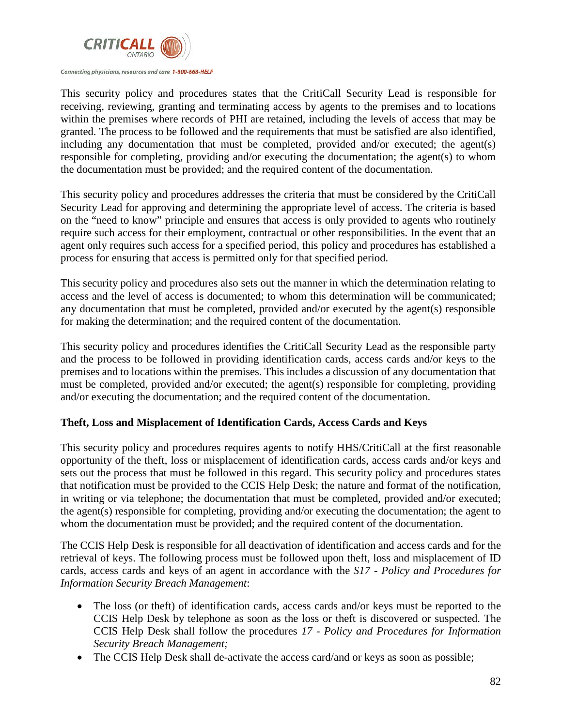

This security policy and procedures states that the CritiCall Security Lead is responsible for receiving, reviewing, granting and terminating access by agents to the premises and to locations within the premises where records of PHI are retained, including the levels of access that may be granted. The process to be followed and the requirements that must be satisfied are also identified, including any documentation that must be completed, provided and/or executed; the agent(s) responsible for completing, providing and/or executing the documentation; the agent(s) to whom the documentation must be provided; and the required content of the documentation.

This security policy and procedures addresses the criteria that must be considered by the CritiCall Security Lead for approving and determining the appropriate level of access. The criteria is based on the "need to know" principle and ensures that access is only provided to agents who routinely require such access for their employment, contractual or other responsibilities. In the event that an agent only requires such access for a specified period, this policy and procedures has established a process for ensuring that access is permitted only for that specified period.

This security policy and procedures also sets out the manner in which the determination relating to access and the level of access is documented; to whom this determination will be communicated; any documentation that must be completed, provided and/or executed by the agent(s) responsible for making the determination; and the required content of the documentation.

This security policy and procedures identifies the CritiCall Security Lead as the responsible party and the process to be followed in providing identification cards, access cards and/or keys to the premises and to locations within the premises. This includes a discussion of any documentation that must be completed, provided and/or executed; the agent(s) responsible for completing, providing and/or executing the documentation; and the required content of the documentation.

### **Theft, Loss and Misplacement of Identification Cards, Access Cards and Keys**

This security policy and procedures requires agents to notify HHS/CritiCall at the first reasonable opportunity of the theft, loss or misplacement of identification cards, access cards and/or keys and sets out the process that must be followed in this regard. This security policy and procedures states that notification must be provided to the CCIS Help Desk; the nature and format of the notification, in writing or via telephone; the documentation that must be completed, provided and/or executed; the agent(s) responsible for completing, providing and/or executing the documentation; the agent to whom the documentation must be provided; and the required content of the documentation.

The CCIS Help Desk is responsible for all deactivation of identification and access cards and for the retrieval of keys. The following process must be followed upon theft, loss and misplacement of ID cards, access cards and keys of an agent in accordance with the *S17* - *Policy and Procedures for Information Security Breach Management*:

- The loss (or theft) of identification cards, access cards and/or keys must be reported to the CCIS Help Desk by telephone as soon as the loss or theft is discovered or suspected. The CCIS Help Desk shall follow the procedures *17 - Policy and Procedures for Information Security Breach Management;*
- The CCIS Help Desk shall de-activate the access card/and or keys as soon as possible;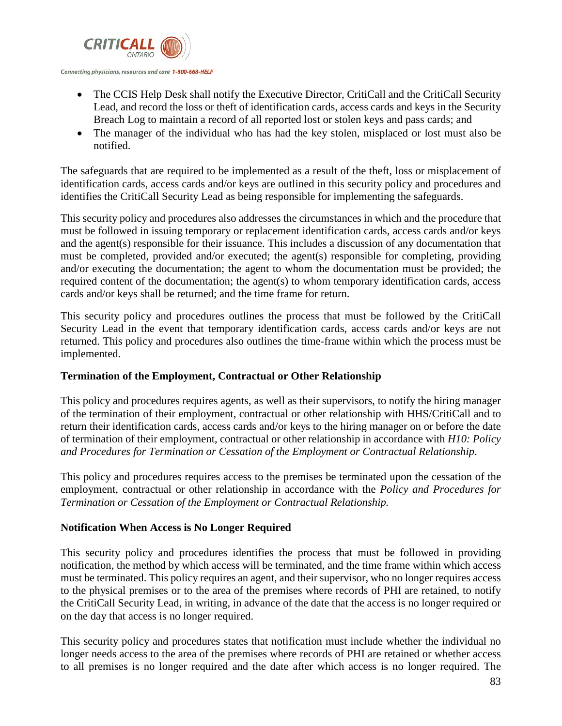

- The CCIS Help Desk shall notify the Executive Director, CritiCall and the CritiCall Security Lead, and record the loss or theft of identification cards, access cards and keys in the Security Breach Log to maintain a record of all reported lost or stolen keys and pass cards; and
- The manager of the individual who has had the key stolen, misplaced or lost must also be notified.

The safeguards that are required to be implemented as a result of the theft, loss or misplacement of identification cards, access cards and/or keys are outlined in this security policy and procedures and identifies the CritiCall Security Lead as being responsible for implementing the safeguards.

This security policy and procedures also addresses the circumstances in which and the procedure that must be followed in issuing temporary or replacement identification cards, access cards and/or keys and the agent(s) responsible for their issuance. This includes a discussion of any documentation that must be completed, provided and/or executed; the agent(s) responsible for completing, providing and/or executing the documentation; the agent to whom the documentation must be provided; the required content of the documentation; the agent(s) to whom temporary identification cards, access cards and/or keys shall be returned; and the time frame for return.

This security policy and procedures outlines the process that must be followed by the CritiCall Security Lead in the event that temporary identification cards, access cards and/or keys are not returned. This policy and procedures also outlines the time-frame within which the process must be implemented.

### **Termination of the Employment, Contractual or Other Relationship**

This policy and procedures requires agents, as well as their supervisors, to notify the hiring manager of the termination of their employment, contractual or other relationship with HHS/CritiCall and to return their identification cards, access cards and/or keys to the hiring manager on or before the date of termination of their employment, contractual or other relationship in accordance with *H10: Policy and Procedures for Termination or Cessation of the Employment or Contractual Relationship*.

This policy and procedures requires access to the premises be terminated upon the cessation of the employment, contractual or other relationship in accordance with the *Policy and Procedures for Termination or Cessation of the Employment or Contractual Relationship.*

### **Notification When Access is No Longer Required**

This security policy and procedures identifies the process that must be followed in providing notification, the method by which access will be terminated, and the time frame within which access must be terminated. This policy requires an agent, and their supervisor, who no longer requires access to the physical premises or to the area of the premises where records of PHI are retained, to notify the CritiCall Security Lead, in writing, in advance of the date that the access is no longer required or on the day that access is no longer required.

This security policy and procedures states that notification must include whether the individual no longer needs access to the area of the premises where records of PHI are retained or whether access to all premises is no longer required and the date after which access is no longer required. The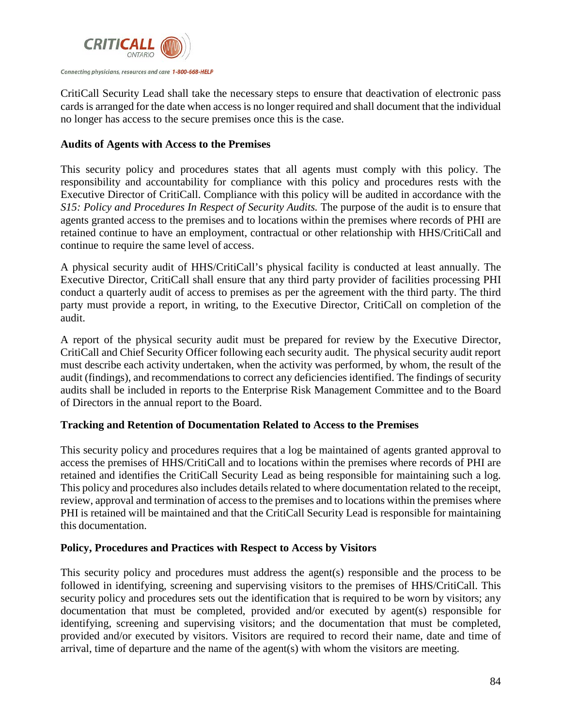

CritiCall Security Lead shall take the necessary steps to ensure that deactivation of electronic pass cards is arranged for the date when access is no longer required and shall document that the individual no longer has access to the secure premises once this is the case.

### **Audits of Agents with Access to the Premises**

This security policy and procedures states that all agents must comply with this policy. The responsibility and accountability for compliance with this policy and procedures rests with the Executive Director of CritiCall. Compliance with this policy will be audited in accordance with the *S15: Policy and Procedures In Respect of Security Audits.* The purpose of the audit is to ensure that agents granted access to the premises and to locations within the premises where records of PHI are retained continue to have an employment, contractual or other relationship with HHS/CritiCall and continue to require the same level of access.

A physical security audit of HHS/CritiCall's physical facility is conducted at least annually. The Executive Director, CritiCall shall ensure that any third party provider of facilities processing PHI conduct a quarterly audit of access to premises as per the agreement with the third party. The third party must provide a report, in writing, to the Executive Director, CritiCall on completion of the audit.

A report of the physical security audit must be prepared for review by the Executive Director, CritiCall and Chief Security Officer following each security audit. The physical security audit report must describe each activity undertaken, when the activity was performed, by whom, the result of the audit (findings), and recommendations to correct any deficiencies identified. The findings of security audits shall be included in reports to the Enterprise Risk Management Committee and to the Board of Directors in the annual report to the Board.

### **Tracking and Retention of Documentation Related to Access to the Premises**

This security policy and procedures requires that a log be maintained of agents granted approval to access the premises of HHS/CritiCall and to locations within the premises where records of PHI are retained and identifies the CritiCall Security Lead as being responsible for maintaining such a log. This policy and procedures also includes details related to where documentation related to the receipt, review, approval and termination of access to the premises and to locations within the premises where PHI is retained will be maintained and that the CritiCall Security Lead is responsible for maintaining this documentation.

### **Policy, Procedures and Practices with Respect to Access by Visitors**

This security policy and procedures must address the agent(s) responsible and the process to be followed in identifying, screening and supervising visitors to the premises of HHS/CritiCall. This security policy and procedures sets out the identification that is required to be worn by visitors; any documentation that must be completed, provided and/or executed by agent(s) responsible for identifying, screening and supervising visitors; and the documentation that must be completed, provided and/or executed by visitors. Visitors are required to record their name, date and time of arrival, time of departure and the name of the agent(s) with whom the visitors are meeting.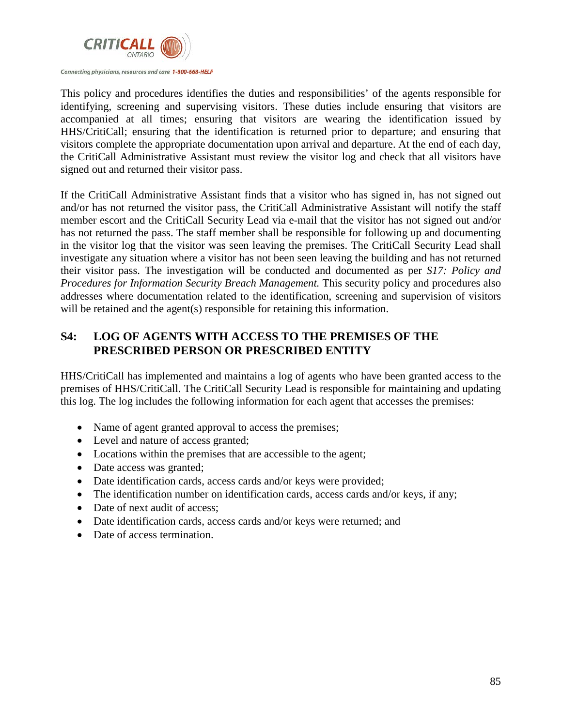

This policy and procedures identifies the duties and responsibilities' of the agents responsible for identifying, screening and supervising visitors. These duties include ensuring that visitors are accompanied at all times; ensuring that visitors are wearing the identification issued by HHS/CritiCall; ensuring that the identification is returned prior to departure; and ensuring that visitors complete the appropriate documentation upon arrival and departure. At the end of each day, the CritiCall Administrative Assistant must review the visitor log and check that all visitors have signed out and returned their visitor pass.

If the CritiCall Administrative Assistant finds that a visitor who has signed in, has not signed out and/or has not returned the visitor pass, the CritiCall Administrative Assistant will notify the staff member escort and the CritiCall Security Lead via e-mail that the visitor has not signed out and/or has not returned the pass. The staff member shall be responsible for following up and documenting in the visitor log that the visitor was seen leaving the premises. The CritiCall Security Lead shall investigate any situation where a visitor has not been seen leaving the building and has not returned their visitor pass. The investigation will be conducted and documented as per *S17: Policy and Procedures for Information Security Breach Management.* This security policy and procedures also addresses where documentation related to the identification, screening and supervision of visitors will be retained and the agent(s) responsible for retaining this information.

# **S4: LOG OF AGENTS WITH ACCESS TO THE PREMISES OF THE PRESCRIBED PERSON OR PRESCRIBED ENTITY**

HHS/CritiCall has implemented and maintains a log of agents who have been granted access to the premises of HHS/CritiCall. The CritiCall Security Lead is responsible for maintaining and updating this log. The log includes the following information for each agent that accesses the premises:

- Name of agent granted approval to access the premises;
- Level and nature of access granted;
- Locations within the premises that are accessible to the agent;
- Date access was granted;
- Date identification cards, access cards and/or keys were provided;
- The identification number on identification cards, access cards and/or keys, if any;
- Date of next audit of access:
- Date identification cards, access cards and/or keys were returned; and
- Date of access termination.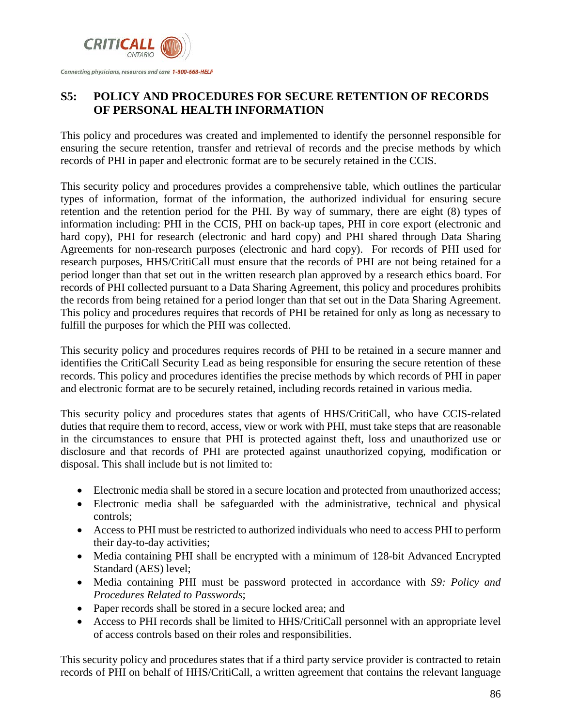

# **S5: POLICY AND PROCEDURES FOR SECURE RETENTION OF RECORDS OF PERSONAL HEALTH INFORMATION**

This policy and procedures was created and implemented to identify the personnel responsible for ensuring the secure retention, transfer and retrieval of records and the precise methods by which records of PHI in paper and electronic format are to be securely retained in the CCIS.

This security policy and procedures provides a comprehensive table, which outlines the particular types of information, format of the information, the authorized individual for ensuring secure retention and the retention period for the PHI. By way of summary, there are eight (8) types of information including: PHI in the CCIS, PHI on back-up tapes, PHI in core export (electronic and hard copy), PHI for research (electronic and hard copy) and PHI shared through Data Sharing Agreements for non-research purposes (electronic and hard copy). For records of PHI used for research purposes, HHS/CritiCall must ensure that the records of PHI are not being retained for a period longer than that set out in the written research plan approved by a research ethics board. For records of PHI collected pursuant to a Data Sharing Agreement, this policy and procedures prohibits the records from being retained for a period longer than that set out in the Data Sharing Agreement. This policy and procedures requires that records of PHI be retained for only as long as necessary to fulfill the purposes for which the PHI was collected.

This security policy and procedures requires records of PHI to be retained in a secure manner and identifies the CritiCall Security Lead as being responsible for ensuring the secure retention of these records. This policy and procedures identifies the precise methods by which records of PHI in paper and electronic format are to be securely retained, including records retained in various media.

This security policy and procedures states that agents of HHS/CritiCall, who have CCIS-related duties that require them to record, access, view or work with PHI, must take steps that are reasonable in the circumstances to ensure that PHI is protected against theft, loss and unauthorized use or disclosure and that records of PHI are protected against unauthorized copying, modification or disposal. This shall include but is not limited to:

- Electronic media shall be stored in a secure location and protected from unauthorized access;
- Electronic media shall be safeguarded with the administrative, technical and physical controls;
- Access to PHI must be restricted to authorized individuals who need to access PHI to perform their day-to-day activities;
- Media containing PHI shall be encrypted with a minimum of 128-bit Advanced Encrypted Standard (AES) level;
- Media containing PHI must be password protected in accordance with *S9: Policy and Procedures Related to Passwords*;
- Paper records shall be stored in a secure locked area; and
- Access to PHI records shall be limited to HHS/CritiCall personnel with an appropriate level of access controls based on their roles and responsibilities.

This security policy and procedures states that if a third party service provider is contracted to retain records of PHI on behalf of HHS/CritiCall, a written agreement that contains the relevant language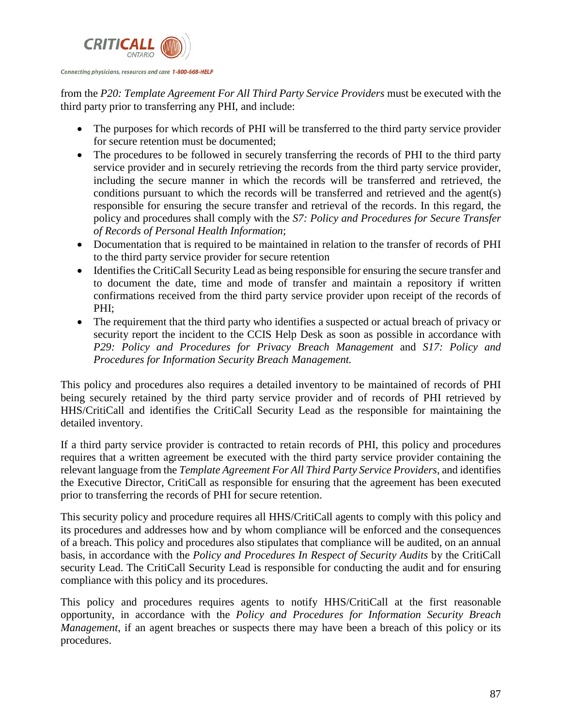

from the *P20: Template Agreement For All Third Party Service Providers* must be executed with the third party prior to transferring any PHI, and include:

- The purposes for which records of PHI will be transferred to the third party service provider for secure retention must be documented;
- The procedures to be followed in securely transferring the records of PHI to the third party service provider and in securely retrieving the records from the third party service provider, including the secure manner in which the records will be transferred and retrieved, the conditions pursuant to which the records will be transferred and retrieved and the agent(s) responsible for ensuring the secure transfer and retrieval of the records. In this regard, the policy and procedures shall comply with the *S7: Policy and Procedures for Secure Transfer of Records of Personal Health Information*;
- Documentation that is required to be maintained in relation to the transfer of records of PHI to the third party service provider for secure retention
- Identifies the CritiCall Security Lead as being responsible for ensuring the secure transfer and to document the date, time and mode of transfer and maintain a repository if written confirmations received from the third party service provider upon receipt of the records of PHI;
- The requirement that the third party who identifies a suspected or actual breach of privacy or security report the incident to the CCIS Help Desk as soon as possible in accordance with *P29: Policy and Procedures for Privacy Breach Management* and *S17: Policy and Procedures for Information Security Breach Management.*

This policy and procedures also requires a detailed inventory to be maintained of records of PHI being securely retained by the third party service provider and of records of PHI retrieved by HHS/CritiCall and identifies the CritiCall Security Lead as the responsible for maintaining the detailed inventory.

If a third party service provider is contracted to retain records of PHI, this policy and procedures requires that a written agreement be executed with the third party service provider containing the relevant language from the *Template Agreement For All Third Party Service Providers*, and identifies the Executive Director, CritiCall as responsible for ensuring that the agreement has been executed prior to transferring the records of PHI for secure retention.

This security policy and procedure requires all HHS/CritiCall agents to comply with this policy and its procedures and addresses how and by whom compliance will be enforced and the consequences of a breach. This policy and procedures also stipulates that compliance will be audited, on an annual basis, in accordance with the *Policy and Procedures In Respect of Security Audits* by the CritiCall security Lead. The CritiCall Security Lead is responsible for conducting the audit and for ensuring compliance with this policy and its procedures.

This policy and procedures requires agents to notify HHS/CritiCall at the first reasonable opportunity, in accordance with the *Policy and Procedures for Information Security Breach Management*, if an agent breaches or suspects there may have been a breach of this policy or its procedures.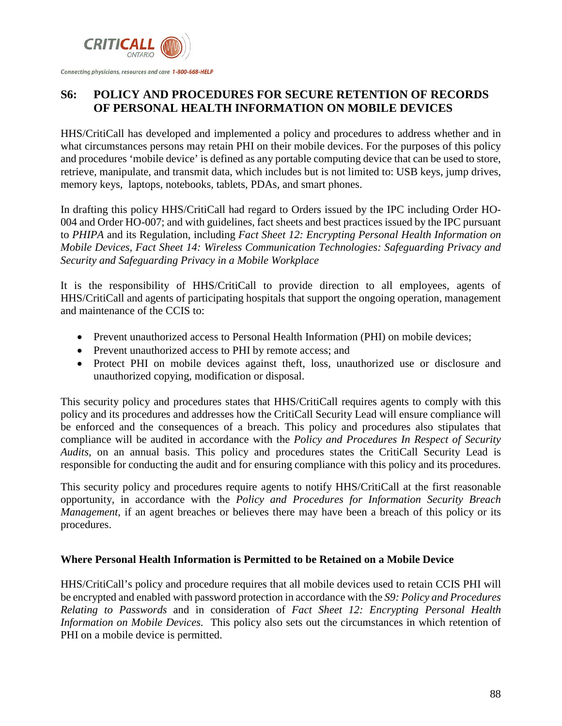

# **S6: POLICY AND PROCEDURES FOR SECURE RETENTION OF RECORDS OF PERSONAL HEALTH INFORMATION ON MOBILE DEVICES**

HHS/CritiCall has developed and implemented a policy and procedures to address whether and in what circumstances persons may retain PHI on their mobile devices. For the purposes of this policy and procedures 'mobile device' is defined as any portable computing device that can be used to store, retrieve, manipulate, and transmit data, which includes but is not limited to: USB keys, jump drives, memory keys, laptops, notebooks, tablets, PDAs, and smart phones.

In drafting this policy HHS/CritiCall had regard to Orders issued by the IPC including Order HO-004 and Order HO-007; and with guidelines, fact sheets and best practices issued by the IPC pursuant to *PHIPA* and its Regulation, including *Fact Sheet 12: Encrypting Personal Health Information on Mobile Devices, Fact Sheet 14: Wireless Communication Technologies: Safeguarding Privacy and Security and Safeguarding Privacy in a Mobile Workplace*

It is the responsibility of HHS/CritiCall to provide direction to all employees, agents of HHS/CritiCall and agents of participating hospitals that support the ongoing operation, management and maintenance of the CCIS to:

- Prevent unauthorized access to Personal Health Information (PHI) on mobile devices;
- Prevent unauthorized access to PHI by remote access; and
- Protect PHI on mobile devices against theft, loss, unauthorized use or disclosure and unauthorized copying, modification or disposal.

This security policy and procedures states that HHS/CritiCall requires agents to comply with this policy and its procedures and addresses how the CritiCall Security Lead will ensure compliance will be enforced and the consequences of a breach. This policy and procedures also stipulates that compliance will be audited in accordance with the *Policy and Procedures In Respect of Security Audits*, on an annual basis. This policy and procedures states the CritiCall Security Lead is responsible for conducting the audit and for ensuring compliance with this policy and its procedures.

This security policy and procedures require agents to notify HHS/CritiCall at the first reasonable opportunity, in accordance with the *Policy and Procedures for Information Security Breach Management*, if an agent breaches or believes there may have been a breach of this policy or its procedures.

### **Where Personal Health Information is Permitted to be Retained on a Mobile Device**

HHS/CritiCall's policy and procedure requires that all mobile devices used to retain CCIS PHI will be encrypted and enabled with password protection in accordance with the *S9: Policy and Procedures Relating to Passwords* and in consideration of *Fact Sheet 12: Encrypting Personal Health Information on Mobile Devices.* This policy also sets out the circumstances in which retention of PHI on a mobile device is permitted.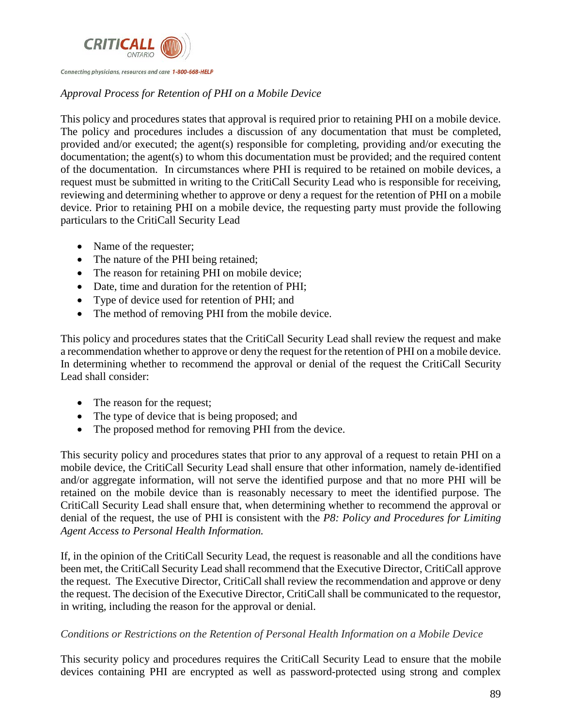

#### Connecting physicians, resources and care 1-800-668-HELP

### *Approval Process for Retention of PHI on a Mobile Device*

This policy and procedures states that approval is required prior to retaining PHI on a mobile device. The policy and procedures includes a discussion of any documentation that must be completed, provided and/or executed; the agent(s) responsible for completing, providing and/or executing the documentation; the agent(s) to whom this documentation must be provided; and the required content of the documentation. In circumstances where PHI is required to be retained on mobile devices, a request must be submitted in writing to the CritiCall Security Lead who is responsible for receiving, reviewing and determining whether to approve or deny a request for the retention of PHI on a mobile device. Prior to retaining PHI on a mobile device, the requesting party must provide the following particulars to the CritiCall Security Lead

- Name of the requester;
- The nature of the PHI being retained;
- The reason for retaining PHI on mobile device;
- Date, time and duration for the retention of PHI;
- Type of device used for retention of PHI; and
- The method of removing PHI from the mobile device.

This policy and procedures states that the CritiCall Security Lead shall review the request and make a recommendation whether to approve or deny the request for the retention of PHI on a mobile device. In determining whether to recommend the approval or denial of the request the CritiCall Security Lead shall consider:

- The reason for the request;
- The type of device that is being proposed; and
- The proposed method for removing PHI from the device.

This security policy and procedures states that prior to any approval of a request to retain PHI on a mobile device, the CritiCall Security Lead shall ensure that other information, namely de-identified and/or aggregate information, will not serve the identified purpose and that no more PHI will be retained on the mobile device than is reasonably necessary to meet the identified purpose. The CritiCall Security Lead shall ensure that, when determining whether to recommend the approval or denial of the request, the use of PHI is consistent with the *P8: Policy and Procedures for Limiting Agent Access to Personal Health Information.* 

If, in the opinion of the CritiCall Security Lead, the request is reasonable and all the conditions have been met, the CritiCall Security Lead shall recommend that the Executive Director, CritiCall approve the request. The Executive Director, CritiCall shall review the recommendation and approve or deny the request. The decision of the Executive Director, CritiCall shall be communicated to the requestor, in writing, including the reason for the approval or denial.

### *Conditions or Restrictions on the Retention of Personal Health Information on a Mobile Device*

This security policy and procedures requires the CritiCall Security Lead to ensure that the mobile devices containing PHI are encrypted as well as password-protected using strong and complex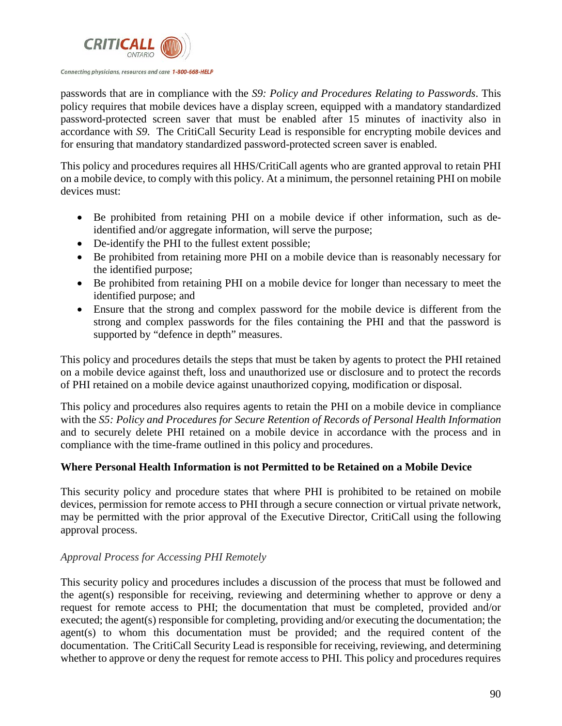

passwords that are in compliance with the *S9: Policy and Procedures Relating to Passwords*. This policy requires that mobile devices have a display screen, equipped with a mandatory standardized password-protected screen saver that must be enabled after 15 minutes of inactivity also in accordance with *S9*. The CritiCall Security Lead is responsible for encrypting mobile devices and for ensuring that mandatory standardized password-protected screen saver is enabled.

This policy and procedures requires all HHS/CritiCall agents who are granted approval to retain PHI on a mobile device, to comply with this policy. At a minimum, the personnel retaining PHI on mobile devices must:

- Be prohibited from retaining PHI on a mobile device if other information, such as deidentified and/or aggregate information, will serve the purpose;
- De-identify the PHI to the fullest extent possible;
- Be prohibited from retaining more PHI on a mobile device than is reasonably necessary for the identified purpose;
- Be prohibited from retaining PHI on a mobile device for longer than necessary to meet the identified purpose; and
- Ensure that the strong and complex password for the mobile device is different from the strong and complex passwords for the files containing the PHI and that the password is supported by "defence in depth" measures.

This policy and procedures details the steps that must be taken by agents to protect the PHI retained on a mobile device against theft, loss and unauthorized use or disclosure and to protect the records of PHI retained on a mobile device against unauthorized copying, modification or disposal.

This policy and procedures also requires agents to retain the PHI on a mobile device in compliance with the *S5: Policy and Procedures for Secure Retention of Records of Personal Health Information*  and to securely delete PHI retained on a mobile device in accordance with the process and in compliance with the time-frame outlined in this policy and procedures.

### **Where Personal Health Information is not Permitted to be Retained on a Mobile Device**

This security policy and procedure states that where PHI is prohibited to be retained on mobile devices, permission for remote access to PHI through a secure connection or virtual private network, may be permitted with the prior approval of the Executive Director, CritiCall using the following approval process.

### *Approval Process for Accessing PHI Remotely*

This security policy and procedures includes a discussion of the process that must be followed and the agent(s) responsible for receiving, reviewing and determining whether to approve or deny a request for remote access to PHI; the documentation that must be completed, provided and/or executed; the agent(s) responsible for completing, providing and/or executing the documentation; the agent(s) to whom this documentation must be provided; and the required content of the documentation. The CritiCall Security Lead is responsible for receiving, reviewing, and determining whether to approve or deny the request for remote access to PHI. This policy and procedures requires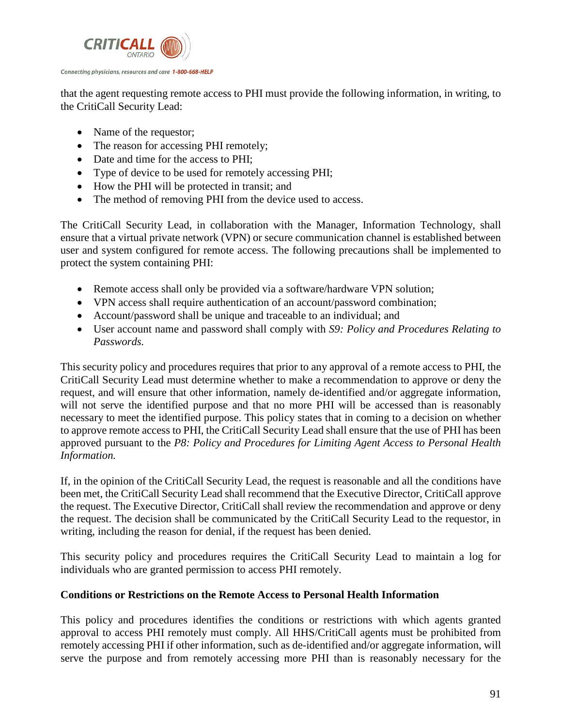

that the agent requesting remote access to PHI must provide the following information, in writing, to the CritiCall Security Lead:

- Name of the requestor;
- The reason for accessing PHI remotely;
- Date and time for the access to PHI;
- Type of device to be used for remotely accessing PHI;
- How the PHI will be protected in transit; and
- The method of removing PHI from the device used to access.

The CritiCall Security Lead, in collaboration with the Manager, Information Technology, shall ensure that a virtual private network (VPN) or secure communication channel is established between user and system configured for remote access. The following precautions shall be implemented to protect the system containing PHI:

- Remote access shall only be provided via a software/hardware VPN solution;
- VPN access shall require authentication of an account/password combination;
- Account/password shall be unique and traceable to an individual; and
- User account name and password shall comply with *S9: Policy and Procedures Relating to Passwords.*

This security policy and procedures requires that prior to any approval of a remote access to PHI, the CritiCall Security Lead must determine whether to make a recommendation to approve or deny the request, and will ensure that other information, namely de-identified and/or aggregate information, will not serve the identified purpose and that no more PHI will be accessed than is reasonably necessary to meet the identified purpose. This policy states that in coming to a decision on whether to approve remote access to PHI, the CritiCall Security Lead shall ensure that the use of PHI has been approved pursuant to the *P8: Policy and Procedures for Limiting Agent Access to Personal Health Information.* 

If, in the opinion of the CritiCall Security Lead, the request is reasonable and all the conditions have been met, the CritiCall Security Lead shall recommend that the Executive Director, CritiCall approve the request. The Executive Director, CritiCall shall review the recommendation and approve or deny the request. The decision shall be communicated by the CritiCall Security Lead to the requestor, in writing, including the reason for denial, if the request has been denied.

This security policy and procedures requires the CritiCall Security Lead to maintain a log for individuals who are granted permission to access PHI remotely.

### **Conditions or Restrictions on the Remote Access to Personal Health Information**

This policy and procedures identifies the conditions or restrictions with which agents granted approval to access PHI remotely must comply. All HHS/CritiCall agents must be prohibited from remotely accessing PHI if other information, such as de-identified and/or aggregate information, will serve the purpose and from remotely accessing more PHI than is reasonably necessary for the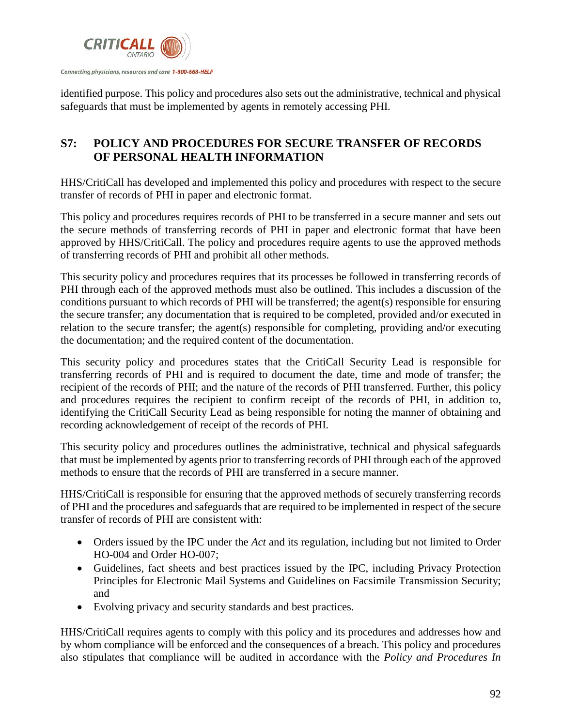

identified purpose. This policy and procedures also sets out the administrative, technical and physical safeguards that must be implemented by agents in remotely accessing PHI.

# **S7: POLICY AND PROCEDURES FOR SECURE TRANSFER OF RECORDS OF PERSONAL HEALTH INFORMATION**

HHS/CritiCall has developed and implemented this policy and procedures with respect to the secure transfer of records of PHI in paper and electronic format.

This policy and procedures requires records of PHI to be transferred in a secure manner and sets out the secure methods of transferring records of PHI in paper and electronic format that have been approved by HHS/CritiCall. The policy and procedures require agents to use the approved methods of transferring records of PHI and prohibit all other methods.

This security policy and procedures requires that its processes be followed in transferring records of PHI through each of the approved methods must also be outlined. This includes a discussion of the conditions pursuant to which records of PHI will be transferred; the agent(s) responsible for ensuring the secure transfer; any documentation that is required to be completed, provided and/or executed in relation to the secure transfer; the agent(s) responsible for completing, providing and/or executing the documentation; and the required content of the documentation.

This security policy and procedures states that the CritiCall Security Lead is responsible for transferring records of PHI and is required to document the date, time and mode of transfer; the recipient of the records of PHI; and the nature of the records of PHI transferred. Further, this policy and procedures requires the recipient to confirm receipt of the records of PHI, in addition to, identifying the CritiCall Security Lead as being responsible for noting the manner of obtaining and recording acknowledgement of receipt of the records of PHI.

This security policy and procedures outlines the administrative, technical and physical safeguards that must be implemented by agents prior to transferring records of PHI through each of the approved methods to ensure that the records of PHI are transferred in a secure manner.

HHS/CritiCall is responsible for ensuring that the approved methods of securely transferring records of PHI and the procedures and safeguards that are required to be implemented in respect of the secure transfer of records of PHI are consistent with:

- Orders issued by the IPC under the *Act* and its regulation, including but not limited to Order HO-004 and Order HO-007;
- Guidelines, fact sheets and best practices issued by the IPC, including Privacy Protection Principles for Electronic Mail Systems and Guidelines on Facsimile Transmission Security; and
- Evolving privacy and security standards and best practices.

HHS/CritiCall requires agents to comply with this policy and its procedures and addresses how and by whom compliance will be enforced and the consequences of a breach. This policy and procedures also stipulates that compliance will be audited in accordance with the *Policy and Procedures In*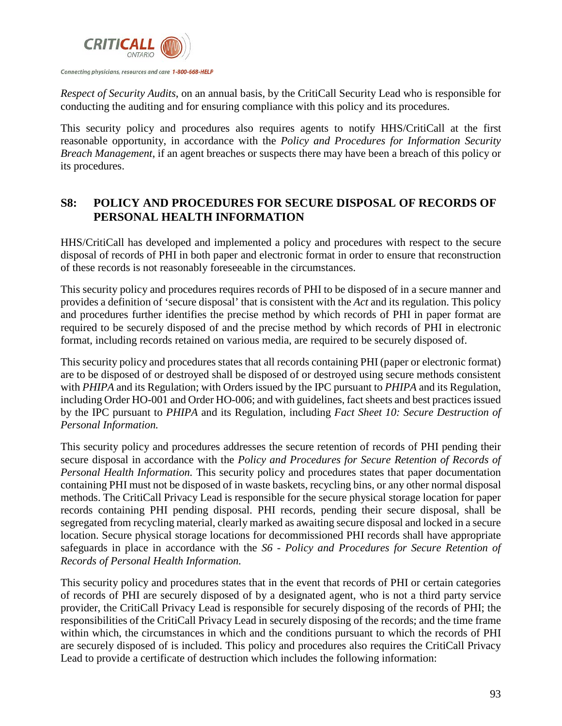

*Respect of Security Audits*, on an annual basis, by the CritiCall Security Lead who is responsible for conducting the auditing and for ensuring compliance with this policy and its procedures.

This security policy and procedures also requires agents to notify HHS/CritiCall at the first reasonable opportunity, in accordance with the *Policy and Procedures for Information Security Breach Management*, if an agent breaches or suspects there may have been a breach of this policy or its procedures.

### **S8: POLICY AND PROCEDURES FOR SECURE DISPOSAL OF RECORDS OF PERSONAL HEALTH INFORMATION**

HHS/CritiCall has developed and implemented a policy and procedures with respect to the secure disposal of records of PHI in both paper and electronic format in order to ensure that reconstruction of these records is not reasonably foreseeable in the circumstances.

This security policy and procedures requires records of PHI to be disposed of in a secure manner and provides a definition of 'secure disposal' that is consistent with the *Act* and its regulation. This policy and procedures further identifies the precise method by which records of PHI in paper format are required to be securely disposed of and the precise method by which records of PHI in electronic format, including records retained on various media, are required to be securely disposed of.

This security policy and procedures states that all records containing PHI (paper or electronic format) are to be disposed of or destroyed shall be disposed of or destroyed using secure methods consistent with *PHIPA* and its Regulation; with Orders issued by the IPC pursuant to *PHIPA* and its Regulation, including Order HO-001 and Order HO-006; and with guidelines, fact sheets and best practices issued by the IPC pursuant to *PHIPA* and its Regulation, including *Fact Sheet 10: Secure Destruction of Personal Information.*

This security policy and procedures addresses the secure retention of records of PHI pending their secure disposal in accordance with the *Policy and Procedures for Secure Retention of Records of Personal Health Information.* This security policy and procedures states that paper documentation containing PHI must not be disposed of in waste baskets, recycling bins, or any other normal disposal methods. The CritiCall Privacy Lead is responsible for the secure physical storage location for paper records containing PHI pending disposal. PHI records, pending their secure disposal, shall be segregated from recycling material, clearly marked as awaiting secure disposal and locked in a secure location. Secure physical storage locations for decommissioned PHI records shall have appropriate safeguards in place in accordance with the *S6 - Policy and Procedures for Secure Retention of Records of Personal Health Information.*

This security policy and procedures states that in the event that records of PHI or certain categories of records of PHI are securely disposed of by a designated agent, who is not a third party service provider, the CritiCall Privacy Lead is responsible for securely disposing of the records of PHI; the responsibilities of the CritiCall Privacy Lead in securely disposing of the records; and the time frame within which, the circumstances in which and the conditions pursuant to which the records of PHI are securely disposed of is included. This policy and procedures also requires the CritiCall Privacy Lead to provide a certificate of destruction which includes the following information: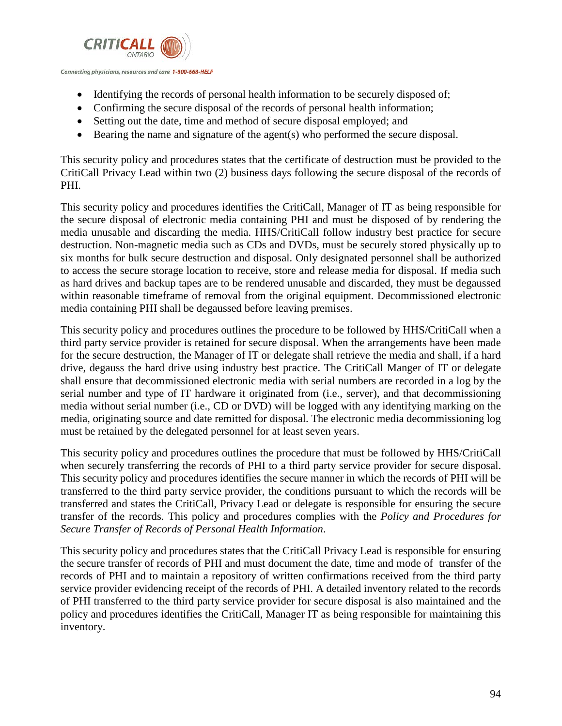

- Identifying the records of personal health information to be securely disposed of;
- Confirming the secure disposal of the records of personal health information;
- Setting out the date, time and method of secure disposal employed; and
- Bearing the name and signature of the agent(s) who performed the secure disposal.

This security policy and procedures states that the certificate of destruction must be provided to the CritiCall Privacy Lead within two (2) business days following the secure disposal of the records of PHI.

This security policy and procedures identifies the CritiCall, Manager of IT as being responsible for the secure disposal of electronic media containing PHI and must be disposed of by rendering the media unusable and discarding the media. HHS/CritiCall follow industry best practice for secure destruction. Non-magnetic media such as CDs and DVDs, must be securely stored physically up to six months for bulk secure destruction and disposal. Only designated personnel shall be authorized to access the secure storage location to receive, store and release media for disposal. If media such as hard drives and backup tapes are to be rendered unusable and discarded, they must be degaussed within reasonable timeframe of removal from the original equipment. Decommissioned electronic media containing PHI shall be degaussed before leaving premises.

This security policy and procedures outlines the procedure to be followed by HHS/CritiCall when a third party service provider is retained for secure disposal. When the arrangements have been made for the secure destruction, the Manager of IT or delegate shall retrieve the media and shall, if a hard drive, degauss the hard drive using industry best practice. The CritiCall Manger of IT or delegate shall ensure that decommissioned electronic media with serial numbers are recorded in a log by the serial number and type of IT hardware it originated from (i.e., server), and that decommissioning media without serial number (i.e., CD or DVD) will be logged with any identifying marking on the media, originating source and date remitted for disposal. The electronic media decommissioning log must be retained by the delegated personnel for at least seven years.

This security policy and procedures outlines the procedure that must be followed by HHS/CritiCall when securely transferring the records of PHI to a third party service provider for secure disposal. This security policy and procedures identifies the secure manner in which the records of PHI will be transferred to the third party service provider, the conditions pursuant to which the records will be transferred and states the CritiCall, Privacy Lead or delegate is responsible for ensuring the secure transfer of the records. This policy and procedures complies with the *Policy and Procedures for Secure Transfer of Records of Personal Health Information*.

This security policy and procedures states that the CritiCall Privacy Lead is responsible for ensuring the secure transfer of records of PHI and must document the date, time and mode of transfer of the records of PHI and to maintain a repository of written confirmations received from the third party service provider evidencing receipt of the records of PHI. A detailed inventory related to the records of PHI transferred to the third party service provider for secure disposal is also maintained and the policy and procedures identifies the CritiCall, Manager IT as being responsible for maintaining this inventory.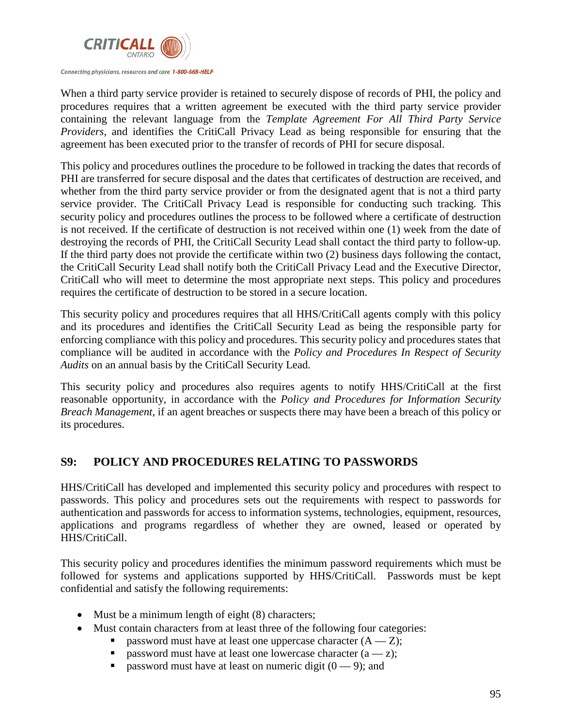

When a third party service provider is retained to securely dispose of records of PHI, the policy and procedures requires that a written agreement be executed with the third party service provider containing the relevant language from the *Template Agreement For All Third Party Service Providers*, and identifies the CritiCall Privacy Lead as being responsible for ensuring that the agreement has been executed prior to the transfer of records of PHI for secure disposal.

This policy and procedures outlines the procedure to be followed in tracking the dates that records of PHI are transferred for secure disposal and the dates that certificates of destruction are received, and whether from the third party service provider or from the designated agent that is not a third party service provider. The CritiCall Privacy Lead is responsible for conducting such tracking. This security policy and procedures outlines the process to be followed where a certificate of destruction is not received. If the certificate of destruction is not received within one (1) week from the date of destroying the records of PHI, the CritiCall Security Lead shall contact the third party to follow-up. If the third party does not provide the certificate within two (2) business days following the contact, the CritiCall Security Lead shall notify both the CritiCall Privacy Lead and the Executive Director, CritiCall who will meet to determine the most appropriate next steps. This policy and procedures requires the certificate of destruction to be stored in a secure location.

This security policy and procedures requires that all HHS/CritiCall agents comply with this policy and its procedures and identifies the CritiCall Security Lead as being the responsible party for enforcing compliance with this policy and procedures. This security policy and procedures states that compliance will be audited in accordance with the *Policy and Procedures In Respect of Security Audits* on an annual basis by the CritiCall Security Lead.

This security policy and procedures also requires agents to notify HHS/CritiCall at the first reasonable opportunity, in accordance with the *Policy and Procedures for Information Security Breach Management*, if an agent breaches or suspects there may have been a breach of this policy or its procedures.

# **S9: POLICY AND PROCEDURES RELATING TO PASSWORDS**

HHS/CritiCall has developed and implemented this security policy and procedures with respect to passwords. This policy and procedures sets out the requirements with respect to passwords for authentication and passwords for access to information systems, technologies, equipment, resources, applications and programs regardless of whether they are owned, leased or operated by HHS/CritiCall.

This security policy and procedures identifies the minimum password requirements which must be followed for systems and applications supported by HHS/CritiCall. Passwords must be kept confidential and satisfy the following requirements:

- Must be a minimum length of eight (8) characters;
- Must contain characters from at least three of the following four categories:
	- password must have at least one uppercase character  $(A Z)$ ;
	- password must have at least one lowercase character  $(a z)$ ;
	- password must have at least on numeric digit  $(0 9)$ ; and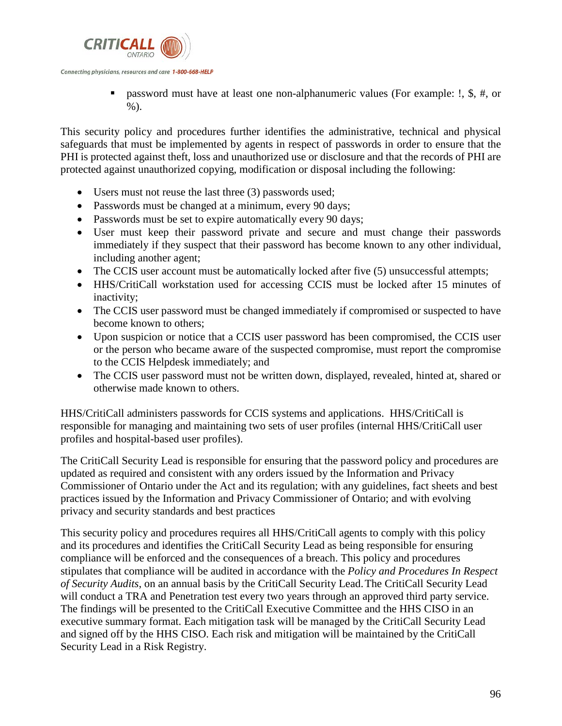

 password must have at least one non-alphanumeric values (For example: !, \$, #, or %).

This security policy and procedures further identifies the administrative, technical and physical safeguards that must be implemented by agents in respect of passwords in order to ensure that the PHI is protected against theft, loss and unauthorized use or disclosure and that the records of PHI are protected against unauthorized copying, modification or disposal including the following:

- Users must not reuse the last three (3) passwords used;
- Passwords must be changed at a minimum, every 90 days;
- Passwords must be set to expire automatically every 90 days;
- User must keep their password private and secure and must change their passwords immediately if they suspect that their password has become known to any other individual, including another agent;
- The CCIS user account must be automatically locked after five (5) unsuccessful attempts;
- HHS/CritiCall workstation used for accessing CCIS must be locked after 15 minutes of inactivity;
- The CCIS user password must be changed immediately if compromised or suspected to have become known to others;
- Upon suspicion or notice that a CCIS user password has been compromised, the CCIS user or the person who became aware of the suspected compromise, must report the compromise to the CCIS Helpdesk immediately; and
- The CCIS user password must not be written down, displayed, revealed, hinted at, shared or otherwise made known to others.

HHS/CritiCall administers passwords for CCIS systems and applications. HHS/CritiCall is responsible for managing and maintaining two sets of user profiles (internal HHS/CritiCall user profiles and hospital-based user profiles).

The CritiCall Security Lead is responsible for ensuring that the password policy and procedures are updated as required and consistent with any orders issued by the Information and Privacy Commissioner of Ontario under the Act and its regulation; with any guidelines, fact sheets and best practices issued by the Information and Privacy Commissioner of Ontario; and with evolving privacy and security standards and best practices

This security policy and procedures requires all HHS/CritiCall agents to comply with this policy and its procedures and identifies the CritiCall Security Lead as being responsible for ensuring compliance will be enforced and the consequences of a breach. This policy and procedures stipulates that compliance will be audited in accordance with the *Policy and Procedures In Respect of Security Audits*, on an annual basis by the CritiCall Security Lead. The CritiCall Security Lead will conduct a TRA and Penetration test every two years through an approved third party service. The findings will be presented to the CritiCall Executive Committee and the HHS CISO in an executive summary format. Each mitigation task will be managed by the CritiCall Security Lead and signed off by the HHS CISO. Each risk and mitigation will be maintained by the CritiCall Security Lead in a Risk Registry.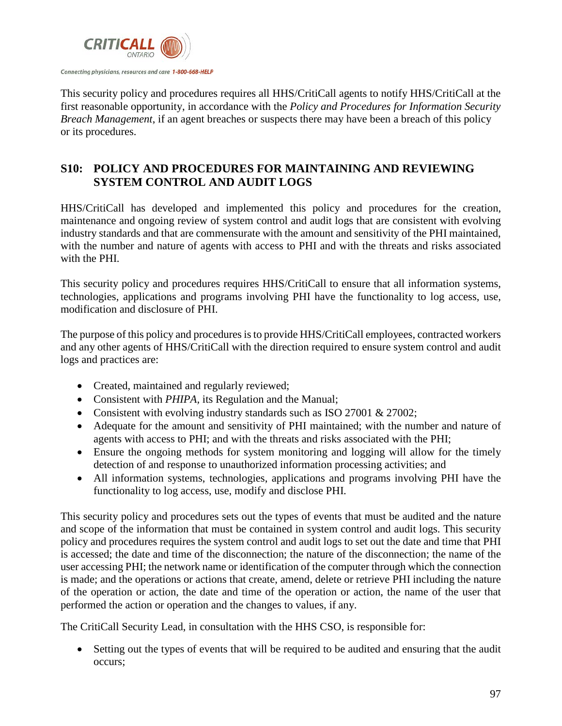

This security policy and procedures requires all HHS/CritiCall agents to notify HHS/CritiCall at the first reasonable opportunity, in accordance with the *Policy and Procedures for Information Security Breach Management*, if an agent breaches or suspects there may have been a breach of this policy or its procedures.

# **S10: POLICY AND PROCEDURES FOR MAINTAINING AND REVIEWING SYSTEM CONTROL AND AUDIT LOGS**

HHS/CritiCall has developed and implemented this policy and procedures for the creation, maintenance and ongoing review of system control and audit logs that are consistent with evolving industry standards and that are commensurate with the amount and sensitivity of the PHI maintained, with the number and nature of agents with access to PHI and with the threats and risks associated with the PHI.

This security policy and procedures requires HHS/CritiCall to ensure that all information systems, technologies, applications and programs involving PHI have the functionality to log access, use, modification and disclosure of PHI.

The purpose of this policy and proceduresis to provide HHS/CritiCall employees, contracted workers and any other agents of HHS/CritiCall with the direction required to ensure system control and audit logs and practices are:

- Created, maintained and regularly reviewed;
- Consistent with *PHIPA,* its Regulation and the Manual;
- Consistent with evolving industry standards such as ISO 27001 & 27002;
- Adequate for the amount and sensitivity of PHI maintained; with the number and nature of agents with access to PHI; and with the threats and risks associated with the PHI;
- Ensure the ongoing methods for system monitoring and logging will allow for the timely detection of and response to unauthorized information processing activities; and
- All information systems, technologies, applications and programs involving PHI have the functionality to log access, use, modify and disclose PHI.

This security policy and procedures sets out the types of events that must be audited and the nature and scope of the information that must be contained in system control and audit logs. This security policy and procedures requires the system control and audit logs to set out the date and time that PHI is accessed; the date and time of the disconnection; the nature of the disconnection; the name of the user accessing PHI; the network name or identification of the computer through which the connection is made; and the operations or actions that create, amend, delete or retrieve PHI including the nature of the operation or action, the date and time of the operation or action, the name of the user that performed the action or operation and the changes to values, if any.

The CritiCall Security Lead, in consultation with the HHS CSO, is responsible for:

• Setting out the types of events that will be required to be audited and ensuring that the audit occurs;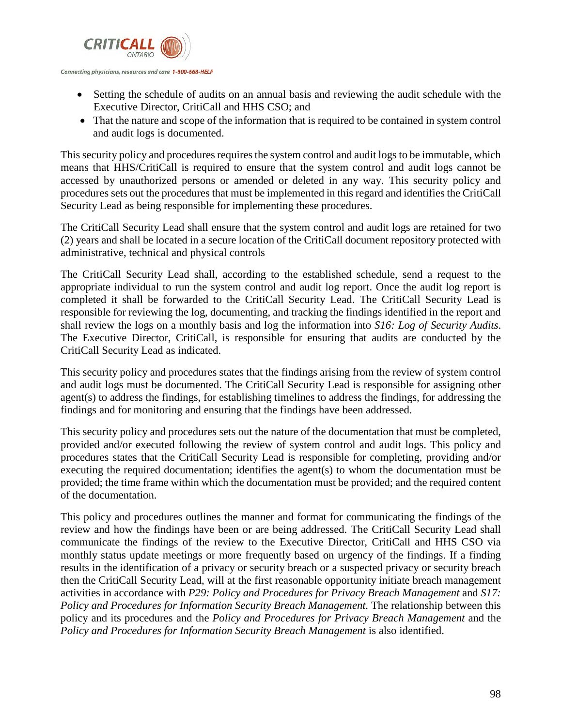

- Setting the schedule of audits on an annual basis and reviewing the audit schedule with the Executive Director, CritiCall and HHS CSO; and
- That the nature and scope of the information that is required to be contained in system control and audit logs is documented.

This security policy and procedures requires the system control and audit logs to be immutable, which means that HHS/CritiCall is required to ensure that the system control and audit logs cannot be accessed by unauthorized persons or amended or deleted in any way. This security policy and procedures sets out the procedures that must be implemented in this regard and identifies the CritiCall Security Lead as being responsible for implementing these procedures.

The CritiCall Security Lead shall ensure that the system control and audit logs are retained for two (2) years and shall be located in a secure location of the CritiCall document repository protected with administrative, technical and physical controls

The CritiCall Security Lead shall, according to the established schedule, send a request to the appropriate individual to run the system control and audit log report. Once the audit log report is completed it shall be forwarded to the CritiCall Security Lead. The CritiCall Security Lead is responsible for reviewing the log, documenting, and tracking the findings identified in the report and shall review the logs on a monthly basis and log the information into *S16: Log of Security Audits*. The Executive Director, CritiCall, is responsible for ensuring that audits are conducted by the CritiCall Security Lead as indicated.

This security policy and procedures states that the findings arising from the review of system control and audit logs must be documented. The CritiCall Security Lead is responsible for assigning other agent(s) to address the findings, for establishing timelines to address the findings, for addressing the findings and for monitoring and ensuring that the findings have been addressed.

This security policy and procedures sets out the nature of the documentation that must be completed, provided and/or executed following the review of system control and audit logs. This policy and procedures states that the CritiCall Security Lead is responsible for completing, providing and/or executing the required documentation; identifies the agent(s) to whom the documentation must be provided; the time frame within which the documentation must be provided; and the required content of the documentation.

This policy and procedures outlines the manner and format for communicating the findings of the review and how the findings have been or are being addressed. The CritiCall Security Lead shall communicate the findings of the review to the Executive Director, CritiCall and HHS CSO via monthly status update meetings or more frequently based on urgency of the findings. If a finding results in the identification of a privacy or security breach or a suspected privacy or security breach then the CritiCall Security Lead, will at the first reasonable opportunity initiate breach management activities in accordance with *P29: Policy and Procedures for Privacy Breach Management* and *S17: Policy and Procedures for Information Security Breach Management.* The relationship between this policy and its procedures and the *Policy and Procedures for Privacy Breach Management* and the *Policy and Procedures for Information Security Breach Management is also identified.*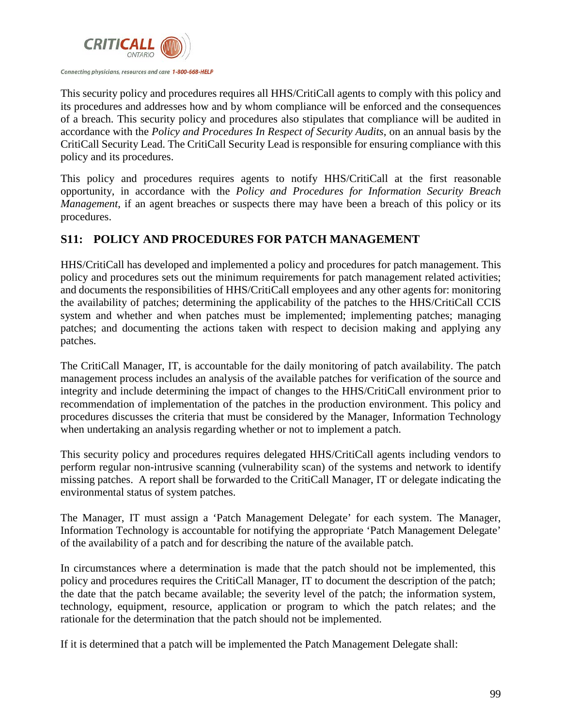

This security policy and procedures requires all HHS/CritiCall agents to comply with this policy and its procedures and addresses how and by whom compliance will be enforced and the consequences of a breach. This security policy and procedures also stipulates that compliance will be audited in accordance with the *Policy and Procedures In Respect of Security Audits*, on an annual basis by the CritiCall Security Lead. The CritiCall Security Lead is responsible for ensuring compliance with this policy and its procedures.

This policy and procedures requires agents to notify HHS/CritiCall at the first reasonable opportunity, in accordance with the *Policy and Procedures for Information Security Breach Management*, if an agent breaches or suspects there may have been a breach of this policy or its procedures.

# **S11: POLICY AND PROCEDURES FOR PATCH MANAGEMENT**

HHS/CritiCall has developed and implemented a policy and procedures for patch management. This policy and procedures sets out the minimum requirements for patch management related activities; and documents the responsibilities of HHS/CritiCall employees and any other agents for: monitoring the availability of patches; determining the applicability of the patches to the HHS/CritiCall CCIS system and whether and when patches must be implemented; implementing patches; managing patches; and documenting the actions taken with respect to decision making and applying any patches.

The CritiCall Manager, IT, is accountable for the daily monitoring of patch availability. The patch management process includes an analysis of the available patches for verification of the source and integrity and include determining the impact of changes to the HHS/CritiCall environment prior to recommendation of implementation of the patches in the production environment. This policy and procedures discusses the criteria that must be considered by the Manager, Information Technology when undertaking an analysis regarding whether or not to implement a patch.

This security policy and procedures requires delegated HHS/CritiCall agents including vendors to perform regular non-intrusive scanning (vulnerability scan) of the systems and network to identify missing patches. A report shall be forwarded to the CritiCall Manager, IT or delegate indicating the environmental status of system patches.

The Manager, IT must assign a 'Patch Management Delegate' for each system. The Manager, Information Technology is accountable for notifying the appropriate 'Patch Management Delegate' of the availability of a patch and for describing the nature of the available patch.

In circumstances where a determination is made that the patch should not be implemented, this policy and procedures requires the CritiCall Manager, IT to document the description of the patch; the date that the patch became available; the severity level of the patch; the information system, technology, equipment, resource, application or program to which the patch relates; and the rationale for the determination that the patch should not be implemented.

If it is determined that a patch will be implemented the Patch Management Delegate shall: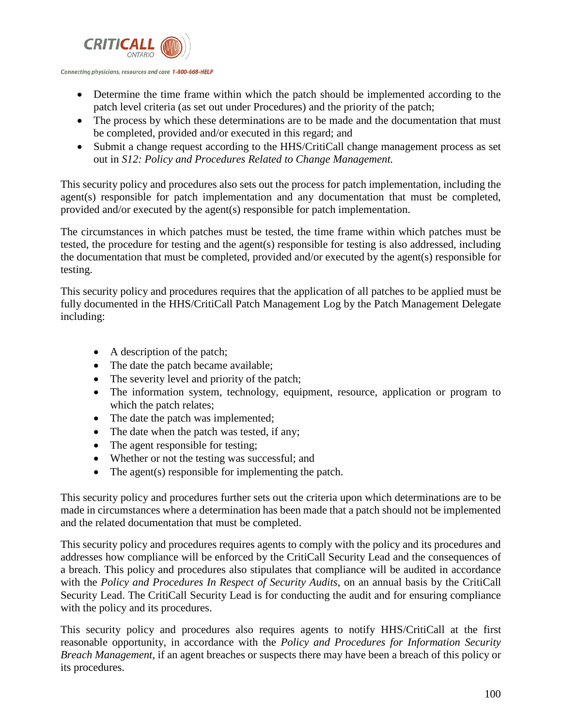

- Determine the time frame within which the patch should be implemented according to the patch level criteria (as set out under Procedures) and the priority of the patch;
- The process by which these determinations are to be made and the documentation that must be completed, provided and/or executed in this regard; and
- Submit a change request according to the HHS/CritiCall change management process as set out in *S12: Policy and Procedures Related to Change Management.*

This security policy and procedures also sets out the process for patch implementation, including the agent(s) responsible for patch implementation and any documentation that must be completed, provided and/or executed by the agent(s) responsible for patch implementation.

The circumstances in which patches must be tested, the time frame within which patches must be tested, the procedure for testing and the agent(s) responsible for testing is also addressed, including the documentation that must be completed, provided and/or executed by the agent(s) responsible for testing.

This security policy and procedures requires that the application of all patches to be applied must be fully documented in the HHS/CritiCall Patch Management Log by the Patch Management Delegate including:

- A description of the patch;
- The date the patch became available;
- The severity level and priority of the patch;
- The information system, technology, equipment, resource, application or program to which the patch relates;
- The date the patch was implemented;
- The date when the patch was tested, if any;
- The agent responsible for testing;
- Whether or not the testing was successful; and
- The agent(s) responsible for implementing the patch.

This security policy and procedures further sets out the criteria upon which determinations are to be made in circumstances where a determination has been made that a patch should not be implemented and the related documentation that must be completed.

This security policy and procedures requires agents to comply with the policy and its procedures and addresses how compliance will be enforced by the CritiCall Security Lead and the consequences of a breach. This policy and procedures also stipulates that compliance will be audited in accordance with the *Policy and Procedures In Respect of Security Audits*, on an annual basis by the CritiCall Security Lead. The CritiCall Security Lead is for conducting the audit and for ensuring compliance with the policy and its procedures.

This security policy and procedures also requires agents to notify HHS/CritiCall at the first reasonable opportunity, in accordance with the *Policy and Procedures for Information Security Breach Management*, if an agent breaches or suspects there may have been a breach of this policy or its procedures.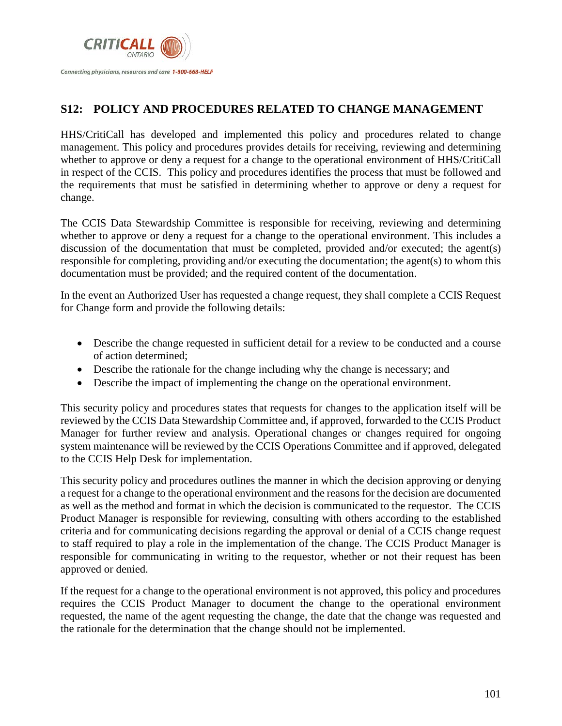

# **S12: POLICY AND PROCEDURES RELATED TO CHANGE MANAGEMENT**

HHS/CritiCall has developed and implemented this policy and procedures related to change management. This policy and procedures provides details for receiving, reviewing and determining whether to approve or deny a request for a change to the operational environment of HHS/CritiCall in respect of the CCIS. This policy and procedures identifies the process that must be followed and the requirements that must be satisfied in determining whether to approve or deny a request for change.

The CCIS Data Stewardship Committee is responsible for receiving, reviewing and determining whether to approve or deny a request for a change to the operational environment. This includes a discussion of the documentation that must be completed, provided and/or executed; the agent(s) responsible for completing, providing and/or executing the documentation; the agent(s) to whom this documentation must be provided; and the required content of the documentation.

In the event an Authorized User has requested a change request, they shall complete a CCIS Request for Change form and provide the following details:

- Describe the change requested in sufficient detail for a review to be conducted and a course of action determined;
- Describe the rationale for the change including why the change is necessary; and
- Describe the impact of implementing the change on the operational environment.

This security policy and procedures states that requests for changes to the application itself will be reviewed by the CCIS Data Stewardship Committee and, if approved, forwarded to the CCIS Product Manager for further review and analysis. Operational changes or changes required for ongoing system maintenance will be reviewed by the CCIS Operations Committee and if approved, delegated to the CCIS Help Desk for implementation.

This security policy and procedures outlines the manner in which the decision approving or denying a request for a change to the operational environment and the reasons for the decision are documented as well as the method and format in which the decision is communicated to the requestor. The CCIS Product Manager is responsible for reviewing, consulting with others according to the established criteria and for communicating decisions regarding the approval or denial of a CCIS change request to staff required to play a role in the implementation of the change. The CCIS Product Manager is responsible for communicating in writing to the requestor, whether or not their request has been approved or denied.

If the request for a change to the operational environment is not approved, this policy and procedures requires the CCIS Product Manager to document the change to the operational environment requested, the name of the agent requesting the change, the date that the change was requested and the rationale for the determination that the change should not be implemented.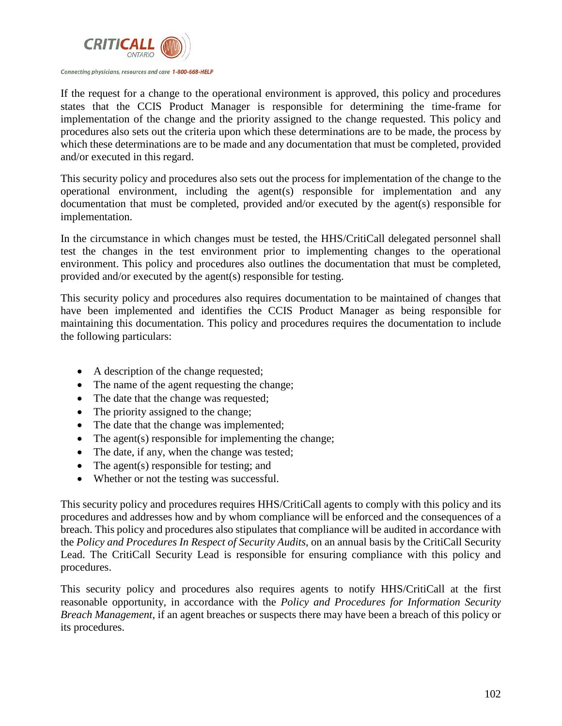

If the request for a change to the operational environment is approved, this policy and procedures states that the CCIS Product Manager is responsible for determining the time-frame for implementation of the change and the priority assigned to the change requested. This policy and procedures also sets out the criteria upon which these determinations are to be made, the process by which these determinations are to be made and any documentation that must be completed, provided and/or executed in this regard.

This security policy and procedures also sets out the process for implementation of the change to the operational environment, including the agent(s) responsible for implementation and any documentation that must be completed, provided and/or executed by the agent(s) responsible for implementation.

In the circumstance in which changes must be tested, the HHS/CritiCall delegated personnel shall test the changes in the test environment prior to implementing changes to the operational environment. This policy and procedures also outlines the documentation that must be completed, provided and/or executed by the agent(s) responsible for testing.

This security policy and procedures also requires documentation to be maintained of changes that have been implemented and identifies the CCIS Product Manager as being responsible for maintaining this documentation. This policy and procedures requires the documentation to include the following particulars:

- A description of the change requested;
- The name of the agent requesting the change;
- The date that the change was requested;
- The priority assigned to the change;
- The date that the change was implemented;
- The agent(s) responsible for implementing the change;
- The date, if any, when the change was tested;
- The agent(s) responsible for testing; and
- Whether or not the testing was successful.

This security policy and procedures requires HHS/CritiCall agents to comply with this policy and its procedures and addresses how and by whom compliance will be enforced and the consequences of a breach. This policy and procedures also stipulates that compliance will be audited in accordance with the *Policy and Procedures In Respect of Security Audits*, on an annual basis by the CritiCall Security Lead. The CritiCall Security Lead is responsible for ensuring compliance with this policy and procedures.

This security policy and procedures also requires agents to notify HHS/CritiCall at the first reasonable opportunity, in accordance with the *Policy and Procedures for Information Security Breach Management*, if an agent breaches or suspects there may have been a breach of this policy or its procedures.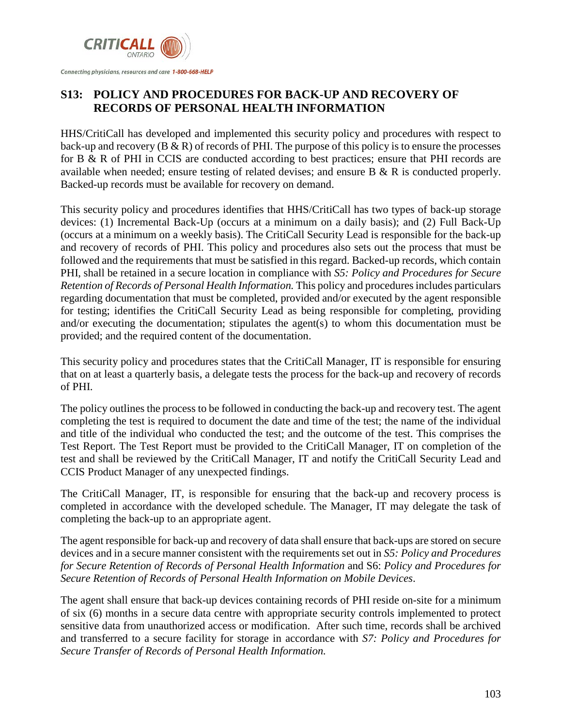

# **S13: POLICY AND PROCEDURES FOR BACK-UP AND RECOVERY OF RECORDS OF PERSONAL HEALTH INFORMATION**

HHS/CritiCall has developed and implemented this security policy and procedures with respect to back-up and recovery  $(B \& R)$  of records of PHI. The purpose of this policy is to ensure the processes for B & R of PHI in CCIS are conducted according to best practices; ensure that PHI records are available when needed; ensure testing of related devises; and ensure B & R is conducted properly. Backed-up records must be available for recovery on demand.

This security policy and procedures identifies that HHS/CritiCall has two types of back-up storage devices: (1) Incremental Back-Up (occurs at a minimum on a daily basis); and (2) Full Back-Up (occurs at a minimum on a weekly basis). The CritiCall Security Lead is responsible for the back-up and recovery of records of PHI. This policy and procedures also sets out the process that must be followed and the requirements that must be satisfied in this regard. Backed-up records, which contain PHI, shall be retained in a secure location in compliance with *S5: Policy and Procedures for Secure Retention of Records of Personal Health Information.* This policy and procedures includes particulars regarding documentation that must be completed, provided and/or executed by the agent responsible for testing; identifies the CritiCall Security Lead as being responsible for completing, providing and/or executing the documentation; stipulates the agent(s) to whom this documentation must be provided; and the required content of the documentation.

This security policy and procedures states that the CritiCall Manager, IT is responsible for ensuring that on at least a quarterly basis, a delegate tests the process for the back-up and recovery of records of PHI.

The policy outlines the process to be followed in conducting the back-up and recovery test. The agent completing the test is required to document the date and time of the test; the name of the individual and title of the individual who conducted the test; and the outcome of the test. This comprises the Test Report. The Test Report must be provided to the CritiCall Manager, IT on completion of the test and shall be reviewed by the CritiCall Manager, IT and notify the CritiCall Security Lead and CCIS Product Manager of any unexpected findings.

The CritiCall Manager, IT, is responsible for ensuring that the back-up and recovery process is completed in accordance with the developed schedule. The Manager, IT may delegate the task of completing the back-up to an appropriate agent.

The agent responsible for back-up and recovery of data shall ensure that back-ups are stored on secure devices and in a secure manner consistent with the requirements set out in *S5: Policy and Procedures for Secure Retention of Records of Personal Health Information* and S6: *Policy and Procedures for Secure Retention of Records of Personal Health Information on Mobile Devices*.

The agent shall ensure that back-up devices containing records of PHI reside on-site for a minimum of six (6) months in a secure data centre with appropriate security controls implemented to protect sensitive data from unauthorized access or modification. After such time, records shall be archived and transferred to a secure facility for storage in accordance with *S7: Policy and Procedures for Secure Transfer of Records of Personal Health Information.*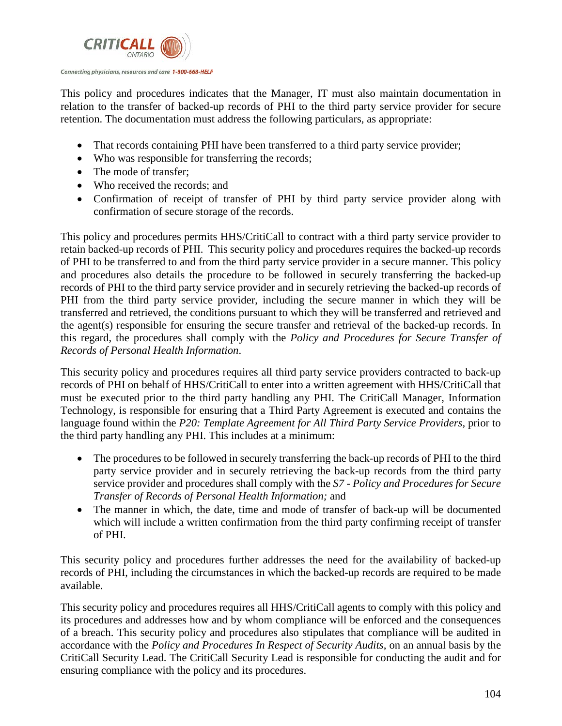

This policy and procedures indicates that the Manager, IT must also maintain documentation in relation to the transfer of backed-up records of PHI to the third party service provider for secure retention. The documentation must address the following particulars, as appropriate:

- That records containing PHI have been transferred to a third party service provider;
- Who was responsible for transferring the records;
- The mode of transfer:
- Who received the records; and
- Confirmation of receipt of transfer of PHI by third party service provider along with confirmation of secure storage of the records.

This policy and procedures permits HHS/CritiCall to contract with a third party service provider to retain backed-up records of PHI. This security policy and procedures requires the backed-up records of PHI to be transferred to and from the third party service provider in a secure manner. This policy and procedures also details the procedure to be followed in securely transferring the backed-up records of PHI to the third party service provider and in securely retrieving the backed-up records of PHI from the third party service provider, including the secure manner in which they will be transferred and retrieved, the conditions pursuant to which they will be transferred and retrieved and the agent(s) responsible for ensuring the secure transfer and retrieval of the backed-up records. In this regard, the procedures shall comply with the *Policy and Procedures for Secure Transfer of Records of Personal Health Information*.

This security policy and procedures requires all third party service providers contracted to back-up records of PHI on behalf of HHS/CritiCall to enter into a written agreement with HHS/CritiCall that must be executed prior to the third party handling any PHI. The CritiCall Manager, Information Technology, is responsible for ensuring that a Third Party Agreement is executed and contains the language found within the *P20: Template Agreement for All Third Party Service Providers, prior to* the third party handling any PHI. This includes at a minimum:

- The procedures to be followed in securely transferring the back-up records of PHI to the third party service provider and in securely retrieving the back-up records from the third party service provider and procedures shall comply with the *S7 - Policy and Procedures for Secure Transfer of Records of Personal Health Information;* and
- The manner in which, the date, time and mode of transfer of back-up will be documented which will include a written confirmation from the third party confirming receipt of transfer of PHI.

This security policy and procedures further addresses the need for the availability of backed-up records of PHI, including the circumstances in which the backed-up records are required to be made available.

This security policy and procedures requires all HHS/CritiCall agents to comply with this policy and its procedures and addresses how and by whom compliance will be enforced and the consequences of a breach. This security policy and procedures also stipulates that compliance will be audited in accordance with the *Policy and Procedures In Respect of Security Audits*, on an annual basis by the CritiCall Security Lead. The CritiCall Security Lead is responsible for conducting the audit and for ensuring compliance with the policy and its procedures.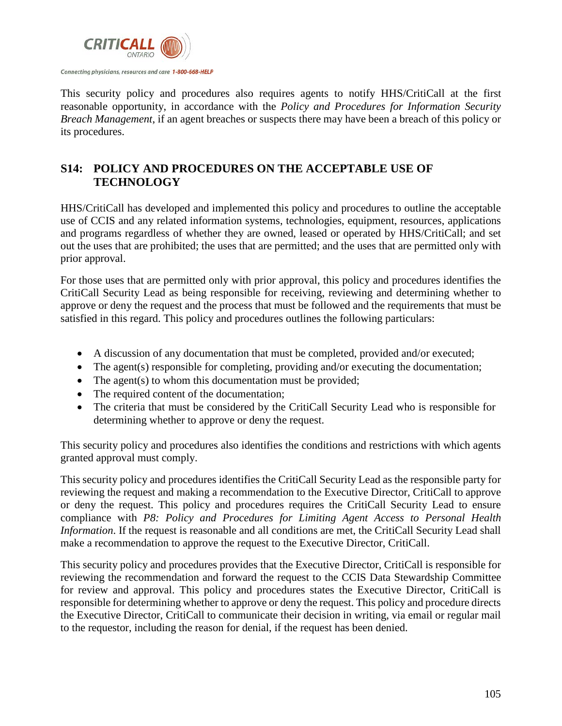

This security policy and procedures also requires agents to notify HHS/CritiCall at the first reasonable opportunity, in accordance with the *Policy and Procedures for Information Security Breach Management*, if an agent breaches or suspects there may have been a breach of this policy or its procedures.

# **S14: POLICY AND PROCEDURES ON THE ACCEPTABLE USE OF TECHNOLOGY**

HHS/CritiCall has developed and implemented this policy and procedures to outline the acceptable use of CCIS and any related information systems, technologies, equipment, resources, applications and programs regardless of whether they are owned, leased or operated by HHS/CritiCall; and set out the uses that are prohibited; the uses that are permitted; and the uses that are permitted only with prior approval.

For those uses that are permitted only with prior approval, this policy and procedures identifies the CritiCall Security Lead as being responsible for receiving, reviewing and determining whether to approve or deny the request and the process that must be followed and the requirements that must be satisfied in this regard. This policy and procedures outlines the following particulars:

- A discussion of any documentation that must be completed, provided and/or executed;
- The agent(s) responsible for completing, providing and/or executing the documentation;
- The agent(s) to whom this documentation must be provided;
- The required content of the documentation;
- The criteria that must be considered by the CritiCall Security Lead who is responsible for determining whether to approve or deny the request.

This security policy and procedures also identifies the conditions and restrictions with which agents granted approval must comply.

This security policy and procedures identifies the CritiCall Security Lead as the responsible party for reviewing the request and making a recommendation to the Executive Director, CritiCall to approve or deny the request. This policy and procedures requires the CritiCall Security Lead to ensure compliance with *P8: Policy and Procedures for Limiting Agent Access to Personal Health Information*. If the request is reasonable and all conditions are met, the CritiCall Security Lead shall make a recommendation to approve the request to the Executive Director, CritiCall.

This security policy and procedures provides that the Executive Director, CritiCall is responsible for reviewing the recommendation and forward the request to the CCIS Data Stewardship Committee for review and approval. This policy and procedures states the Executive Director, CritiCall is responsible for determining whether to approve or deny the request. This policy and procedure directs the Executive Director, CritiCall to communicate their decision in writing, via email or regular mail to the requestor, including the reason for denial, if the request has been denied.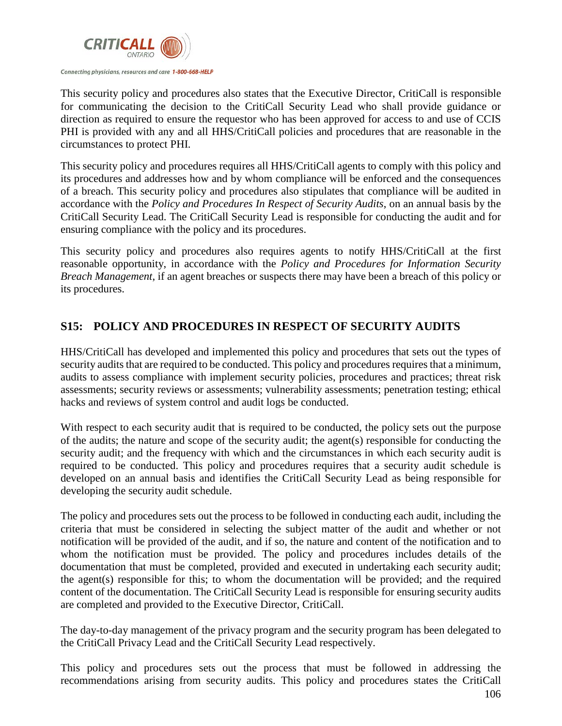

This security policy and procedures also states that the Executive Director, CritiCall is responsible for communicating the decision to the CritiCall Security Lead who shall provide guidance or direction as required to ensure the requestor who has been approved for access to and use of CCIS PHI is provided with any and all HHS/CritiCall policies and procedures that are reasonable in the circumstances to protect PHI.

This security policy and procedures requires all HHS/CritiCall agents to comply with this policy and its procedures and addresses how and by whom compliance will be enforced and the consequences of a breach. This security policy and procedures also stipulates that compliance will be audited in accordance with the *Policy and Procedures In Respect of Security Audits*, on an annual basis by the CritiCall Security Lead. The CritiCall Security Lead is responsible for conducting the audit and for ensuring compliance with the policy and its procedures.

This security policy and procedures also requires agents to notify HHS/CritiCall at the first reasonable opportunity, in accordance with the *Policy and Procedures for Information Security Breach Management*, if an agent breaches or suspects there may have been a breach of this policy or its procedures.

# **S15: POLICY AND PROCEDURES IN RESPECT OF SECURITY AUDITS**

HHS/CritiCall has developed and implemented this policy and procedures that sets out the types of security audits that are required to be conducted. This policy and procedures requires that a minimum, audits to assess compliance with implement security policies, procedures and practices; threat risk assessments; security reviews or assessments; vulnerability assessments; penetration testing; ethical hacks and reviews of system control and audit logs be conducted.

With respect to each security audit that is required to be conducted, the policy sets out the purpose of the audits; the nature and scope of the security audit; the agent(s) responsible for conducting the security audit; and the frequency with which and the circumstances in which each security audit is required to be conducted. This policy and procedures requires that a security audit schedule is developed on an annual basis and identifies the CritiCall Security Lead as being responsible for developing the security audit schedule.

The policy and procedures sets out the process to be followed in conducting each audit, including the criteria that must be considered in selecting the subject matter of the audit and whether or not notification will be provided of the audit, and if so, the nature and content of the notification and to whom the notification must be provided. The policy and procedures includes details of the documentation that must be completed, provided and executed in undertaking each security audit; the agent(s) responsible for this; to whom the documentation will be provided; and the required content of the documentation. The CritiCall Security Lead is responsible for ensuring security audits are completed and provided to the Executive Director, CritiCall.

The day-to-day management of the privacy program and the security program has been delegated to the CritiCall Privacy Lead and the CritiCall Security Lead respectively.

This policy and procedures sets out the process that must be followed in addressing the recommendations arising from security audits. This policy and procedures states the CritiCall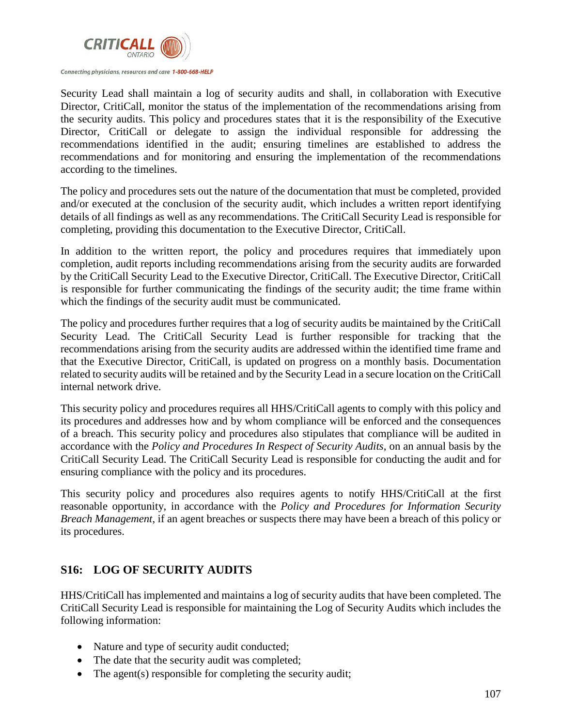

Security Lead shall maintain a log of security audits and shall, in collaboration with Executive Director, CritiCall, monitor the status of the implementation of the recommendations arising from the security audits. This policy and procedures states that it is the responsibility of the Executive Director, CritiCall or delegate to assign the individual responsible for addressing the recommendations identified in the audit; ensuring timelines are established to address the recommendations and for monitoring and ensuring the implementation of the recommendations according to the timelines.

The policy and procedures sets out the nature of the documentation that must be completed, provided and/or executed at the conclusion of the security audit, which includes a written report identifying details of all findings as well as any recommendations. The CritiCall Security Lead is responsible for completing, providing this documentation to the Executive Director, CritiCall.

In addition to the written report, the policy and procedures requires that immediately upon completion, audit reports including recommendations arising from the security audits are forwarded by the CritiCall Security Lead to the Executive Director, CritiCall. The Executive Director, CritiCall is responsible for further communicating the findings of the security audit; the time frame within which the findings of the security audit must be communicated.

The policy and procedures further requires that a log of security audits be maintained by the CritiCall Security Lead. The CritiCall Security Lead is further responsible for tracking that the recommendations arising from the security audits are addressed within the identified time frame and that the Executive Director, CritiCall, is updated on progress on a monthly basis. Documentation related to security audits will be retained and by the Security Lead in a secure location on the CritiCall internal network drive.

This security policy and procedures requires all HHS/CritiCall agents to comply with this policy and its procedures and addresses how and by whom compliance will be enforced and the consequences of a breach. This security policy and procedures also stipulates that compliance will be audited in accordance with the *Policy and Procedures In Respect of Security Audits*, on an annual basis by the CritiCall Security Lead. The CritiCall Security Lead is responsible for conducting the audit and for ensuring compliance with the policy and its procedures.

This security policy and procedures also requires agents to notify HHS/CritiCall at the first reasonable opportunity, in accordance with the *Policy and Procedures for Information Security Breach Management*, if an agent breaches or suspects there may have been a breach of this policy or its procedures.

# **S16: LOG OF SECURITY AUDITS**

HHS/CritiCall has implemented and maintains a log of security audits that have been completed. The CritiCall Security Lead is responsible for maintaining the Log of Security Audits which includes the following information:

- Nature and type of security audit conducted;
- The date that the security audit was completed;
- The agent(s) responsible for completing the security audit;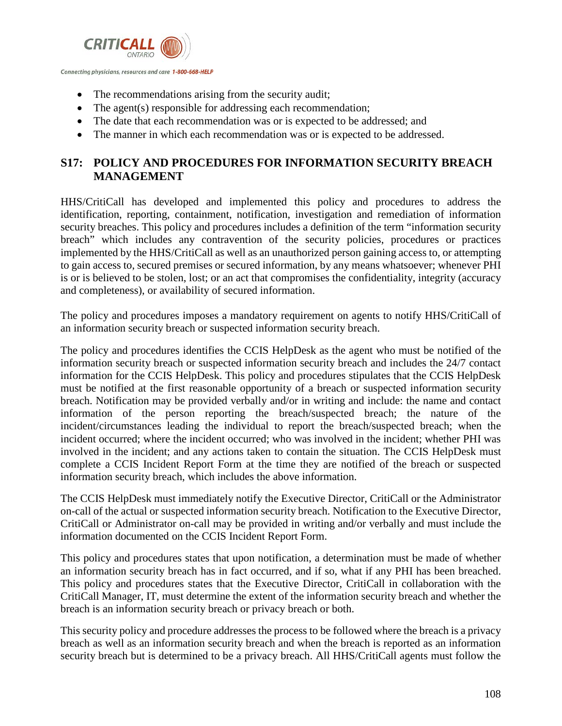

- The recommendations arising from the security audit;
- The agent(s) responsible for addressing each recommendation;
- The date that each recommendation was or is expected to be addressed; and
- The manner in which each recommendation was or is expected to be addressed.

# **S17: POLICY AND PROCEDURES FOR INFORMATION SECURITY BREACH MANAGEMENT**

HHS/CritiCall has developed and implemented this policy and procedures to address the identification, reporting, containment, notification, investigation and remediation of information security breaches. This policy and procedures includes a definition of the term "information security breach" which includes any contravention of the security policies, procedures or practices implemented by the HHS/CritiCall as well as an unauthorized person gaining access to, or attempting to gain access to, secured premises or secured information, by any means whatsoever; whenever PHI is or is believed to be stolen, lost; or an act that compromises the confidentiality, integrity (accuracy and completeness), or availability of secured information.

The policy and procedures imposes a mandatory requirement on agents to notify HHS/CritiCall of an information security breach or suspected information security breach.

The policy and procedures identifies the CCIS HelpDesk as the agent who must be notified of the information security breach or suspected information security breach and includes the 24/7 contact information for the CCIS HelpDesk. This policy and procedures stipulates that the CCIS HelpDesk must be notified at the first reasonable opportunity of a breach or suspected information security breach. Notification may be provided verbally and/or in writing and include: the name and contact information of the person reporting the breach/suspected breach; the nature of the incident/circumstances leading the individual to report the breach/suspected breach; when the incident occurred; where the incident occurred; who was involved in the incident; whether PHI was involved in the incident; and any actions taken to contain the situation. The CCIS HelpDesk must complete a CCIS Incident Report Form at the time they are notified of the breach or suspected information security breach, which includes the above information.

The CCIS HelpDesk must immediately notify the Executive Director, CritiCall or the Administrator on-call of the actual or suspected information security breach. Notification to the Executive Director, CritiCall or Administrator on-call may be provided in writing and/or verbally and must include the information documented on the CCIS Incident Report Form.

This policy and procedures states that upon notification, a determination must be made of whether an information security breach has in fact occurred, and if so, what if any PHI has been breached. This policy and procedures states that the Executive Director, CritiCall in collaboration with the CritiCall Manager, IT, must determine the extent of the information security breach and whether the breach is an information security breach or privacy breach or both.

This security policy and procedure addresses the process to be followed where the breach is a privacy breach as well as an information security breach and when the breach is reported as an information security breach but is determined to be a privacy breach. All HHS/CritiCall agents must follow the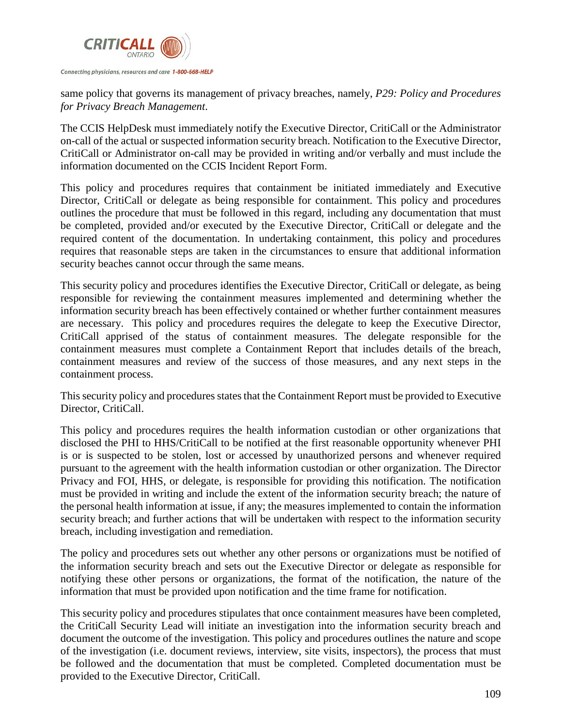

same policy that governs its management of privacy breaches, namely, *P29: Policy and Procedures for Privacy Breach Management*.

The CCIS HelpDesk must immediately notify the Executive Director, CritiCall or the Administrator on-call of the actual or suspected information security breach. Notification to the Executive Director, CritiCall or Administrator on-call may be provided in writing and/or verbally and must include the information documented on the CCIS Incident Report Form.

This policy and procedures requires that containment be initiated immediately and Executive Director, CritiCall or delegate as being responsible for containment. This policy and procedures outlines the procedure that must be followed in this regard, including any documentation that must be completed, provided and/or executed by the Executive Director, CritiCall or delegate and the required content of the documentation. In undertaking containment, this policy and procedures requires that reasonable steps are taken in the circumstances to ensure that additional information security beaches cannot occur through the same means.

This security policy and procedures identifies the Executive Director, CritiCall or delegate, as being responsible for reviewing the containment measures implemented and determining whether the information security breach has been effectively contained or whether further containment measures are necessary. This policy and procedures requires the delegate to keep the Executive Director, CritiCall apprised of the status of containment measures. The delegate responsible for the containment measures must complete a Containment Report that includes details of the breach, containment measures and review of the success of those measures, and any next steps in the containment process.

This security policy and procedures states that the Containment Report must be provided to Executive Director, CritiCall.

This policy and procedures requires the health information custodian or other organizations that disclosed the PHI to HHS/CritiCall to be notified at the first reasonable opportunity whenever PHI is or is suspected to be stolen, lost or accessed by unauthorized persons and whenever required pursuant to the agreement with the health information custodian or other organization. The Director Privacy and FOI, HHS, or delegate, is responsible for providing this notification. The notification must be provided in writing and include the extent of the information security breach; the nature of the personal health information at issue, if any; the measures implemented to contain the information security breach; and further actions that will be undertaken with respect to the information security breach, including investigation and remediation.

The policy and procedures sets out whether any other persons or organizations must be notified of the information security breach and sets out the Executive Director or delegate as responsible for notifying these other persons or organizations, the format of the notification, the nature of the information that must be provided upon notification and the time frame for notification.

This security policy and procedures stipulates that once containment measures have been completed, the CritiCall Security Lead will initiate an investigation into the information security breach and document the outcome of the investigation. This policy and procedures outlines the nature and scope of the investigation (i.e. document reviews, interview, site visits, inspectors), the process that must be followed and the documentation that must be completed. Completed documentation must be provided to the Executive Director, CritiCall.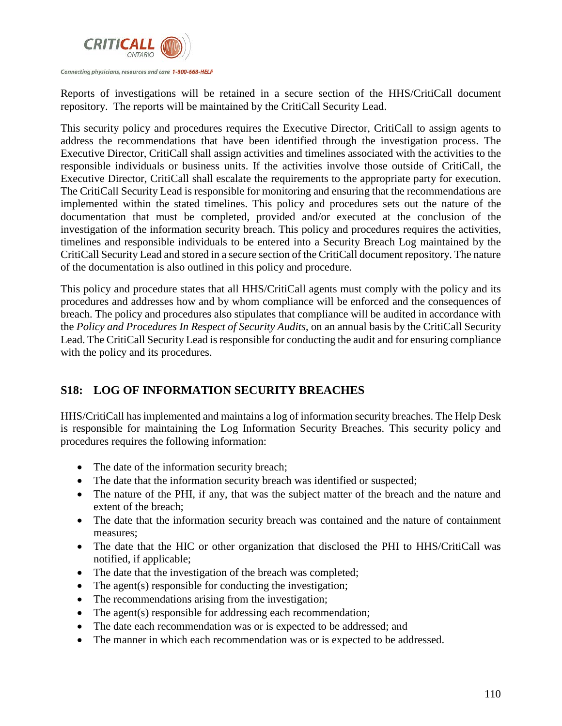

Reports of investigations will be retained in a secure section of the HHS/CritiCall document repository. The reports will be maintained by the CritiCall Security Lead.

This security policy and procedures requires the Executive Director, CritiCall to assign agents to address the recommendations that have been identified through the investigation process. The Executive Director, CritiCall shall assign activities and timelines associated with the activities to the responsible individuals or business units. If the activities involve those outside of CritiCall, the Executive Director, CritiCall shall escalate the requirements to the appropriate party for execution. The CritiCall Security Lead is responsible for monitoring and ensuring that the recommendations are implemented within the stated timelines. This policy and procedures sets out the nature of the documentation that must be completed, provided and/or executed at the conclusion of the investigation of the information security breach. This policy and procedures requires the activities, timelines and responsible individuals to be entered into a Security Breach Log maintained by the CritiCall Security Lead and stored in a secure section of the CritiCall document repository. The nature of the documentation is also outlined in this policy and procedure.

This policy and procedure states that all HHS/CritiCall agents must comply with the policy and its procedures and addresses how and by whom compliance will be enforced and the consequences of breach. The policy and procedures also stipulates that compliance will be audited in accordance with the *Policy and Procedures In Respect of Security Audits*, on an annual basis by the CritiCall Security Lead. The CritiCall Security Lead is responsible for conducting the audit and for ensuring compliance with the policy and its procedures.

# **S18: LOG OF INFORMATION SECURITY BREACHES**

HHS/CritiCall has implemented and maintains a log of information security breaches. The Help Desk is responsible for maintaining the Log Information Security Breaches. This security policy and procedures requires the following information:

- The date of the information security breach;
- The date that the information security breach was identified or suspected;
- The nature of the PHI, if any, that was the subject matter of the breach and the nature and extent of the breach;
- The date that the information security breach was contained and the nature of containment measures;
- The date that the HIC or other organization that disclosed the PHI to HHS/CritiCall was notified, if applicable;
- The date that the investigation of the breach was completed;
- The agent(s) responsible for conducting the investigation;
- The recommendations arising from the investigation;
- The agent(s) responsible for addressing each recommendation;
- The date each recommendation was or is expected to be addressed; and
- The manner in which each recommendation was or is expected to be addressed.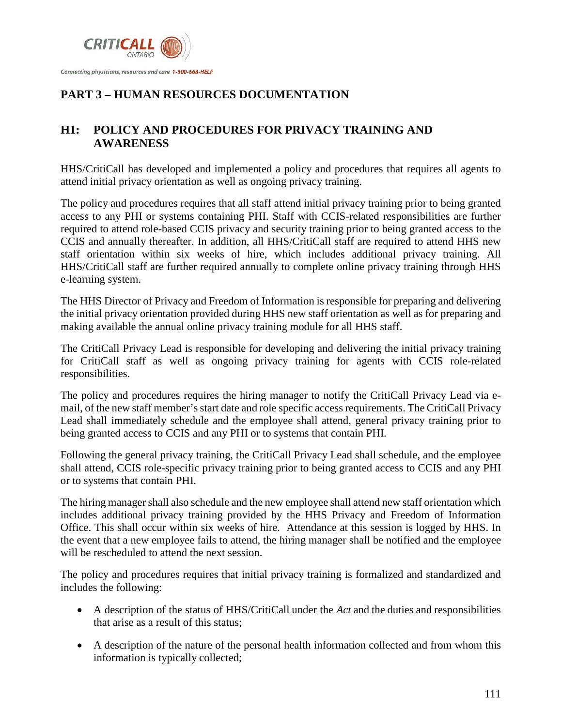

# **PART 3 – HUMAN RESOURCES DOCUMENTATION**

#### **H1: POLICY AND PROCEDURES FOR PRIVACY TRAINING AND AWARENESS**

HHS/CritiCall has developed and implemented a policy and procedures that requires all agents to attend initial privacy orientation as well as ongoing privacy training.

The policy and procedures requires that all staff attend initial privacy training prior to being granted access to any PHI or systems containing PHI. Staff with CCIS-related responsibilities are further required to attend role-based CCIS privacy and security training prior to being granted access to the CCIS and annually thereafter. In addition, all HHS/CritiCall staff are required to attend HHS new staff orientation within six weeks of hire, which includes additional privacy training. All HHS/CritiCall staff are further required annually to complete online privacy training through HHS e-learning system.

The HHS Director of Privacy and Freedom of Information is responsible for preparing and delivering the initial privacy orientation provided during HHS new staff orientation as well as for preparing and making available the annual online privacy training module for all HHS staff.

The CritiCall Privacy Lead is responsible for developing and delivering the initial privacy training for CritiCall staff as well as ongoing privacy training for agents with CCIS role-related responsibilities.

The policy and procedures requires the hiring manager to notify the CritiCall Privacy Lead via email, of the new staff member's start date and role specific access requirements. The CritiCall Privacy Lead shall immediately schedule and the employee shall attend, general privacy training prior to being granted access to CCIS and any PHI or to systems that contain PHI.

Following the general privacy training, the CritiCall Privacy Lead shall schedule, and the employee shall attend, CCIS role-specific privacy training prior to being granted access to CCIS and any PHI or to systems that contain PHI.

The hiring manager shall also schedule and the new employee shall attend new staff orientation which includes additional privacy training provided by the HHS Privacy and Freedom of Information Office. This shall occur within six weeks of hire. Attendance at this session is logged by HHS. In the event that a new employee fails to attend, the hiring manager shall be notified and the employee will be rescheduled to attend the next session.

The policy and procedures requires that initial privacy training is formalized and standardized and includes the following:

- A description of the status of HHS/CritiCall under the *Act* and the duties and responsibilities that arise as a result of this status;
- A description of the nature of the personal health information collected and from whom this information is typically collected;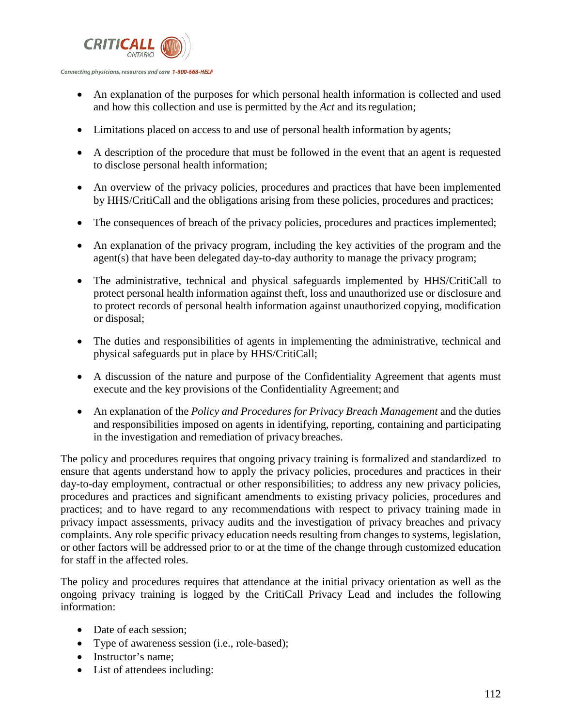

- An explanation of the purposes for which personal health information is collected and used and how this collection and use is permitted by the *Act* and itsregulation;
- Limitations placed on access to and use of personal health information by agents;
- A description of the procedure that must be followed in the event that an agent is requested to disclose personal health information;
- An overview of the privacy policies, procedures and practices that have been implemented by HHS/CritiCall and the obligations arising from these policies, procedures and practices;
- The consequences of breach of the privacy policies, procedures and practices implemented;
- An explanation of the privacy program, including the key activities of the program and the agent(s) that have been delegated day-to-day authority to manage the privacy program;
- The administrative, technical and physical safeguards implemented by HHS/CritiCall to protect personal health information against theft, loss and unauthorized use or disclosure and to protect records of personal health information against unauthorized copying, modification or disposal;
- The duties and responsibilities of agents in implementing the administrative, technical and physical safeguards put in place by HHS/CritiCall;
- A discussion of the nature and purpose of the Confidentiality Agreement that agents must execute and the key provisions of the Confidentiality Agreement; and
- An explanation of the *Policy and Procedures for Privacy Breach Management* and the duties and responsibilities imposed on agents in identifying, reporting, containing and participating in the investigation and remediation of privacy breaches.

The policy and procedures requires that ongoing privacy training is formalized and standardized to ensure that agents understand how to apply the privacy policies, procedures and practices in their day-to-day employment, contractual or other responsibilities; to address any new privacy policies, procedures and practices and significant amendments to existing privacy policies, procedures and practices; and to have regard to any recommendations with respect to privacy training made in privacy impact assessments, privacy audits and the investigation of privacy breaches and privacy complaints. Any role specific privacy education needs resulting from changes to systems, legislation, or other factors will be addressed prior to or at the time of the change through customized education for staff in the affected roles.

The policy and procedures requires that attendance at the initial privacy orientation as well as the ongoing privacy training is logged by the CritiCall Privacy Lead and includes the following information:

- Date of each session;
- Type of awareness session (i.e., role-based);
- Instructor's name:
- List of attendees including: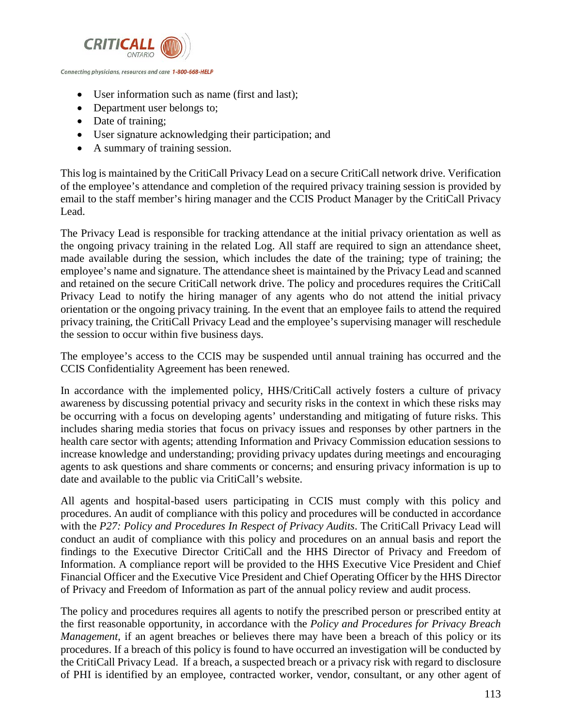

- User information such as name (first and last);
- Department user belongs to;
- Date of training;
- User signature acknowledging their participation; and
- A summary of training session.

This log is maintained by the CritiCall Privacy Lead on a secure CritiCall network drive. Verification of the employee's attendance and completion of the required privacy training session is provided by email to the staff member's hiring manager and the CCIS Product Manager by the CritiCall Privacy Lead.

The Privacy Lead is responsible for tracking attendance at the initial privacy orientation as well as the ongoing privacy training in the related Log. All staff are required to sign an attendance sheet, made available during the session, which includes the date of the training; type of training; the employee's name and signature. The attendance sheet is maintained by the Privacy Lead and scanned and retained on the secure CritiCall network drive. The policy and procedures requires the CritiCall Privacy Lead to notify the hiring manager of any agents who do not attend the initial privacy orientation or the ongoing privacy training. In the event that an employee fails to attend the required privacy training, the CritiCall Privacy Lead and the employee's supervising manager will reschedule the session to occur within five business days.

The employee's access to the CCIS may be suspended until annual training has occurred and the CCIS Confidentiality Agreement has been renewed.

In accordance with the implemented policy, HHS/CritiCall actively fosters a culture of privacy awareness by discussing potential privacy and security risks in the context in which these risks may be occurring with a focus on developing agents' understanding and mitigating of future risks. This includes sharing media stories that focus on privacy issues and responses by other partners in the health care sector with agents; attending Information and Privacy Commission education sessions to increase knowledge and understanding; providing privacy updates during meetings and encouraging agents to ask questions and share comments or concerns; and ensuring privacy information is up to date and available to the public via CritiCall's website.

All agents and hospital-based users participating in CCIS must comply with this policy and procedures. An audit of compliance with this policy and procedures will be conducted in accordance with the *P27: Policy and Procedures In Respect of Privacy Audits*. The CritiCall Privacy Lead will conduct an audit of compliance with this policy and procedures on an annual basis and report the findings to the Executive Director CritiCall and the HHS Director of Privacy and Freedom of Information. A compliance report will be provided to the HHS Executive Vice President and Chief Financial Officer and the Executive Vice President and Chief Operating Officer by the HHS Director of Privacy and Freedom of Information as part of the annual policy review and audit process.

The policy and procedures requires all agents to notify the prescribed person or prescribed entity at the first reasonable opportunity, in accordance with the *Policy and Procedures for Privacy Breach Management*, if an agent breaches or believes there may have been a breach of this policy or its procedures. If a breach of this policy is found to have occurred an investigation will be conducted by the CritiCall Privacy Lead. If a breach, a suspected breach or a privacy risk with regard to disclosure of PHI is identified by an employee, contracted worker, vendor, consultant, or any other agent of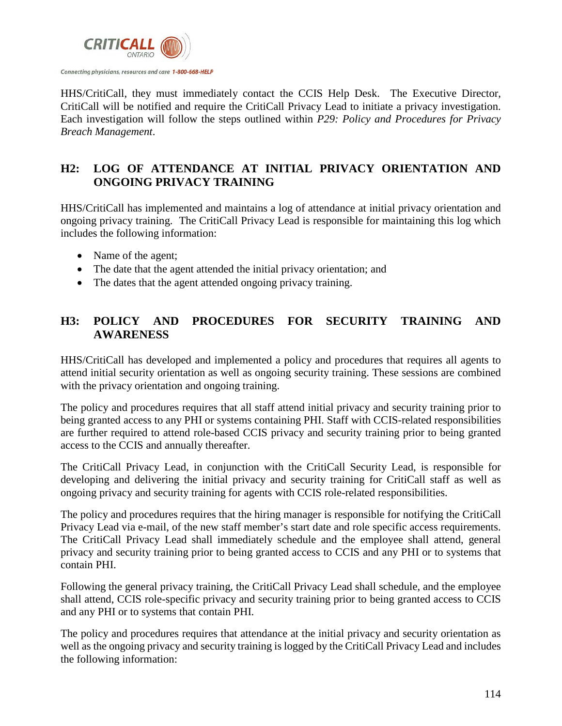

HHS/CritiCall, they must immediately contact the CCIS Help Desk. The Executive Director, CritiCall will be notified and require the CritiCall Privacy Lead to initiate a privacy investigation. Each investigation will follow the steps outlined within *P29: Policy and Procedures for Privacy Breach Management*.

#### **H2: LOG OF ATTENDANCE AT INITIAL PRIVACY ORIENTATION AND ONGOING PRIVACY TRAINING**

HHS/CritiCall has implemented and maintains a log of attendance at initial privacy orientation and ongoing privacy training. The CritiCall Privacy Lead is responsible for maintaining this log which includes the following information:

- Name of the agent;
- The date that the agent attended the initial privacy orientation; and
- The dates that the agent attended ongoing privacy training.

# **H3: POLICY AND PROCEDURES FOR SECURITY TRAINING AND AWARENESS**

HHS/CritiCall has developed and implemented a policy and procedures that requires all agents to attend initial security orientation as well as ongoing security training. These sessions are combined with the privacy orientation and ongoing training.

The policy and procedures requires that all staff attend initial privacy and security training prior to being granted access to any PHI or systems containing PHI. Staff with CCIS-related responsibilities are further required to attend role-based CCIS privacy and security training prior to being granted access to the CCIS and annually thereafter.

The CritiCall Privacy Lead, in conjunction with the CritiCall Security Lead, is responsible for developing and delivering the initial privacy and security training for CritiCall staff as well as ongoing privacy and security training for agents with CCIS role-related responsibilities.

The policy and procedures requires that the hiring manager is responsible for notifying the CritiCall Privacy Lead via e-mail, of the new staff member's start date and role specific access requirements. The CritiCall Privacy Lead shall immediately schedule and the employee shall attend, general privacy and security training prior to being granted access to CCIS and any PHI or to systems that contain PHI.

Following the general privacy training, the CritiCall Privacy Lead shall schedule, and the employee shall attend, CCIS role-specific privacy and security training prior to being granted access to CCIS and any PHI or to systems that contain PHI.

The policy and procedures requires that attendance at the initial privacy and security orientation as well as the ongoing privacy and security training is logged by the CritiCall Privacy Lead and includes the following information: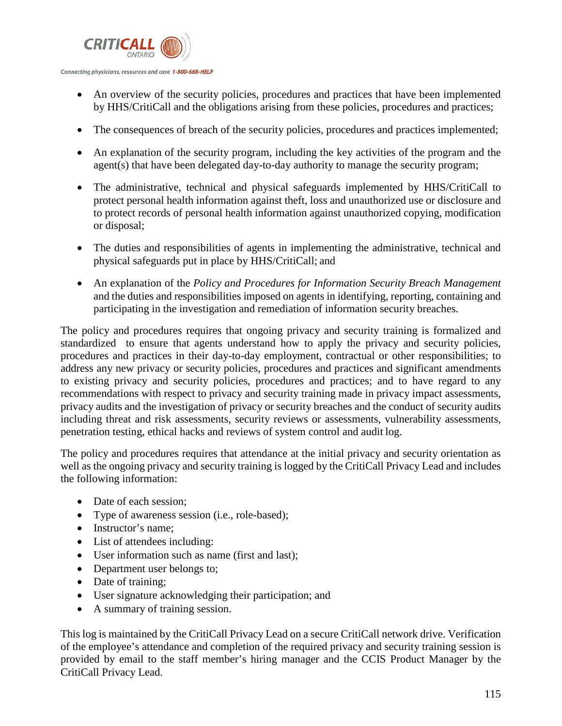

- An overview of the security policies, procedures and practices that have been implemented by HHS/CritiCall and the obligations arising from these policies, procedures and practices;
- The consequences of breach of the security policies, procedures and practices implemented;
- An explanation of the security program, including the key activities of the program and the agent(s) that have been delegated day-to-day authority to manage the security program;
- The administrative, technical and physical safeguards implemented by HHS/CritiCall to protect personal health information against theft, loss and unauthorized use or disclosure and to protect records of personal health information against unauthorized copying, modification or disposal;
- The duties and responsibilities of agents in implementing the administrative, technical and physical safeguards put in place by HHS/CritiCall; and
- An explanation of the *Policy and Procedures for Information Security Breach Management*  and the duties and responsibilities imposed on agents in identifying, reporting, containing and participating in the investigation and remediation of information security breaches.

The policy and procedures requires that ongoing privacy and security training is formalized and standardized to ensure that agents understand how to apply the privacy and security policies, procedures and practices in their day-to-day employment, contractual or other responsibilities; to address any new privacy or security policies, procedures and practices and significant amendments to existing privacy and security policies, procedures and practices; and to have regard to any recommendations with respect to privacy and security training made in privacy impact assessments, privacy audits and the investigation of privacy or security breaches and the conduct of security audits including threat and risk assessments, security reviews or assessments, vulnerability assessments, penetration testing, ethical hacks and reviews of system control and audit log.

The policy and procedures requires that attendance at the initial privacy and security orientation as well as the ongoing privacy and security training is logged by the CritiCall Privacy Lead and includes the following information:

- Date of each session:
- Type of awareness session (i.e., role-based);
- Instructor's name;
- List of attendees including:
- User information such as name (first and last);
- Department user belongs to;
- Date of training;
- User signature acknowledging their participation; and
- A summary of training session.

This log is maintained by the CritiCall Privacy Lead on a secure CritiCall network drive. Verification of the employee's attendance and completion of the required privacy and security training session is provided by email to the staff member's hiring manager and the CCIS Product Manager by the CritiCall Privacy Lead.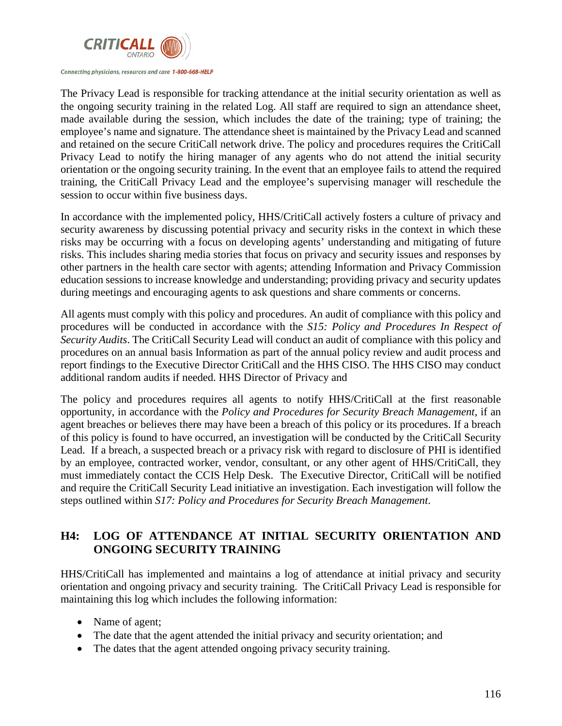

The Privacy Lead is responsible for tracking attendance at the initial security orientation as well as the ongoing security training in the related Log. All staff are required to sign an attendance sheet, made available during the session, which includes the date of the training; type of training; the employee's name and signature. The attendance sheet is maintained by the Privacy Lead and scanned and retained on the secure CritiCall network drive. The policy and procedures requires the CritiCall Privacy Lead to notify the hiring manager of any agents who do not attend the initial security orientation or the ongoing security training. In the event that an employee fails to attend the required training, the CritiCall Privacy Lead and the employee's supervising manager will reschedule the session to occur within five business days.

In accordance with the implemented policy, HHS/CritiCall actively fosters a culture of privacy and security awareness by discussing potential privacy and security risks in the context in which these risks may be occurring with a focus on developing agents' understanding and mitigating of future risks. This includes sharing media stories that focus on privacy and security issues and responses by other partners in the health care sector with agents; attending Information and Privacy Commission education sessions to increase knowledge and understanding; providing privacy and security updates during meetings and encouraging agents to ask questions and share comments or concerns.

All agents must comply with this policy and procedures. An audit of compliance with this policy and procedures will be conducted in accordance with the *S15: Policy and Procedures In Respect of Security Audits*. The CritiCall Security Lead will conduct an audit of compliance with this policy and procedures on an annual basis Information as part of the annual policy review and audit process and report findings to the Executive Director CritiCall and the HHS CISO. The HHS CISO may conduct additional random audits if needed. HHS Director of Privacy and

The policy and procedures requires all agents to notify HHS/CritiCall at the first reasonable opportunity, in accordance with the *Policy and Procedures for Security Breach Management*, if an agent breaches or believes there may have been a breach of this policy or its procedures. If a breach of this policy is found to have occurred, an investigation will be conducted by the CritiCall Security Lead. If a breach, a suspected breach or a privacy risk with regard to disclosure of PHI is identified by an employee, contracted worker, vendor, consultant, or any other agent of HHS/CritiCall, they must immediately contact the CCIS Help Desk. The Executive Director, CritiCall will be notified and require the CritiCall Security Lead initiative an investigation. Each investigation will follow the steps outlined within *S17: Policy and Procedures for Security Breach Management*.

# **H4: LOG OF ATTENDANCE AT INITIAL SECURITY ORIENTATION AND ONGOING SECURITY TRAINING**

HHS/CritiCall has implemented and maintains a log of attendance at initial privacy and security orientation and ongoing privacy and security training. The CritiCall Privacy Lead is responsible for maintaining this log which includes the following information:

- Name of agent;
- The date that the agent attended the initial privacy and security orientation; and
- The dates that the agent attended ongoing privacy security training.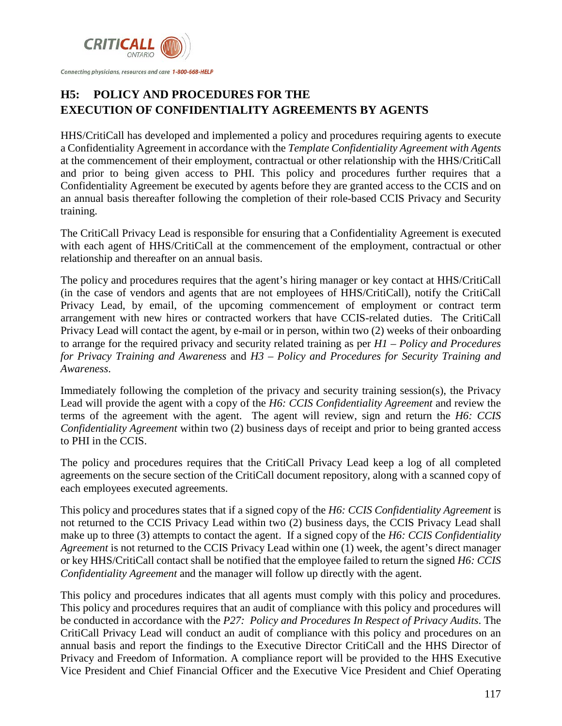

# **H5: POLICY AND PROCEDURES FOR THE EXECUTION OF CONFIDENTIALITY AGREEMENTS BY AGENTS**

HHS/CritiCall has developed and implemented a policy and procedures requiring agents to execute a Confidentiality Agreement in accordance with the *Template Confidentiality Agreement with Agents*  at the commencement of their employment, contractual or other relationship with the HHS/CritiCall and prior to being given access to PHI. This policy and procedures further requires that a Confidentiality Agreement be executed by agents before they are granted access to the CCIS and on an annual basis thereafter following the completion of their role-based CCIS Privacy and Security training.

The CritiCall Privacy Lead is responsible for ensuring that a Confidentiality Agreement is executed with each agent of HHS/CritiCall at the commencement of the employment, contractual or other relationship and thereafter on an annual basis.

The policy and procedures requires that the agent's hiring manager or key contact at HHS/CritiCall (in the case of vendors and agents that are not employees of HHS/CritiCall), notify the CritiCall Privacy Lead, by email, of the upcoming commencement of employment or contract term arrangement with new hires or contracted workers that have CCIS-related duties. The CritiCall Privacy Lead will contact the agent, by e-mail or in person, within two (2) weeks of their onboarding to arrange for the required privacy and security related training as per *H1 – Policy and Procedures for Privacy Training and Awareness* and *H3 – Policy and Procedures for Security Training and Awareness*.

Immediately following the completion of the privacy and security training session(s), the Privacy Lead will provide the agent with a copy of the *H6: CCIS Confidentiality Agreement* and review the terms of the agreement with the agent. The agent will review, sign and return the *H6: CCIS Confidentiality Agreement* within two (2) business days of receipt and prior to being granted access to PHI in the CCIS.

The policy and procedures requires that the CritiCall Privacy Lead keep a log of all completed agreements on the secure section of the CritiCall document repository, along with a scanned copy of each employees executed agreements.

This policy and procedures states that if a signed copy of the *H6: CCIS Confidentiality Agreement* is not returned to the CCIS Privacy Lead within two (2) business days, the CCIS Privacy Lead shall make up to three (3) attempts to contact the agent. If a signed copy of the *H6: CCIS Confidentiality Agreement* is not returned to the CCIS Privacy Lead within one (1) week, the agent's direct manager or key HHS/CritiCall contact shall be notified that the employee failed to return the signed *H6: CCIS Confidentiality Agreement* and the manager will follow up directly with the agent.

This policy and procedures indicates that all agents must comply with this policy and procedures. This policy and procedures requires that an audit of compliance with this policy and procedures will be conducted in accordance with the *P27: Policy and Procedures In Respect of Privacy Audits*. The CritiCall Privacy Lead will conduct an audit of compliance with this policy and procedures on an annual basis and report the findings to the Executive Director CritiCall and the HHS Director of Privacy and Freedom of Information. A compliance report will be provided to the HHS Executive Vice President and Chief Financial Officer and the Executive Vice President and Chief Operating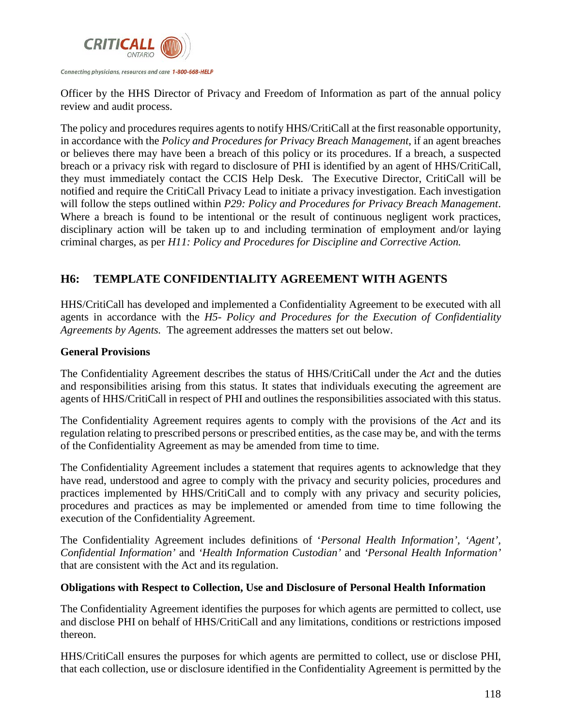

Officer by the HHS Director of Privacy and Freedom of Information as part of the annual policy review and audit process.

The policy and procedures requires agents to notify HHS/CritiCall at the first reasonable opportunity, in accordance with the *Policy and Procedures for Privacy Breach Management*, if an agent breaches or believes there may have been a breach of this policy or its procedures. If a breach, a suspected breach or a privacy risk with regard to disclosure of PHI is identified by an agent of HHS/CritiCall, they must immediately contact the CCIS Help Desk. The Executive Director, CritiCall will be notified and require the CritiCall Privacy Lead to initiate a privacy investigation. Each investigation will follow the steps outlined within *P29: Policy and Procedures for Privacy Breach Management*. Where a breach is found to be intentional or the result of continuous negligent work practices, disciplinary action will be taken up to and including termination of employment and/or laying criminal charges, as per *H11: Policy and Procedures for Discipline and Corrective Action.*

# **H6: TEMPLATE CONFIDENTIALITY AGREEMENT WITH AGENTS**

HHS/CritiCall has developed and implemented a Confidentiality Agreement to be executed with all agents in accordance with the *H5- Policy and Procedures for the Execution of Confidentiality Agreements by Agents.* The agreement addresses the matters set out below.

#### **General Provisions**

The Confidentiality Agreement describes the status of HHS/CritiCall under the *Act* and the duties and responsibilities arising from this status. It states that individuals executing the agreement are agents of HHS/CritiCall in respect of PHI and outlines the responsibilities associated with this status.

The Confidentiality Agreement requires agents to comply with the provisions of the *Act* and its regulation relating to prescribed persons or prescribed entities, as the case may be, and with the terms of the Confidentiality Agreement as may be amended from time to time.

The Confidentiality Agreement includes a statement that requires agents to acknowledge that they have read, understood and agree to comply with the privacy and security policies, procedures and practices implemented by HHS/CritiCall and to comply with any privacy and security policies, procedures and practices as may be implemented or amended from time to time following the execution of the Confidentiality Agreement.

The Confidentiality Agreement includes definitions of '*Personal Health Information', 'Agent', Confidential Information'* and *'Health Information Custodian'* and *'Personal Health Information'*  that are consistent with the Act and itsregulation.

#### **Obligations with Respect to Collection, Use and Disclosure of Personal Health Information**

The Confidentiality Agreement identifies the purposes for which agents are permitted to collect, use and disclose PHI on behalf of HHS/CritiCall and any limitations, conditions or restrictions imposed thereon.

HHS/CritiCall ensures the purposes for which agents are permitted to collect, use or disclose PHI, that each collection, use or disclosure identified in the Confidentiality Agreement is permitted by the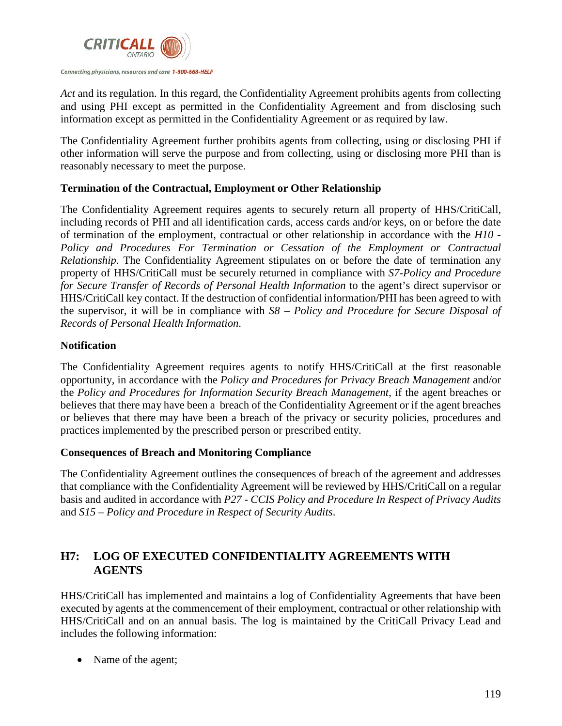

*Act* and its regulation. In this regard, the Confidentiality Agreement prohibits agents from collecting and using PHI except as permitted in the Confidentiality Agreement and from disclosing such information except as permitted in the Confidentiality Agreement or as required by law.

The Confidentiality Agreement further prohibits agents from collecting, using or disclosing PHI if other information will serve the purpose and from collecting, using or disclosing more PHI than is reasonably necessary to meet the purpose.

#### **Termination of the Contractual, Employment or Other Relationship**

The Confidentiality Agreement requires agents to securely return all property of HHS/CritiCall, including records of PHI and all identification cards, access cards and/or keys, on or before the date of termination of the employment, contractual or other relationship in accordance with the *H10 - Policy and Procedures For Termination or Cessation of the Employment or Contractual Relationship*. The Confidentiality Agreement stipulates on or before the date of termination any property of HHS/CritiCall must be securely returned in compliance with *S7-Policy and Procedure for Secure Transfer of Records of Personal Health Information* to the agent's direct supervisor or HHS/CritiCall key contact. If the destruction of confidential information/PHI has been agreed to with the supervisor, it will be in compliance with *S8 – Policy and Procedure for Secure Disposal of Records of Personal Health Information*.

#### **Notification**

The Confidentiality Agreement requires agents to notify HHS/CritiCall at the first reasonable opportunity, in accordance with the *Policy and Procedures for Privacy Breach Management* and/or the *Policy and Procedures for Information Security Breach Management*, if the agent breaches or believes that there may have been a breach of the Confidentiality Agreement or if the agent breaches or believes that there may have been a breach of the privacy or security policies, procedures and practices implemented by the prescribed person or prescribed entity.

#### **Consequences of Breach and Monitoring Compliance**

The Confidentiality Agreement outlines the consequences of breach of the agreement and addresses that compliance with the Confidentiality Agreement will be reviewed by HHS/CritiCall on a regular basis and audited in accordance with *P27 - CCIS Policy and Procedure In Respect of Privacy Audits* and *S15 – Policy and Procedure in Respect of Security Audits*.

#### **H7: LOG OF EXECUTED CONFIDENTIALITY AGREEMENTS WITH AGENTS**

HHS/CritiCall has implemented and maintains a log of Confidentiality Agreements that have been executed by agents at the commencement of their employment, contractual or other relationship with HHS/CritiCall and on an annual basis. The log is maintained by the CritiCall Privacy Lead and includes the following information:

• Name of the agent;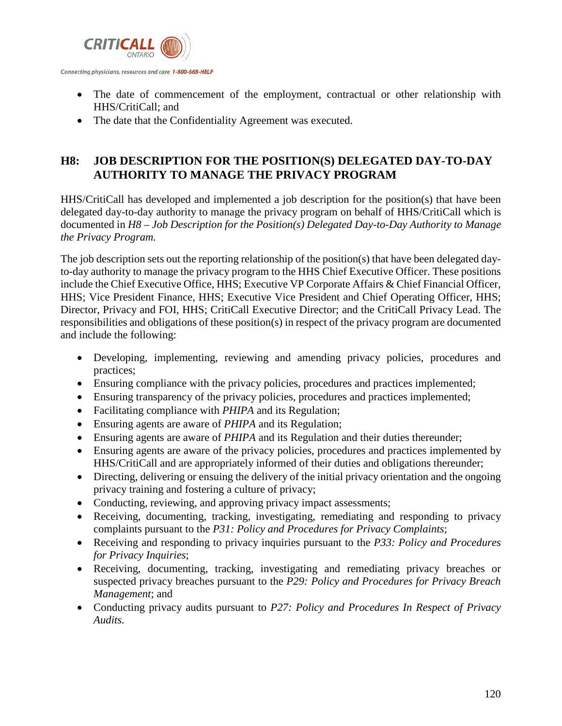

- The date of commencement of the employment, contractual or other relationship with HHS/CritiCall; and
- The date that the Confidentiality Agreement was executed.

#### **H8: JOB DESCRIPTION FOR THE POSITION(S) DELEGATED DAY-TO-DAY AUTHORITY TO MANAGE THE PRIVACY PROGRAM**

HHS/CritiCall has developed and implemented a job description for the position(s) that have been delegated day-to-day authority to manage the privacy program on behalf of HHS/CritiCall which is documented in *H8 – Job Description for the Position(s) Delegated Day-to-Day Authority to Manage the Privacy Program.*

The job description sets out the reporting relationship of the position(s) that have been delegated dayto-day authority to manage the privacy program to the HHS Chief Executive Officer. These positions include the Chief Executive Office, HHS; Executive VP Corporate Affairs & Chief Financial Officer, HHS; Vice President Finance, HHS; Executive Vice President and Chief Operating Officer, HHS; Director, Privacy and FOI, HHS; CritiCall Executive Director; and the CritiCall Privacy Lead. The responsibilities and obligations of these position(s) in respect of the privacy program are documented and include the following:

- Developing, implementing, reviewing and amending privacy policies, procedures and practices;
- Ensuring compliance with the privacy policies, procedures and practices implemented;
- Ensuring transparency of the privacy policies, procedures and practices implemented;
- Facilitating compliance with *PHIPA* and its Regulation;
- Ensuring agents are aware of *PHIPA* and its Regulation;
- Ensuring agents are aware of *PHIPA* and its Regulation and their duties thereunder;
- Ensuring agents are aware of the privacy policies, procedures and practices implemented by HHS/CritiCall and are appropriately informed of their duties and obligations thereunder;
- Directing, delivering or ensuing the delivery of the initial privacy orientation and the ongoing privacy training and fostering a culture of privacy;
- Conducting, reviewing, and approving privacy impact assessments;
- Receiving, documenting, tracking, investigating, remediating and responding to privacy complaints pursuant to the *P31: Policy and Procedures for Privacy Complaints*;
- Receiving and responding to privacy inquiries pursuant to the *P33: Policy and Procedures for Privacy Inquiries*;
- Receiving, documenting, tracking, investigating and remediating privacy breaches or suspected privacy breaches pursuant to the *P29: Policy and Procedures for Privacy Breach Management*; and
- Conducting privacy audits pursuant to *P27: Policy and Procedures In Respect of Privacy Audits.*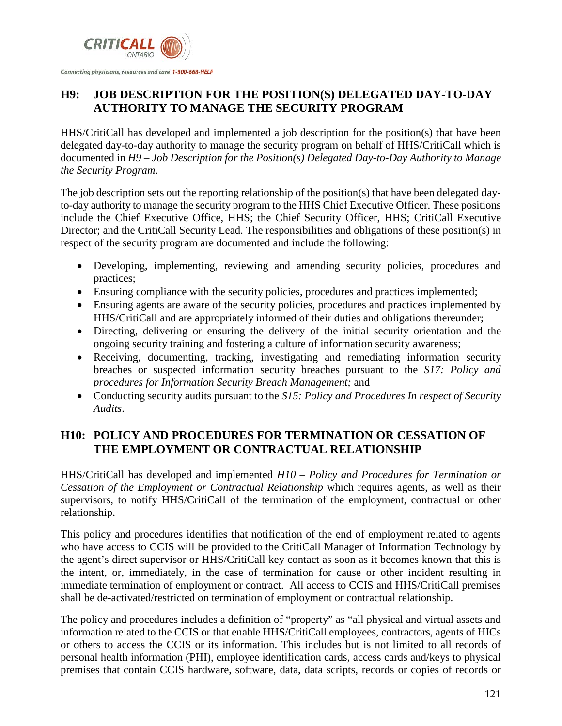

# **H9: JOB DESCRIPTION FOR THE POSITION(S) DELEGATED DAY-TO-DAY AUTHORITY TO MANAGE THE SECURITY PROGRAM**

HHS/CritiCall has developed and implemented a job description for the position(s) that have been delegated day-to-day authority to manage the security program on behalf of HHS/CritiCall which is documented in *H9 – Job Description for the Position(s) Delegated Day-to-Day Authority to Manage the Security Program*.

The job description sets out the reporting relationship of the position(s) that have been delegated dayto-day authority to manage the security program to the HHS Chief Executive Officer. These positions include the Chief Executive Office, HHS; the Chief Security Officer, HHS; CritiCall Executive Director; and the CritiCall Security Lead. The responsibilities and obligations of these position(s) in respect of the security program are documented and include the following:

- Developing, implementing, reviewing and amending security policies, procedures and practices;
- Ensuring compliance with the security policies, procedures and practices implemented;
- Ensuring agents are aware of the security policies, procedures and practices implemented by HHS/CritiCall and are appropriately informed of their duties and obligations thereunder;
- Directing, delivering or ensuring the delivery of the initial security orientation and the ongoing security training and fostering a culture of information security awareness;
- Receiving, documenting, tracking, investigating and remediating information security breaches or suspected information security breaches pursuant to the *S17: Policy and procedures for Information Security Breach Management;* and
- Conducting security audits pursuant to the *S15: Policy and Procedures In respect of Security Audits*.

# **H10: POLICY AND PROCEDURES FOR TERMINATION OR CESSATION OF THE EMPLOYMENT OR CONTRACTUAL RELATIONSHIP**

HHS/CritiCall has developed and implemented *H10 – Policy and Procedures for Termination or Cessation of the Employment or Contractual Relationship* which requires agents, as well as their supervisors, to notify HHS/CritiCall of the termination of the employment, contractual or other relationship.

This policy and procedures identifies that notification of the end of employment related to agents who have access to CCIS will be provided to the CritiCall Manager of Information Technology by the agent's direct supervisor or HHS/CritiCall key contact as soon as it becomes known that this is the intent, or, immediately, in the case of termination for cause or other incident resulting in immediate termination of employment or contract. All access to CCIS and HHS/CritiCall premises shall be de-activated/restricted on termination of employment or contractual relationship.

The policy and procedures includes a definition of "property" as "all physical and virtual assets and information related to the CCIS or that enable HHS/CritiCall employees, contractors, agents of HICs or others to access the CCIS or its information. This includes but is not limited to all records of personal health information (PHI), employee identification cards, access cards and/keys to physical premises that contain CCIS hardware, software, data, data scripts, records or copies of records or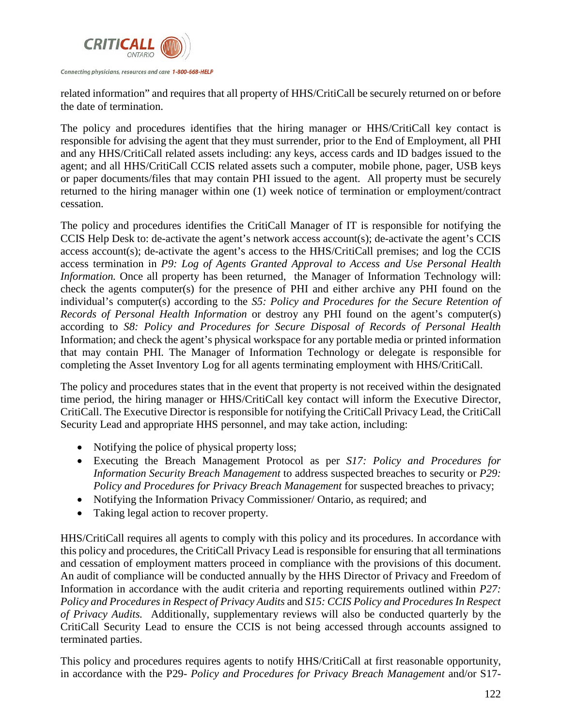

related information" and requires that all property of HHS/CritiCall be securely returned on or before the date of termination.

The policy and procedures identifies that the hiring manager or HHS/CritiCall key contact is responsible for advising the agent that they must surrender, prior to the End of Employment, all PHI and any HHS/CritiCall related assets including: any keys, access cards and ID badges issued to the agent; and all HHS/CritiCall CCIS related assets such a computer, mobile phone, pager, USB keys or paper documents/files that may contain PHI issued to the agent. All property must be securely returned to the hiring manager within one (1) week notice of termination or employment/contract cessation.

The policy and procedures identifies the CritiCall Manager of IT is responsible for notifying the CCIS Help Desk to: de-activate the agent's network access account(s); de-activate the agent's CCIS access account(s); de-activate the agent's access to the HHS/CritiCall premises; and log the CCIS access termination in *P9: Log of Agents Granted Approval to Access and Use Personal Health Information.* Once all property has been returned, the Manager of Information Technology will: check the agents computer(s) for the presence of PHI and either archive any PHI found on the individual's computer(s) according to the *S5: Policy and Procedures for the Secure Retention of Records of Personal Health Information* or destroy any PHI found on the agent's computer(s) according to *S8: Policy and Procedures for Secure Disposal of Records of Personal Health*  Information; and check the agent's physical workspace for any portable media or printed information that may contain PHI. The Manager of Information Technology or delegate is responsible for completing the Asset Inventory Log for all agents terminating employment with HHS/CritiCall.

The policy and procedures states that in the event that property is not received within the designated time period, the hiring manager or HHS/CritiCall key contact will inform the Executive Director, CritiCall. The Executive Director is responsible for notifying the CritiCall Privacy Lead, the CritiCall Security Lead and appropriate HHS personnel, and may take action, including:

- Notifying the police of physical property loss;
- Executing the Breach Management Protocol as per *S17: Policy and Procedures for Information Security Breach Management* to address suspected breaches to security or *P29: Policy and Procedures for Privacy Breach Management* for suspected breaches to privacy;
- Notifying the Information Privacy Commissioner/ Ontario, as required; and
- Taking legal action to recover property.

HHS/CritiCall requires all agents to comply with this policy and its procedures. In accordance with this policy and procedures, the CritiCall Privacy Lead is responsible for ensuring that all terminations and cessation of employment matters proceed in compliance with the provisions of this document. An audit of compliance will be conducted annually by the HHS Director of Privacy and Freedom of Information in accordance with the audit criteria and reporting requirements outlined within *P27: Policy and Procedures in Respect of Privacy Audits* and *S15: CCIS Policy and Procedures In Respect of Privacy Audits.* Additionally, supplementary reviews will also be conducted quarterly by the CritiCall Security Lead to ensure the CCIS is not being accessed through accounts assigned to terminated parties.

This policy and procedures requires agents to notify HHS/CritiCall at first reasonable opportunity, in accordance with the P29- *Policy and Procedures for Privacy Breach Management* and/or S17-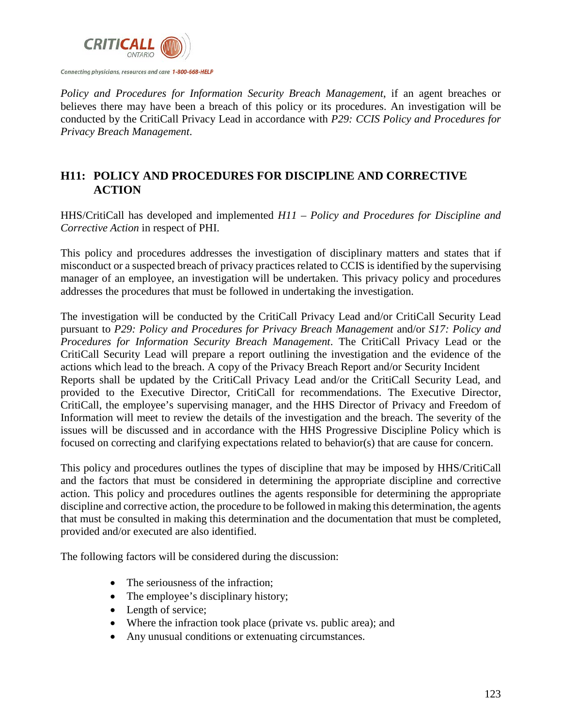

*Policy and Procedures for Information Security Breach Management*, if an agent breaches or believes there may have been a breach of this policy or its procedures. An investigation will be conducted by the CritiCall Privacy Lead in accordance with *P29: CCIS Policy and Procedures for Privacy Breach Management*.

#### **H11: POLICY AND PROCEDURES FOR DISCIPLINE AND CORRECTIVE ACTION**

HHS/CritiCall has developed and implemented *H11 – Policy and Procedures for Discipline and Corrective Action* in respect of PHI.

This policy and procedures addresses the investigation of disciplinary matters and states that if misconduct or a suspected breach of privacy practices related to CCIS is identified by the supervising manager of an employee, an investigation will be undertaken. This privacy policy and procedures addresses the procedures that must be followed in undertaking the investigation.

The investigation will be conducted by the CritiCall Privacy Lead and/or CritiCall Security Lead pursuant to *P29: Policy and Procedures for Privacy Breach Management* and/or *S17: Policy and Procedures for Information Security Breach Management*. The CritiCall Privacy Lead or the CritiCall Security Lead will prepare a report outlining the investigation and the evidence of the actions which lead to the breach. A copy of the Privacy Breach Report and/or Security Incident Reports shall be updated by the CritiCall Privacy Lead and/or the CritiCall Security Lead, and provided to the Executive Director, CritiCall for recommendations. The Executive Director, CritiCall, the employee's supervising manager, and the HHS Director of Privacy and Freedom of Information will meet to review the details of the investigation and the breach. The severity of the issues will be discussed and in accordance with the HHS Progressive Discipline Policy which is focused on correcting and clarifying expectations related to behavior(s) that are cause for concern.

This policy and procedures outlines the types of discipline that may be imposed by HHS/CritiCall and the factors that must be considered in determining the appropriate discipline and corrective action. This policy and procedures outlines the agents responsible for determining the appropriate discipline and corrective action, the procedure to be followed in making this determination, the agents that must be consulted in making this determination and the documentation that must be completed, provided and/or executed are also identified.

The following factors will be considered during the discussion:

- The seriousness of the infraction:
- The employee's disciplinary history;
- Length of service;
- Where the infraction took place (private vs. public area); and
- Any unusual conditions or extenuating circumstances.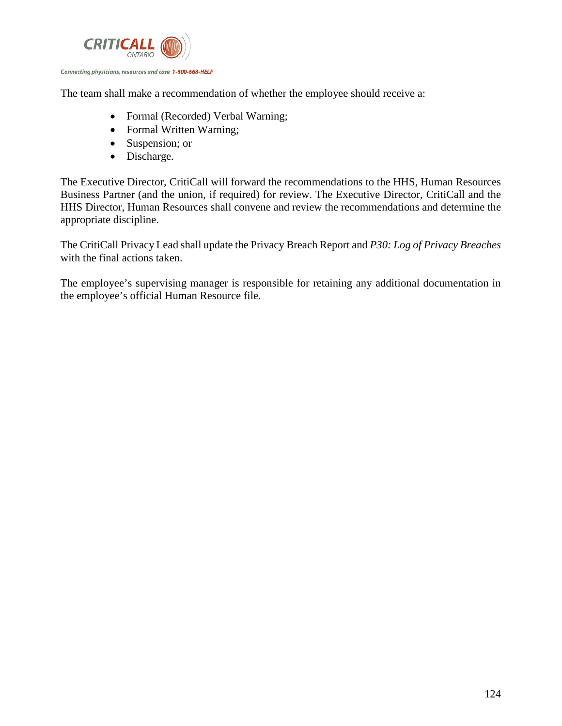

The team shall make a recommendation of whether the employee should receive a:

- Formal (Recorded) Verbal Warning;
- Formal Written Warning;
- Suspension; or
- Discharge.

The Executive Director, CritiCall will forward the recommendations to the HHS, Human Resources Business Partner (and the union, if required) for review. The Executive Director, CritiCall and the HHS Director, Human Resources shall convene and review the recommendations and determine the appropriate discipline.

The CritiCall Privacy Lead shall update the Privacy Breach Report and *P30: Log of Privacy Breaches*  with the final actions taken.

The employee's supervising manager is responsible for retaining any additional documentation in the employee's official Human Resource file.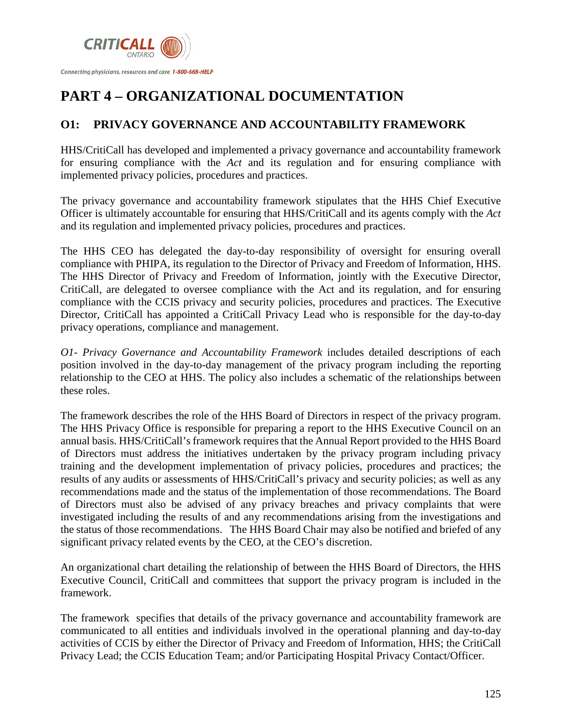

# **PART 4 – ORGANIZATIONAL DOCUMENTATION**

# **O1: PRIVACY GOVERNANCE AND ACCOUNTABILITY FRAMEWORK**

HHS/CritiCall has developed and implemented a privacy governance and accountability framework for ensuring compliance with the *Act* and its regulation and for ensuring compliance with implemented privacy policies, procedures and practices.

The privacy governance and accountability framework stipulates that the HHS Chief Executive Officer is ultimately accountable for ensuring that HHS/CritiCall and its agents comply with the *Act*  and its regulation and implemented privacy policies, procedures and practices.

The HHS CEO has delegated the day-to-day responsibility of oversight for ensuring overall compliance with PHIPA, its regulation to the Director of Privacy and Freedom of Information, HHS. The HHS Director of Privacy and Freedom of Information, jointly with the Executive Director, CritiCall, are delegated to oversee compliance with the Act and its regulation, and for ensuring compliance with the CCIS privacy and security policies, procedures and practices. The Executive Director, CritiCall has appointed a CritiCall Privacy Lead who is responsible for the day-to-day privacy operations, compliance and management.

*O1- Privacy Governance and Accountability Framework* includes detailed descriptions of each position involved in the day-to-day management of the privacy program including the reporting relationship to the CEO at HHS. The policy also includes a schematic of the relationships between these roles.

The framework describes the role of the HHS Board of Directors in respect of the privacy program. The HHS Privacy Office is responsible for preparing a report to the HHS Executive Council on an annual basis. HHS/CritiCall's framework requires that the Annual Report provided to the HHS Board of Directors must address the initiatives undertaken by the privacy program including privacy training and the development implementation of privacy policies, procedures and practices; the results of any audits or assessments of HHS/CritiCall's privacy and security policies; as well as any recommendations made and the status of the implementation of those recommendations. The Board of Directors must also be advised of any privacy breaches and privacy complaints that were investigated including the results of and any recommendations arising from the investigations and the status of those recommendations. The HHS Board Chair may also be notified and briefed of any significant privacy related events by the CEO, at the CEO's discretion.

An organizational chart detailing the relationship of between the HHS Board of Directors, the HHS Executive Council, CritiCall and committees that support the privacy program is included in the framework.

The framework specifies that details of the privacy governance and accountability framework are communicated to all entities and individuals involved in the operational planning and day-to-day activities of CCIS by either the Director of Privacy and Freedom of Information, HHS; the CritiCall Privacy Lead; the CCIS Education Team; and/or Participating Hospital Privacy Contact/Officer.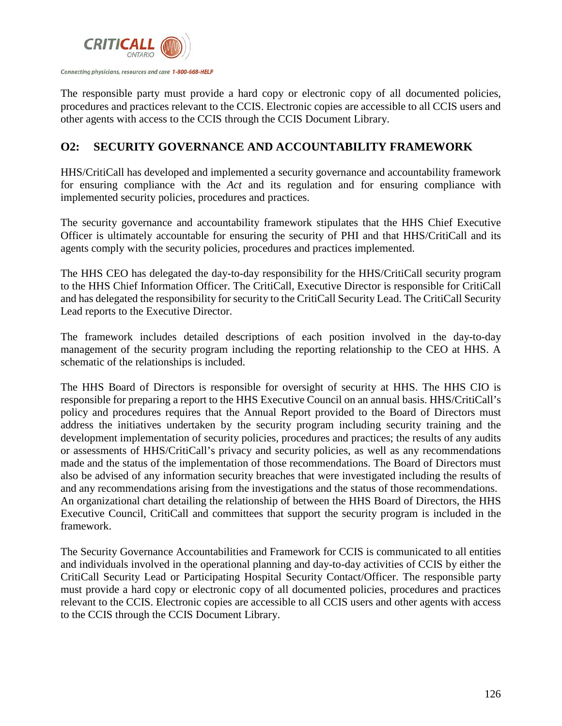

The responsible party must provide a hard copy or electronic copy of all documented policies, procedures and practices relevant to the CCIS. Electronic copies are accessible to all CCIS users and other agents with access to the CCIS through the CCIS Document Library.

#### **O2: SECURITY GOVERNANCE AND ACCOUNTABILITY FRAMEWORK**

HHS/CritiCall has developed and implemented a security governance and accountability framework for ensuring compliance with the *Act* and its regulation and for ensuring compliance with implemented security policies, procedures and practices.

The security governance and accountability framework stipulates that the HHS Chief Executive Officer is ultimately accountable for ensuring the security of PHI and that HHS/CritiCall and its agents comply with the security policies, procedures and practices implemented.

The HHS CEO has delegated the day-to-day responsibility for the HHS/CritiCall security program to the HHS Chief Information Officer. The CritiCall, Executive Director is responsible for CritiCall and has delegated the responsibility for security to the CritiCall Security Lead. The CritiCall Security Lead reports to the Executive Director.

The framework includes detailed descriptions of each position involved in the day-to-day management of the security program including the reporting relationship to the CEO at HHS. A schematic of the relationships is included.

The HHS Board of Directors is responsible for oversight of security at HHS. The HHS CIO is responsible for preparing a report to the HHS Executive Council on an annual basis. HHS/CritiCall's policy and procedures requires that the Annual Report provided to the Board of Directors must address the initiatives undertaken by the security program including security training and the development implementation of security policies, procedures and practices; the results of any audits or assessments of HHS/CritiCall's privacy and security policies, as well as any recommendations made and the status of the implementation of those recommendations. The Board of Directors must also be advised of any information security breaches that were investigated including the results of and any recommendations arising from the investigations and the status of those recommendations. An organizational chart detailing the relationship of between the HHS Board of Directors, the HHS Executive Council, CritiCall and committees that support the security program is included in the framework.

The Security Governance Accountabilities and Framework for CCIS is communicated to all entities and individuals involved in the operational planning and day-to-day activities of CCIS by either the CritiCall Security Lead or Participating Hospital Security Contact/Officer. The responsible party must provide a hard copy or electronic copy of all documented policies, procedures and practices relevant to the CCIS. Electronic copies are accessible to all CCIS users and other agents with access to the CCIS through the CCIS Document Library.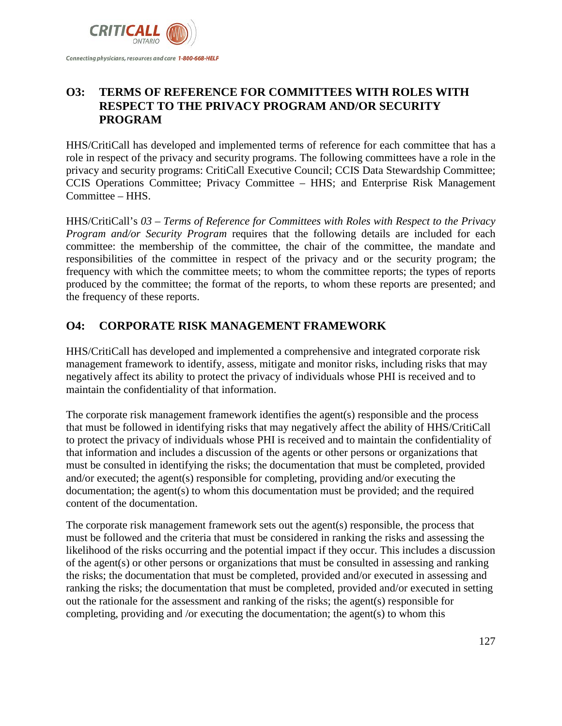

#### **O3: TERMS OF REFERENCE FOR COMMITTEES WITH ROLES WITH RESPECT TO THE PRIVACY PROGRAM AND/OR SECURITY PROGRAM**

HHS/CritiCall has developed and implemented terms of reference for each committee that has a role in respect of the privacy and security programs. The following committees have a role in the privacy and security programs: CritiCall Executive Council; CCIS Data Stewardship Committee; CCIS Operations Committee; Privacy Committee – HHS; and Enterprise Risk Management Committee – HHS.

HHS/CritiCall's *03 – Terms of Reference for Committees with Roles with Respect to the Privacy Program and/or Security Program* requires that the following details are included for each committee: the membership of the committee, the chair of the committee, the mandate and responsibilities of the committee in respect of the privacy and or the security program; the frequency with which the committee meets; to whom the committee reports; the types of reports produced by the committee; the format of the reports, to whom these reports are presented; and the frequency of these reports.

#### **O4: CORPORATE RISK MANAGEMENT FRAMEWORK**

HHS/CritiCall has developed and implemented a comprehensive and integrated corporate risk management framework to identify, assess, mitigate and monitor risks, including risks that may negatively affect its ability to protect the privacy of individuals whose PHI is received and to maintain the confidentiality of that information.

The corporate risk management framework identifies the agent(s) responsible and the process that must be followed in identifying risks that may negatively affect the ability of HHS/CritiCall to protect the privacy of individuals whose PHI is received and to maintain the confidentiality of that information and includes a discussion of the agents or other persons or organizations that must be consulted in identifying the risks; the documentation that must be completed, provided and/or executed; the agent(s) responsible for completing, providing and/or executing the documentation; the agent(s) to whom this documentation must be provided; and the required content of the documentation.

The corporate risk management framework sets out the agent(s) responsible, the process that must be followed and the criteria that must be considered in ranking the risks and assessing the likelihood of the risks occurring and the potential impact if they occur. This includes a discussion of the agent(s) or other persons or organizations that must be consulted in assessing and ranking the risks; the documentation that must be completed, provided and/or executed in assessing and ranking the risks; the documentation that must be completed, provided and/or executed in setting out the rationale for the assessment and ranking of the risks; the agent(s) responsible for completing, providing and /or executing the documentation; the agent(s) to whom this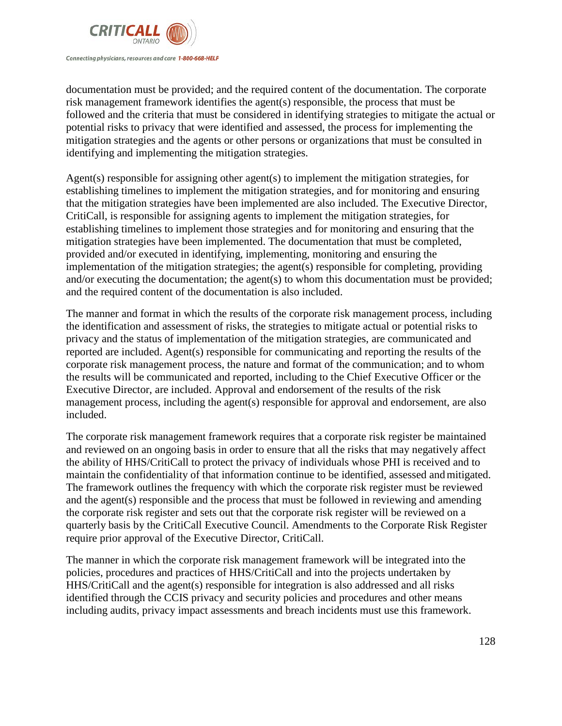

documentation must be provided; and the required content of the documentation. The corporate risk management framework identifies the agent(s) responsible, the process that must be followed and the criteria that must be considered in identifying strategies to mitigate the actual or potential risks to privacy that were identified and assessed, the process for implementing the mitigation strategies and the agents or other persons or organizations that must be consulted in identifying and implementing the mitigation strategies.

Agent(s) responsible for assigning other agent(s) to implement the mitigation strategies, for establishing timelines to implement the mitigation strategies, and for monitoring and ensuring that the mitigation strategies have been implemented are also included. The Executive Director, CritiCall, is responsible for assigning agents to implement the mitigation strategies, for establishing timelines to implement those strategies and for monitoring and ensuring that the mitigation strategies have been implemented. The documentation that must be completed, provided and/or executed in identifying, implementing, monitoring and ensuring the implementation of the mitigation strategies; the agent(s) responsible for completing, providing and/or executing the documentation; the agent(s) to whom this documentation must be provided; and the required content of the documentation is also included.

The manner and format in which the results of the corporate risk management process, including the identification and assessment of risks, the strategies to mitigate actual or potential risks to privacy and the status of implementation of the mitigation strategies, are communicated and reported are included. Agent(s) responsible for communicating and reporting the results of the corporate risk management process, the nature and format of the communication; and to whom the results will be communicated and reported, including to the Chief Executive Officer or the Executive Director, are included. Approval and endorsement of the results of the risk management process, including the agent(s) responsible for approval and endorsement, are also included.

The corporate risk management framework requires that a corporate risk register be maintained and reviewed on an ongoing basis in order to ensure that all the risks that may negatively affect the ability of HHS/CritiCall to protect the privacy of individuals whose PHI is received and to maintain the confidentiality of that information continue to be identified, assessed andmitigated. The framework outlines the frequency with which the corporate risk register must be reviewed and the agent(s) responsible and the process that must be followed in reviewing and amending the corporate risk register and sets out that the corporate risk register will be reviewed on a quarterly basis by the CritiCall Executive Council. Amendments to the Corporate Risk Register require prior approval of the Executive Director, CritiCall.

The manner in which the corporate risk management framework will be integrated into the policies, procedures and practices of HHS/CritiCall and into the projects undertaken by HHS/CritiCall and the agent(s) responsible for integration is also addressed and all risks identified through the CCIS privacy and security policies and procedures and other means including audits, privacy impact assessments and breach incidents must use this framework.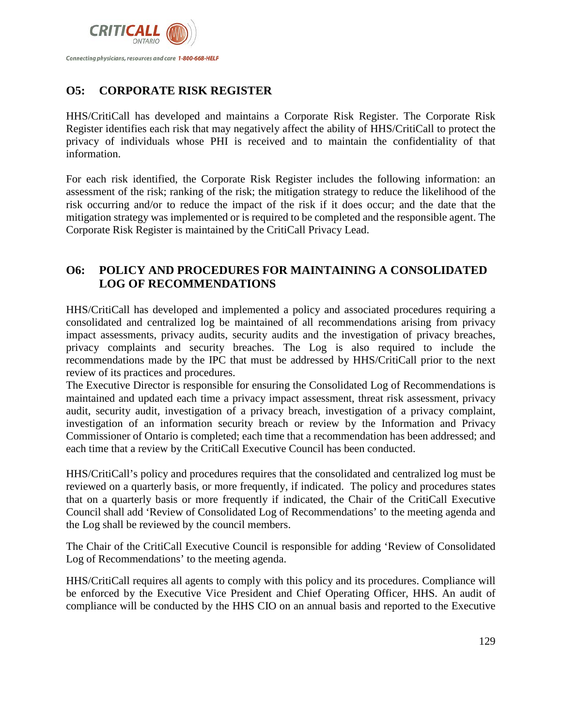

#### **O5: CORPORATE RISK REGISTER**

HHS/CritiCall has developed and maintains a Corporate Risk Register. The Corporate Risk Register identifies each risk that may negatively affect the ability of HHS/CritiCall to protect the privacy of individuals whose PHI is received and to maintain the confidentiality of that information.

For each risk identified, the Corporate Risk Register includes the following information: an assessment of the risk; ranking of the risk; the mitigation strategy to reduce the likelihood of the risk occurring and/or to reduce the impact of the risk if it does occur; and the date that the mitigation strategy was implemented or is required to be completed and the responsible agent. The Corporate Risk Register is maintained by the CritiCall Privacy Lead.

#### **O6: POLICY AND PROCEDURES FOR MAINTAINING A CONSOLIDATED LOG OF RECOMMENDATIONS**

HHS/CritiCall has developed and implemented a policy and associated procedures requiring a consolidated and centralized log be maintained of all recommendations arising from privacy impact assessments, privacy audits, security audits and the investigation of privacy breaches, privacy complaints and security breaches. The Log is also required to include the recommendations made by the IPC that must be addressed by HHS/CritiCall prior to the next review of its practices and procedures.

The Executive Director is responsible for ensuring the Consolidated Log of Recommendations is maintained and updated each time a privacy impact assessment, threat risk assessment, privacy audit, security audit, investigation of a privacy breach, investigation of a privacy complaint, investigation of an information security breach or review by the Information and Privacy Commissioner of Ontario is completed; each time that a recommendation has been addressed; and each time that a review by the CritiCall Executive Council has been conducted.

HHS/CritiCall's policy and procedures requires that the consolidated and centralized log must be reviewed on a quarterly basis, or more frequently, if indicated. The policy and procedures states that on a quarterly basis or more frequently if indicated, the Chair of the CritiCall Executive Council shall add 'Review of Consolidated Log of Recommendations' to the meeting agenda and the Log shall be reviewed by the council members.

The Chair of the CritiCall Executive Council is responsible for adding 'Review of Consolidated Log of Recommendations' to the meeting agenda.

HHS/CritiCall requires all agents to comply with this policy and its procedures. Compliance will be enforced by the Executive Vice President and Chief Operating Officer, HHS. An audit of compliance will be conducted by the HHS CIO on an annual basis and reported to the Executive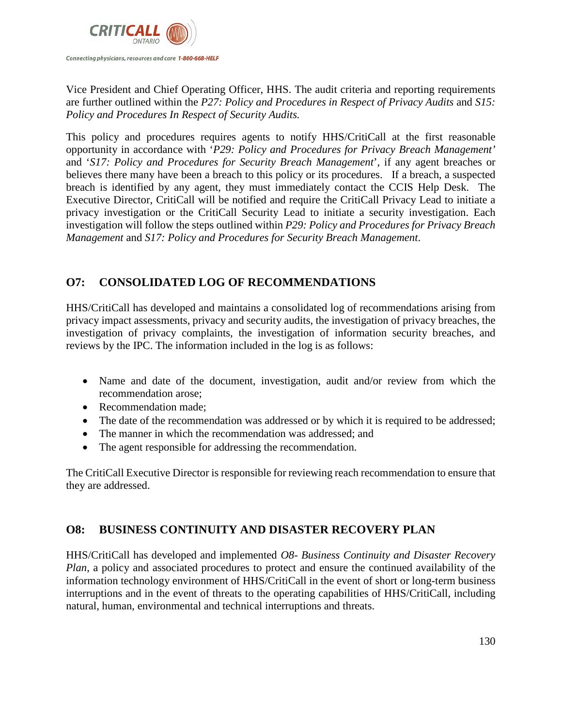

Vice President and Chief Operating Officer, HHS. The audit criteria and reporting requirements are further outlined within the *P27: Policy and Procedures in Respect of Privacy Audits* and *S15: Policy and Procedures In Respect of Security Audits.*

This policy and procedures requires agents to notify HHS/CritiCall at the first reasonable opportunity in accordance with '*P29: Policy and Procedures for Privacy Breach Management'* and '*S17: Policy and Procedures for Security Breach Management*', if any agent breaches or believes there many have been a breach to this policy or its procedures. If a breach, a suspected breach is identified by any agent, they must immediately contact the CCIS Help Desk. The Executive Director, CritiCall will be notified and require the CritiCall Privacy Lead to initiate a privacy investigation or the CritiCall Security Lead to initiate a security investigation. Each investigation will follow the steps outlined within *P29: Policy and Procedures for Privacy Breach Management* and *S17: Policy and Procedures for Security Breach Management*.

#### **O7: CONSOLIDATED LOG OF RECOMMENDATIONS**

HHS/CritiCall has developed and maintains a consolidated log of recommendations arising from privacy impact assessments, privacy and security audits, the investigation of privacy breaches, the investigation of privacy complaints, the investigation of information security breaches, and reviews by the IPC. The information included in the log is as follows:

- Name and date of the document, investigation, audit and/or review from which the recommendation arose;
- Recommendation made:
- The date of the recommendation was addressed or by which it is required to be addressed;
- The manner in which the recommendation was addressed; and
- The agent responsible for addressing the recommendation.

The CritiCall Executive Director is responsible for reviewing reach recommendation to ensure that they are addressed.

#### **O8: BUSINESS CONTINUITY AND DISASTER RECOVERY PLAN**

HHS/CritiCall has developed and implemented *O8- Business Continuity and Disaster Recovery Plan*, a policy and associated procedures to protect and ensure the continued availability of the information technology environment of HHS/CritiCall in the event of short or long-term business interruptions and in the event of threats to the operating capabilities of HHS/CritiCall, including natural, human, environmental and technical interruptions and threats.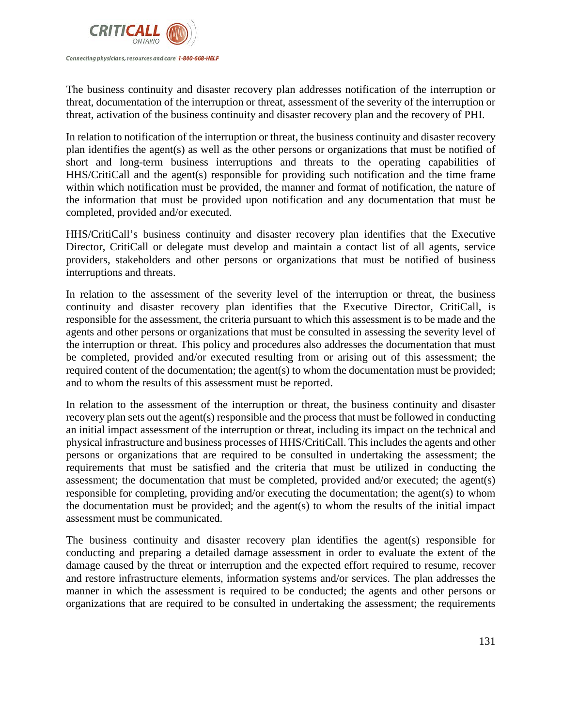

The business continuity and disaster recovery plan addresses notification of the interruption or threat, documentation of the interruption or threat, assessment of the severity of the interruption or threat, activation of the business continuity and disaster recovery plan and the recovery of PHI.

In relation to notification of the interruption or threat, the business continuity and disaster recovery plan identifies the agent(s) as well as the other persons or organizations that must be notified of short and long-term business interruptions and threats to the operating capabilities of HHS/CritiCall and the agent(s) responsible for providing such notification and the time frame within which notification must be provided, the manner and format of notification, the nature of the information that must be provided upon notification and any documentation that must be completed, provided and/or executed.

HHS/CritiCall's business continuity and disaster recovery plan identifies that the Executive Director, CritiCall or delegate must develop and maintain a contact list of all agents, service providers, stakeholders and other persons or organizations that must be notified of business interruptions and threats.

In relation to the assessment of the severity level of the interruption or threat, the business continuity and disaster recovery plan identifies that the Executive Director, CritiCall, is responsible for the assessment, the criteria pursuant to which this assessment is to be made and the agents and other persons or organizations that must be consulted in assessing the severity level of the interruption or threat. This policy and procedures also addresses the documentation that must be completed, provided and/or executed resulting from or arising out of this assessment; the required content of the documentation; the agent(s) to whom the documentation must be provided; and to whom the results of this assessment must be reported.

In relation to the assessment of the interruption or threat, the business continuity and disaster recovery plan sets out the agent(s) responsible and the process that must be followed in conducting an initial impact assessment of the interruption or threat, including its impact on the technical and physical infrastructure and business processes of HHS/CritiCall. This includes the agents and other persons or organizations that are required to be consulted in undertaking the assessment; the requirements that must be satisfied and the criteria that must be utilized in conducting the assessment; the documentation that must be completed, provided and/or executed; the agent(s) responsible for completing, providing and/or executing the documentation; the agent(s) to whom the documentation must be provided; and the agent(s) to whom the results of the initial impact assessment must be communicated.

The business continuity and disaster recovery plan identifies the agent(s) responsible for conducting and preparing a detailed damage assessment in order to evaluate the extent of the damage caused by the threat or interruption and the expected effort required to resume, recover and restore infrastructure elements, information systems and/or services. The plan addresses the manner in which the assessment is required to be conducted; the agents and other persons or organizations that are required to be consulted in undertaking the assessment; the requirements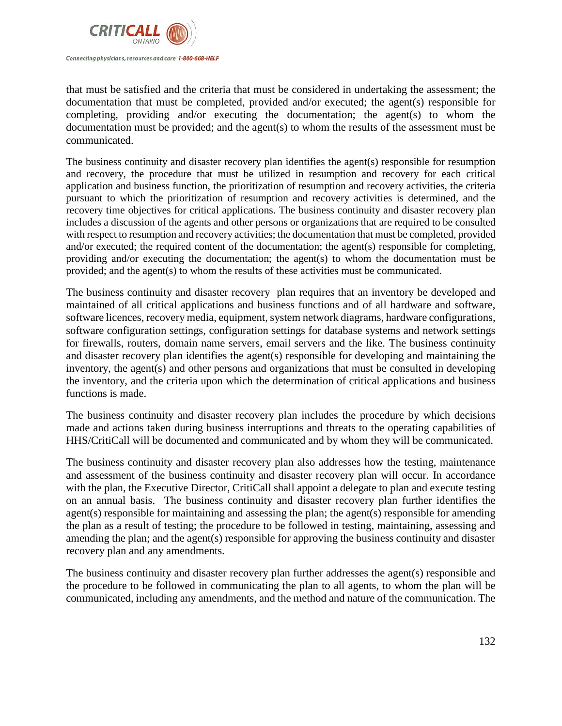

that must be satisfied and the criteria that must be considered in undertaking the assessment; the documentation that must be completed, provided and/or executed; the agent(s) responsible for completing, providing and/or executing the documentation; the agent(s) to whom the documentation must be provided; and the agent(s) to whom the results of the assessment must be communicated.

The business continuity and disaster recovery plan identifies the agent(s) responsible for resumption and recovery, the procedure that must be utilized in resumption and recovery for each critical application and business function, the prioritization of resumption and recovery activities, the criteria pursuant to which the prioritization of resumption and recovery activities is determined, and the recovery time objectives for critical applications. The business continuity and disaster recovery plan includes a discussion of the agents and other persons or organizations that are required to be consulted with respect to resumption and recovery activities; the documentation that must be completed, provided and/or executed; the required content of the documentation; the agent(s) responsible for completing, providing and/or executing the documentation; the agent(s) to whom the documentation must be provided; and the agent(s) to whom the results of these activities must be communicated.

The business continuity and disaster recovery plan requires that an inventory be developed and maintained of all critical applications and business functions and of all hardware and software, software licences, recovery media, equipment, system network diagrams, hardware configurations, software configuration settings, configuration settings for database systems and network settings for firewalls, routers, domain name servers, email servers and the like. The business continuity and disaster recovery plan identifies the agent(s) responsible for developing and maintaining the inventory, the agent(s) and other persons and organizations that must be consulted in developing the inventory, and the criteria upon which the determination of critical applications and business functions is made.

The business continuity and disaster recovery plan includes the procedure by which decisions made and actions taken during business interruptions and threats to the operating capabilities of HHS/CritiCall will be documented and communicated and by whom they will be communicated.

The business continuity and disaster recovery plan also addresses how the testing, maintenance and assessment of the business continuity and disaster recovery plan will occur. In accordance with the plan, the Executive Director, CritiCall shall appoint a delegate to plan and execute testing on an annual basis. The business continuity and disaster recovery plan further identifies the agent(s) responsible for maintaining and assessing the plan; the agent(s) responsible for amending the plan as a result of testing; the procedure to be followed in testing, maintaining, assessing and amending the plan; and the agent(s) responsible for approving the business continuity and disaster recovery plan and any amendments.

The business continuity and disaster recovery plan further addresses the agent(s) responsible and the procedure to be followed in communicating the plan to all agents, to whom the plan will be communicated, including any amendments, and the method and nature of the communication. The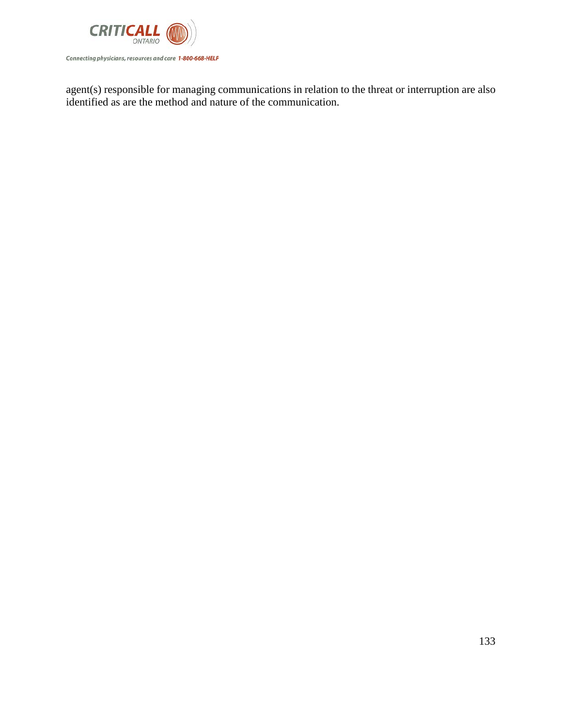

agent(s) responsible for managing communications in relation to the threat or interruption are also identified as are the method and nature of the communication.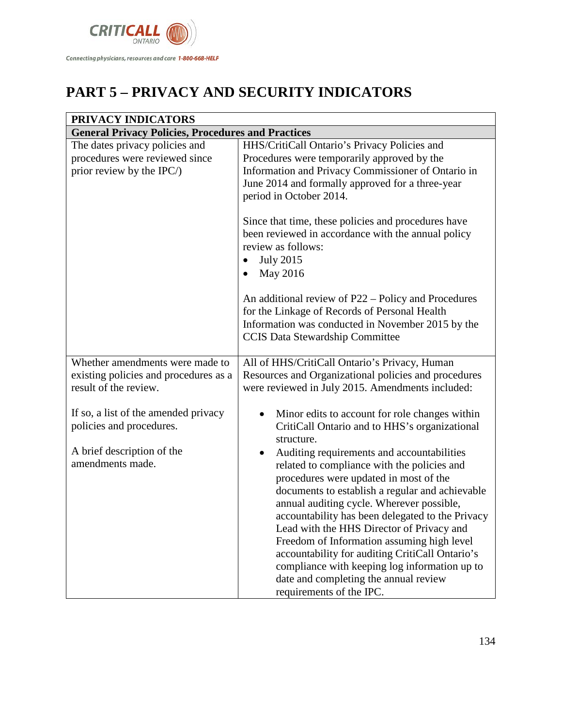

# **PART 5 – PRIVACY AND SECURITY INDICATORS**

| PRIVACY INDICATORS                                                                                |                                                                                                                                                                                                                                                                                                                                                                                                                                                                                                                                                             |
|---------------------------------------------------------------------------------------------------|-------------------------------------------------------------------------------------------------------------------------------------------------------------------------------------------------------------------------------------------------------------------------------------------------------------------------------------------------------------------------------------------------------------------------------------------------------------------------------------------------------------------------------------------------------------|
| <b>General Privacy Policies, Procedures and Practices</b>                                         |                                                                                                                                                                                                                                                                                                                                                                                                                                                                                                                                                             |
| The dates privacy policies and<br>procedures were reviewed since<br>prior review by the IPC/)     | HHS/CritiCall Ontario's Privacy Policies and<br>Procedures were temporarily approved by the<br>Information and Privacy Commissioner of Ontario in<br>June 2014 and formally approved for a three-year<br>period in October 2014.                                                                                                                                                                                                                                                                                                                            |
|                                                                                                   | Since that time, these policies and procedures have<br>been reviewed in accordance with the annual policy<br>review as follows:<br><b>July 2015</b><br>May 2016                                                                                                                                                                                                                                                                                                                                                                                             |
|                                                                                                   | An additional review of P22 – Policy and Procedures<br>for the Linkage of Records of Personal Health<br>Information was conducted in November 2015 by the<br><b>CCIS Data Stewardship Committee</b>                                                                                                                                                                                                                                                                                                                                                         |
| Whether amendments were made to<br>existing policies and procedures as a<br>result of the review. | All of HHS/CritiCall Ontario's Privacy, Human<br>Resources and Organizational policies and procedures<br>were reviewed in July 2015. Amendments included:                                                                                                                                                                                                                                                                                                                                                                                                   |
| If so, a list of the amended privacy<br>policies and procedures.                                  | Minor edits to account for role changes within<br>$\bullet$<br>CritiCall Ontario and to HHS's organizational<br>structure.                                                                                                                                                                                                                                                                                                                                                                                                                                  |
| A brief description of the<br>amendments made.                                                    | Auditing requirements and accountabilities<br>related to compliance with the policies and<br>procedures were updated in most of the<br>documents to establish a regular and achievable<br>annual auditing cycle. Wherever possible,<br>accountability has been delegated to the Privacy<br>Lead with the HHS Director of Privacy and<br>Freedom of Information assuming high level<br>accountability for auditing CritiCall Ontario's<br>compliance with keeping log information up to<br>date and completing the annual review<br>requirements of the IPC. |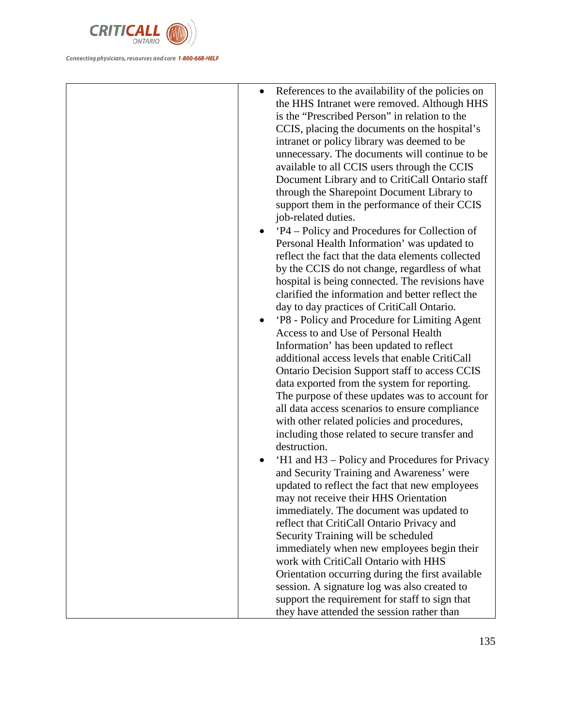

• References to the availability of the policies on the HHS Intranet were removed. Although HHS is the "Prescribed Person" in relation to the CCIS, placing the documents on the hospital's intranet or policy library was deemed to be unnecessary. The documents will continue to be available to all CCIS users through the CCIS Document Library and to CritiCall Ontario staff through the Sharepoint Document Library to support them in the performance of their CCIS job-related duties. • 'P4 – Policy and Procedures for Collection of Personal Health Information' was updated to reflect the fact that the data elements collected by the CCIS do not change, regardless of what hospital is being connected. The revisions have clarified the information and better reflect the day to day practices of CritiCall Ontario. • 'P8 - Policy and Procedure for Limiting Agent Access to and Use of Personal Health Information' has been updated to reflect additional access levels that enable CritiCall Ontario Decision Support staff to access CCIS data exported from the system for reporting. The purpose of these updates was to account for all data access scenarios to ensure compliance with other related policies and procedures, including those related to secure transfer and destruction. • 'H1 and H3 – Policy and Procedures for Privacy and Security Training and Awareness' were updated to reflect the fact that new employees may not receive their HHS Orientation immediately. The document was updated to reflect that CritiCall Ontario Privacy and Security Training will be scheduled immediately when new employees begin their work with CritiCall Ontario with HHS Orientation occurring during the first available session. A signature log was also created to support the requirement for staff to sign that they have attended the session rather than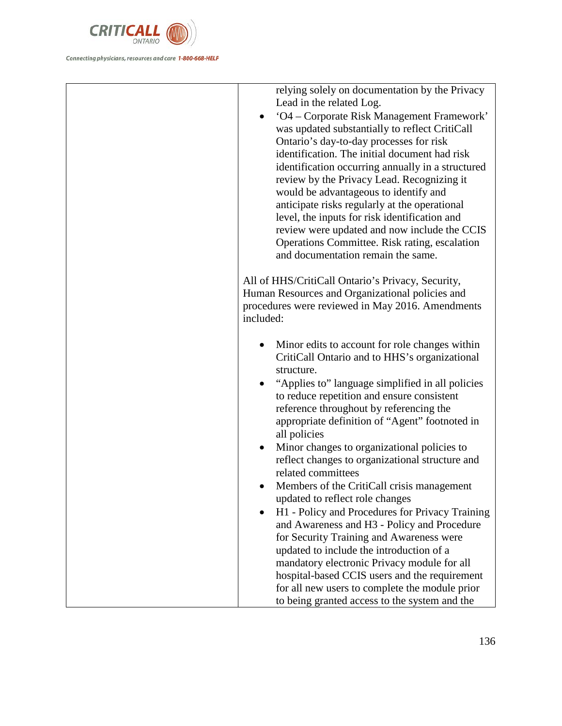

relying solely on documentation by the Privacy Lead in the related Log. • 'O4 – Corporate Risk Management Framework' was updated substantially to reflect CritiCall Ontario's day-to-day processes for risk identification. The initial document had risk identification occurring annually in a structured review by the Privacy Lead. Recognizing it would be advantageous to identify and anticipate risks regularly at the operational level, the inputs for risk identification and review were updated and now include the CCIS Operations Committee. Risk rating, escalation and documentation remain the same. All of HHS/CritiCall Ontario's Privacy, Security, Human Resources and Organizational policies and procedures were reviewed in May 2016. Amendments included: • Minor edits to account for role changes within CritiCall Ontario and to HHS's organizational structure. • "Applies to" language simplified in all policies to reduce repetition and ensure consistent reference throughout by referencing the appropriate definition of "Agent" footnoted in all policies • Minor changes to organizational policies to reflect changes to organizational structure and related committees • Members of the CritiCall crisis management updated to reflect role changes • H1 - Policy and Procedures for Privacy Training and Awareness and H3 - Policy and Procedure for Security Training and Awareness were updated to include the introduction of a mandatory electronic Privacy module for all hospital-based CCIS users and the requirement for all new users to complete the module prior

to being granted access to the system and the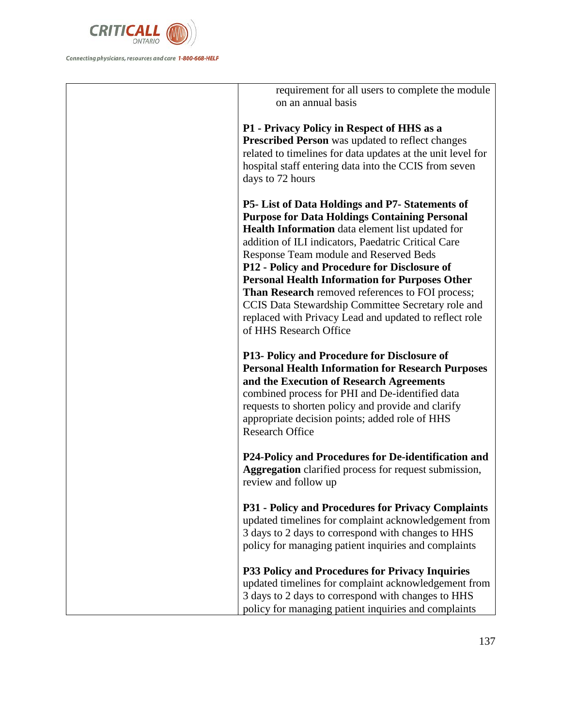

requirement for all users to complete the module on an annual basis **P1 - Privacy Policy in Respect of HHS as a Prescribed Person** was updated to reflect changes related to timelines for data updates at the unit level for hospital staff entering data into the CCIS from seven days to 72 hours **P5- List of Data Holdings and P7- Statements of Purpose for Data Holdings Containing Personal Health Information** data element list updated for addition of ILI indicators, Paedatric Critical Care Response Team module and Reserved Beds **P12 - Policy and Procedure for Disclosure of Personal Health Information for Purposes Other Than Research** removed references to FOI process; CCIS Data Stewardship Committee Secretary role and replaced with Privacy Lead and updated to reflect role of HHS Research Office **P13- Policy and Procedure for Disclosure of Personal Health Information for Research Purposes and the Execution of Research Agreements**  combined process for PHI and De-identified data requests to shorten policy and provide and clarify appropriate decision points; added role of HHS Research Office **P24-Policy and Procedures for De-identification and Aggregation** clarified process for request submission, review and follow up **P31 - Policy and Procedures for Privacy Complaints**  updated timelines for complaint acknowledgement from 3 days to 2 days to correspond with changes to HHS policy for managing patient inquiries and complaints **P33 Policy and Procedures for Privacy Inquiries**  updated timelines for complaint acknowledgement from 3 days to 2 days to correspond with changes to HHS policy for managing patient inquiries and complaints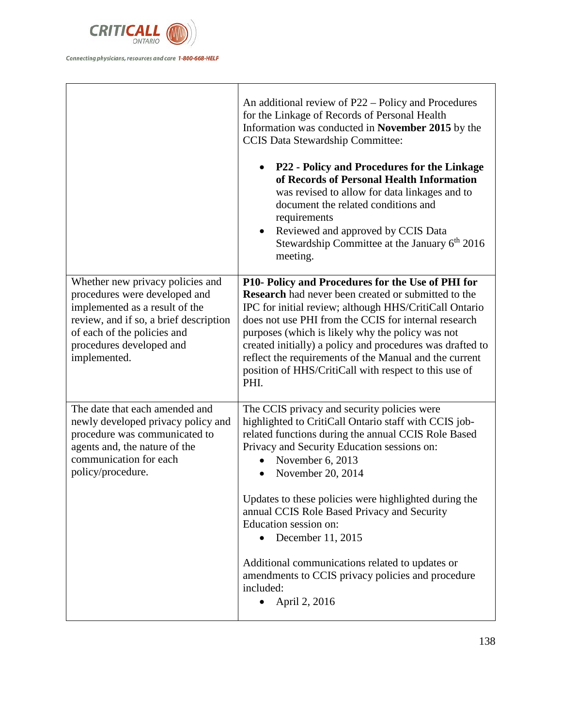

|                                                                                                      | An additional review of P22 – Policy and Procedures<br>for the Linkage of Records of Personal Health<br>Information was conducted in November 2015 by the<br><b>CCIS Data Stewardship Committee:</b><br>P22 - Policy and Procedures for the Linkage<br>of Records of Personal Health Information<br>was revised to allow for data linkages and to<br>document the related conditions and<br>requirements<br>Reviewed and approved by CCIS Data<br>Stewardship Committee at the January $6th 2016$<br>meeting. |
|------------------------------------------------------------------------------------------------------|---------------------------------------------------------------------------------------------------------------------------------------------------------------------------------------------------------------------------------------------------------------------------------------------------------------------------------------------------------------------------------------------------------------------------------------------------------------------------------------------------------------|
| Whether new privacy policies and<br>procedures were developed and                                    | P10- Policy and Procedures for the Use of PHI for<br>Research had never been created or submitted to the                                                                                                                                                                                                                                                                                                                                                                                                      |
| implemented as a result of the                                                                       | IPC for initial review; although HHS/CritiCall Ontario                                                                                                                                                                                                                                                                                                                                                                                                                                                        |
| review, and if so, a brief description<br>of each of the policies and                                | does not use PHI from the CCIS for internal research<br>purposes (which is likely why the policy was not                                                                                                                                                                                                                                                                                                                                                                                                      |
| procedures developed and                                                                             | created initially) a policy and procedures was drafted to                                                                                                                                                                                                                                                                                                                                                                                                                                                     |
| implemented.                                                                                         | reflect the requirements of the Manual and the current<br>position of HHS/CritiCall with respect to this use of<br>PHI.                                                                                                                                                                                                                                                                                                                                                                                       |
| The date that each amended and                                                                       | The CCIS privacy and security policies were                                                                                                                                                                                                                                                                                                                                                                                                                                                                   |
| newly developed privacy policy and<br>procedure was communicated to<br>agents and, the nature of the | highlighted to CritiCall Ontario staff with CCIS job-<br>related functions during the annual CCIS Role Based<br>Privacy and Security Education sessions on:                                                                                                                                                                                                                                                                                                                                                   |
| communication for each                                                                               | November 6, 2013                                                                                                                                                                                                                                                                                                                                                                                                                                                                                              |
| policy/procedure.                                                                                    | November 20, 2014                                                                                                                                                                                                                                                                                                                                                                                                                                                                                             |
|                                                                                                      | Updates to these policies were highlighted during the<br>annual CCIS Role Based Privacy and Security<br>Education session on:                                                                                                                                                                                                                                                                                                                                                                                 |
|                                                                                                      | December 11, 2015                                                                                                                                                                                                                                                                                                                                                                                                                                                                                             |
|                                                                                                      | Additional communications related to updates or<br>amendments to CCIS privacy policies and procedure<br>included:<br>April 2, 2016<br>$\bullet$                                                                                                                                                                                                                                                                                                                                                               |
|                                                                                                      |                                                                                                                                                                                                                                                                                                                                                                                                                                                                                                               |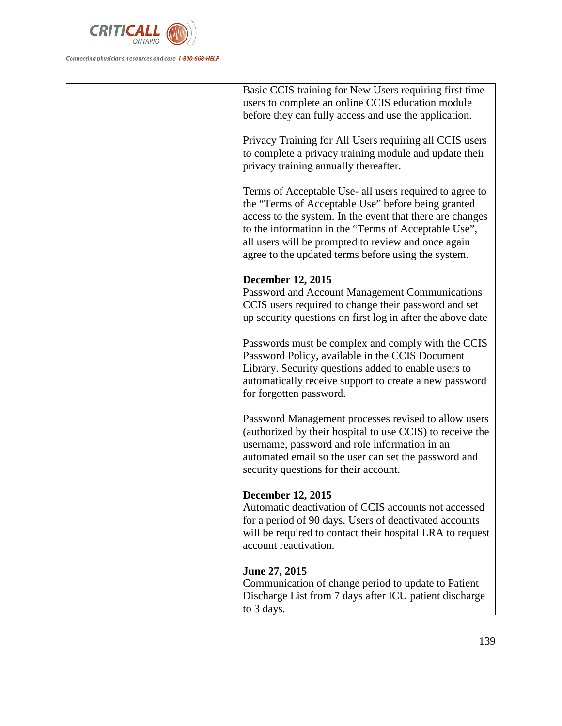

| Basic CCIS training for New Users requiring first time     |
|------------------------------------------------------------|
| users to complete an online CCIS education module          |
|                                                            |
| before they can fully access and use the application.      |
|                                                            |
| Privacy Training for All Users requiring all CCIS users    |
| to complete a privacy training module and update their     |
| privacy training annually thereafter.                      |
|                                                            |
| Terms of Acceptable Use- all users required to agree to    |
| the "Terms of Acceptable Use" before being granted         |
| access to the system. In the event that there are changes  |
| to the information in the "Terms of Acceptable Use",       |
| all users will be prompted to review and once again        |
| agree to the updated terms before using the system.        |
|                                                            |
| <b>December 12, 2015</b>                                   |
| Password and Account Management Communications             |
| CCIS users required to change their password and set       |
| up security questions on first log in after the above date |
|                                                            |
| Passwords must be complex and comply with the CCIS         |
| Password Policy, available in the CCIS Document            |
| Library. Security questions added to enable users to       |
| automatically receive support to create a new password     |
| for forgotten password.                                    |
|                                                            |
| Password Management processes revised to allow users       |
| (authorized by their hospital to use CCIS) to receive the  |
|                                                            |
| username, password and role information in an              |
| automated email so the user can set the password and       |
| security questions for their account.                      |
| <b>December 12, 2015</b>                                   |
|                                                            |
| Automatic deactivation of CCIS accounts not accessed       |
| for a period of 90 days. Users of deactivated accounts     |
| will be required to contact their hospital LRA to request  |
| account reactivation.                                      |
|                                                            |
| June 27, 2015                                              |
| Communication of change period to update to Patient        |
| Discharge List from 7 days after ICU patient discharge     |
| to 3 days.                                                 |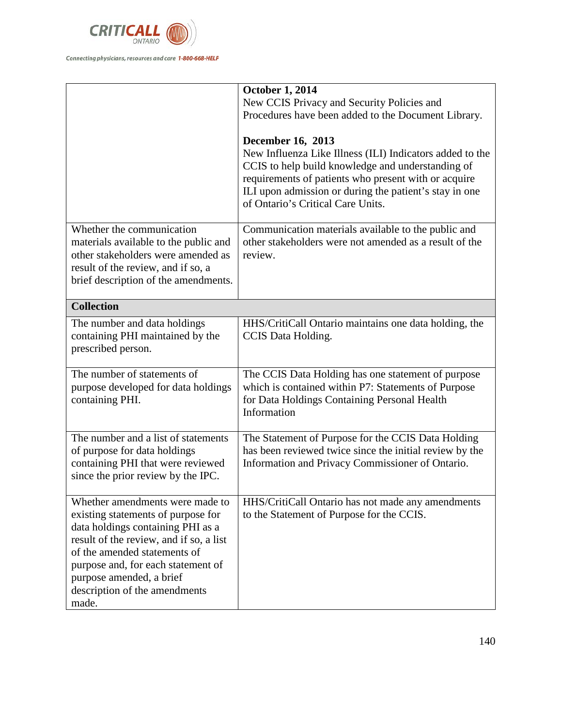

|                                                                                                                                                                                                                                                                                                   | <b>October 1, 2014</b><br>New CCIS Privacy and Security Policies and<br>Procedures have been added to the Document Library.<br><b>December 16, 2013</b><br>New Influenza Like Illness (ILI) Indicators added to the<br>CCIS to help build knowledge and understanding of<br>requirements of patients who present with or acquire<br>ILI upon admission or during the patient's stay in one<br>of Ontario's Critical Care Units. |
|---------------------------------------------------------------------------------------------------------------------------------------------------------------------------------------------------------------------------------------------------------------------------------------------------|---------------------------------------------------------------------------------------------------------------------------------------------------------------------------------------------------------------------------------------------------------------------------------------------------------------------------------------------------------------------------------------------------------------------------------|
| Whether the communication<br>materials available to the public and<br>other stakeholders were amended as<br>result of the review, and if so, a<br>brief description of the amendments.                                                                                                            | Communication materials available to the public and<br>other stakeholders were not amended as a result of the<br>review.                                                                                                                                                                                                                                                                                                        |
| <b>Collection</b>                                                                                                                                                                                                                                                                                 |                                                                                                                                                                                                                                                                                                                                                                                                                                 |
| The number and data holdings<br>containing PHI maintained by the<br>prescribed person.                                                                                                                                                                                                            | HHS/CritiCall Ontario maintains one data holding, the<br>CCIS Data Holding.                                                                                                                                                                                                                                                                                                                                                     |
| The number of statements of<br>purpose developed for data holdings<br>containing PHI.                                                                                                                                                                                                             | The CCIS Data Holding has one statement of purpose<br>which is contained within P7: Statements of Purpose<br>for Data Holdings Containing Personal Health<br>Information                                                                                                                                                                                                                                                        |
| The number and a list of statements<br>of purpose for data holdings<br>containing PHI that were reviewed<br>since the prior review by the IPC.                                                                                                                                                    | The Statement of Purpose for the CCIS Data Holding<br>has been reviewed twice since the initial review by the<br>Information and Privacy Commissioner of Ontario.                                                                                                                                                                                                                                                               |
| Whether amendments were made to<br>existing statements of purpose for<br>data holdings containing PHI as a<br>result of the review, and if so, a list<br>of the amended statements of<br>purpose and, for each statement of<br>purpose amended, a brief<br>description of the amendments<br>made. | HHS/CritiCall Ontario has not made any amendments<br>to the Statement of Purpose for the CCIS.                                                                                                                                                                                                                                                                                                                                  |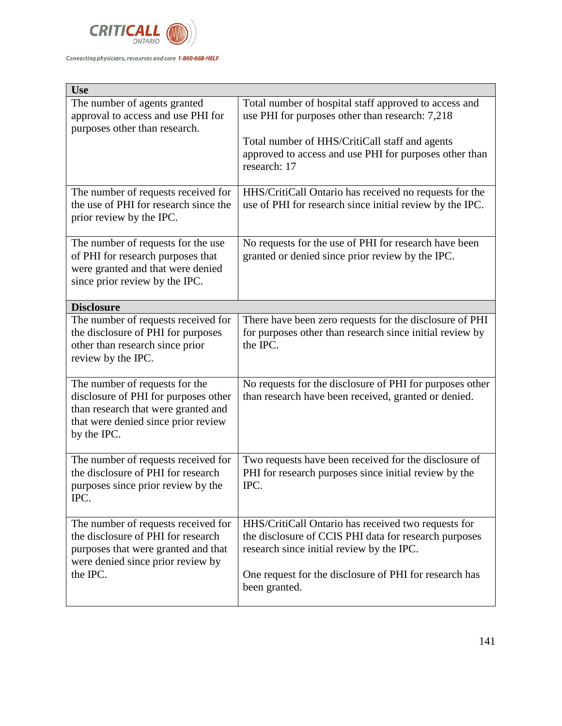

| <b>Use</b>                                                                                                                                                          |                                                                                                                                                                                                                                      |
|---------------------------------------------------------------------------------------------------------------------------------------------------------------------|--------------------------------------------------------------------------------------------------------------------------------------------------------------------------------------------------------------------------------------|
| The number of agents granted<br>approval to access and use PHI for<br>purposes other than research.                                                                 | Total number of hospital staff approved to access and<br>use PHI for purposes other than research: 7,218<br>Total number of HHS/CritiCall staff and agents<br>approved to access and use PHI for purposes other than<br>research: 17 |
| The number of requests received for<br>the use of PHI for research since the<br>prior review by the IPC.                                                            | HHS/CritiCall Ontario has received no requests for the<br>use of PHI for research since initial review by the IPC.                                                                                                                   |
| The number of requests for the use<br>of PHI for research purposes that<br>were granted and that were denied<br>since prior review by the IPC.                      | No requests for the use of PHI for research have been<br>granted or denied since prior review by the IPC.                                                                                                                            |
| <b>Disclosure</b>                                                                                                                                                   |                                                                                                                                                                                                                                      |
| The number of requests received for<br>the disclosure of PHI for purposes<br>other than research since prior<br>review by the IPC.                                  | There have been zero requests for the disclosure of PHI<br>for purposes other than research since initial review by<br>the IPC.                                                                                                      |
| The number of requests for the<br>disclosure of PHI for purposes other<br>than research that were granted and<br>that were denied since prior review<br>by the IPC. | No requests for the disclosure of PHI for purposes other<br>than research have been received, granted or denied.                                                                                                                     |
| The number of requests received for<br>the disclosure of PHI for research<br>purposes since prior review by the<br>IPC.                                             | Two requests have been received for the disclosure of<br>PHI for research purposes since initial review by the<br>IPC.                                                                                                               |
| The number of requests received for<br>the disclosure of PHI for research<br>purposes that were granted and that<br>were denied since prior review by<br>the IPC.   | HHS/CritiCall Ontario has received two requests for<br>the disclosure of CCIS PHI data for research purposes<br>research since initial review by the IPC.<br>One request for the disclosure of PHI for research has<br>been granted. |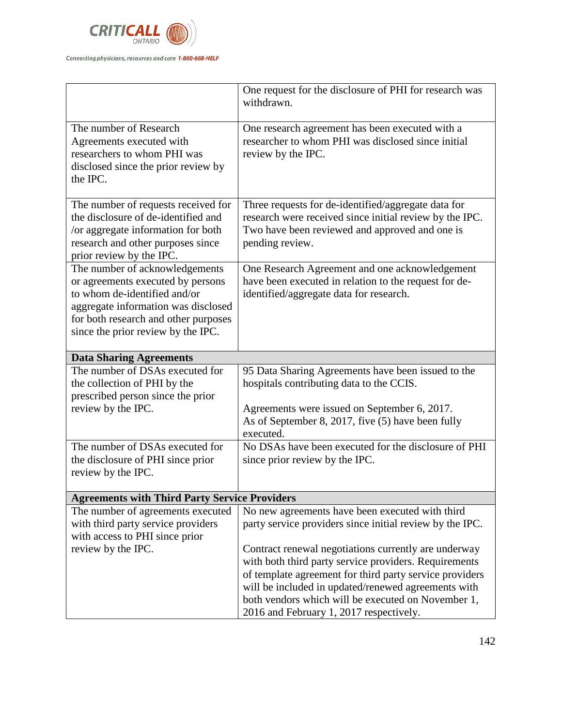

|                                                               | One request for the disclosure of PHI for research was<br>withdrawn.                          |
|---------------------------------------------------------------|-----------------------------------------------------------------------------------------------|
| The number of Research                                        | One research agreement has been executed with a                                               |
| Agreements executed with                                      | researcher to whom PHI was disclosed since initial                                            |
| researchers to whom PHI was                                   | review by the IPC.                                                                            |
| disclosed since the prior review by                           |                                                                                               |
| the IPC.                                                      |                                                                                               |
| The number of requests received for                           | Three requests for de-identified/aggregate data for                                           |
| the disclosure of de-identified and                           | research were received since initial review by the IPC.                                       |
| /or aggregate information for both                            | Two have been reviewed and approved and one is                                                |
| research and other purposes since<br>prior review by the IPC. | pending review.                                                                               |
| The number of acknowledgements                                | One Research Agreement and one acknowledgement                                                |
| or agreements executed by persons                             | have been executed in relation to the request for de-                                         |
| to whom de-identified and/or                                  | identified/aggregate data for research.                                                       |
| aggregate information was disclosed                           |                                                                                               |
| for both research and other purposes                          |                                                                                               |
| since the prior review by the IPC.                            |                                                                                               |
|                                                               |                                                                                               |
|                                                               |                                                                                               |
| <b>Data Sharing Agreements</b>                                |                                                                                               |
| The number of DSAs executed for                               | 95 Data Sharing Agreements have been issued to the                                            |
| the collection of PHI by the                                  | hospitals contributing data to the CCIS.                                                      |
| prescribed person since the prior                             |                                                                                               |
| review by the IPC.                                            | Agreements were issued on September 6, 2017.                                                  |
|                                                               | As of September 8, 2017, five (5) have been fully<br>executed.                                |
| The number of DSAs executed for                               | No DSAs have been executed for the disclosure of PHI                                          |
| the disclosure of PHI since prior                             | since prior review by the IPC.                                                                |
| review by the IPC.                                            |                                                                                               |
| <b>Agreements with Third Party Service Providers</b>          |                                                                                               |
| The number of agreements executed                             | No new agreements have been executed with third                                               |
| with third party service providers                            | party service providers since initial review by the IPC.                                      |
| with access to PHI since prior                                |                                                                                               |
| review by the IPC.                                            | Contract renewal negotiations currently are underway                                          |
|                                                               | with both third party service providers. Requirements                                         |
|                                                               | of template agreement for third party service providers                                       |
|                                                               | will be included in updated/renewed agreements with                                           |
|                                                               | both vendors which will be executed on November 1,<br>2016 and February 1, 2017 respectively. |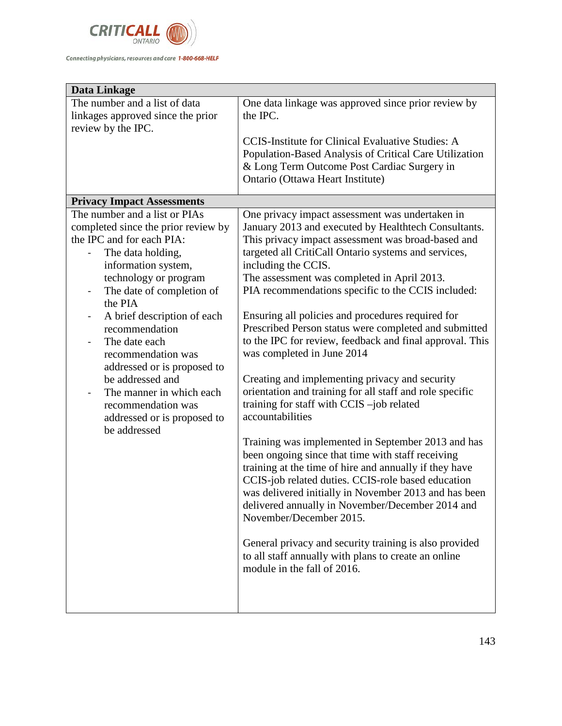

| Data Linkage                                                |                                                                                                            |
|-------------------------------------------------------------|------------------------------------------------------------------------------------------------------------|
| The number and a list of data                               | One data linkage was approved since prior review by                                                        |
| linkages approved since the prior                           | the IPC.                                                                                                   |
| review by the IPC.                                          |                                                                                                            |
|                                                             | <b>CCIS-Institute for Clinical Evaluative Studies: A</b>                                                   |
|                                                             | Population-Based Analysis of Critical Care Utilization                                                     |
|                                                             | & Long Term Outcome Post Cardiac Surgery in                                                                |
|                                                             | Ontario (Ottawa Heart Institute)                                                                           |
| <b>Privacy Impact Assessments</b>                           |                                                                                                            |
| The number and a list or PIAs                               | One privacy impact assessment was undertaken in                                                            |
| completed since the prior review by                         | January 2013 and executed by Healthtech Consultants.                                                       |
| the IPC and for each PIA:                                   | This privacy impact assessment was broad-based and                                                         |
| The data holding,                                           | targeted all CritiCall Ontario systems and services,                                                       |
| information system,                                         | including the CCIS.                                                                                        |
| technology or program                                       | The assessment was completed in April 2013.                                                                |
| The date of completion of<br>-                              | PIA recommendations specific to the CCIS included:                                                         |
| the PIA                                                     |                                                                                                            |
| A brief description of each<br>$\qquad \qquad \blacksquare$ | Ensuring all policies and procedures required for                                                          |
| recommendation                                              | Prescribed Person status were completed and submitted                                                      |
| The date each                                               | to the IPC for review, feedback and final approval. This                                                   |
| recommendation was                                          | was completed in June 2014                                                                                 |
| addressed or is proposed to                                 |                                                                                                            |
| be addressed and                                            | Creating and implementing privacy and security<br>orientation and training for all staff and role specific |
| The manner in which each<br>recommendation was              | training for staff with CCIS -job related                                                                  |
|                                                             | accountabilities                                                                                           |
| addressed or is proposed to<br>be addressed                 |                                                                                                            |
|                                                             | Training was implemented in September 2013 and has                                                         |
|                                                             | been ongoing since that time with staff receiving                                                          |
|                                                             | training at the time of hire and annually if they have                                                     |
|                                                             | CCIS-job related duties. CCIS-role based education                                                         |
|                                                             | was delivered initially in November 2013 and has been                                                      |
|                                                             | delivered annually in November/December 2014 and                                                           |
|                                                             | November/December 2015.                                                                                    |
|                                                             |                                                                                                            |
|                                                             | General privacy and security training is also provided                                                     |
|                                                             | to all staff annually with plans to create an online                                                       |
|                                                             | module in the fall of 2016.                                                                                |
|                                                             |                                                                                                            |
|                                                             |                                                                                                            |
|                                                             |                                                                                                            |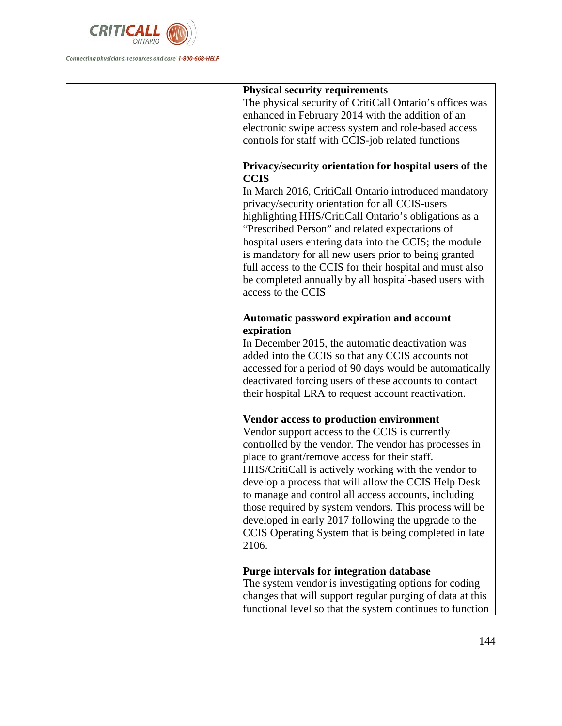

| <b>Physical security requirements</b><br>The physical security of CritiCall Ontario's offices was<br>enhanced in February 2014 with the addition of an                                                                                                                                                                                                                                                                                                                                                                                                          |
|-----------------------------------------------------------------------------------------------------------------------------------------------------------------------------------------------------------------------------------------------------------------------------------------------------------------------------------------------------------------------------------------------------------------------------------------------------------------------------------------------------------------------------------------------------------------|
| electronic swipe access system and role-based access<br>controls for staff with CCIS-job related functions<br>Privacy/security orientation for hospital users of the                                                                                                                                                                                                                                                                                                                                                                                            |
| <b>CCIS</b><br>In March 2016, CritiCall Ontario introduced mandatory<br>privacy/security orientation for all CCIS-users<br>highlighting HHS/CritiCall Ontario's obligations as a<br>"Prescribed Person" and related expectations of<br>hospital users entering data into the CCIS; the module<br>is mandatory for all new users prior to being granted<br>full access to the CCIS for their hospital and must also<br>be completed annually by all hospital-based users with<br>access to the CCIS                                                              |
| Automatic password expiration and account<br>expiration<br>In December 2015, the automatic deactivation was<br>added into the CCIS so that any CCIS accounts not<br>accessed for a period of 90 days would be automatically<br>deactivated forcing users of these accounts to contact<br>their hospital LRA to request account reactivation.                                                                                                                                                                                                                    |
| Vendor access to production environment<br>Vendor support access to the CCIS is currently<br>controlled by the vendor. The vendor has processes in<br>place to grant/remove access for their staff.<br>HHS/CritiCall is actively working with the vendor to<br>develop a process that will allow the CCIS Help Desk<br>to manage and control all access accounts, including<br>those required by system vendors. This process will be<br>developed in early 2017 following the upgrade to the<br>CCIS Operating System that is being completed in late<br>2106. |
| Purge intervals for integration database<br>The system vendor is investigating options for coding<br>changes that will support regular purging of data at this<br>functional level so that the system continues to function                                                                                                                                                                                                                                                                                                                                     |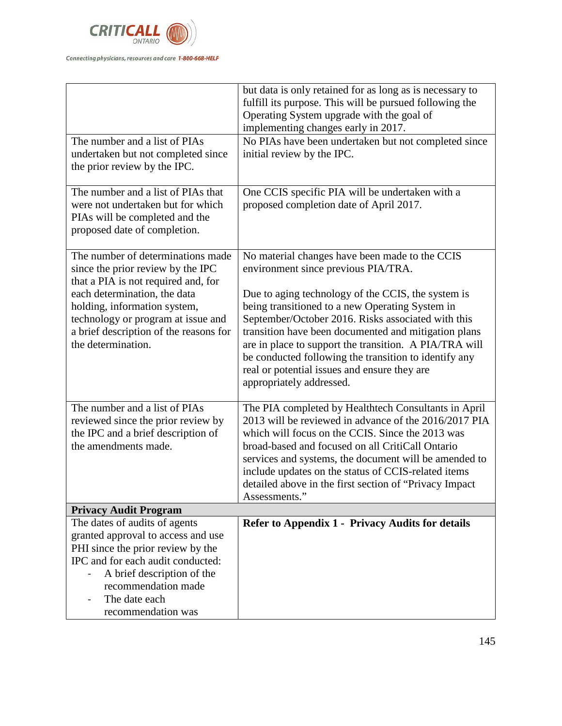

|                                                                          | but data is only retained for as long as is necessary to<br>fulfill its purpose. This will be pursued following the |
|--------------------------------------------------------------------------|---------------------------------------------------------------------------------------------------------------------|
|                                                                          | Operating System upgrade with the goal of                                                                           |
|                                                                          | implementing changes early in 2017.                                                                                 |
| The number and a list of PIAs                                            | No PIAs have been undertaken but not completed since                                                                |
| undertaken but not completed since                                       | initial review by the IPC.                                                                                          |
| the prior review by the IPC.                                             |                                                                                                                     |
| The number and a list of PIAs that                                       | One CCIS specific PIA will be undertaken with a                                                                     |
| were not undertaken but for which                                        | proposed completion date of April 2017.                                                                             |
| PIAs will be completed and the                                           |                                                                                                                     |
| proposed date of completion.                                             |                                                                                                                     |
|                                                                          |                                                                                                                     |
| The number of determinations made                                        | No material changes have been made to the CCIS                                                                      |
| since the prior review by the IPC<br>that a PIA is not required and, for | environment since previous PIA/TRA.                                                                                 |
| each determination, the data                                             | Due to aging technology of the CCIS, the system is                                                                  |
| holding, information system,                                             | being transitioned to a new Operating System in                                                                     |
| technology or program at issue and                                       | September/October 2016. Risks associated with this                                                                  |
| a brief description of the reasons for                                   | transition have been documented and mitigation plans                                                                |
| the determination.                                                       | are in place to support the transition. A PIA/TRA will                                                              |
|                                                                          | be conducted following the transition to identify any                                                               |
|                                                                          | real or potential issues and ensure they are                                                                        |
|                                                                          | appropriately addressed.                                                                                            |
| The number and a list of PIAs                                            |                                                                                                                     |
| reviewed since the prior review by                                       | The PIA completed by Healthtech Consultants in April<br>2013 will be reviewed in advance of the 2016/2017 PIA       |
| the IPC and a brief description of                                       | which will focus on the CCIS. Since the 2013 was                                                                    |
| the amendments made.                                                     | broad-based and focused on all CritiCall Ontario                                                                    |
|                                                                          | services and systems, the document will be amended to                                                               |
|                                                                          | include updates on the status of CCIS-related items                                                                 |
|                                                                          | detailed above in the first section of "Privacy Impact                                                              |
|                                                                          | Assessments."                                                                                                       |
| <b>Privacy Audit Program</b>                                             |                                                                                                                     |
| The dates of audits of agents                                            | Refer to Appendix 1 - Privacy Audits for details                                                                    |
| granted approval to access and use                                       |                                                                                                                     |
| PHI since the prior review by the                                        |                                                                                                                     |
| IPC and for each audit conducted:                                        |                                                                                                                     |
| A brief description of the                                               |                                                                                                                     |
| recommendation made                                                      |                                                                                                                     |
| The date each                                                            |                                                                                                                     |
| recommendation was                                                       |                                                                                                                     |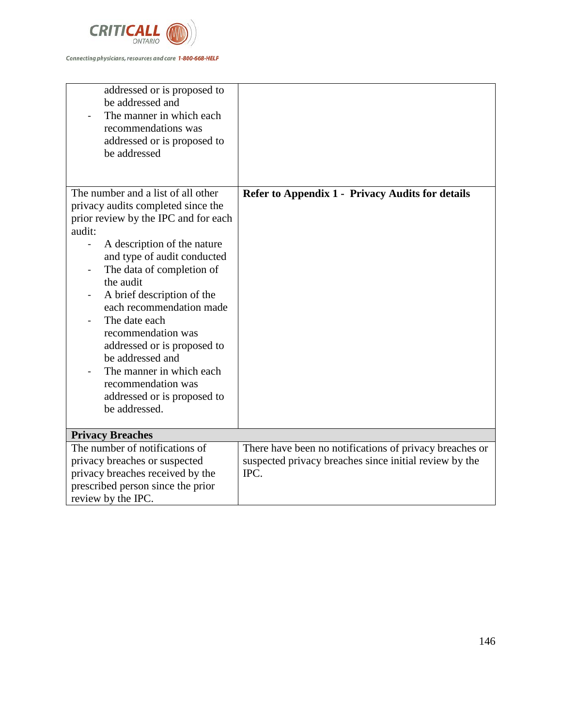

| addressed or is proposed to<br>be addressed and<br>The manner in which each<br>recommendations was<br>addressed or is proposed to<br>be addressed                                                                                                                                                                                                                                                                                                                                        |                                                                                                                           |
|------------------------------------------------------------------------------------------------------------------------------------------------------------------------------------------------------------------------------------------------------------------------------------------------------------------------------------------------------------------------------------------------------------------------------------------------------------------------------------------|---------------------------------------------------------------------------------------------------------------------------|
| The number and a list of all other<br>privacy audits completed since the<br>prior review by the IPC and for each<br>audit:<br>A description of the nature<br>and type of audit conducted<br>The data of completion of<br>the audit<br>A brief description of the<br>each recommendation made<br>The date each<br>recommendation was<br>addressed or is proposed to<br>be addressed and<br>The manner in which each<br>recommendation was<br>addressed or is proposed to<br>be addressed. | <b>Refer to Appendix 1 - Privacy Audits for details</b>                                                                   |
| <b>Privacy Breaches</b>                                                                                                                                                                                                                                                                                                                                                                                                                                                                  |                                                                                                                           |
| The number of notifications of<br>privacy breaches or suspected<br>privacy breaches received by the<br>prescribed person since the prior<br>review by the IPC.                                                                                                                                                                                                                                                                                                                           | There have been no notifications of privacy breaches or<br>suspected privacy breaches since initial review by the<br>IPC. |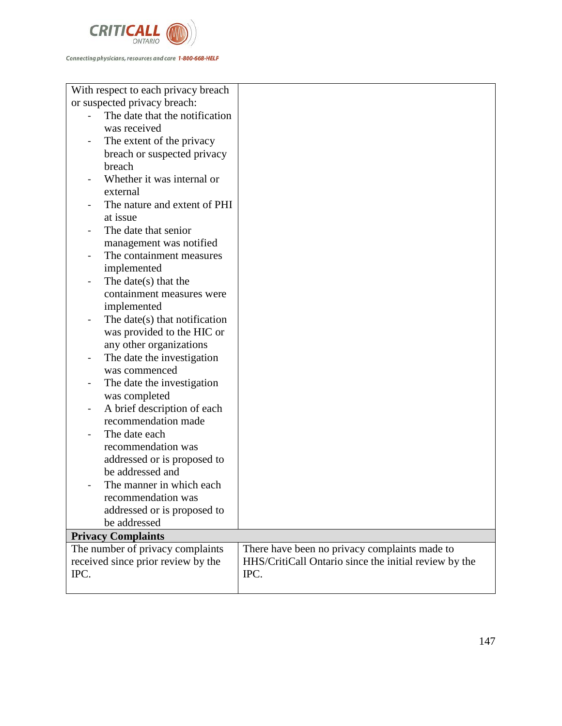

| With respect to each privacy breach |                                                       |
|-------------------------------------|-------------------------------------------------------|
| or suspected privacy breach:        |                                                       |
| The date that the notification      |                                                       |
| was received                        |                                                       |
| The extent of the privacy           |                                                       |
| breach or suspected privacy         |                                                       |
| breach                              |                                                       |
| Whether it was internal or          |                                                       |
| external                            |                                                       |
| The nature and extent of PHI        |                                                       |
| at issue                            |                                                       |
| The date that senior                |                                                       |
| management was notified             |                                                       |
| The containment measures            |                                                       |
| implemented                         |                                                       |
| The date $(s)$ that the             |                                                       |
| containment measures were           |                                                       |
| implemented                         |                                                       |
| The date(s) that notification       |                                                       |
| was provided to the HIC or          |                                                       |
| any other organizations             |                                                       |
| The date the investigation          |                                                       |
| was commenced                       |                                                       |
| The date the investigation          |                                                       |
| was completed                       |                                                       |
| A brief description of each         |                                                       |
| recommendation made                 |                                                       |
| The date each                       |                                                       |
| recommendation was                  |                                                       |
| addressed or is proposed to         |                                                       |
| be addressed and                    |                                                       |
| The manner in which each            |                                                       |
| recommendation was                  |                                                       |
| addressed or is proposed to         |                                                       |
| be addressed                        |                                                       |
| <b>Privacy Complaints</b>           |                                                       |
| The number of privacy complaints    | There have been no privacy complaints made to         |
| received since prior review by the  | HHS/CritiCall Ontario since the initial review by the |
| IPC.                                | IPC.                                                  |
|                                     |                                                       |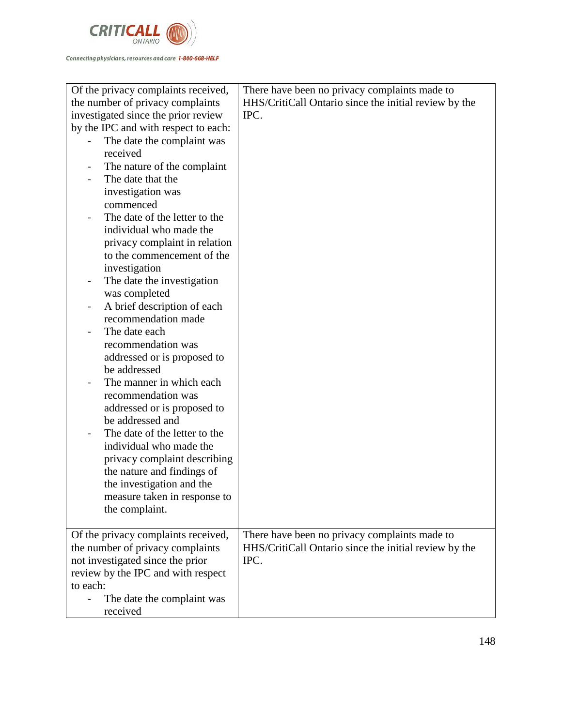

| Of the privacy complaints received,                         | There have been no privacy complaints made to         |
|-------------------------------------------------------------|-------------------------------------------------------|
| the number of privacy complaints                            | HHS/CritiCall Ontario since the initial review by the |
| investigated since the prior review                         | IPC.                                                  |
| by the IPC and with respect to each:                        |                                                       |
| The date the complaint was                                  |                                                       |
| received                                                    |                                                       |
| The nature of the complaint                                 |                                                       |
| The date that the                                           |                                                       |
| investigation was                                           |                                                       |
| commenced                                                   |                                                       |
| The date of the letter to the                               |                                                       |
| individual who made the                                     |                                                       |
| privacy complaint in relation                               |                                                       |
| to the commencement of the                                  |                                                       |
| investigation                                               |                                                       |
| The date the investigation<br>$\blacksquare$                |                                                       |
| was completed                                               |                                                       |
| A brief description of each<br>$\qquad \qquad \blacksquare$ |                                                       |
| recommendation made                                         |                                                       |
| The date each                                               |                                                       |
| recommendation was                                          |                                                       |
| addressed or is proposed to                                 |                                                       |
| be addressed                                                |                                                       |
| The manner in which each                                    |                                                       |
| recommendation was                                          |                                                       |
| addressed or is proposed to                                 |                                                       |
| be addressed and<br>The date of the letter to the           |                                                       |
| individual who made the                                     |                                                       |
| privacy complaint describing                                |                                                       |
| the nature and findings of                                  |                                                       |
| the investigation and the                                   |                                                       |
| measure taken in response to                                |                                                       |
| the complaint.                                              |                                                       |
|                                                             |                                                       |
| Of the privacy complaints received,                         | There have been no privacy complaints made to         |
| the number of privacy complaints                            | HHS/CritiCall Ontario since the initial review by the |
| not investigated since the prior                            | IPC.                                                  |
| review by the IPC and with respect                          |                                                       |
| to each:                                                    |                                                       |
| The date the complaint was                                  |                                                       |
| received                                                    |                                                       |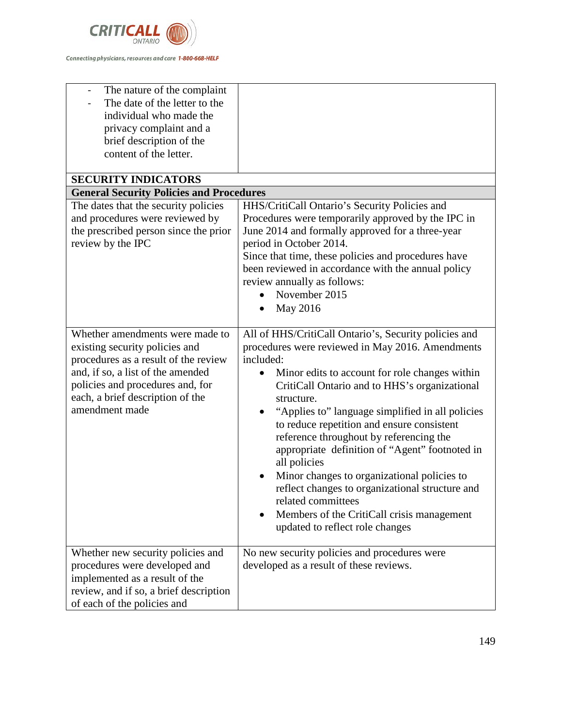

| The nature of the complaint<br>The date of the letter to the<br>individual who made the<br>privacy complaint and a<br>brief description of the<br>content of the letter.<br><b>SECURITY INDICATORS</b>                                   |                                                                                                                                                                                                                                                                                                                                                                                                                                                                                                                                                                                                                                                                 |
|------------------------------------------------------------------------------------------------------------------------------------------------------------------------------------------------------------------------------------------|-----------------------------------------------------------------------------------------------------------------------------------------------------------------------------------------------------------------------------------------------------------------------------------------------------------------------------------------------------------------------------------------------------------------------------------------------------------------------------------------------------------------------------------------------------------------------------------------------------------------------------------------------------------------|
| <b>General Security Policies and Procedures</b>                                                                                                                                                                                          |                                                                                                                                                                                                                                                                                                                                                                                                                                                                                                                                                                                                                                                                 |
| The dates that the security policies<br>and procedures were reviewed by<br>the prescribed person since the prior<br>review by the IPC                                                                                                    | HHS/CritiCall Ontario's Security Policies and<br>Procedures were temporarily approved by the IPC in<br>June 2014 and formally approved for a three-year<br>period in October 2014.<br>Since that time, these policies and procedures have<br>been reviewed in accordance with the annual policy<br>review annually as follows:<br>November 2015<br>May 2016                                                                                                                                                                                                                                                                                                     |
| Whether amendments were made to<br>existing security policies and<br>procedures as a result of the review<br>and, if so, a list of the amended<br>policies and procedures and, for<br>each, a brief description of the<br>amendment made | All of HHS/CritiCall Ontario's, Security policies and<br>procedures were reviewed in May 2016. Amendments<br>included:<br>Minor edits to account for role changes within<br>CritiCall Ontario and to HHS's organizational<br>structure.<br>"Applies to" language simplified in all policies<br>to reduce repetition and ensure consistent<br>reference throughout by referencing the<br>appropriate definition of "Agent" footnoted in<br>all policies<br>Minor changes to organizational policies to<br>reflect changes to organizational structure and<br>related committees<br>Members of the CritiCall crisis management<br>updated to reflect role changes |
| Whether new security policies and<br>procedures were developed and<br>implemented as a result of the<br>review, and if so, a brief description<br>of each of the policies and                                                            | No new security policies and procedures were<br>developed as a result of these reviews.                                                                                                                                                                                                                                                                                                                                                                                                                                                                                                                                                                         |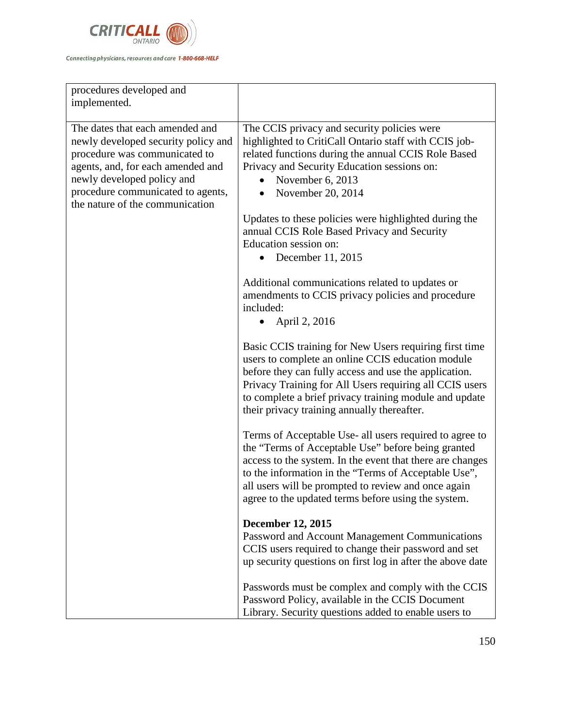

| procedures developed and<br>implemented.                                                                                                                                                                                                           |                                                                                                                                                                                                                                                                                                                                                                                                                                                                                                                                                                                                                                                                                                                                                                                                                                                                                                                                                                                                                                                                                                                                                                                                                                                                                                                                                                                                                                                                                                                                                                                                                      |
|----------------------------------------------------------------------------------------------------------------------------------------------------------------------------------------------------------------------------------------------------|----------------------------------------------------------------------------------------------------------------------------------------------------------------------------------------------------------------------------------------------------------------------------------------------------------------------------------------------------------------------------------------------------------------------------------------------------------------------------------------------------------------------------------------------------------------------------------------------------------------------------------------------------------------------------------------------------------------------------------------------------------------------------------------------------------------------------------------------------------------------------------------------------------------------------------------------------------------------------------------------------------------------------------------------------------------------------------------------------------------------------------------------------------------------------------------------------------------------------------------------------------------------------------------------------------------------------------------------------------------------------------------------------------------------------------------------------------------------------------------------------------------------------------------------------------------------------------------------------------------------|
| The dates that each amended and<br>newly developed security policy and<br>procedure was communicated to<br>agents, and, for each amended and<br>newly developed policy and<br>procedure communicated to agents,<br>the nature of the communication | The CCIS privacy and security policies were<br>highlighted to CritiCall Ontario staff with CCIS job-<br>related functions during the annual CCIS Role Based<br>Privacy and Security Education sessions on:<br>November 6, 2013<br>November 20, 2014<br>Updates to these policies were highlighted during the<br>annual CCIS Role Based Privacy and Security<br>Education session on:<br>December 11, 2015<br>Additional communications related to updates or<br>amendments to CCIS privacy policies and procedure<br>included:<br>April 2, 2016<br>Basic CCIS training for New Users requiring first time<br>users to complete an online CCIS education module<br>before they can fully access and use the application.<br>Privacy Training for All Users requiring all CCIS users<br>to complete a brief privacy training module and update<br>their privacy training annually thereafter.<br>Terms of Acceptable Use- all users required to agree to<br>the "Terms of Acceptable Use" before being granted<br>access to the system. In the event that there are changes<br>to the information in the "Terms of Acceptable Use",<br>all users will be prompted to review and once again<br>agree to the updated terms before using the system.<br><b>December 12, 2015</b><br>Password and Account Management Communications<br>CCIS users required to change their password and set<br>up security questions on first log in after the above date<br>Passwords must be complex and comply with the CCIS<br>Password Policy, available in the CCIS Document<br>Library. Security questions added to enable users to |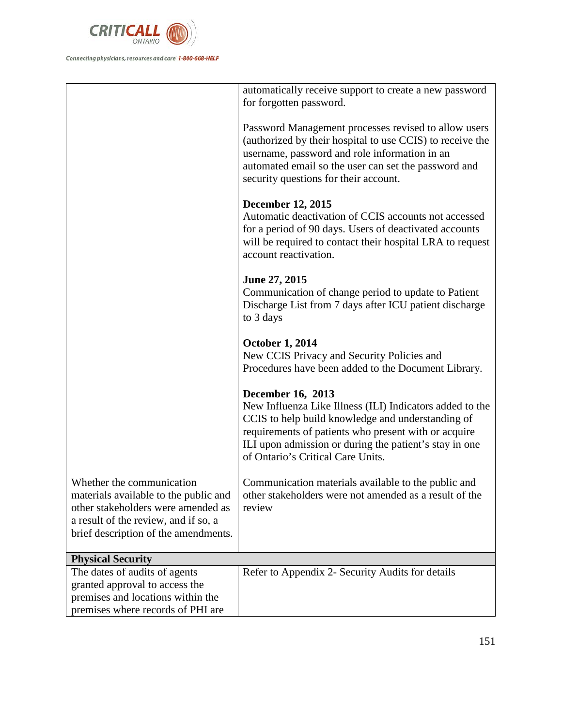

|                                                                                                                                                                                          | automatically receive support to create a new password<br>for forgotten password.                                                                                                                                                                                                                |
|------------------------------------------------------------------------------------------------------------------------------------------------------------------------------------------|--------------------------------------------------------------------------------------------------------------------------------------------------------------------------------------------------------------------------------------------------------------------------------------------------|
|                                                                                                                                                                                          | Password Management processes revised to allow users<br>(authorized by their hospital to use CCIS) to receive the<br>username, password and role information in an<br>automated email so the user can set the password and<br>security questions for their account.                              |
|                                                                                                                                                                                          | <b>December 12, 2015</b><br>Automatic deactivation of CCIS accounts not accessed<br>for a period of 90 days. Users of deactivated accounts<br>will be required to contact their hospital LRA to request<br>account reactivation.                                                                 |
|                                                                                                                                                                                          | June 27, 2015<br>Communication of change period to update to Patient<br>Discharge List from 7 days after ICU patient discharge<br>to 3 days                                                                                                                                                      |
|                                                                                                                                                                                          | <b>October 1, 2014</b><br>New CCIS Privacy and Security Policies and<br>Procedures have been added to the Document Library.                                                                                                                                                                      |
|                                                                                                                                                                                          | <b>December 16, 2013</b><br>New Influenza Like Illness (ILI) Indicators added to the<br>CCIS to help build knowledge and understanding of<br>requirements of patients who present with or acquire<br>ILI upon admission or during the patient's stay in one<br>of Ontario's Critical Care Units. |
| Whether the communication<br>materials available to the public and<br>other stakeholders were amended as<br>a result of the review, and if so, a<br>brief description of the amendments. | Communication materials available to the public and<br>other stakeholders were not amended as a result of the<br>review                                                                                                                                                                          |
| <b>Physical Security</b>                                                                                                                                                                 |                                                                                                                                                                                                                                                                                                  |
| The dates of audits of agents<br>granted approval to access the<br>premises and locations within the                                                                                     | Refer to Appendix 2- Security Audits for details                                                                                                                                                                                                                                                 |
| premises where records of PHI are                                                                                                                                                        |                                                                                                                                                                                                                                                                                                  |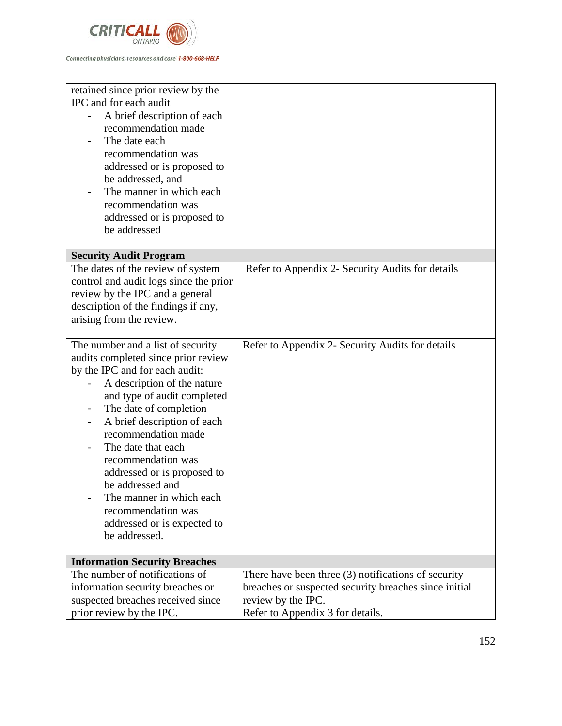

| retained since prior review by the<br>IPC and for each audit<br>A brief description of each<br>recommendation made<br>The date each<br>recommendation was<br>addressed or is proposed to<br>be addressed, and<br>The manner in which each<br>recommendation was<br>addressed or is proposed to<br>be addressed                                                                                                                                            |                                                       |
|-----------------------------------------------------------------------------------------------------------------------------------------------------------------------------------------------------------------------------------------------------------------------------------------------------------------------------------------------------------------------------------------------------------------------------------------------------------|-------------------------------------------------------|
| <b>Security Audit Program</b>                                                                                                                                                                                                                                                                                                                                                                                                                             |                                                       |
| The dates of the review of system<br>control and audit logs since the prior<br>review by the IPC and a general<br>description of the findings if any,<br>arising from the review.                                                                                                                                                                                                                                                                         | Refer to Appendix 2- Security Audits for details      |
| The number and a list of security<br>audits completed since prior review<br>by the IPC and for each audit:<br>A description of the nature<br>and type of audit completed<br>The date of completion<br>A brief description of each<br>recommendation made<br>The date that each<br>recommendation was<br>addressed or is proposed to<br>be addressed and<br>The manner in which each<br>recommendation was<br>addressed or is expected to<br>be addressed. | Refer to Appendix 2- Security Audits for details      |
| <b>Information Security Breaches</b>                                                                                                                                                                                                                                                                                                                                                                                                                      |                                                       |
| The number of notifications of                                                                                                                                                                                                                                                                                                                                                                                                                            | There have been three $(3)$ notifications of security |
| information security breaches or                                                                                                                                                                                                                                                                                                                                                                                                                          | breaches or suspected security breaches since initial |
| suspected breaches received since                                                                                                                                                                                                                                                                                                                                                                                                                         | review by the IPC.                                    |
| prior review by the IPC.                                                                                                                                                                                                                                                                                                                                                                                                                                  | Refer to Appendix 3 for details.                      |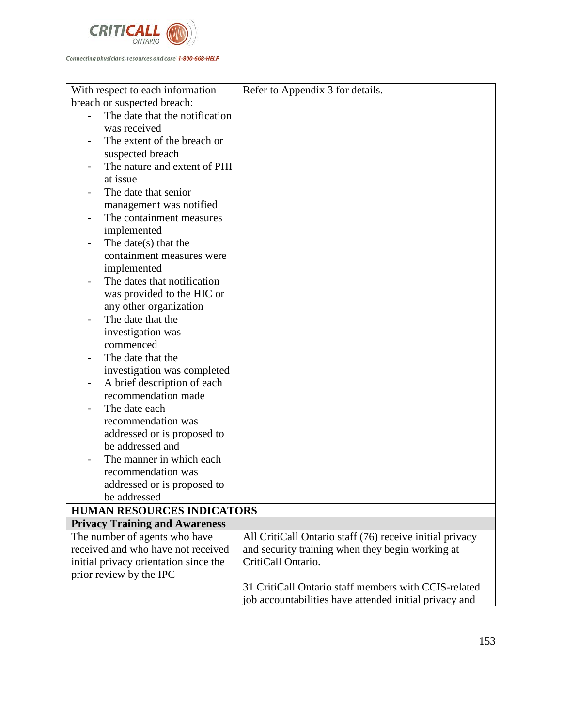

| With respect to each information                        | Refer to Appendix 3 for details.                         |
|---------------------------------------------------------|----------------------------------------------------------|
| breach or suspected breach:                             |                                                          |
| The date that the notification                          |                                                          |
| was received                                            |                                                          |
| The extent of the breach or                             |                                                          |
| suspected breach                                        |                                                          |
| The nature and extent of PHI                            |                                                          |
| at issue                                                |                                                          |
| The date that senior                                    |                                                          |
| management was notified                                 |                                                          |
| The containment measures                                |                                                          |
| implemented                                             |                                                          |
| The date( $s$ ) that the                                |                                                          |
| containment measures were                               |                                                          |
| implemented                                             |                                                          |
| The dates that notification                             |                                                          |
| was provided to the HIC or                              |                                                          |
| any other organization                                  |                                                          |
| The date that the                                       |                                                          |
| investigation was                                       |                                                          |
| commenced                                               |                                                          |
| The date that the                                       |                                                          |
| investigation was completed                             |                                                          |
| A brief description of each<br>$\overline{\phantom{a}}$ |                                                          |
| recommendation made                                     |                                                          |
| The date each                                           |                                                          |
| recommendation was                                      |                                                          |
| addressed or is proposed to                             |                                                          |
| be addressed and                                        |                                                          |
| The manner in which each                                |                                                          |
| recommendation was                                      |                                                          |
| addressed or is proposed to                             |                                                          |
| be addressed                                            |                                                          |
| <b>HUMAN RESOURCES INDICATORS</b>                       |                                                          |
| <b>Privacy Training and Awareness</b>                   |                                                          |
| The number of agents who have                           | All CritiCall Ontario staff (76) receive initial privacy |
| received and who have not received                      | and security training when they begin working at         |
| initial privacy orientation since the                   | CritiCall Ontario.                                       |
| prior review by the IPC                                 |                                                          |
|                                                         | 31 CritiCall Ontario staff members with CCIS-related     |
|                                                         | job accountabilities have attended initial privacy and   |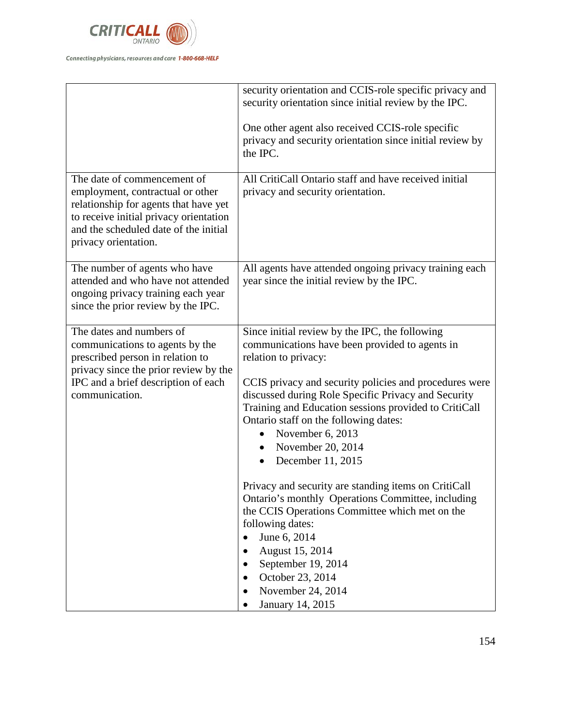

|                                                                                                                                                                                                                     | security orientation and CCIS-role specific privacy and<br>security orientation since initial review by the IPC.<br>One other agent also received CCIS-role specific<br>privacy and security orientation since initial review by<br>the IPC.                                                                                                                                                                                                                                                                                                                                                                                                                                                                                                                           |
|---------------------------------------------------------------------------------------------------------------------------------------------------------------------------------------------------------------------|------------------------------------------------------------------------------------------------------------------------------------------------------------------------------------------------------------------------------------------------------------------------------------------------------------------------------------------------------------------------------------------------------------------------------------------------------------------------------------------------------------------------------------------------------------------------------------------------------------------------------------------------------------------------------------------------------------------------------------------------------------------------|
| The date of commencement of<br>employment, contractual or other<br>relationship for agents that have yet<br>to receive initial privacy orientation<br>and the scheduled date of the initial<br>privacy orientation. | All CritiCall Ontario staff and have received initial<br>privacy and security orientation.                                                                                                                                                                                                                                                                                                                                                                                                                                                                                                                                                                                                                                                                             |
| The number of agents who have<br>attended and who have not attended<br>ongoing privacy training each year<br>since the prior review by the IPC.                                                                     | All agents have attended ongoing privacy training each<br>year since the initial review by the IPC.                                                                                                                                                                                                                                                                                                                                                                                                                                                                                                                                                                                                                                                                    |
| The dates and numbers of<br>communications to agents by the<br>prescribed person in relation to<br>privacy since the prior review by the<br>IPC and a brief description of each<br>communication.                   | Since initial review by the IPC, the following<br>communications have been provided to agents in<br>relation to privacy:<br>CCIS privacy and security policies and procedures were<br>discussed during Role Specific Privacy and Security<br>Training and Education sessions provided to CritiCall<br>Ontario staff on the following dates:<br>November 6, 2013<br>$\bullet$<br>November 20, 2014<br>$\bullet$<br>December 11, 2015<br>$\bullet$<br>Privacy and security are standing items on CritiCall<br>Ontario's monthly Operations Committee, including<br>the CCIS Operations Committee which met on the<br>following dates:<br>June 6, 2014<br>$\bullet$<br>August 15, 2014<br>September 19, 2014<br>October 23, 2014<br>November 24, 2014<br>January 14, 2015 |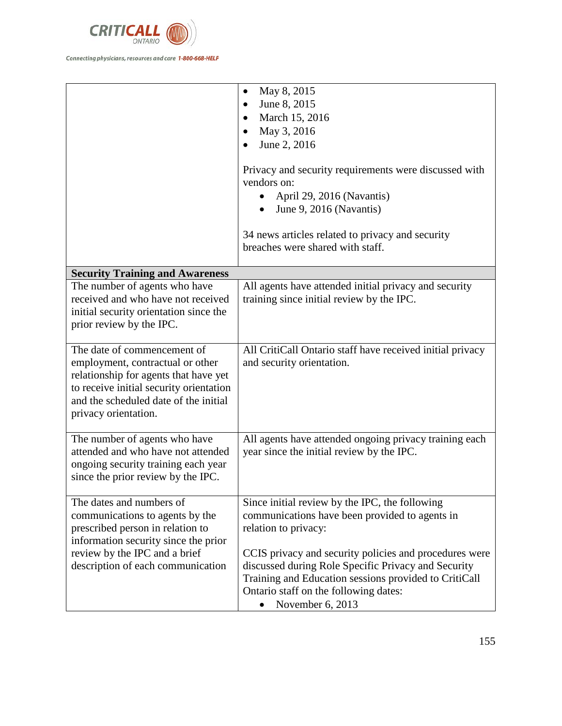

|                                                                                                                                                                                                                      | May 8, 2015<br>$\bullet$<br>June 8, 2015<br>March 15, 2016<br>May 3, 2016<br>June 2, 2016<br>Privacy and security requirements were discussed with<br>vendors on:<br>April 29, 2016 (Navantis)<br>June 9, 2016 (Navantis)<br>34 news articles related to privacy and security<br>breaches were shared with staff.                                               |
|----------------------------------------------------------------------------------------------------------------------------------------------------------------------------------------------------------------------|-----------------------------------------------------------------------------------------------------------------------------------------------------------------------------------------------------------------------------------------------------------------------------------------------------------------------------------------------------------------|
| <b>Security Training and Awareness</b>                                                                                                                                                                               |                                                                                                                                                                                                                                                                                                                                                                 |
| The number of agents who have<br>received and who have not received<br>initial security orientation since the<br>prior review by the IPC.                                                                            | All agents have attended initial privacy and security<br>training since initial review by the IPC.                                                                                                                                                                                                                                                              |
| The date of commencement of<br>employment, contractual or other<br>relationship for agents that have yet<br>to receive initial security orientation<br>and the scheduled date of the initial<br>privacy orientation. | All CritiCall Ontario staff have received initial privacy<br>and security orientation.                                                                                                                                                                                                                                                                          |
| The number of agents who have<br>attended and who have not attended<br>ongoing security training each year<br>since the prior review by the IPC.                                                                     | All agents have attended ongoing privacy training each<br>year since the initial review by the IPC.                                                                                                                                                                                                                                                             |
| The dates and numbers of<br>communications to agents by the<br>prescribed person in relation to<br>information security since the prior<br>review by the IPC and a brief<br>description of each communication        | Since initial review by the IPC, the following<br>communications have been provided to agents in<br>relation to privacy:<br>CCIS privacy and security policies and procedures were<br>discussed during Role Specific Privacy and Security<br>Training and Education sessions provided to CritiCall<br>Ontario staff on the following dates:<br>November 6, 2013 |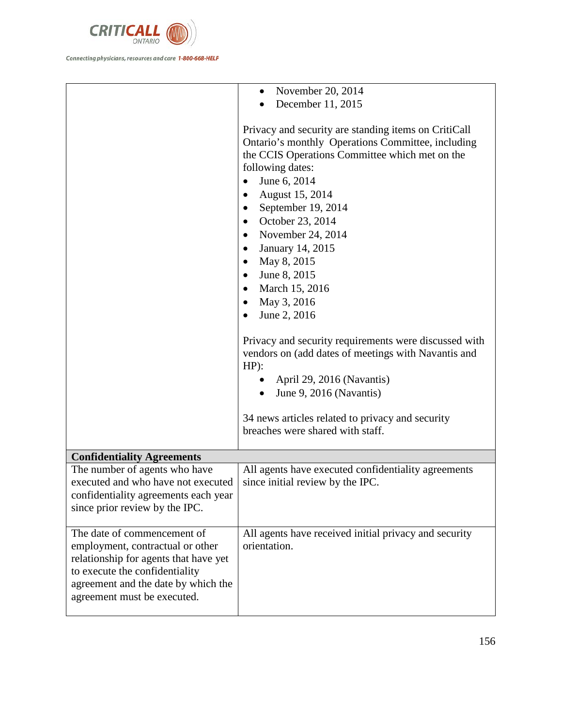

|                                                                                                                                                                                                                  | November 20, 2014<br>$\bullet$                                                                                                                                                                                                                                                                                                                                                                                                                                                                                                                                                                                                                                                    |
|------------------------------------------------------------------------------------------------------------------------------------------------------------------------------------------------------------------|-----------------------------------------------------------------------------------------------------------------------------------------------------------------------------------------------------------------------------------------------------------------------------------------------------------------------------------------------------------------------------------------------------------------------------------------------------------------------------------------------------------------------------------------------------------------------------------------------------------------------------------------------------------------------------------|
|                                                                                                                                                                                                                  | December 11, 2015                                                                                                                                                                                                                                                                                                                                                                                                                                                                                                                                                                                                                                                                 |
|                                                                                                                                                                                                                  | Privacy and security are standing items on CritiCall<br>Ontario's monthly Operations Committee, including<br>the CCIS Operations Committee which met on the<br>following dates:<br>June 6, 2014<br>$\bullet$<br>August 15, 2014<br>September 19, 2014<br>October 23, 2014<br>November 24, 2014<br>January 14, 2015<br>May 8, 2015<br>June 8, 2015<br>March 15, 2016<br>May 3, 2016<br>٠<br>June 2, 2016<br>Privacy and security requirements were discussed with<br>vendors on (add dates of meetings with Navantis and<br>$HP$ :<br>April 29, 2016 (Navantis)<br>June 9, 2016 (Navantis)<br>34 news articles related to privacy and security<br>breaches were shared with staff. |
|                                                                                                                                                                                                                  |                                                                                                                                                                                                                                                                                                                                                                                                                                                                                                                                                                                                                                                                                   |
| <b>Confidentiality Agreements</b>                                                                                                                                                                                |                                                                                                                                                                                                                                                                                                                                                                                                                                                                                                                                                                                                                                                                                   |
| The number of agents who have<br>executed and who have not executed<br>confidentiality agreements each year<br>since prior review by the IPC.                                                                    | All agents have executed confidentiality agreements<br>since initial review by the IPC.                                                                                                                                                                                                                                                                                                                                                                                                                                                                                                                                                                                           |
| The date of commencement of<br>employment, contractual or other<br>relationship for agents that have yet<br>to execute the confidentiality<br>agreement and the date by which the<br>agreement must be executed. | All agents have received initial privacy and security<br>orientation.                                                                                                                                                                                                                                                                                                                                                                                                                                                                                                                                                                                                             |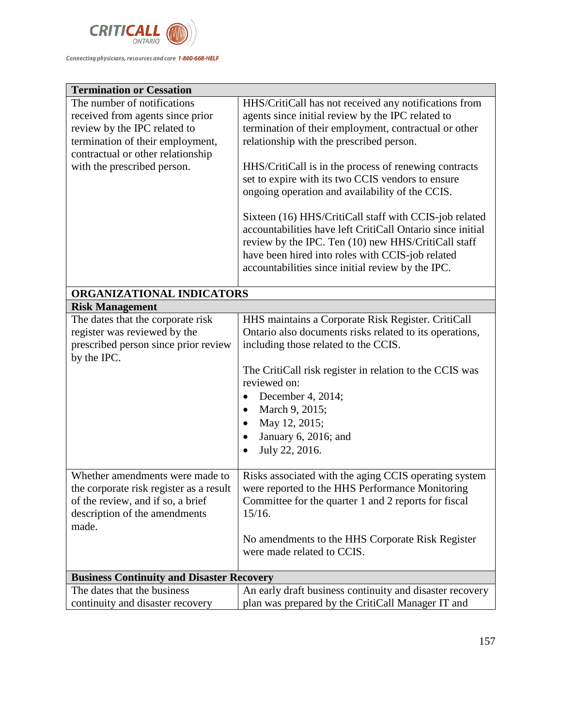

| <b>Termination or Cessation</b>                                                                                                                                                                         |                                                                                                                                                                                                                                                                                                                                                                                                                                                                                                                                                                                                                                                                          |
|---------------------------------------------------------------------------------------------------------------------------------------------------------------------------------------------------------|--------------------------------------------------------------------------------------------------------------------------------------------------------------------------------------------------------------------------------------------------------------------------------------------------------------------------------------------------------------------------------------------------------------------------------------------------------------------------------------------------------------------------------------------------------------------------------------------------------------------------------------------------------------------------|
| The number of notifications<br>received from agents since prior<br>review by the IPC related to<br>termination of their employment,<br>contractual or other relationship<br>with the prescribed person. | HHS/CritiCall has not received any notifications from<br>agents since initial review by the IPC related to<br>termination of their employment, contractual or other<br>relationship with the prescribed person.<br>HHS/CritiCall is in the process of renewing contracts<br>set to expire with its two CCIS vendors to ensure<br>ongoing operation and availability of the CCIS.<br>Sixteen (16) HHS/CritiCall staff with CCIS-job related<br>accountabilities have left CritiCall Ontario since initial<br>review by the IPC. Ten (10) new HHS/CritiCall staff<br>have been hired into roles with CCIS-job related<br>accountabilities since initial review by the IPC. |
| ORGANIZATIONAL INDICATORS                                                                                                                                                                               |                                                                                                                                                                                                                                                                                                                                                                                                                                                                                                                                                                                                                                                                          |
| <b>Risk Management</b>                                                                                                                                                                                  |                                                                                                                                                                                                                                                                                                                                                                                                                                                                                                                                                                                                                                                                          |
| The dates that the corporate risk<br>register was reviewed by the<br>prescribed person since prior review<br>by the IPC.                                                                                | HHS maintains a Corporate Risk Register. CritiCall<br>Ontario also documents risks related to its operations,<br>including those related to the CCIS.<br>The CritiCall risk register in relation to the CCIS was<br>reviewed on:<br>December 4, 2014;<br>March 9, 2015;<br>May 12, 2015;<br>January 6, 2016; and<br>July 22, 2016.                                                                                                                                                                                                                                                                                                                                       |
| Whether amendments were made to<br>the corporate risk register as a result<br>of the review, and if so, a brief<br>description of the amendments<br>made.                                               | Risks associated with the aging CCIS operating system<br>were reported to the HHS Performance Monitoring<br>Committee for the quarter 1 and 2 reports for fiscal<br>15/16.<br>No amendments to the HHS Corporate Risk Register<br>were made related to CCIS.                                                                                                                                                                                                                                                                                                                                                                                                             |
| <b>Business Continuity and Disaster Recovery</b>                                                                                                                                                        |                                                                                                                                                                                                                                                                                                                                                                                                                                                                                                                                                                                                                                                                          |
| The dates that the business<br>continuity and disaster recovery                                                                                                                                         | An early draft business continuity and disaster recovery<br>plan was prepared by the CritiCall Manager IT and                                                                                                                                                                                                                                                                                                                                                                                                                                                                                                                                                            |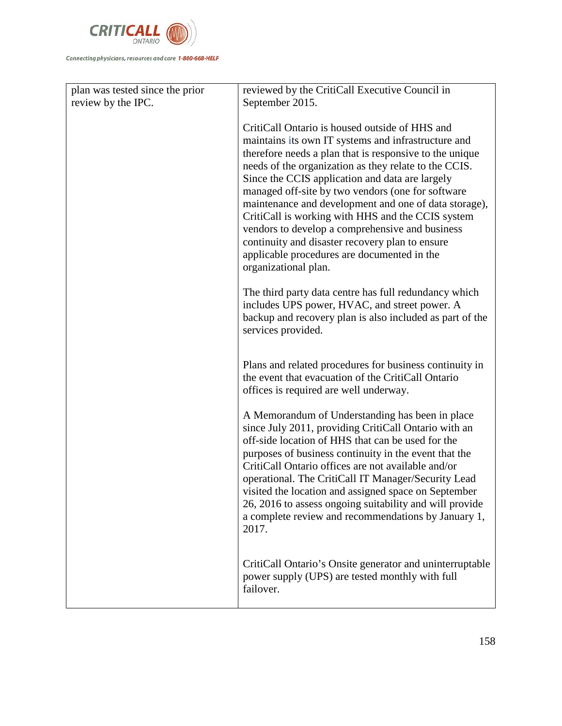

| plan was tested since the prior | reviewed by the CritiCall Executive Council in                                                                                                                                                                                                                                                                                                                                                                                                                                                                                                                                                                               |
|---------------------------------|------------------------------------------------------------------------------------------------------------------------------------------------------------------------------------------------------------------------------------------------------------------------------------------------------------------------------------------------------------------------------------------------------------------------------------------------------------------------------------------------------------------------------------------------------------------------------------------------------------------------------|
| review by the IPC.              | September 2015.                                                                                                                                                                                                                                                                                                                                                                                                                                                                                                                                                                                                              |
|                                 | CritiCall Ontario is housed outside of HHS and<br>maintains its own IT systems and infrastructure and<br>therefore needs a plan that is responsive to the unique<br>needs of the organization as they relate to the CCIS.<br>Since the CCIS application and data are largely<br>managed off-site by two vendors (one for software<br>maintenance and development and one of data storage),<br>CritiCall is working with HHS and the CCIS system<br>vendors to develop a comprehensive and business<br>continuity and disaster recovery plan to ensure<br>applicable procedures are documented in the<br>organizational plan. |
|                                 | The third party data centre has full redundancy which<br>includes UPS power, HVAC, and street power. A<br>backup and recovery plan is also included as part of the<br>services provided.                                                                                                                                                                                                                                                                                                                                                                                                                                     |
|                                 | Plans and related procedures for business continuity in<br>the event that evacuation of the CritiCall Ontario<br>offices is required are well underway.                                                                                                                                                                                                                                                                                                                                                                                                                                                                      |
|                                 | A Memorandum of Understanding has been in place<br>since July 2011, providing CritiCall Ontario with an<br>off-side location of HHS that can be used for the<br>purposes of business continuity in the event that the<br>CritiCall Ontario offices are not available and/or<br>operational. The CritiCall IT Manager/Security Lead<br>visited the location and assigned space on September<br>26, 2016 to assess ongoing suitability and will provide<br>a complete review and recommendations by January 1,<br>2017.                                                                                                        |
|                                 | CritiCall Ontario's Onsite generator and uninterruptable<br>power supply (UPS) are tested monthly with full<br>failover.                                                                                                                                                                                                                                                                                                                                                                                                                                                                                                     |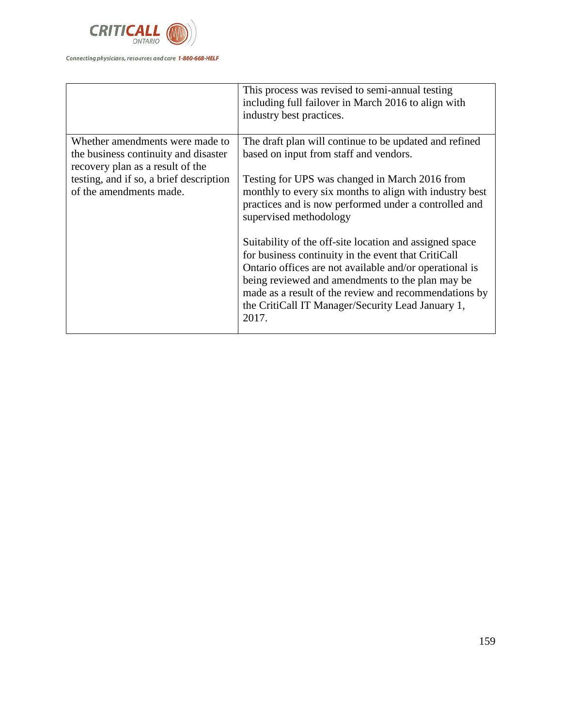

|                                                                          | This process was revised to semi-annual testing<br>including full failover in March 2016 to align with<br>industry best practices.                                                                                                                                                                                                                   |
|--------------------------------------------------------------------------|------------------------------------------------------------------------------------------------------------------------------------------------------------------------------------------------------------------------------------------------------------------------------------------------------------------------------------------------------|
| Whether amendments were made to                                          | The draft plan will continue to be updated and refined                                                                                                                                                                                                                                                                                               |
| the business continuity and disaster<br>recovery plan as a result of the | based on input from staff and vendors.                                                                                                                                                                                                                                                                                                               |
| testing, and if so, a brief description<br>of the amendments made.       | Testing for UPS was changed in March 2016 from<br>monthly to every six months to align with industry best<br>practices and is now performed under a controlled and<br>supervised methodology                                                                                                                                                         |
|                                                                          | Suitability of the off-site location and assigned space<br>for business continuity in the event that CritiCall<br>Ontario offices are not available and/or operational is<br>being reviewed and amendments to the plan may be<br>made as a result of the review and recommendations by<br>the CritiCall IT Manager/Security Lead January 1,<br>2017. |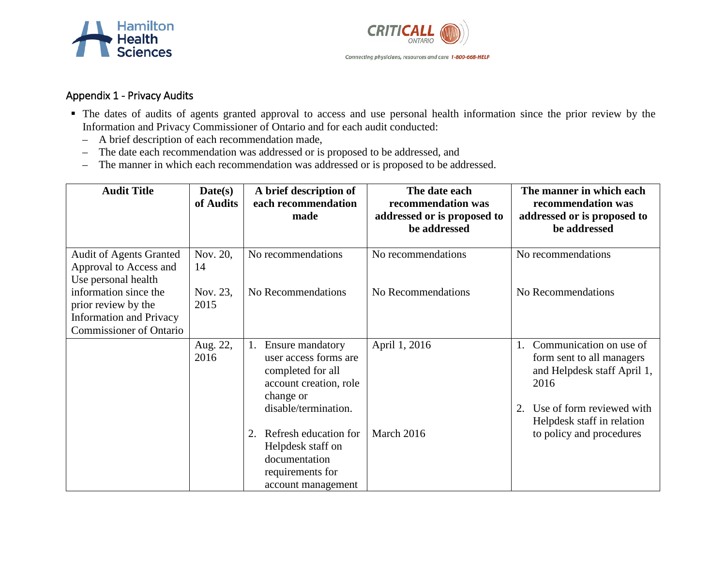



## Appendix 1 - Privacy Audits

- The dates of audits of agents granted approval to access and use personal health information since the prior review by the Information and Privacy Commissioner of Ontario and for each audit conducted:
	- A brief description of each recommendation made,
	- The date each recommendation was addressed or is proposed to be addressed, and
	- The manner in which each recommendation was addressed or is proposed to be addressed.

| <b>Audit Title</b>                                                                                               | Date(s)<br>of Audits | A brief description of<br>each recommendation                                                                                       | The date each<br>recommendation was         | The manner in which each<br>recommendation was                                                                                                               |
|------------------------------------------------------------------------------------------------------------------|----------------------|-------------------------------------------------------------------------------------------------------------------------------------|---------------------------------------------|--------------------------------------------------------------------------------------------------------------------------------------------------------------|
|                                                                                                                  |                      | made                                                                                                                                | addressed or is proposed to<br>be addressed | addressed or is proposed to<br>be addressed                                                                                                                  |
| <b>Audit of Agents Granted</b><br>Approval to Access and<br>Use personal health                                  | Nov. 20,<br>14       | No recommendations                                                                                                                  | No recommendations                          | No recommendations                                                                                                                                           |
| information since the<br>prior review by the<br><b>Information and Privacy</b><br><b>Commissioner of Ontario</b> | Nov. 23,<br>2015     | No Recommendations                                                                                                                  | No Recommendations                          | No Recommendations                                                                                                                                           |
|                                                                                                                  | Aug. 22,<br>2016     | Ensure mandatory<br>1.<br>user access forms are<br>completed for all<br>account creation, role<br>change or<br>disable/termination. | April 1, 2016                               | Communication on use of<br>form sent to all managers<br>and Helpdesk staff April 1,<br>2016<br>Use of form reviewed with<br>2.<br>Helpdesk staff in relation |
|                                                                                                                  |                      | Refresh education for<br>2.<br>Helpdesk staff on<br>documentation<br>requirements for<br>account management                         | March 2016                                  | to policy and procedures                                                                                                                                     |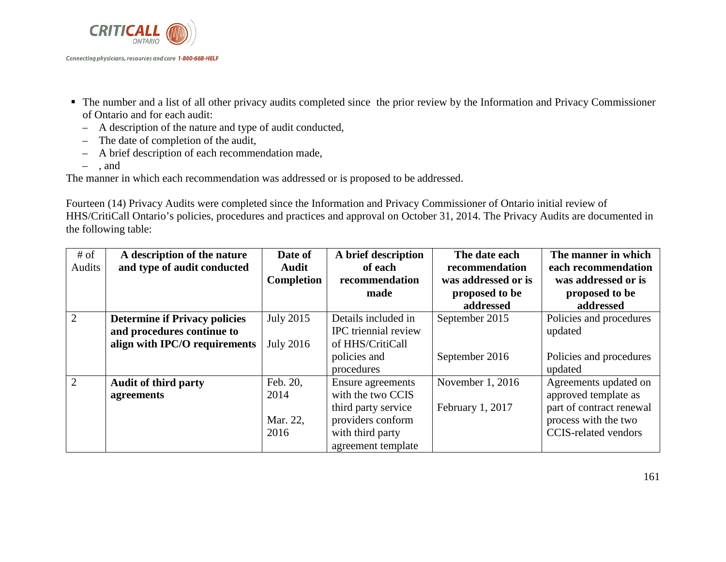

- The number and a list of all other privacy audits completed since the prior review by the Information and Privacy Commissioner of Ontario and for each audit:
	- A description of the nature and type of audit conducted,
	- The date of completion of the audit,
	- A brief description of each recommendation made,
	- , and

The manner in which each recommendation was addressed or is proposed to be addressed.

Fourteen (14) Privacy Audits were completed since the Information and Privacy Commissioner of Ontario initial review of HHS/CritiCall Ontario's policies, procedures and practices and approval on October 31, 2014. The Privacy Audits are documented in the following table:

| $#$ of         | A description of the nature          | Date of          | A brief description  | The date each       | The manner in which         |
|----------------|--------------------------------------|------------------|----------------------|---------------------|-----------------------------|
| Audits         | and type of audit conducted          | <b>Audit</b>     | of each              | recommendation      | each recommendation         |
|                |                                      | Completion       | recommendation       | was addressed or is | was addressed or is         |
|                |                                      |                  | made                 | proposed to be      | proposed to be              |
|                |                                      |                  |                      | addressed           | addressed                   |
| 2              | <b>Determine if Privacy policies</b> | July 2015        | Details included in  | September 2015      | Policies and procedures     |
|                | and procedures continue to           |                  | IPC triennial review |                     | updated                     |
|                | align with IPC/O requirements        | <b>July 2016</b> | of HHS/CritiCall     |                     |                             |
|                |                                      |                  | policies and         | September 2016      | Policies and procedures     |
|                |                                      |                  | procedures           |                     | updated                     |
| $\overline{2}$ | <b>Audit of third party</b>          | Feb. 20,         | Ensure agreements    | November 1, 2016    | Agreements updated on       |
|                | agreements                           | 2014             | with the two CCIS    |                     | approved template as        |
|                |                                      |                  | third party service  | February 1, 2017    | part of contract renewal    |
|                |                                      | Mar. 22,         | providers conform    |                     | process with the two        |
|                |                                      | 2016             | with third party     |                     | <b>CCIS-related vendors</b> |
|                |                                      |                  | agreement template   |                     |                             |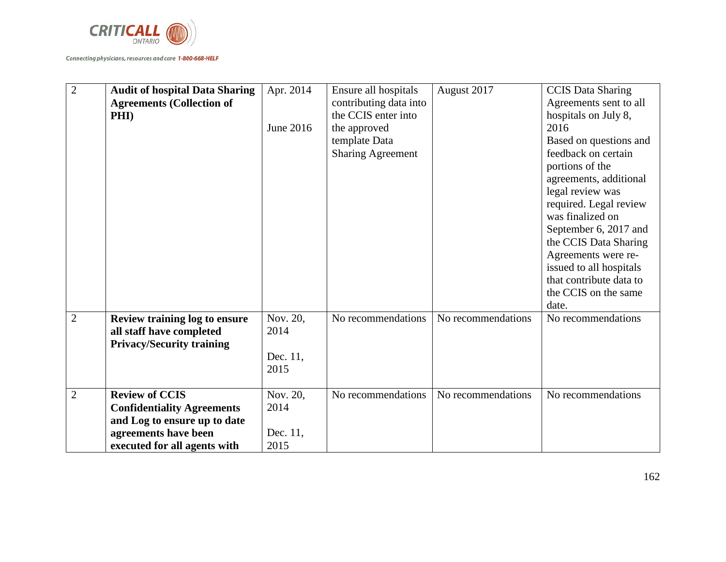

| $\overline{2}$ | <b>Audit of hospital Data Sharing</b><br><b>Agreements (Collection of</b><br><b>PHI</b> )                                                          | Apr. 2014<br>June 2016               | Ensure all hospitals<br>contributing data into<br>the CCIS enter into<br>the approved<br>template Data<br><b>Sharing Agreement</b> | August 2017        | <b>CCIS Data Sharing</b><br>Agreements sent to all<br>hospitals on July 8,<br>2016<br>Based on questions and<br>feedback on certain<br>portions of the<br>agreements, additional<br>legal review was<br>required. Legal review<br>was finalized on<br>September 6, 2017 and<br>the CCIS Data Sharing<br>Agreements were re-<br>issued to all hospitals<br>that contribute data to<br>the CCIS on the same<br>date. |
|----------------|----------------------------------------------------------------------------------------------------------------------------------------------------|--------------------------------------|------------------------------------------------------------------------------------------------------------------------------------|--------------------|--------------------------------------------------------------------------------------------------------------------------------------------------------------------------------------------------------------------------------------------------------------------------------------------------------------------------------------------------------------------------------------------------------------------|
| $\overline{2}$ | Review training log to ensure<br>all staff have completed<br><b>Privacy/Security training</b>                                                      | Nov. 20,<br>2014<br>Dec. 11,<br>2015 | No recommendations                                                                                                                 | No recommendations | No recommendations                                                                                                                                                                                                                                                                                                                                                                                                 |
| $\overline{2}$ | <b>Review of CCIS</b><br><b>Confidentiality Agreements</b><br>and Log to ensure up to date<br>agreements have been<br>executed for all agents with | Nov. 20,<br>2014<br>Dec. 11,<br>2015 | No recommendations                                                                                                                 | No recommendations | No recommendations                                                                                                                                                                                                                                                                                                                                                                                                 |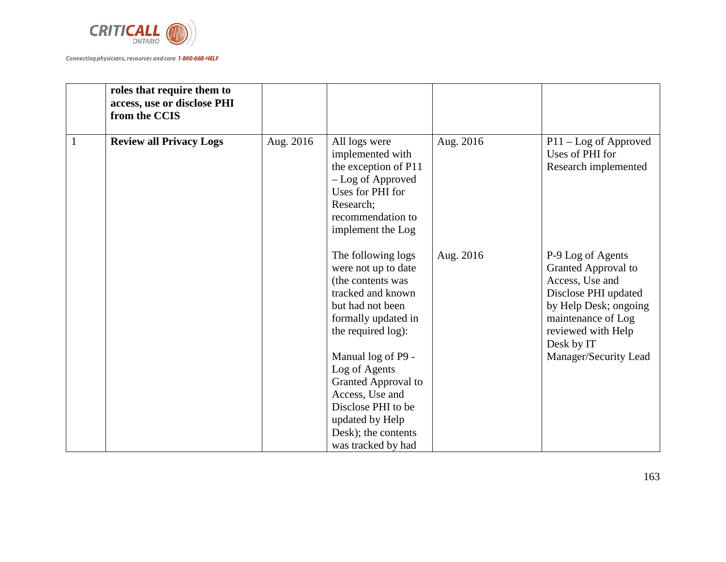

|              | roles that require them to<br>access, use or disclose PHI<br>from the CCIS |           |                                                                                                                                                                                                                                                                                                                             |           |                                                                                                                                                                                                 |
|--------------|----------------------------------------------------------------------------|-----------|-----------------------------------------------------------------------------------------------------------------------------------------------------------------------------------------------------------------------------------------------------------------------------------------------------------------------------|-----------|-------------------------------------------------------------------------------------------------------------------------------------------------------------------------------------------------|
| $\mathbf{1}$ | <b>Review all Privacy Logs</b>                                             | Aug. 2016 | All logs were<br>implemented with<br>the exception of P11<br>- Log of Approved<br>Uses for PHI for<br>Research;<br>recommendation to<br>implement the Log                                                                                                                                                                   | Aug. 2016 | $P11 - Log of Approach$<br>Uses of PHI for<br>Research implemented                                                                                                                              |
|              |                                                                            |           | The following logs<br>were not up to date<br>(the contents was<br>tracked and known<br>but had not been<br>formally updated in<br>the required log):<br>Manual log of P9 -<br>Log of Agents<br>Granted Approval to<br>Access, Use and<br>Disclose PHI to be<br>updated by Help<br>Desk); the contents<br>was tracked by had | Aug. 2016 | P-9 Log of Agents<br>Granted Approval to<br>Access, Use and<br>Disclose PHI updated<br>by Help Desk; ongoing<br>maintenance of Log<br>reviewed with Help<br>Desk by IT<br>Manager/Security Lead |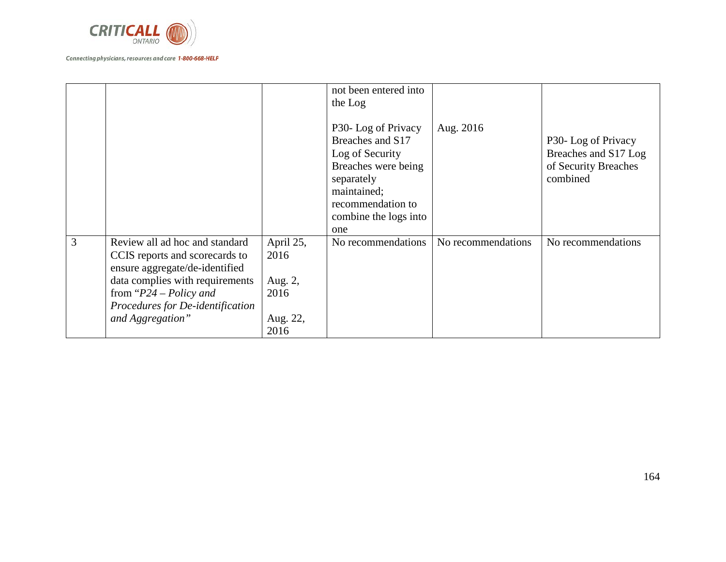

|   |                                                                                                                                                                                                                            |                                                          | not been entered into<br>the Log<br>P30-Log of Privacy<br>Breaches and S17<br>Log of Security<br>Breaches were being<br>separately<br>maintained;<br>recommendation to<br>combine the logs into<br>one | Aug. 2016          | P30- Log of Privacy<br>Breaches and S17 Log<br>of Security Breaches<br>combined |
|---|----------------------------------------------------------------------------------------------------------------------------------------------------------------------------------------------------------------------------|----------------------------------------------------------|--------------------------------------------------------------------------------------------------------------------------------------------------------------------------------------------------------|--------------------|---------------------------------------------------------------------------------|
| 3 | Review all ad hoc and standard<br>CCIS reports and scorecards to<br>ensure aggregate/de-identified<br>data complies with requirements<br>from " $P24 - Policy$ and<br>Procedures for De-identification<br>and Aggregation" | April 25,<br>2016<br>Aug. 2,<br>2016<br>Aug. 22,<br>2016 | No recommendations                                                                                                                                                                                     | No recommendations | No recommendations                                                              |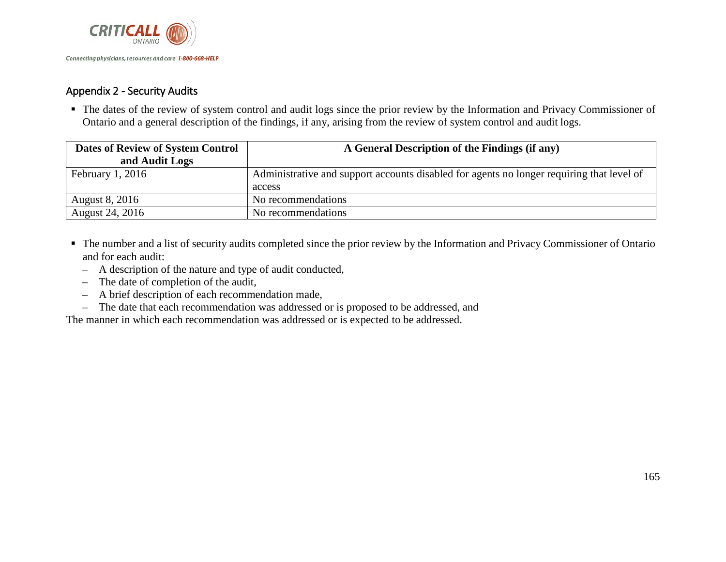

## Appendix 2 - Security Audits

 The dates of the review of system control and audit logs since the prior review by the Information and Privacy Commissioner of Ontario and a general description of the findings, if any, arising from the review of system control and audit logs.

| <b>Dates of Review of System Control</b> | A General Description of the Findings (if any)                                            |
|------------------------------------------|-------------------------------------------------------------------------------------------|
| and Audit Logs                           |                                                                                           |
| Eebruary 1, 2016                         | Administrative and support accounts disabled for agents no longer requiring that level of |
|                                          | access                                                                                    |
| <b>August 8, 2016</b>                    | No recommendations                                                                        |
| August 24, 2016                          | No recommendations                                                                        |

- The number and a list of security audits completed since the prior review by the Information and Privacy Commissioner of Ontario and for each audit:
	- A description of the nature and type of audit conducted,
	- The date of completion of the audit,
	- A brief description of each recommendation made,
	- The date that each recommendation was addressed or is proposed to be addressed, and

The manner in which each recommendation was addressed or is expected to be addressed.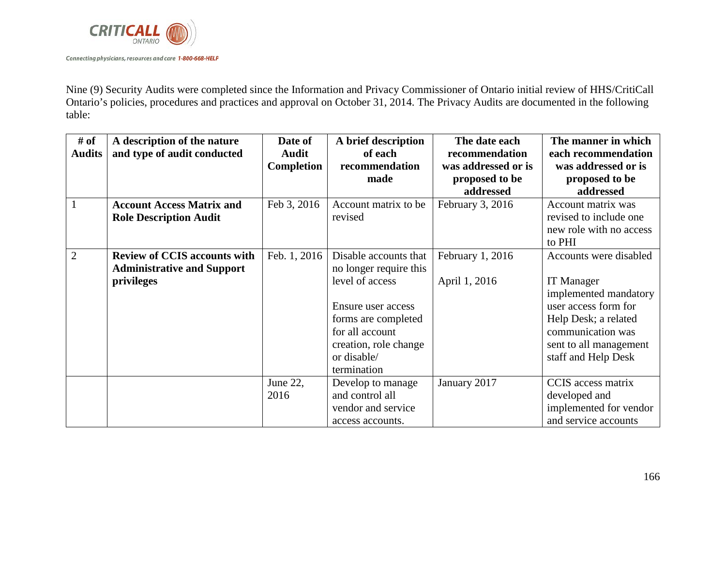

Nine (9) Security Audits were completed since the Information and Privacy Commissioner of Ontario initial review of HHS/CritiCall Ontario's policies, procedures and practices and approval on October 31, 2014. The Privacy Audits are documented in the following table:

| # of<br><b>Audits</b> | A description of the nature<br>and type of audit conducted                             | Date of<br><b>Audit</b><br><b>Completion</b> | A brief description<br>of each<br>recommendation<br>made                                                                                                                                  | The date each<br>recommendation<br>was addressed or is<br>proposed to be<br>addressed | The manner in which<br>each recommendation<br>was addressed or is<br>proposed to be<br>addressed                                                                                           |
|-----------------------|----------------------------------------------------------------------------------------|----------------------------------------------|-------------------------------------------------------------------------------------------------------------------------------------------------------------------------------------------|---------------------------------------------------------------------------------------|--------------------------------------------------------------------------------------------------------------------------------------------------------------------------------------------|
| $\mathbf{1}$          | <b>Account Access Matrix and</b><br><b>Role Description Audit</b>                      | Feb 3, 2016                                  | Account matrix to be<br>revised                                                                                                                                                           | February 3, 2016                                                                      | Account matrix was<br>revised to include one<br>new role with no access<br>to PHI                                                                                                          |
| $\overline{2}$        | <b>Review of CCIS accounts with</b><br><b>Administrative and Support</b><br>privileges | Feb. 1, 2016                                 | Disable accounts that<br>no longer require this<br>level of access<br>Ensure user access<br>forms are completed<br>for all account<br>creation, role change<br>or disable/<br>termination | February 1, 2016<br>April 1, 2016                                                     | Accounts were disabled<br><b>IT</b> Manager<br>implemented mandatory<br>user access form for<br>Help Desk; a related<br>communication was<br>sent to all management<br>staff and Help Desk |
|                       |                                                                                        | June 22,<br>2016                             | Develop to manage<br>and control all<br>vendor and service<br>access accounts.                                                                                                            | January 2017                                                                          | CCIS access matrix<br>developed and<br>implemented for vendor<br>and service accounts                                                                                                      |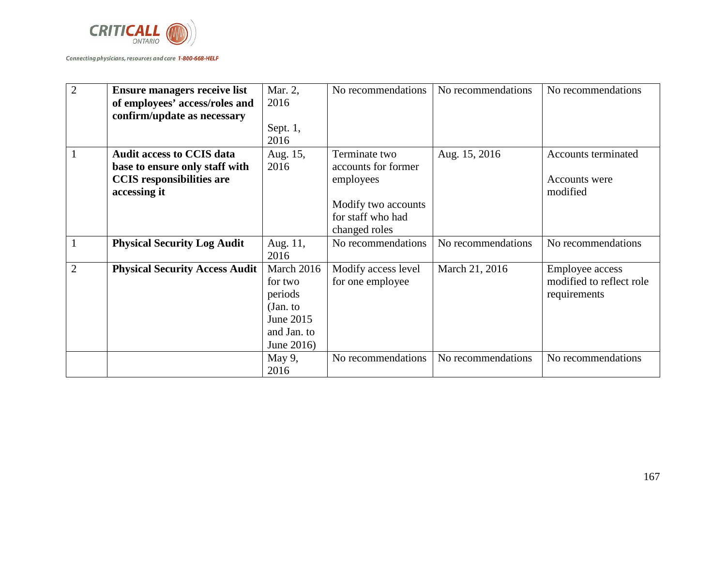

| $\overline{2}$ | <b>Ensure managers receive list</b>   | Mar. 2,     | No recommendations  | No recommendations | No recommendations       |
|----------------|---------------------------------------|-------------|---------------------|--------------------|--------------------------|
|                | of employees' access/roles and        | 2016        |                     |                    |                          |
|                | confirm/update as necessary           |             |                     |                    |                          |
|                |                                       | Sept. $1,$  |                     |                    |                          |
|                |                                       | 2016        |                     |                    |                          |
| 1              | <b>Audit access to CCIS data</b>      | Aug. 15,    | Terminate two       | Aug. 15, 2016      | Accounts terminated      |
|                | base to ensure only staff with        | 2016        | accounts for former |                    |                          |
|                | <b>CCIS</b> responsibilities are      |             | employees           |                    | Accounts were            |
|                | accessing it                          |             |                     |                    | modified                 |
|                |                                       |             | Modify two accounts |                    |                          |
|                |                                       |             | for staff who had   |                    |                          |
|                |                                       |             | changed roles       |                    |                          |
|                | <b>Physical Security Log Audit</b>    | Aug. 11,    | No recommendations  | No recommendations | No recommendations       |
|                |                                       | 2016        |                     |                    |                          |
| $\overline{2}$ | <b>Physical Security Access Audit</b> | March 2016  | Modify access level | March 21, 2016     | Employee access          |
|                |                                       | for two     | for one employee    |                    | modified to reflect role |
|                |                                       | periods     |                     |                    | requirements             |
|                |                                       | (Jan. to    |                     |                    |                          |
|                |                                       | June 2015   |                     |                    |                          |
|                |                                       | and Jan. to |                     |                    |                          |
|                |                                       | June 2016)  |                     |                    |                          |
|                |                                       | May $9$ ,   | No recommendations  | No recommendations | No recommendations       |
|                |                                       | 2016        |                     |                    |                          |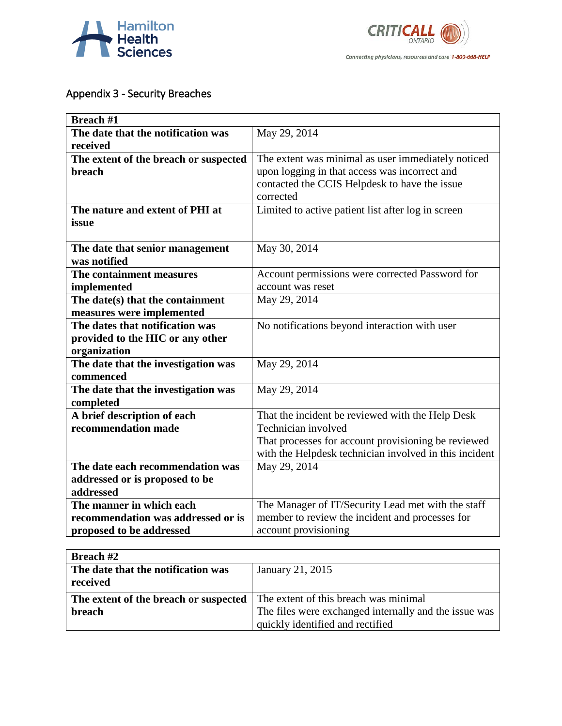



# Appendix 3 - Security Breaches

| <b>Breach #1</b>                      |                                                        |
|---------------------------------------|--------------------------------------------------------|
| The date that the notification was    | May 29, 2014                                           |
| received                              |                                                        |
| The extent of the breach or suspected | The extent was minimal as user immediately noticed     |
| <b>breach</b>                         | upon logging in that access was incorrect and          |
|                                       | contacted the CCIS Helpdesk to have the issue          |
|                                       | corrected                                              |
| The nature and extent of PHI at       | Limited to active patient list after log in screen     |
| issue                                 |                                                        |
|                                       |                                                        |
| The date that senior management       | May 30, 2014                                           |
| was notified                          |                                                        |
| The containment measures              | Account permissions were corrected Password for        |
| implemented                           | account was reset                                      |
| The date(s) that the containment      | May 29, 2014                                           |
| measures were implemented             |                                                        |
| The dates that notification was       | No notifications beyond interaction with user          |
| provided to the HIC or any other      |                                                        |
| organization                          |                                                        |
| The date that the investigation was   | May 29, 2014                                           |
| commenced                             |                                                        |
| The date that the investigation was   | May 29, 2014                                           |
| completed                             |                                                        |
| A brief description of each           | That the incident be reviewed with the Help Desk       |
| recommendation made                   | Technician involved                                    |
|                                       | That processes for account provisioning be reviewed    |
|                                       | with the Helpdesk technician involved in this incident |
| The date each recommendation was      | May 29, 2014                                           |
| addressed or is proposed to be        |                                                        |
| addressed                             |                                                        |
| The manner in which each              | The Manager of IT/Security Lead met with the staff     |
| recommendation was addressed or is    | member to review the incident and processes for        |
| proposed to be addressed              | account provisioning                                   |

| <b>Breach #2</b>                      |                                                       |
|---------------------------------------|-------------------------------------------------------|
| The date that the notification was    | January 21, 2015                                      |
| received                              |                                                       |
| The extent of the breach or suspected | The extent of this breach was minimal                 |
| <b>breach</b>                         | The files were exchanged internally and the issue was |
|                                       | quickly identified and rectified                      |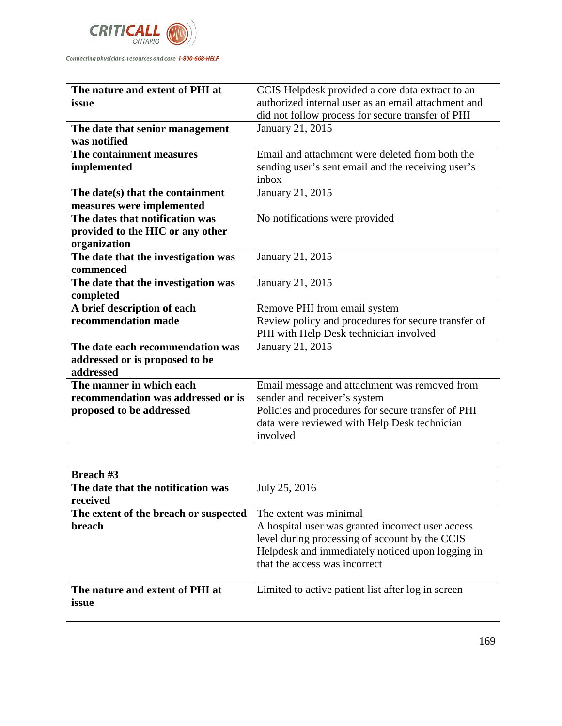

| The nature and extent of PHI at     | CCIS Helpdesk provided a core data extract to an    |
|-------------------------------------|-----------------------------------------------------|
| issue                               | authorized internal user as an email attachment and |
|                                     | did not follow process for secure transfer of PHI   |
| The date that senior management     | January 21, 2015                                    |
| was notified                        |                                                     |
| The containment measures            | Email and attachment were deleted from both the     |
| implemented                         | sending user's sent email and the receiving user's  |
|                                     | inbox                                               |
| The date(s) that the containment    | January 21, 2015                                    |
| measures were implemented           |                                                     |
| The dates that notification was     | No notifications were provided                      |
| provided to the HIC or any other    |                                                     |
| organization                        |                                                     |
| The date that the investigation was | January 21, 2015                                    |
| commenced                           |                                                     |
| The date that the investigation was | January 21, 2015                                    |
| completed                           |                                                     |
| A brief description of each         | Remove PHI from email system                        |
| recommendation made                 | Review policy and procedures for secure transfer of |
|                                     | PHI with Help Desk technician involved              |
| The date each recommendation was    | January 21, 2015                                    |
| addressed or is proposed to be      |                                                     |
| addressed                           |                                                     |
| The manner in which each            | Email message and attachment was removed from       |
| recommendation was addressed or is  | sender and receiver's system                        |
| proposed to be addressed            | Policies and procedures for secure transfer of PHI  |
|                                     | data were reviewed with Help Desk technician        |
|                                     | involved                                            |

| <b>Breach #3</b>                      |                                                    |
|---------------------------------------|----------------------------------------------------|
| The date that the notification was    | July 25, 2016                                      |
| received                              |                                                    |
| The extent of the breach or suspected | The extent was minimal                             |
| breach                                | A hospital user was granted incorrect user access  |
|                                       | level during processing of account by the CCIS     |
|                                       | Helpdesk and immediately noticed upon logging in   |
|                                       | that the access was incorrect                      |
|                                       |                                                    |
| The nature and extent of PHI at       | Limited to active patient list after log in screen |
| issue                                 |                                                    |
|                                       |                                                    |